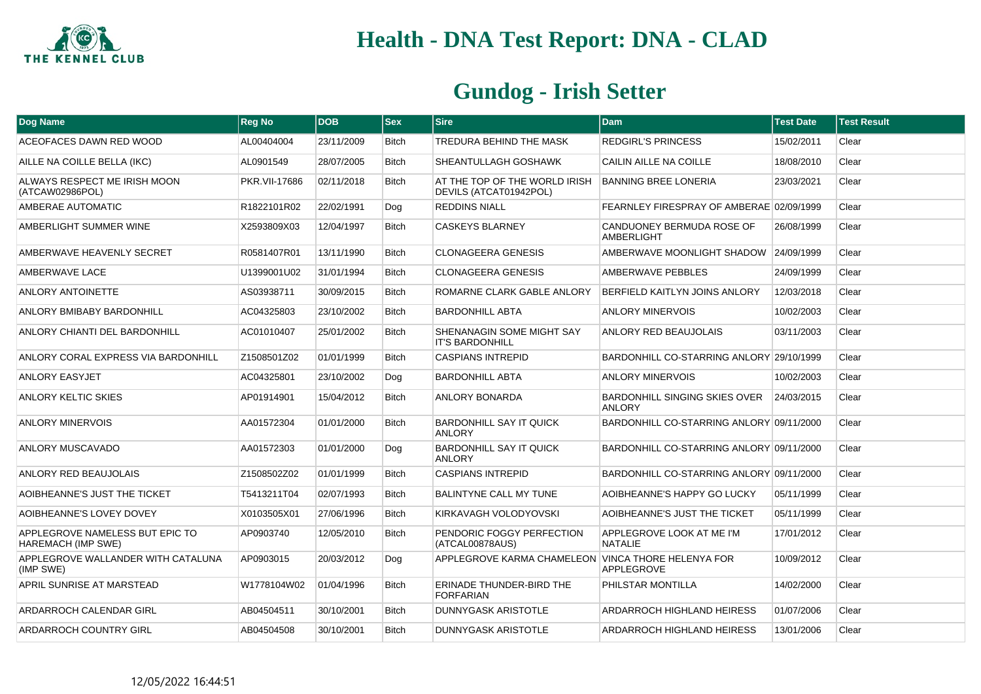

| Dog Name                                                     | <b>Reg No</b> | <b>DOB</b> | $ $ Sex      | <b>Sire</b>                                             | <b>Dam</b>                                            | <b>Test Date</b> | <b>Test Result</b> |
|--------------------------------------------------------------|---------------|------------|--------------|---------------------------------------------------------|-------------------------------------------------------|------------------|--------------------|
| ACEOFACES DAWN RED WOOD                                      | AL00404004    | 23/11/2009 | <b>Bitch</b> | TREDURA BEHIND THE MASK                                 | <b>REDGIRL'S PRINCESS</b>                             | 15/02/2011       | Clear              |
| AILLE NA COILLE BELLA (IKC)                                  | AL0901549     | 28/07/2005 | <b>Bitch</b> | SHEANTULLAGH GOSHAWK                                    | CAILIN AILLE NA COILLE                                | 18/08/2010       | Clear              |
| ALWAYS RESPECT ME IRISH MOON<br>(ATCAW02986POL)              | PKR.VII-17686 | 02/11/2018 | Bitch        | AT THE TOP OF THE WORLD IRISH<br>DEVILS (ATCAT01942POL) | <b>BANNING BREE LONERIA</b>                           | 23/03/2021       | Clear              |
| AMBERAE AUTOMATIC                                            | R1822101R02   | 22/02/1991 | Dog          | <b>REDDINS NIALL</b>                                    | FEARNLEY FIRESPRAY OF AMBERAE 02/09/1999              |                  | Clear              |
| AMBERLIGHT SUMMER WINE                                       | X2593809X03   | 12/04/1997 | <b>Bitch</b> | <b>CASKEYS BLARNEY</b>                                  | CANDUONEY BERMUDA ROSE OF<br>AMBERLIGHT               | 26/08/1999       | Clear              |
| AMBERWAVE HEAVENLY SECRET                                    | R0581407R01   | 13/11/1990 | <b>Bitch</b> | CLONAGEERA GENESIS                                      | AMBERWAVE MOONLIGHT SHADOW 24/09/1999                 |                  | Clear              |
| AMBERWAVE LACE                                               | U1399001U02   | 31/01/1994 | <b>Bitch</b> | CLONAGEERA GENESIS                                      | AMBERWAVE PEBBLES                                     | 24/09/1999       | Clear              |
| ANLORY ANTOINETTE                                            | AS03938711    | 30/09/2015 | <b>Bitch</b> | ROMARNE CLARK GABLE ANLORY                              | BERFIELD KAITLYN JOINS ANLORY                         | 12/03/2018       | Clear              |
| ANLORY BMIBABY BARDONHILL                                    | AC04325803    | 23/10/2002 | <b>Bitch</b> | <b>BARDONHILL ABTA</b>                                  | <b>ANLORY MINERVOIS</b>                               | 10/02/2003       | Clear              |
| ANLORY CHIANTI DEL BARDONHILL                                | AC01010407    | 25/01/2002 | <b>Bitch</b> | SHENANAGIN SOME MIGHT SAY<br><b>IT'S BARDONHILL</b>     | ANLORY RED BEAUJOLAIS                                 | 03/11/2003       | Clear              |
| ANLORY CORAL EXPRESS VIA BARDONHILL                          | Z1508501Z02   | 01/01/1999 | <b>Bitch</b> | <b>CASPIANS INTREPID</b>                                | BARDONHILL CO-STARRING ANLORY 29/10/1999              |                  | Clear              |
| ANLORY EASYJET                                               | AC04325801    | 23/10/2002 | Dog          | <b>BARDONHILL ABTA</b>                                  | <b>ANLORY MINERVOIS</b>                               | 10/02/2003       | Clear              |
| ANLORY KELTIC SKIES                                          | AP01914901    | 15/04/2012 | <b>Bitch</b> | <b>ANLORY BONARDA</b>                                   | <b>BARDONHILL SINGING SKIES OVER</b><br><b>ANLORY</b> | 24/03/2015       | Clear              |
| <b>ANLORY MINERVOIS</b>                                      | AA01572304    | 01/01/2000 | <b>Bitch</b> | <b>BARDONHILL SAY IT QUICK</b><br><b>ANLORY</b>         | BARDONHILL CO-STARRING ANLORY 09/11/2000              |                  | Clear              |
| ANLORY MUSCAVADO                                             | AA01572303    | 01/01/2000 | Dog          | <b>BARDONHILL SAY IT QUICK</b><br><b>ANLORY</b>         | BARDONHILL CO-STARRING ANLORY 09/11/2000              |                  | Clear              |
| ANLORY RED BEAUJOLAIS                                        | Z1508502Z02   | 01/01/1999 | <b>Bitch</b> | <b>CASPIANS INTREPID</b>                                | BARDONHILL CO-STARRING ANLORY 09/11/2000              |                  | Clear              |
| AOIBHEANNE'S JUST THE TICKET                                 | T5413211T04   | 02/07/1993 | <b>Bitch</b> | <b>BALINTYNE CALL MY TUNE</b>                           | AOIBHEANNE'S HAPPY GO LUCKY                           | 05/11/1999       | Clear              |
| AOIBHEANNE'S LOVEY DOVEY                                     | X0103505X01   | 27/06/1996 | <b>Bitch</b> | KIRKAVAGH VOLODYOVSKI                                   | AOIBHEANNE'S JUST THE TICKET                          | 05/11/1999       | Clear              |
| APPLEGROVE NAMELESS BUT EPIC TO<br><b>HAREMACH (IMP SWE)</b> | AP0903740     | 12/05/2010 | Bitch        | PENDORIC FOGGY PERFECTION<br>(ATCAL00878AUS)            | APPLEGROVE LOOK AT ME I'M<br><b>NATALIE</b>           | 17/01/2012       | Clear              |
| APPLEGROVE WALLANDER WITH CATALUNA<br>(IMP SWE)              | AP0903015     | 20/03/2012 | Dog          | APPLEGROVE KARMA CHAMELEON VINCA THORE HELENYA FOR      | <b>APPLEGROVE</b>                                     | 10/09/2012       | Clear              |
| APRIL SUNRISE AT MARSTEAD                                    | W1778104W02   | 01/04/1996 | <b>Bitch</b> | ERINADE THUNDER-BIRD THE<br><b>FORFARIAN</b>            | PHILSTAR MONTILLA                                     | 14/02/2000       | Clear              |
| ARDARROCH CALENDAR GIRL                                      | AB04504511    | 30/10/2001 | <b>Bitch</b> | <b>DUNNYGASK ARISTOTLE</b>                              | ARDARROCH HIGHLAND HEIRESS                            | 01/07/2006       | Clear              |
| <b>ARDARROCH COUNTRY GIRL</b>                                | AB04504508    | 30/10/2001 | <b>Bitch</b> | DUNNYGASK ARISTOTLE                                     | ARDARROCH HIGHLAND HEIRESS                            | 13/01/2006       | Clear              |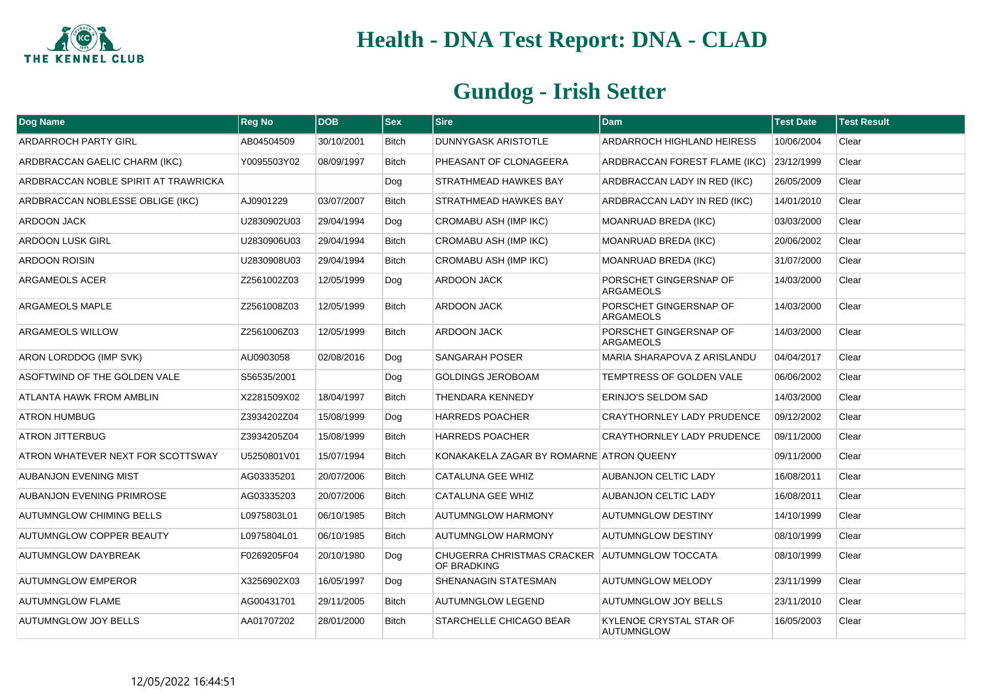

| Dog Name                             | <b>Reg No</b> | <b>DOB</b> | <b>Sex</b>   | <b>Sire</b>                                                  | <b>Dam</b>                                   | <b>Test Date</b> | <b>Test Result</b> |
|--------------------------------------|---------------|------------|--------------|--------------------------------------------------------------|----------------------------------------------|------------------|--------------------|
| <b>ARDARROCH PARTY GIRL</b>          | AB04504509    | 30/10/2001 | <b>Bitch</b> | <b>DUNNYGASK ARISTOTLE</b>                                   | ARDARROCH HIGHLAND HEIRESS                   | 10/06/2004       | Clear              |
| ARDBRACCAN GAELIC CHARM (IKC)        | Y0095503Y02   | 08/09/1997 | <b>Bitch</b> | PHEASANT OF CLONAGEERA                                       | ARDBRACCAN FOREST FLAME (IKC)                | 23/12/1999       | Clear              |
| ARDBRACCAN NOBLE SPIRIT AT TRAWRICKA |               |            | Dog          | STRATHMEAD HAWKES BAY                                        | ARDBRACCAN LADY IN RED (IKC)                 | 26/05/2009       | Clear              |
| ARDBRACCAN NOBLESSE OBLIGE (IKC)     | AJ0901229     | 03/07/2007 | <b>Bitch</b> | STRATHMEAD HAWKES BAY                                        | ARDBRACCAN LADY IN RED (IKC)                 | 14/01/2010       | Clear              |
| <b>ARDOON JACK</b>                   | U2830902U03   | 29/04/1994 | Dog          | <b>CROMABU ASH (IMP IKC)</b>                                 | MOANRUAD BREDA (IKC)                         | 03/03/2000       | Clear              |
| <b>ARDOON LUSK GIRL</b>              | U2830906U03   | 29/04/1994 | <b>Bitch</b> | <b>CROMABU ASH (IMP IKC)</b>                                 | MOANRUAD BREDA (IKC)                         | 20/06/2002       | Clear              |
| <b>ARDOON ROISIN</b>                 | U2830908U03   | 29/04/1994 | <b>Bitch</b> | CROMABU ASH (IMP IKC)                                        | MOANRUAD BREDA (IKC)                         | 31/07/2000       | Clear              |
| ARGAMEOLS ACER                       | Z2561002Z03   | 12/05/1999 | Dog          | ARDOON JACK                                                  | PORSCHET GINGERSNAP OF<br><b>ARGAMEOLS</b>   | 14/03/2000       | Clear              |
| ARGAMEOLS MAPLE                      | Z2561008Z03   | 12/05/1999 | <b>Bitch</b> | ARDOON JACK                                                  | PORSCHET GINGERSNAP OF<br><b>ARGAMEOLS</b>   | 14/03/2000       | Clear              |
| ARGAMEOLS WILLOW                     | Z2561006Z03   | 12/05/1999 | <b>Bitch</b> | <b>ARDOON JACK</b>                                           | PORSCHET GINGERSNAP OF<br><b>ARGAMEOLS</b>   | 14/03/2000       | Clear              |
| ARON LORDDOG (IMP SVK)               | AU0903058     | 02/08/2016 | Dog          | <b>SANGARAH POSER</b>                                        | MARIA SHARAPOVA Z ARISLANDU                  | 04/04/2017       | Clear              |
| ASOFTWIND OF THE GOLDEN VALE         | S56535/2001   |            | Dog          | <b>GOLDINGS JEROBOAM</b>                                     | TEMPTRESS OF GOLDEN VALE                     | 06/06/2002       | Clear              |
| ATLANTA HAWK FROM AMBLIN             | X2281509X02   | 18/04/1997 | <b>Bitch</b> | THENDARA KENNEDY                                             | ERINJO'S SELDOM SAD                          | 14/03/2000       | Clear              |
| <b>ATRON HUMBUG</b>                  | Z3934202Z04   | 15/08/1999 | Dog          | HARREDS POACHER                                              | <b>CRAYTHORNLEY LADY PRUDENCE</b>            | 09/12/2002       | Clear              |
| <b>ATRON JITTERBUG</b>               | Z3934205Z04   | 15/08/1999 | <b>Bitch</b> | HARREDS POACHER                                              | <b>CRAYTHORNLEY LADY PRUDENCE</b>            | 09/11/2000       | Clear              |
| ATRON WHATEVER NEXT FOR SCOTTSWAY    | U5250801V01   | 15/07/1994 | <b>Bitch</b> | KONAKAKELA ZAGAR BY ROMARNE ATRON QUEENY                     |                                              | 09/11/2000       | Clear              |
| <b>AUBANJON EVENING MIST</b>         | AG03335201    | 20/07/2006 | <b>Bitch</b> | CATALUNA GEE WHIZ                                            | <b>AUBANJON CELTIC LADY</b>                  | 16/08/2011       | Clear              |
| <b>AUBANJON EVENING PRIMROSE</b>     | AG03335203    | 20/07/2006 | <b>Bitch</b> | <b>CATALUNA GEE WHIZ</b>                                     | <b>AUBANJON CELTIC LADY</b>                  | 16/08/2011       | Clear              |
| <b>AUTUMNGLOW CHIMING BELLS</b>      | L0975803L01   | 06/10/1985 | <b>Bitch</b> | <b>AUTUMNGLOW HARMONY</b>                                    | <b>AUTUMNGLOW DESTINY</b>                    | 14/10/1999       | Clear              |
| AUTUMNGLOW COPPER BEAUTY             | L0975804L01   | 06/10/1985 | <b>Bitch</b> | <b>AUTUMNGLOW HARMONY</b>                                    | <b>AUTUMNGLOW DESTINY</b>                    | 08/10/1999       | Clear              |
| <b>AUTUMNGLOW DAYBREAK</b>           | F0269205F04   | 20/10/1980 | Dog          | CHUGERRA CHRISTMAS CRACKER AUTUMNGLOW TOCCATA<br>OF BRADKING |                                              | 08/10/1999       | Clear              |
| <b>AUTUMNGLOW EMPEROR</b>            | X3256902X03   | 16/05/1997 | Dog          | SHENANAGIN STATESMAN                                         | <b>AUTUMNGLOW MELODY</b>                     | 23/11/1999       | Clear              |
| <b>AUTUMNGLOW FLAME</b>              | AG00431701    | 29/11/2005 | <b>Bitch</b> | <b>AUTUMNGLOW LEGEND</b>                                     | <b>AUTUMNGLOW JOY BELLS</b>                  | 23/11/2010       | Clear              |
| <b>AUTUMNGLOW JOY BELLS</b>          | AA01707202    | 28/01/2000 | <b>Bitch</b> | STARCHELLE CHICAGO BEAR                                      | KYLENOE CRYSTAL STAR OF<br><b>AUTUMNGLOW</b> | 16/05/2003       | Clear              |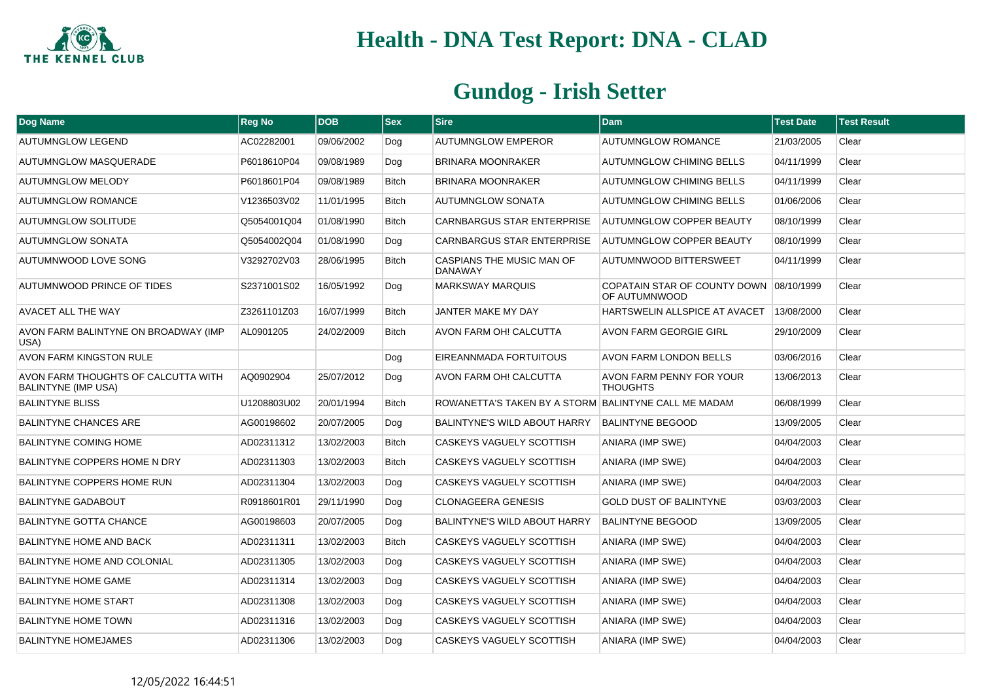

| <b>Dog Name</b>                                                   | <b>Reg No</b> | <b>DOB</b> | <b>Sex</b>   | <b>Sire</b>                                          | Dam                                                      | <b>Test Date</b> | <b>Test Result</b> |
|-------------------------------------------------------------------|---------------|------------|--------------|------------------------------------------------------|----------------------------------------------------------|------------------|--------------------|
| <b>AUTUMNGLOW LEGEND</b>                                          | AC02282001    | 09/06/2002 | Dog          | <b>AUTUMNGLOW EMPEROR</b>                            | <b>AUTUMNGLOW ROMANCE</b>                                | 21/03/2005       | Clear              |
| AUTUMNGLOW MASQUERADE                                             | P6018610P04   | 09/08/1989 | Dog          | <b>BRINARA MOONRAKER</b>                             | <b>AUTUMNGLOW CHIMING BELLS</b>                          | 04/11/1999       | Clear              |
| <b>AUTUMNGLOW MELODY</b>                                          | P6018601P04   | 09/08/1989 | <b>Bitch</b> | <b>BRINARA MOONRAKER</b>                             | <b>AUTUMNGLOW CHIMING BELLS</b>                          | 04/11/1999       | Clear              |
| <b>AUTUMNGLOW ROMANCE</b>                                         | V1236503V02   | 11/01/1995 | <b>Bitch</b> | <b>AUTUMNGLOW SONATA</b>                             | <b>AUTUMNGLOW CHIMING BELLS</b>                          | 01/06/2006       | Clear              |
| <b>AUTUMNGLOW SOLITUDE</b>                                        | Q5054001Q04   | 01/08/1990 | <b>Bitch</b> | <b>CARNBARGUS STAR ENTERPRISE</b>                    | AUTUMNGLOW COPPER BEAUTY                                 | 08/10/1999       | Clear              |
| <b>AUTUMNGLOW SONATA</b>                                          | Q5054002Q04   | 01/08/1990 | Dog          | <b>CARNBARGUS STAR ENTERPRISE</b>                    | <b>AUTUMNGLOW COPPER BEAUTY</b>                          | 08/10/1999       | Clear              |
| AUTUMNWOOD LOVE SONG                                              | V3292702V03   | 28/06/1995 | <b>Bitch</b> | CASPIANS THE MUSIC MAN OF<br><b>DANAWAY</b>          | AUTUMNWOOD BITTERSWEET                                   | 04/11/1999       | Clear              |
| AUTUMNWOOD PRINCE OF TIDES                                        | S2371001S02   | 16/05/1992 | Dog          | <b>MARKSWAY MARQUIS</b>                              | COPATAIN STAR OF COUNTY DOWN 08/10/1999<br>OF AUTUMNWOOD |                  | Clear              |
| AVACET ALL THE WAY                                                | Z3261101Z03   | 16/07/1999 | <b>Bitch</b> | JANTER MAKE MY DAY                                   | HARTSWELIN ALLSPICE AT AVACET                            | 13/08/2000       | Clear              |
| AVON FARM BALINTYNE ON BROADWAY (IMP<br>USA)                      | AL0901205     | 24/02/2009 | <b>Bitch</b> | AVON FARM OH! CALCUTTA                               | <b>AVON FARM GEORGIE GIRL</b>                            | 29/10/2009       | Clear              |
| AVON FARM KINGSTON RULE                                           |               |            | Dog          | EIREANNMADA FORTUITOUS                               | AVON FARM LONDON BELLS                                   | 03/06/2016       | Clear              |
| AVON FARM THOUGHTS OF CALCUTTA WITH<br><b>BALINTYNE (IMP USA)</b> | AQ0902904     | 25/07/2012 | Dog          | AVON FARM OH! CALCUTTA                               | AVON FARM PENNY FOR YOUR<br><b>THOUGHTS</b>              | 13/06/2013       | Clear              |
| <b>BALINTYNE BLISS</b>                                            | U1208803U02   | 20/01/1994 | <b>Bitch</b> | ROWANETTA'S TAKEN BY A STORM BALINTYNE CALL ME MADAM |                                                          | 06/08/1999       | Clear              |
| <b>BALINTYNE CHANCES ARE</b>                                      | AG00198602    | 20/07/2005 | Dog          | BALINTYNE'S WILD ABOUT HARRY                         | <b>BALINTYNE BEGOOD</b>                                  | 13/09/2005       | Clear              |
| <b>BALINTYNE COMING HOME</b>                                      | AD02311312    | 13/02/2003 | Bitch        | CASKEYS VAGUELY SCOTTISH                             | ANIARA (IMP SWE)                                         | 04/04/2003       | Clear              |
| BALINTYNE COPPERS HOME N DRY                                      | AD02311303    | 13/02/2003 | <b>Bitch</b> | CASKEYS VAGUELY SCOTTISH                             | ANIARA (IMP SWE)                                         | 04/04/2003       | Clear              |
| <b>BALINTYNE COPPERS HOME RUN</b>                                 | AD02311304    | 13/02/2003 | Dog          | CASKEYS VAGUELY SCOTTISH                             | ANIARA (IMP SWE)                                         | 04/04/2003       | Clear              |
| <b>BALINTYNE GADABOUT</b>                                         | R0918601R01   | 29/11/1990 | Dog          | <b>CLONAGEERA GENESIS</b>                            | <b>GOLD DUST OF BALINTYNE</b>                            | 03/03/2003       | Clear              |
| <b>BALINTYNE GOTTA CHANCE</b>                                     | AG00198603    | 20/07/2005 | Dog          | <b>BALINTYNE'S WILD ABOUT HARRY</b>                  | <b>BALINTYNE BEGOOD</b>                                  | 13/09/2005       | Clear              |
| <b>BALINTYNE HOME AND BACK</b>                                    | AD02311311    | 13/02/2003 | <b>Bitch</b> | CASKEYS VAGUELY SCOTTISH                             | ANIARA (IMP SWE)                                         | 04/04/2003       | Clear              |
| BALINTYNE HOME AND COLONIAL                                       | AD02311305    | 13/02/2003 | Dog          | CASKEYS VAGUELY SCOTTISH                             | ANIARA (IMP SWE)                                         | 04/04/2003       | Clear              |
| <b>BALINTYNE HOME GAME</b>                                        | AD02311314    | 13/02/2003 | Dog          | CASKEYS VAGUELY SCOTTISH                             | <b>ANIARA (IMP SWE)</b>                                  | 04/04/2003       | Clear              |
| <b>BALINTYNE HOME START</b>                                       | AD02311308    | 13/02/2003 | Dog          | CASKEYS VAGUELY SCOTTISH                             | ANIARA (IMP SWE)                                         | 04/04/2003       | Clear              |
| <b>BALINTYNE HOME TOWN</b>                                        | AD02311316    | 13/02/2003 | Dog          | CASKEYS VAGUELY SCOTTISH                             | ANIARA (IMP SWE)                                         | 04/04/2003       | Clear              |
| <b>BALINTYNE HOMEJAMES</b>                                        | AD02311306    | 13/02/2003 | Dog          | CASKEYS VAGUELY SCOTTISH                             | ANIARA (IMP SWE)                                         | 04/04/2003       | Clear              |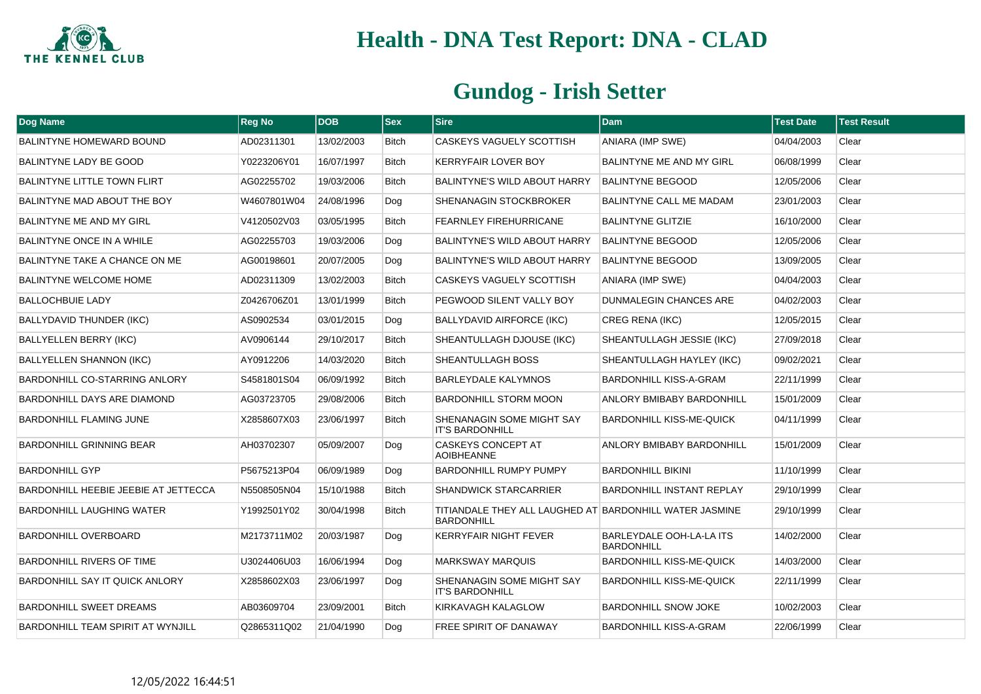

| <b>Dog Name</b>                       | <b>Reg No</b> | <b>DOB</b> | <b>Sex</b>   | <b>Sire</b>                                                                  | <b>Dam</b>                                    | <b>Test Date</b> | <b>Test Result</b> |
|---------------------------------------|---------------|------------|--------------|------------------------------------------------------------------------------|-----------------------------------------------|------------------|--------------------|
| <b>BALINTYNE HOMEWARD BOUND</b>       | AD02311301    | 13/02/2003 | <b>Bitch</b> | CASKEYS VAGUELY SCOTTISH                                                     | ANIARA (IMP SWE)                              | 04/04/2003       | Clear              |
| <b>BALINTYNE LADY BE GOOD</b>         | Y0223206Y01   | 16/07/1997 | <b>Bitch</b> | <b>KERRYFAIR LOVER BOY</b>                                                   | <b>BALINTYNE ME AND MY GIRL</b>               | 06/08/1999       | Clear              |
| <b>BALINTYNE LITTLE TOWN FLIRT</b>    | AG02255702    | 19/03/2006 | <b>Bitch</b> | <b>BALINTYNE'S WILD ABOUT HARRY</b>                                          | <b>BALINTYNE BEGOOD</b>                       | 12/05/2006       | Clear              |
| BALINTYNE MAD ABOUT THE BOY           | W4607801W04   | 24/08/1996 | Dog          | SHENANAGIN STOCKBROKER                                                       | <b>BALINTYNE CALL ME MADAM</b>                | 23/01/2003       | Clear              |
| BALINTYNE ME AND MY GIRL              | V4120502V03   | 03/05/1995 | <b>Bitch</b> | <b>FEARNLEY FIREHURRICANE</b>                                                | <b>BALINTYNE GLITZIE</b>                      | 16/10/2000       | Clear              |
| <b>BALINTYNE ONCE IN A WHILE</b>      | AG02255703    | 19/03/2006 | Dog          | BALINTYNE'S WILD ABOUT HARRY                                                 | <b>BALINTYNE BEGOOD</b>                       | 12/05/2006       | Clear              |
| BALINTYNE TAKE A CHANCE ON ME         | AG00198601    | 20/07/2005 | Dog          | BALINTYNE'S WILD ABOUT HARRY                                                 | <b>BALINTYNE BEGOOD</b>                       | 13/09/2005       | Clear              |
| <b>BALINTYNE WELCOME HOME</b>         | AD02311309    | 13/02/2003 | <b>Bitch</b> | CASKEYS VAGUELY SCOTTISH                                                     | <b>ANIARA (IMP SWE)</b>                       | 04/04/2003       | Clear              |
| <b>BALLOCHBUIE LADY</b>               | Z0426706Z01   | 13/01/1999 | <b>Bitch</b> | PEGWOOD SILENT VALLY BOY                                                     | <b>DUNMALEGIN CHANCES ARE</b>                 | 04/02/2003       | Clear              |
| BALLYDAVID THUNDER (IKC)              | AS0902534     | 03/01/2015 | Dog          | <b>BALLYDAVID AIRFORCE (IKC)</b>                                             | <b>CREG RENA (IKC)</b>                        | 12/05/2015       | Clear              |
| <b>BALLYELLEN BERRY (IKC)</b>         | AV0906144     | 29/10/2017 | <b>Bitch</b> | SHEANTULLAGH DJOUSE (IKC)                                                    | SHEANTULLAGH JESSIE (IKC)                     | 27/09/2018       | Clear              |
| <b>BALLYELLEN SHANNON (IKC)</b>       | AY0912206     | 14/03/2020 | <b>Bitch</b> | SHEANTULLAGH BOSS                                                            | SHEANTULLAGH HAYLEY (IKC)                     | 09/02/2021       | Clear              |
| BARDONHILL CO-STARRING ANLORY         | S4581801S04   | 06/09/1992 | <b>Bitch</b> | BARLEYDALE KALYMNOS                                                          | BARDONHILL KISS-A-GRAM                        | 22/11/1999       | Clear              |
| BARDONHILL DAYS ARE DIAMOND           | AG03723705    | 29/08/2006 | <b>Bitch</b> | <b>BARDONHILL STORM MOON</b>                                                 | ANLORY BMIBABY BARDONHILL                     | 15/01/2009       | Clear              |
| <b>BARDONHILL FLAMING JUNE</b>        | X2858607X03   | 23/06/1997 | <b>Bitch</b> | SHENANAGIN SOME MIGHT SAY<br><b>IT'S BARDONHILL</b>                          | <b>BARDONHILL KISS-ME-QUICK</b>               | 04/11/1999       | Clear              |
| <b>BARDONHILL GRINNING BEAR</b>       | AH03702307    | 05/09/2007 | Dog          | <b>CASKEYS CONCEPT AT</b><br><b>AOIBHEANNE</b>                               | <b>ANLORY BMIBABY BARDONHILL</b>              | 15/01/2009       | Clear              |
| <b>BARDONHILL GYP</b>                 | P5675213P04   | 06/09/1989 | Dog          | <b>BARDONHILL RUMPY PUMPY</b>                                                | <b>BARDONHILL BIKINI</b>                      | 11/10/1999       | Clear              |
| BARDONHILL HEEBIE JEEBIE AT JETTECCA  | N5508505N04   | 15/10/1988 | <b>Bitch</b> | <b>SHANDWICK STARCARRIER</b>                                                 | <b>BARDONHILL INSTANT REPLAY</b>              | 29/10/1999       | Clear              |
| <b>BARDONHILL LAUGHING WATER</b>      | Y1992501Y02   | 30/04/1998 | <b>Bitch</b> | TITIANDALE THEY ALL LAUGHED AT BARDONHILL WATER JASMINE<br><b>BARDONHILL</b> |                                               | 29/10/1999       | Clear              |
| BARDONHILL OVERBOARD                  | M2173711M02   | 20/03/1987 | Dog          | <b>KERRYFAIR NIGHT FEVER</b>                                                 | BARLEYDALE OOH-LA-LA ITS<br><b>BARDONHILL</b> | 14/02/2000       | Clear              |
| <b>BARDONHILL RIVERS OF TIME</b>      | U3024406U03   | 16/06/1994 | Dog          | <b>MARKSWAY MARQUIS</b>                                                      | <b>BARDONHILL KISS-ME-QUICK</b>               | 14/03/2000       | Clear              |
| <b>BARDONHILL SAY IT QUICK ANLORY</b> | X2858602X03   | 23/06/1997 | Dog          | SHENANAGIN SOME MIGHT SAY<br><b>IT'S BARDONHILL</b>                          | <b>BARDONHILL KISS-ME-QUICK</b>               | 22/11/1999       | Clear              |
| <b>BARDONHILL SWEET DREAMS</b>        | AB03609704    | 23/09/2001 | <b>Bitch</b> | KIRKAVAGH KALAGLOW                                                           | <b>BARDONHILL SNOW JOKE</b>                   | 10/02/2003       | Clear              |
| BARDONHILL TEAM SPIRIT AT WYNJILL     | Q2865311Q02   | 21/04/1990 | Dog          | <b>FREE SPIRIT OF DANAWAY</b>                                                | BARDONHILL KISS-A-GRAM                        | 22/06/1999       | Clear              |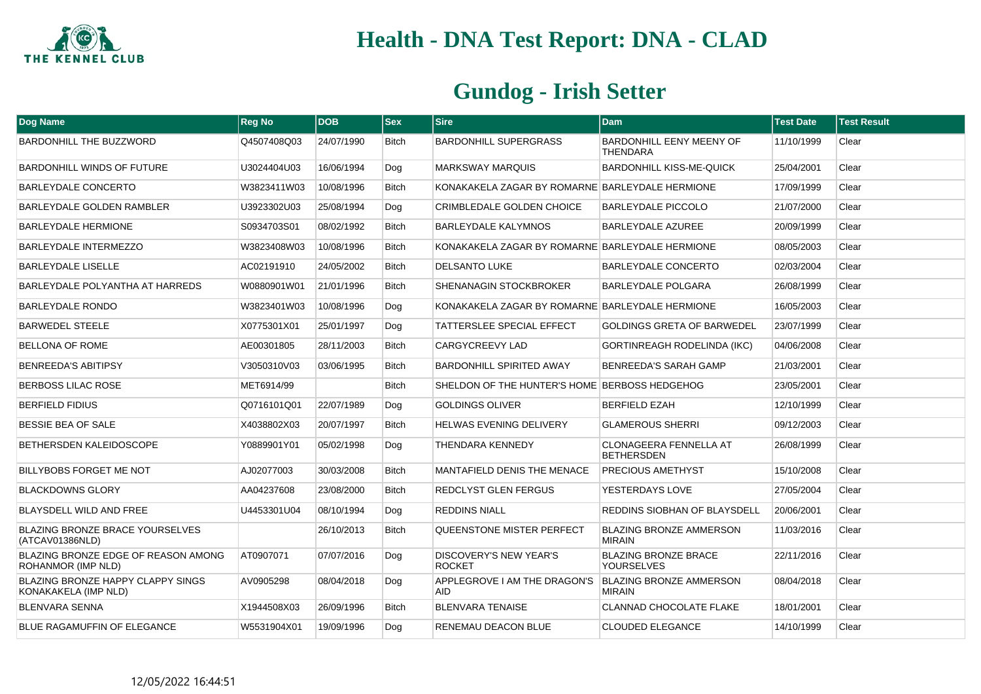

| Dog Name                                                  | <b>Reg No</b> | <b>DOB</b> | <b>Sex</b>   | <b>Sire</b>                                     | <b>Dam</b>                                         | <b>Test Date</b> | <b>Test Result</b> |
|-----------------------------------------------------------|---------------|------------|--------------|-------------------------------------------------|----------------------------------------------------|------------------|--------------------|
| <b>BARDONHILL THE BUZZWORD</b>                            | Q4507408Q03   | 24/07/1990 | <b>Bitch</b> | <b>BARDONHILL SUPERGRASS</b>                    | <b>BARDONHILL EENY MEENY OF</b><br><b>THENDARA</b> | 11/10/1999       | Clear              |
| <b>BARDONHILL WINDS OF FUTURE</b>                         | U3024404U03   | 16/06/1994 | Dog          | <b>MARKSWAY MARQUIS</b>                         | <b>BARDONHILL KISS-ME-QUICK</b>                    | 25/04/2001       | Clear              |
| BARLEYDALE CONCERTO                                       | W3823411W03   | 10/08/1996 | <b>Bitch</b> | KONAKAKELA ZAGAR BY ROMARNE BARLEYDALE HERMIONE |                                                    | 17/09/1999       | Clear              |
| <b>BARLEYDALE GOLDEN RAMBLER</b>                          | U3923302U03   | 25/08/1994 | Dog          | <b>CRIMBLEDALE GOLDEN CHOICE</b>                | <b>BARLEYDALE PICCOLO</b>                          | 21/07/2000       | Clear              |
| <b>BARLEYDALE HERMIONE</b>                                | S0934703S01   | 08/02/1992 | <b>Bitch</b> | <b>BARLEYDALE KALYMNOS</b>                      | <b>BARLEYDALE AZUREE</b>                           | 20/09/1999       | Clear              |
| <b>BARLEYDALE INTERMEZZO</b>                              | W3823408W03   | 10/08/1996 | <b>Bitch</b> | KONAKAKELA ZAGAR BY ROMARNE BARLEYDALE HERMIONE |                                                    | 08/05/2003       | Clear              |
| <b>BARLEYDALE LISELLE</b>                                 | AC02191910    | 24/05/2002 | <b>Bitch</b> | <b>DELSANTO LUKE</b>                            | <b>BARLEYDALE CONCERTO</b>                         | 02/03/2004       | Clear              |
| BARLEYDALE POLYANTHA AT HARREDS                           | W0880901W01   | 21/01/1996 | <b>Bitch</b> | SHENANAGIN STOCKBROKER                          | <b>BARLEYDALE POLGARA</b>                          | 26/08/1999       | Clear              |
| <b>BARLEYDALE RONDO</b>                                   | W3823401W03   | 10/08/1996 | Dog          | KONAKAKELA ZAGAR BY ROMARNE BARLEYDALE HERMIONE |                                                    | 16/05/2003       | Clear              |
| <b>BARWEDEL STEELE</b>                                    | X0775301X01   | 25/01/1997 | Dog          | TATTERSLEE SPECIAL EFFECT                       | <b>GOLDINGS GRETA OF BARWEDEL</b>                  | 23/07/1999       | Clear              |
| <b>BELLONA OF ROME</b>                                    | AE00301805    | 28/11/2003 | <b>Bitch</b> | <b>CARGYCREEVY LAD</b>                          | <b>GORTINREAGH RODELINDA (IKC)</b>                 | 04/06/2008       | Clear              |
| <b>BENREEDA'S ABITIPSY</b>                                | V3050310V03   | 03/06/1995 | <b>Bitch</b> | <b>BARDONHILL SPIRITED AWAY</b>                 | <b>BENREEDA'S SARAH GAMP</b>                       | 21/03/2001       | Clear              |
| <b>BERBOSS LILAC ROSE</b>                                 | MET6914/99    |            | <b>Bitch</b> | SHELDON OF THE HUNTER'S HOME BERBOSS HEDGEHOG   |                                                    | 23/05/2001       | Clear              |
| <b>BERFIELD FIDIUS</b>                                    | Q0716101Q01   | 22/07/1989 | Dog          | <b>GOLDINGS OLIVER</b>                          | <b>BERFIELD EZAH</b>                               | 12/10/1999       | Clear              |
| <b>BESSIE BEA OF SALE</b>                                 | X4038802X03   | 20/07/1997 | <b>Bitch</b> | <b>HELWAS EVENING DELIVERY</b>                  | <b>GLAMEROUS SHERRI</b>                            | 09/12/2003       | Clear              |
| BETHERSDEN KALEIDOSCOPE                                   | Y0889901Y01   | 05/02/1998 | Dog          | THENDARA KENNEDY                                | <b>CLONAGEERA FENNELLA AT</b><br><b>BETHERSDEN</b> | 26/08/1999       | Clear              |
| BILLYBOBS FORGET ME NOT                                   | AJ02077003    | 30/03/2008 | <b>Bitch</b> | MANTAFIELD DENIS THE MENACE                     | <b>PRECIOUS AMETHYST</b>                           | 15/10/2008       | Clear              |
| <b>BLACKDOWNS GLORY</b>                                   | AA04237608    | 23/08/2000 | <b>Bitch</b> | <b>REDCLYST GLEN FERGUS</b>                     | YESTERDAYS LOVE                                    | 27/05/2004       | Clear              |
| BLAYSDELL WILD AND FREE                                   | U4453301U04   | 08/10/1994 | Dog          | <b>REDDINS NIALL</b>                            | REDDINS SIOBHAN OF BLAYSDELL                       | 20/06/2001       | Clear              |
| BLAZING BRONZE BRACE YOURSELVES<br>(ATCAV01386NLD)        |               | 26/10/2013 | <b>Bitch</b> | QUEENSTONE MISTER PERFECT                       | <b>BLAZING BRONZE AMMERSON</b><br><b>MIRAIN</b>    | 11/03/2016       | Clear              |
| BLAZING BRONZE EDGE OF REASON AMONG<br>ROHANMOR (IMP NLD) | AT0907071     | 07/07/2016 | Dog          | <b>DISCOVERY'S NEW YEAR'S</b><br><b>ROCKET</b>  | <b>BLAZING BRONZE BRACE</b><br><b>YOURSELVES</b>   | 22/11/2016       | Clear              |
| BLAZING BRONZE HAPPY CLAPPY SINGS<br>KONAKAKELA (IMP NLD) | AV0905298     | 08/04/2018 | Dog          | APPLEGROVE I AM THE DRAGON'S<br><b>AID</b>      | <b>BLAZING BRONZE AMMERSON</b><br><b>MIRAIN</b>    | 08/04/2018       | Clear              |
| <b>BLENVARA SENNA</b>                                     | X1944508X03   | 26/09/1996 | <b>Bitch</b> | <b>BLENVARA TENAISE</b>                         | <b>CLANNAD CHOCOLATE FLAKE</b>                     | 18/01/2001       | Clear              |
| BLUE RAGAMUFFIN OF ELEGANCE                               | W5531904X01   | 19/09/1996 | Dog          | RENEMAU DEACON BLUE                             | <b>CLOUDED ELEGANCE</b>                            | 14/10/1999       | Clear              |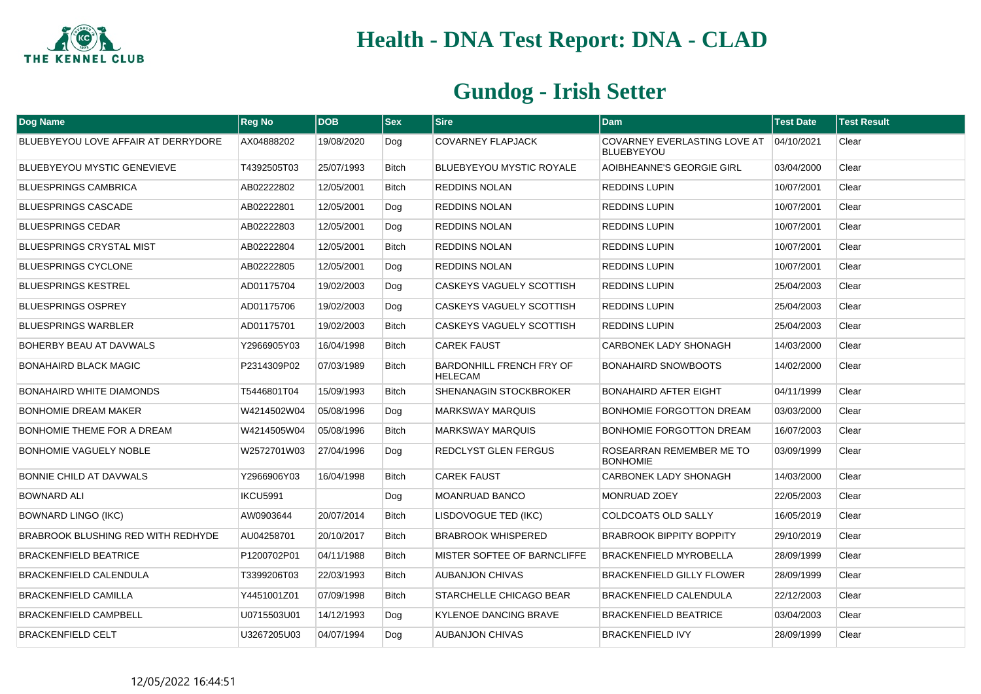

| <b>Dog Name</b>                     | <b>Reg No</b>   | <b>DOB</b> | <b>Sex</b>   | <b>Sire</b>                                | <b>Dam</b>                                        | <b>Test Date</b> | <b>Test Result</b> |
|-------------------------------------|-----------------|------------|--------------|--------------------------------------------|---------------------------------------------------|------------------|--------------------|
| BLUEBYEYOU LOVE AFFAIR AT DERRYDORE | AX04888202      | 19/08/2020 | Dog          | <b>COVARNEY FLAPJACK</b>                   | COVARNEY EVERLASTING LOVE AT<br><b>BLUEBYEYOU</b> | 04/10/2021       | Clear              |
| <b>BLUEBYEYOU MYSTIC GENEVIEVE</b>  | T4392505T03     | 25/07/1993 | <b>Bitch</b> | <b>BLUEBYEYOU MYSTIC ROYALE</b>            | AOIBHEANNE'S GEORGIE GIRL                         | 03/04/2000       | Clear              |
| <b>BLUESPRINGS CAMBRICA</b>         | AB02222802      | 12/05/2001 | <b>Bitch</b> | <b>REDDINS NOLAN</b>                       | <b>REDDINS LUPIN</b>                              | 10/07/2001       | Clear              |
| <b>BLUESPRINGS CASCADE</b>          | AB02222801      | 12/05/2001 | Dog          | <b>REDDINS NOLAN</b>                       | <b>REDDINS LUPIN</b>                              | 10/07/2001       | Clear              |
| <b>BLUESPRINGS CEDAR</b>            | AB02222803      | 12/05/2001 | Dog          | <b>REDDINS NOLAN</b>                       | <b>REDDINS LUPIN</b>                              | 10/07/2001       | Clear              |
| <b>BLUESPRINGS CRYSTAL MIST</b>     | AB02222804      | 12/05/2001 | <b>Bitch</b> | <b>REDDINS NOLAN</b>                       | <b>REDDINS LUPIN</b>                              | 10/07/2001       | Clear              |
| <b>BLUESPRINGS CYCLONE</b>          | AB02222805      | 12/05/2001 | Dog          | REDDINS NOLAN                              | <b>REDDINS LUPIN</b>                              | 10/07/2001       | Clear              |
| <b>BLUESPRINGS KESTREL</b>          | AD01175704      | 19/02/2003 | Dog          | CASKEYS VAGUELY SCOTTISH                   | <b>REDDINS LUPIN</b>                              | 25/04/2003       | Clear              |
| <b>BLUESPRINGS OSPREY</b>           | AD01175706      | 19/02/2003 | Dog          | CASKEYS VAGUELY SCOTTISH                   | <b>REDDINS LUPIN</b>                              | 25/04/2003       | Clear              |
| <b>BLUESPRINGS WARBLER</b>          | AD01175701      | 19/02/2003 | Bitch        | CASKEYS VAGUELY SCOTTISH                   | <b>REDDINS LUPIN</b>                              | 25/04/2003       | Clear              |
| BOHERBY BEAU AT DAVWALS             | Y2966905Y03     | 16/04/1998 | <b>Bitch</b> | <b>CAREK FAUST</b>                         | <b>CARBONEK LADY SHONAGH</b>                      | 14/03/2000       | Clear              |
| BONAHAIRD BLACK MAGIC               | P2314309P02     | 07/03/1989 | <b>Bitch</b> | BARDONHILL FRENCH FRY OF<br><b>HELECAM</b> | <b>BONAHAIRD SNOWBOOTS</b>                        | 14/02/2000       | Clear              |
| BONAHAIRD WHITE DIAMONDS            | T5446801T04     | 15/09/1993 | <b>Bitch</b> | SHENANAGIN STOCKBROKER                     | <b>BONAHAIRD AFTER EIGHT</b>                      | 04/11/1999       | Clear              |
| <b>BONHOMIE DREAM MAKER</b>         | W4214502W04     | 05/08/1996 | Dog          | <b>MARKSWAY MARQUIS</b>                    | BONHOMIE FORGOTTON DREAM                          | 03/03/2000       | Clear              |
| <b>BONHOMIE THEME FOR A DREAM</b>   | W4214505W04     | 05/08/1996 | <b>Bitch</b> | <b>MARKSWAY MARQUIS</b>                    | BONHOMIE FORGOTTON DREAM                          | 16/07/2003       | Clear              |
| <b>BONHOMIE VAGUELY NOBLE</b>       | W2572701W03     | 27/04/1996 | Dog          | REDCLYST GLEN FERGUS                       | ROSEARRAN REMEMBER ME TO<br><b>BONHOMIE</b>       | 03/09/1999       | Clear              |
| BONNIE CHILD AT DAVWALS             | Y2966906Y03     | 16/04/1998 | <b>Bitch</b> | <b>CAREK FAUST</b>                         | <b>CARBONEK LADY SHONAGH</b>                      | 14/03/2000       | Clear              |
| <b>BOWNARD ALI</b>                  | <b>IKCU5991</b> |            | Dog          | MOANRUAD BANCO                             | MONRUAD ZOEY                                      | 22/05/2003       | Clear              |
| <b>BOWNARD LINGO (IKC)</b>          | AW0903644       | 20/07/2014 | <b>Bitch</b> | LISDOVOGUE TED (IKC)                       | <b>COLDCOATS OLD SALLY</b>                        | 16/05/2019       | Clear              |
| BRABROOK BLUSHING RED WITH REDHYDE  | AU04258701      | 20/10/2017 | <b>Bitch</b> | <b>BRABROOK WHISPERED</b>                  | <b>BRABROOK BIPPITY BOPPITY</b>                   | 29/10/2019       | Clear              |
| <b>BRACKENFIELD BEATRICE</b>        | P1200702P01     | 04/11/1988 | <b>Bitch</b> | MISTER SOFTEE OF BARNCLIFFE                | <b>BRACKENFIELD MYROBELLA</b>                     | 28/09/1999       | Clear              |
| BRACKENFIELD CALENDULA              | T3399206T03     | 22/03/1993 | <b>Bitch</b> | <b>AUBANJON CHIVAS</b>                     | <b>BRACKENFIELD GILLY FLOWER</b>                  | 28/09/1999       | Clear              |
| <b>BRACKENFIELD CAMILLA</b>         | Y4451001Z01     | 07/09/1998 | Bitch        | STARCHELLE CHICAGO BEAR                    | <b>BRACKENFIELD CALENDULA</b>                     | 22/12/2003       | Clear              |
| <b>BRACKENFIELD CAMPBELL</b>        | U0715503U01     | 14/12/1993 | Dog          | <b>KYLENOE DANCING BRAVE</b>               | <b>BRACKENFIELD BEATRICE</b>                      | 03/04/2003       | Clear              |
| <b>BRACKENFIELD CELT</b>            | U3267205U03     | 04/07/1994 | Dog          | <b>AUBANJON CHIVAS</b>                     | <b>BRACKENFIELD IVY</b>                           | 28/09/1999       | Clear              |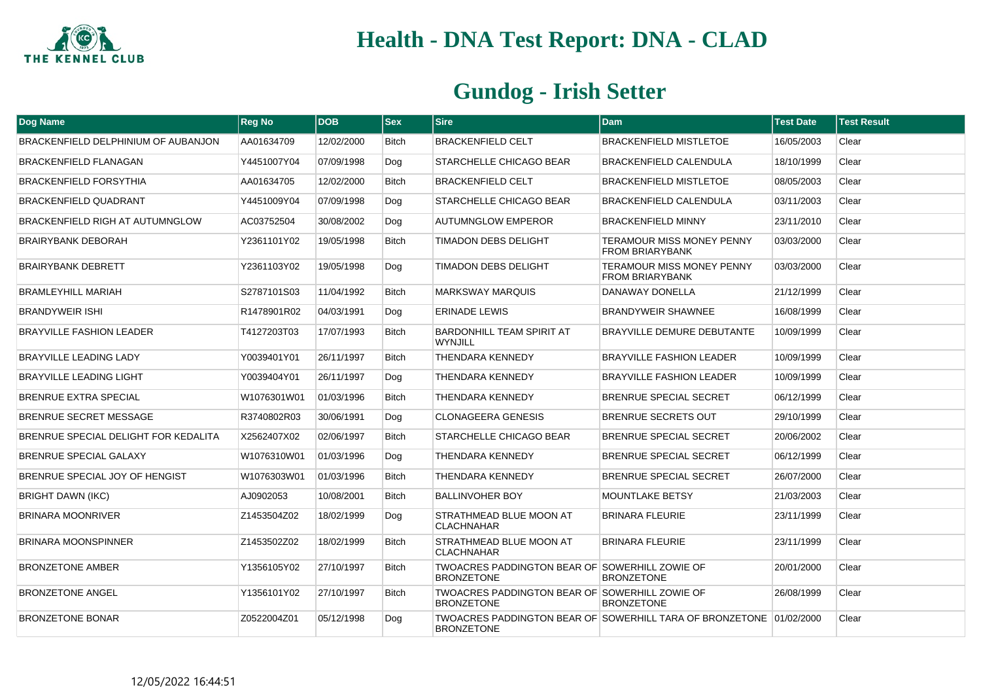

| <b>Dog Name</b>                      | <b>Reg No</b> | <b>DOB</b> | <b>Sex</b>   | <b>Sire</b>                                                         | <b>Dam</b>                                                          | <b>Test Date</b> | <b>Test Result</b> |
|--------------------------------------|---------------|------------|--------------|---------------------------------------------------------------------|---------------------------------------------------------------------|------------------|--------------------|
| BRACKENFIELD DELPHINIUM OF AUBANJON  | AA01634709    | 12/02/2000 | <b>Bitch</b> | <b>BRACKENFIELD CELT</b>                                            | <b>BRACKENFIELD MISTLETOE</b>                                       | 16/05/2003       | Clear              |
| <b>BRACKENFIELD FLANAGAN</b>         | Y4451007Y04   | 07/09/1998 | Dog          | STARCHELLE CHICAGO BEAR                                             | <b>BRACKENFIELD CALENDULA</b>                                       | 18/10/1999       | Clear              |
| <b>BRACKENFIELD FORSYTHIA</b>        | AA01634705    | 12/02/2000 | <b>Bitch</b> | <b>BRACKENFIELD CELT</b>                                            | <b>BRACKENFIELD MISTLETOE</b>                                       | 08/05/2003       | Clear              |
| <b>BRACKENFIELD QUADRANT</b>         | Y4451009Y04   | 07/09/1998 | Dog          | STARCHELLE CHICAGO BEAR                                             | BRACKENFIELD CALENDULA                                              | 03/11/2003       | Clear              |
| BRACKENFIELD RIGH AT AUTUMNGLOW      | AC03752504    | 30/08/2002 | Dog          | <b>AUTUMNGLOW EMPEROR</b>                                           | <b>BRACKENFIELD MINNY</b>                                           | 23/11/2010       | Clear              |
| <b>BRAIRYBANK DEBORAH</b>            | Y2361101Y02   | 19/05/1998 | <b>Bitch</b> | <b>TIMADON DEBS DELIGHT</b>                                         | <b>TERAMOUR MISS MONEY PENNY</b><br><b>FROM BRIARYBANK</b>          | 03/03/2000       | Clear              |
| <b>BRAIRYBANK DEBRETT</b>            | Y2361103Y02   | 19/05/1998 | Dog          | <b>TIMADON DEBS DELIGHT</b>                                         | <b>TERAMOUR MISS MONEY PENNY</b><br><b>FROM BRIARYBANK</b>          | 03/03/2000       | Clear              |
| <b>BRAMLEYHILL MARIAH</b>            | S2787101S03   | 11/04/1992 | <b>Bitch</b> | <b>MARKSWAY MARQUIS</b>                                             | DANAWAY DONELLA                                                     | 21/12/1999       | Clear              |
| <b>BRANDYWEIR ISHI</b>               | R1478901R02   | 04/03/1991 | Dog          | <b>ERINADE LEWIS</b>                                                | <b>BRANDYWEIR SHAWNEE</b>                                           | 16/08/1999       | Clear              |
| <b>BRAYVILLE FASHION LEADER</b>      | T4127203T03   | 17/07/1993 | <b>Bitch</b> | <b>BARDONHILL TEAM SPIRIT AT</b><br><b>WYNJILL</b>                  | <b>BRAYVILLE DEMURE DEBUTANTE</b>                                   | 10/09/1999       | Clear              |
| <b>BRAYVILLE LEADING LADY</b>        | Y0039401Y01   | 26/11/1997 | <b>Bitch</b> | <b>THENDARA KENNEDY</b>                                             | <b>BRAYVILLE FASHION LEADER</b>                                     | 10/09/1999       | Clear              |
| <b>BRAYVILLE LEADING LIGHT</b>       | Y0039404Y01   | 26/11/1997 | Dog          | <b>THENDARA KENNEDY</b>                                             | <b>BRAYVILLE FASHION LEADER</b>                                     | 10/09/1999       | Clear              |
| <b>BRENRUE EXTRA SPECIAL</b>         | W1076301W01   | 01/03/1996 | <b>Bitch</b> | <b>THENDARA KENNEDY</b>                                             | <b>BRENRUE SPECIAL SECRET</b>                                       | 06/12/1999       | Clear              |
| <b>BRENRUE SECRET MESSAGE</b>        | R3740802R03   | 30/06/1991 | Dog          | <b>CLONAGEERA GENESIS</b>                                           | <b>BRENRUE SECRETS OUT</b>                                          | 29/10/1999       | Clear              |
| BRENRUE SPECIAL DELIGHT FOR KEDALITA | X2562407X02   | 02/06/1997 | <b>Bitch</b> | STARCHELLE CHICAGO BEAR                                             | <b>BRENRUE SPECIAL SECRET</b>                                       | 20/06/2002       | Clear              |
| BRENRUE SPECIAL GALAXY               | W1076310W01   | 01/03/1996 | Dog          | <b>THENDARA KENNEDY</b>                                             | <b>BRENRUE SPECIAL SECRET</b>                                       | 06/12/1999       | Clear              |
| BRENRUE SPECIAL JOY OF HENGIST       | W1076303W01   | 01/03/1996 | <b>Bitch</b> | <b>THENDARA KENNEDY</b>                                             | <b>BRENRUE SPECIAL SECRET</b>                                       | 26/07/2000       | Clear              |
| <b>BRIGHT DAWN (IKC)</b>             | AJ0902053     | 10/08/2001 | <b>Bitch</b> | <b>BALLINVOHER BOY</b>                                              | <b>MOUNTLAKE BETSY</b>                                              | 21/03/2003       | Clear              |
| BRINARA MOONRIVER                    | Z1453504Z02   | 18/02/1999 | Dog          | STRATHMEAD BLUE MOON AT<br><b>CLACHNAHAR</b>                        | <b>BRINARA FLEURIE</b>                                              | 23/11/1999       | Clear              |
| <b>BRINARA MOONSPINNER</b>           | Z1453502Z02   | 18/02/1999 | <b>Bitch</b> | STRATHMEAD BLUE MOON AT<br><b>CLACHNAHAR</b>                        | <b>BRINARA FLEURIE</b>                                              | 23/11/1999       | Clear              |
| <b>BRONZETONE AMBER</b>              | Y1356105Y02   | 27/10/1997 | <b>Bitch</b> | TWOACRES PADDINGTON BEAR OF SOWERHILL ZOWIE OF<br><b>BRONZETONE</b> | <b>BRONZETONE</b>                                                   | 20/01/2000       | Clear              |
| <b>BRONZETONE ANGEL</b>              | Y1356101Y02   | 27/10/1997 | <b>Bitch</b> | TWOACRES PADDINGTON BEAR OF SOWERHILL ZOWIE OF<br><b>BRONZETONE</b> | <b>BRONZETONE</b>                                                   | 26/08/1999       | Clear              |
| <b>BRONZETONE BONAR</b>              | Z0522004Z01   | 05/12/1998 | Dog          | <b>BRONZETONE</b>                                                   | TWOACRES PADDINGTON BEAR OF SOWERHILL TARA OF BRONZETONE 01/02/2000 |                  | Clear              |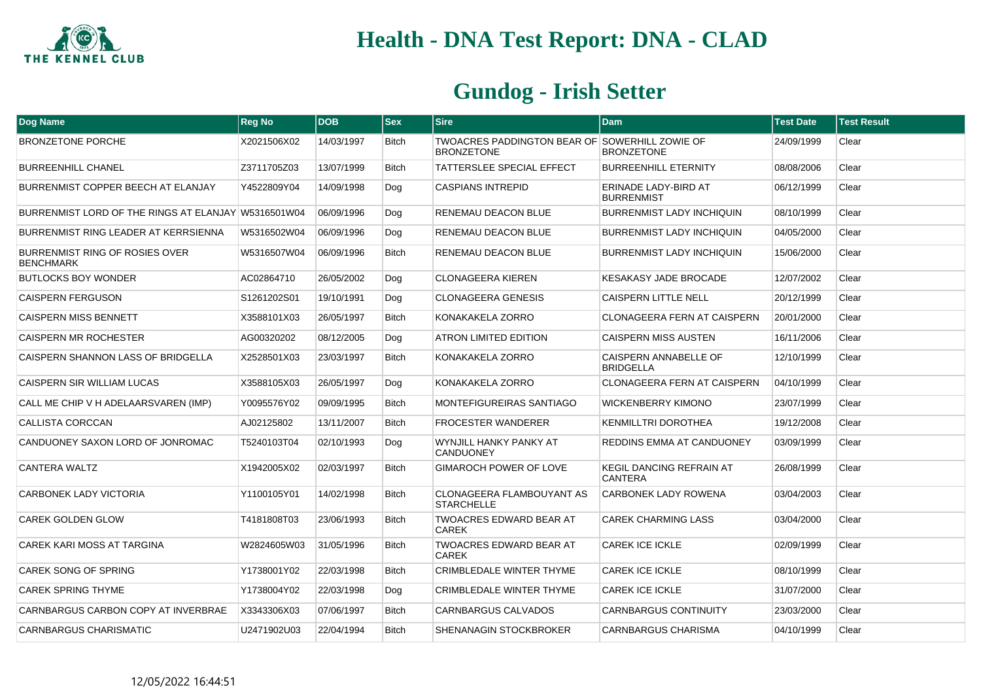

| <b>Dog Name</b>                                     | <b>Reg No</b> | <b>DOB</b> | <b>Sex</b>   | <b>Sire</b>                                                         | <b>Dam</b>                                 | <b>Test Date</b> | <b>Test Result</b> |
|-----------------------------------------------------|---------------|------------|--------------|---------------------------------------------------------------------|--------------------------------------------|------------------|--------------------|
| <b>BRONZETONE PORCHE</b>                            | X2021506X02   | 14/03/1997 | <b>Bitch</b> | TWOACRES PADDINGTON BEAR OF SOWERHILL ZOWIE OF<br><b>BRONZETONE</b> | <b>BRONZETONE</b>                          | 24/09/1999       | Clear              |
| <b>BURREENHILL CHANEL</b>                           | Z3711705Z03   | 13/07/1999 | <b>Bitch</b> | TATTERSLEE SPECIAL EFFECT                                           | <b>BURREENHILL ETERNITY</b>                | 08/08/2006       | Clear              |
| BURRENMIST COPPER BEECH AT ELANJAY                  | Y4522809Y04   | 14/09/1998 | Dog          | <b>CASPIANS INTREPID</b>                                            | ERINADE LADY-BIRD AT<br><b>BURRENMIST</b>  | 06/12/1999       | Clear              |
| BURRENMIST LORD OF THE RINGS AT ELANJAY W5316501W04 |               | 06/09/1996 | Dog          | RENEMAU DEACON BLUE                                                 | <b>BURRENMIST LADY INCHIQUIN</b>           | 08/10/1999       | Clear              |
| BURRENMIST RING LEADER AT KERRSIENNA                | W5316502W04   | 06/09/1996 | Dog          | RENEMAU DEACON BLUE                                                 | <b>BURRENMIST LADY INCHIQUIN</b>           | 04/05/2000       | Clear              |
| BURRENMIST RING OF ROSIES OVER<br><b>BENCHMARK</b>  | W5316507W04   | 06/09/1996 | Bitch        | RENEMAU DEACON BLUE                                                 | <b>BURRENMIST LADY INCHIQUIN</b>           | 15/06/2000       | Clear              |
| <b>BUTLOCKS BOY WONDER</b>                          | AC02864710    | 26/05/2002 | Dog          | <b>CLONAGEERA KIEREN</b>                                            | <b>KESAKASY JADE BROCADE</b>               | 12/07/2002       | Clear              |
| <b>CAISPERN FERGUSON</b>                            | S1261202S01   | 19/10/1991 | Dog          | <b>CLONAGEERA GENESIS</b>                                           | <b>CAISPERN LITTLE NELL</b>                | 20/12/1999       | Clear              |
| <b>CAISPERN MISS BENNETT</b>                        | X3588101X03   | 26/05/1997 | <b>Bitch</b> | KONAKAKELA ZORRO                                                    | <b>CLONAGEERA FERN AT CAISPERN</b>         | 20/01/2000       | Clear              |
| CAISPERN MR ROCHESTER                               | AG00320202    | 08/12/2005 | Dog          | ATRON LIMITED EDITION                                               | <b>CAISPERN MISS AUSTEN</b>                | 16/11/2006       | Clear              |
| CAISPERN SHANNON LASS OF BRIDGELLA                  | X2528501X03   | 23/03/1997 | Bitch        | KONAKAKELA ZORRO                                                    | CAISPERN ANNABELLE OF<br><b>BRIDGELLA</b>  | 12/10/1999       | Clear              |
| CAISPERN SIR WILLIAM LUCAS                          | X3588105X03   | 26/05/1997 | Dog          | KONAKAKELA ZORRO                                                    | <b>CLONAGEERA FERN AT CAISPERN</b>         | 04/10/1999       | Clear              |
| CALL ME CHIP V H ADELAARSVAREN (IMP)                | Y0095576Y02   | 09/09/1995 | <b>Bitch</b> | <b>MONTEFIGUREIRAS SANTIAGO</b>                                     | <b>WICKENBERRY KIMONO</b>                  | 23/07/1999       | Clear              |
| <b>CALLISTA CORCCAN</b>                             | AJ02125802    | 13/11/2007 | <b>Bitch</b> | <b>FROCESTER WANDERER</b>                                           | <b>KENMILLTRI DOROTHEA</b>                 | 19/12/2008       | Clear              |
| CANDUONEY SAXON LORD OF JONROMAC                    | T5240103T04   | 02/10/1993 | Dog          | WYNJILL HANKY PANKY AT<br><b>CANDUONEY</b>                          | REDDINS EMMA AT CANDUONEY                  | 03/09/1999       | Clear              |
| CANTERA WALTZ                                       | X1942005X02   | 02/03/1997 | <b>Bitch</b> | GIMAROCH POWER OF LOVE                                              | <b>KEGIL DANCING REFRAIN AT</b><br>CANTERA | 26/08/1999       | Clear              |
| CARBONEK LADY VICTORIA                              | Y1100105Y01   | 14/02/1998 | <b>Bitch</b> | <b>CLONAGEERA FLAMBOUYANT AS</b><br><b>STARCHELLE</b>               | CARBONEK LADY ROWENA                       | 03/04/2003       | Clear              |
| <b>CAREK GOLDEN GLOW</b>                            | T4181808T03   | 23/06/1993 | <b>Bitch</b> | <b>TWOACRES EDWARD BEAR AT</b><br><b>CAREK</b>                      | <b>CAREK CHARMING LASS</b>                 | 03/04/2000       | Clear              |
| CAREK KARI MOSS AT TARGINA                          | W2824605W03   | 31/05/1996 | <b>Bitch</b> | TWOACRES EDWARD BEAR AT<br><b>CAREK</b>                             | CAREK ICE ICKLE                            | 02/09/1999       | Clear              |
| CAREK SONG OF SPRING                                | Y1738001Y02   | 22/03/1998 | Bitch        | <b>CRIMBLEDALE WINTER THYME</b>                                     | <b>CAREK ICE ICKLE</b>                     | 08/10/1999       | Clear              |
| <b>CAREK SPRING THYME</b>                           | Y1738004Y02   | 22/03/1998 | Dog          | <b>CRIMBLEDALE WINTER THYME</b>                                     | <b>CAREK ICE ICKLE</b>                     | 31/07/2000       | Clear              |
| CARNBARGUS CARBON COPY AT INVERBRAE                 | X3343306X03   | 07/06/1997 | <b>Bitch</b> | CARNBARGUS CALVADOS                                                 | <b>CARNBARGUS CONTINUITY</b>               | 23/03/2000       | Clear              |
| <b>CARNBARGUS CHARISMATIC</b>                       | U2471902U03   | 22/04/1994 | <b>Bitch</b> | SHENANAGIN STOCKBROKER                                              | CARNBARGUS CHARISMA                        | 04/10/1999       | Clear              |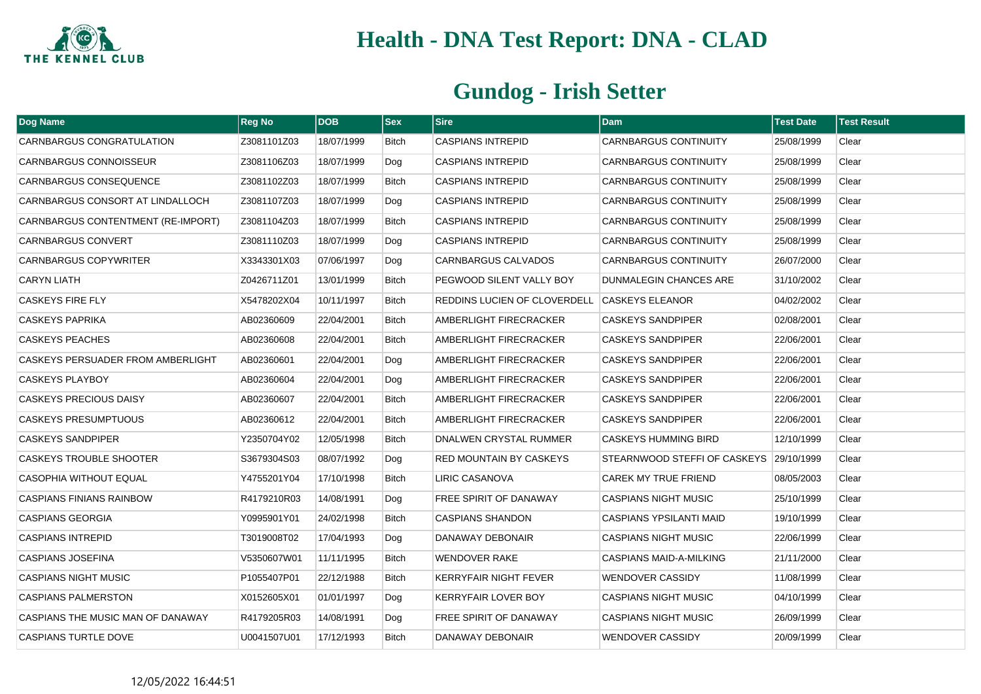

| Dog Name                           | <b>Reg No</b> | <b>DOB</b> | <b>Sex</b>   | <b>Sire</b>                                  | <b>Dam</b>                     | Test Date  | Test Result |
|------------------------------------|---------------|------------|--------------|----------------------------------------------|--------------------------------|------------|-------------|
| CARNBARGUS CONGRATULATION          | Z3081101Z03   | 18/07/1999 | Bitch        | <b>CASPIANS INTREPID</b>                     | <b>CARNBARGUS CONTINUITY</b>   | 25/08/1999 | Clear       |
| <b>CARNBARGUS CONNOISSEUR</b>      | Z3081106Z03   | 18/07/1999 | Dog          | <b>CASPIANS INTREPID</b>                     | <b>CARNBARGUS CONTINUITY</b>   | 25/08/1999 | Clear       |
| CARNBARGUS CONSEQUENCE             | Z3081102Z03   | 18/07/1999 | <b>Bitch</b> | <b>CASPIANS INTREPID</b>                     | <b>CARNBARGUS CONTINUITY</b>   | 25/08/1999 | Clear       |
| CARNBARGUS CONSORT AT LINDALLOCH   | Z3081107Z03   | 18/07/1999 | Dog          | <b>CASPIANS INTREPID</b>                     | <b>CARNBARGUS CONTINUITY</b>   | 25/08/1999 | Clear       |
| CARNBARGUS CONTENTMENT (RE-IMPORT) | Z3081104Z03   | 18/07/1999 | Bitch        | <b>CASPIANS INTREPID</b>                     | <b>CARNBARGUS CONTINUITY</b>   | 25/08/1999 | Clear       |
| <b>CARNBARGUS CONVERT</b>          | Z3081110Z03   | 18/07/1999 | Dog          | <b>CASPIANS INTREPID</b>                     | <b>CARNBARGUS CONTINUITY</b>   | 25/08/1999 | Clear       |
| CARNBARGUS COPYWRITER              | X3343301X03   | 07/06/1997 | Dog          | CARNBARGUS CALVADOS                          | <b>CARNBARGUS CONTINUITY</b>   | 26/07/2000 | Clear       |
| <b>CARYN LIATH</b>                 | Z0426711Z01   | 13/01/1999 | <b>Bitch</b> | PEGWOOD SILENT VALLY BOY                     | DUNMALEGIN CHANCES ARE         | 31/10/2002 | Clear       |
| <b>CASKEYS FIRE FLY</b>            | X5478202X04   | 10/11/1997 | <b>Bitch</b> | REDDINS LUCIEN OF CLOVERDELL CASKEYS ELEANOR |                                | 04/02/2002 | Clear       |
| <b>CASKEYS PAPRIKA</b>             | AB02360609    | 22/04/2001 | Bitch        | AMBERLIGHT FIRECRACKER                       | <b>CASKEYS SANDPIPER</b>       | 02/08/2001 | Clear       |
| <b>CASKEYS PEACHES</b>             | AB02360608    | 22/04/2001 | <b>Bitch</b> | AMBERLIGHT FIRECRACKER                       | <b>CASKEYS SANDPIPER</b>       | 22/06/2001 | Clear       |
| CASKEYS PERSUADER FROM AMBERLIGHT  | AB02360601    | 22/04/2001 | Dog          | AMBERLIGHT FIRECRACKER                       | <b>CASKEYS SANDPIPER</b>       | 22/06/2001 | Clear       |
| <b>CASKEYS PLAYBOY</b>             | AB02360604    | 22/04/2001 | Dog          | AMBERLIGHT FIRECRACKER                       | <b>CASKEYS SANDPIPER</b>       | 22/06/2001 | Clear       |
| <b>CASKEYS PRECIOUS DAISY</b>      | AB02360607    | 22/04/2001 | <b>Bitch</b> | AMBERLIGHT FIRECRACKER                       | <b>CASKEYS SANDPIPER</b>       | 22/06/2001 | Clear       |
| <b>CASKEYS PRESUMPTUOUS</b>        | AB02360612    | 22/04/2001 | Bitch        | AMBERLIGHT FIRECRACKER                       | <b>CASKEYS SANDPIPER</b>       | 22/06/2001 | Clear       |
| <b>CASKEYS SANDPIPER</b>           | Y2350704Y02   | 12/05/1998 | <b>Bitch</b> | DNALWEN CRYSTAL RUMMER                       | <b>CASKEYS HUMMING BIRD</b>    | 12/10/1999 | Clear       |
| CASKEYS TROUBLE SHOOTER            | S3679304S03   | 08/07/1992 | Dog          | RED MOUNTAIN BY CASKEYS                      | STEARNWOOD STEFFI OF CASKEYS   | 29/10/1999 | Clear       |
| CASOPHIA WITHOUT EQUAL             | Y4755201Y04   | 17/10/1998 | <b>Bitch</b> | LIRIC CASANOVA                               | CAREK MY TRUE FRIEND           | 08/05/2003 | Clear       |
| <b>CASPIANS FINIANS RAINBOW</b>    | R4179210R03   | 14/08/1991 | Dog          | FREE SPIRIT OF DANAWAY                       | <b>CASPIANS NIGHT MUSIC</b>    | 25/10/1999 | Clear       |
| <b>CASPIANS GEORGIA</b>            | Y0995901Y01   | 24/02/1998 | <b>Bitch</b> | <b>CASPIANS SHANDON</b>                      | <b>CASPIANS YPSILANTI MAID</b> | 19/10/1999 | Clear       |
| <b>CASPIANS INTREPID</b>           | T3019008T02   | 17/04/1993 | Dog          | DANAWAY DEBONAIR                             | <b>CASPIANS NIGHT MUSIC</b>    | 22/06/1999 | Clear       |
| <b>CASPIANS JOSEFINA</b>           | V5350607W01   | 11/11/1995 | <b>Bitch</b> | <b>WENDOVER RAKE</b>                         | <b>CASPIANS MAID-A-MILKING</b> | 21/11/2000 | Clear       |
| <b>CASPIANS NIGHT MUSIC</b>        | P1055407P01   | 22/12/1988 | <b>Bitch</b> | KERRYFAIR NIGHT FEVER                        | <b>WENDOVER CASSIDY</b>        | 11/08/1999 | Clear       |
| <b>CASPIANS PALMERSTON</b>         | X0152605X01   | 01/01/1997 | Dog          | KERRYFAIR LOVER BOY                          | <b>CASPIANS NIGHT MUSIC</b>    | 04/10/1999 | Clear       |
| CASPIANS THE MUSIC MAN OF DANAWAY  | R4179205R03   | 14/08/1991 | Dog          | FREE SPIRIT OF DANAWAY                       | <b>CASPIANS NIGHT MUSIC</b>    | 26/09/1999 | Clear       |
| <b>CASPIANS TURTLE DOVE</b>        | U0041507U01   | 17/12/1993 | Bitch        | DANAWAY DEBONAIR                             | <b>WENDOVER CASSIDY</b>        | 20/09/1999 | Clear       |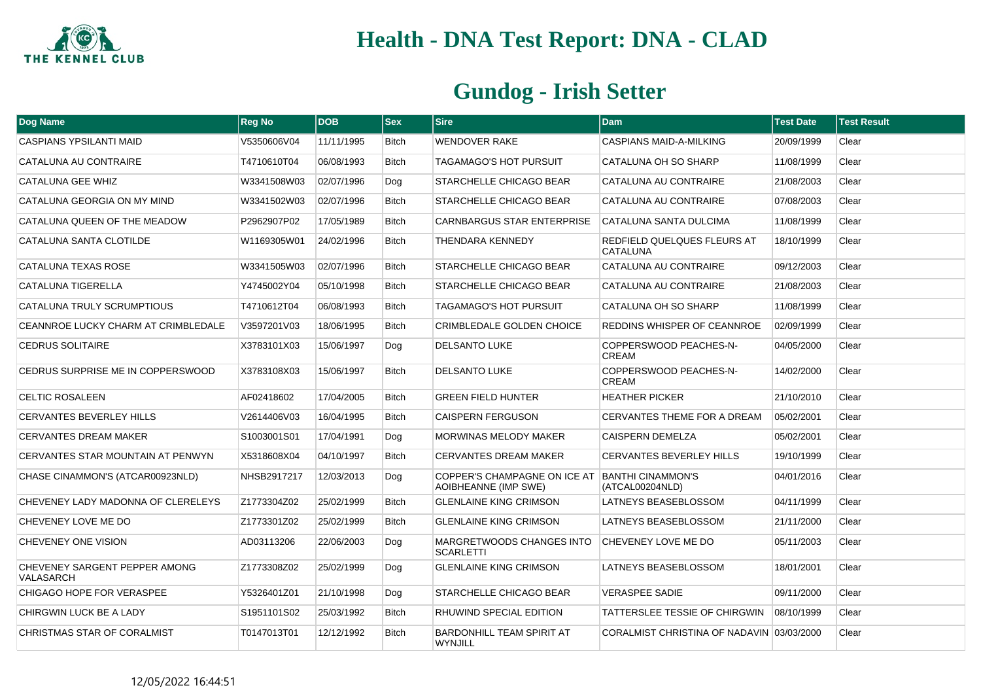

| <b>Dog Name</b>                            | <b>Reg No</b> | <b>DOB</b> | <b>Sex</b>   | <b>Sire</b>                                          | <b>Dam</b>                                     | <b>Test Date</b> | <b>Test Result</b> |
|--------------------------------------------|---------------|------------|--------------|------------------------------------------------------|------------------------------------------------|------------------|--------------------|
| <b>CASPIANS YPSILANTI MAID</b>             | V5350606V04   | 11/11/1995 | <b>Bitch</b> | <b>WENDOVER RAKE</b>                                 | CASPIANS MAID-A-MILKING                        | 20/09/1999       | Clear              |
| CATALUNA AU CONTRAIRE                      | T4710610T04   | 06/08/1993 | <b>Bitch</b> | TAGAMAGO'S HOT PURSUIT                               | CATALUNA OH SO SHARP                           | 11/08/1999       | Clear              |
| CATALUNA GEE WHIZ                          | W3341508W03   | 02/07/1996 | Dog          | STARCHELLE CHICAGO BEAR                              | CATALUNA AU CONTRAIRE                          | 21/08/2003       | Clear              |
| CATALUNA GEORGIA ON MY MIND                | W3341502W03   | 02/07/1996 | <b>Bitch</b> | STARCHELLE CHICAGO BEAR                              | CATALUNA AU CONTRAIRE                          | 07/08/2003       | Clear              |
| CATALUNA QUEEN OF THE MEADOW               | P2962907P02   | 17/05/1989 | <b>Bitch</b> | <b>CARNBARGUS STAR ENTERPRISE</b>                    | CATALUNA SANTA DULCIMA                         | 11/08/1999       | Clear              |
| CATALUNA SANTA CLOTILDE                    | W1169305W01   | 24/02/1996 | <b>Bitch</b> | THENDARA KENNEDY                                     | REDFIELD QUELQUES FLEURS AT<br><b>CATALUNA</b> | 18/10/1999       | Clear              |
| CATALUNA TEXAS ROSE                        | W3341505W03   | 02/07/1996 | <b>Bitch</b> | STARCHELLE CHICAGO BEAR                              | CATALUNA AU CONTRAIRE                          | 09/12/2003       | Clear              |
| CATALUNA TIGERELLA                         | Y4745002Y04   | 05/10/1998 | <b>Bitch</b> | STARCHELLE CHICAGO BEAR                              | CATALUNA AU CONTRAIRE                          | 21/08/2003       | Clear              |
| CATALUNA TRULY SCRUMPTIOUS                 | T4710612T04   | 06/08/1993 | <b>Bitch</b> | TAGAMAGO'S HOT PURSUIT                               | CATALUNA OH SO SHARP                           | 11/08/1999       | Clear              |
| CEANNROE LUCKY CHARM AT CRIMBLEDALE        | V3597201V03   | 18/06/1995 | <b>Bitch</b> | <b>CRIMBLEDALE GOLDEN CHOICE</b>                     | REDDINS WHISPER OF CEANNROE                    | 02/09/1999       | Clear              |
| <b>CEDRUS SOLITAIRE</b>                    | X3783101X03   | 15/06/1997 | Dog          | <b>DELSANTO LUKE</b>                                 | COPPERSWOOD PEACHES-N-<br><b>CREAM</b>         | 04/05/2000       | Clear              |
| CEDRUS SURPRISE ME IN COPPERSWOOD          | X3783108X03   | 15/06/1997 | <b>Bitch</b> | <b>DELSANTO LUKE</b>                                 | COPPERSWOOD PEACHES-N-<br><b>CREAM</b>         | 14/02/2000       | Clear              |
| <b>CELTIC ROSALEEN</b>                     | AF02418602    | 17/04/2005 | <b>Bitch</b> | <b>GREEN FIELD HUNTER</b>                            | <b>HEATHER PICKER</b>                          | 21/10/2010       | Clear              |
| <b>CERVANTES BEVERLEY HILLS</b>            | V2614406V03   | 16/04/1995 | <b>Bitch</b> | <b>CAISPERN FERGUSON</b>                             | CERVANTES THEME FOR A DREAM                    | 05/02/2001       | Clear              |
| <b>CERVANTES DREAM MAKER</b>               | S1003001S01   | 17/04/1991 | Dog          | <b>MORWINAS MELODY MAKER</b>                         | <b>CAISPERN DEMELZA</b>                        | 05/02/2001       | Clear              |
| CERVANTES STAR MOUNTAIN AT PENWYN          | X5318608X04   | 04/10/1997 | Bitch        | <b>CERVANTES DREAM MAKER</b>                         | CERVANTES BEVERLEY HILLS                       | 19/10/1999       | Clear              |
| CHASE CINAMMON'S (ATCAR00923NLD)           | NHSB2917217   | 12/03/2013 | Dog          | COPPER'S CHAMPAGNE ON ICE AT<br>AOIBHEANNE (IMP SWE) | <b>BANTHI CINAMMON'S</b><br>(ATCAL00204NLD)    | 04/01/2016       | Clear              |
| CHEVENEY LADY MADONNA OF CLERELEYS         | Z1773304Z02   | 25/02/1999 | <b>Bitch</b> | <b>GLENLAINE KING CRIMSON</b>                        | LATNEYS BEASEBLOSSOM                           | 04/11/1999       | Clear              |
| CHEVENEY LOVE ME DO                        | Z1773301Z02   | 25/02/1999 | <b>Bitch</b> | <b>GLENLAINE KING CRIMSON</b>                        | LATNEYS BEASEBLOSSOM                           | 21/11/2000       | Clear              |
| CHEVENEY ONE VISION                        | AD03113206    | 22/06/2003 | Dog          | MARGRETWOODS CHANGES INTO<br><b>SCARLETTI</b>        | CHEVENEY LOVE ME DO                            | 05/11/2003       | Clear              |
| CHEVENEY SARGENT PEPPER AMONG<br>VALASARCH | Z1773308Z02   | 25/02/1999 | Dog          | <b>GLENLAINE KING CRIMSON</b>                        | LATNEYS BEASEBLOSSOM                           | 18/01/2001       | Clear              |
| CHIGAGO HOPE FOR VERASPEE                  | Y5326401Z01   | 21/10/1998 | Dog          | STARCHELLE CHICAGO BEAR                              | <b>VERASPEE SADIE</b>                          | 09/11/2000       | Clear              |
| CHIRGWIN LUCK BE A LADY                    | S1951101S02   | 25/03/1992 | <b>Bitch</b> | RHUWIND SPECIAL EDITION                              | <b>TATTERSLEE TESSIE OF CHIRGWIN</b>           | 08/10/1999       | Clear              |
| CHRISTMAS STAR OF CORALMIST                | T0147013T01   | 12/12/1992 | <b>Bitch</b> | <b>BARDONHILL TEAM SPIRIT AT</b><br><b>WYNJILL</b>   | CORALMIST CHRISTINA OF NADAVIN 03/03/2000      |                  | Clear              |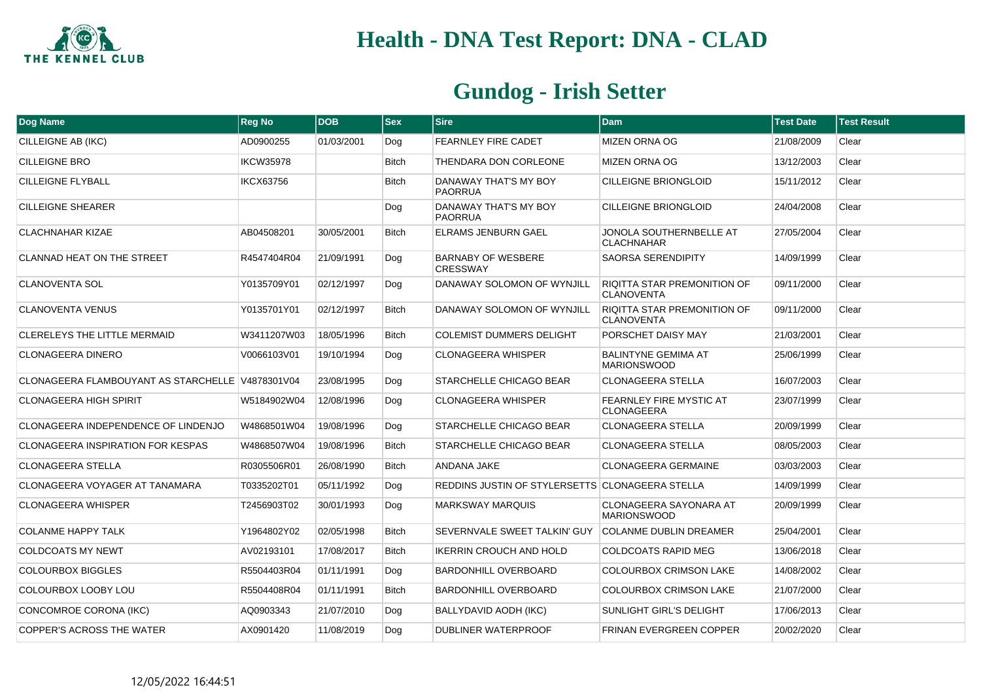

| <b>Dog Name</b>                                  | <b>Reg No</b>    | <b>DOB</b> | <b>Sex</b>   | <b>Sire</b>                                     | <b>Dam</b>                                              | <b>Test Date</b> | <b>Test Result</b> |
|--------------------------------------------------|------------------|------------|--------------|-------------------------------------------------|---------------------------------------------------------|------------------|--------------------|
| CILLEIGNE AB (IKC)                               | AD0900255        | 01/03/2001 | Dog          | <b>FEARNLEY FIRE CADET</b>                      | <b>MIZEN ORNA OG</b>                                    | 21/08/2009       | Clear              |
| <b>CILLEIGNE BRO</b>                             | <b>IKCW35978</b> |            | <b>Bitch</b> | THENDARA DON CORLEONE                           | <b>MIZEN ORNA OG</b>                                    | 13/12/2003       | Clear              |
| CILLEIGNE FLYBALL                                | <b>IKCX63756</b> |            | <b>Bitch</b> | DANAWAY THAT'S MY BOY<br><b>PAORRUA</b>         | <b>CILLEIGNE BRIONGLOID</b>                             | 15/11/2012       | Clear              |
| <b>CILLEIGNE SHEARER</b>                         |                  |            | Dog          | DANAWAY THAT'S MY BOY<br><b>PAORRUA</b>         | <b>CILLEIGNE BRIONGLOID</b>                             | 24/04/2008       | Clear              |
| <b>CLACHNAHAR KIZAE</b>                          | AB04508201       | 30/05/2001 | <b>Bitch</b> | <b>ELRAMS JENBURN GAEL</b>                      | JONOLA SOUTHERNBELLE AT<br><b>CLACHNAHAR</b>            | 27/05/2004       | Clear              |
| <b>CLANNAD HEAT ON THE STREET</b>                | R4547404R04      | 21/09/1991 | Dog          | <b>BARNABY OF WESBERE</b><br><b>CRESSWAY</b>    | <b>SAORSA SERENDIPITY</b>                               | 14/09/1999       | Clear              |
| <b>CLANOVENTA SOL</b>                            | Y0135709Y01      | 02/12/1997 | Dog          | DANAWAY SOLOMON OF WYNJILL                      | <b>RIQITTA STAR PREMONITION OF</b><br><b>CLANOVENTA</b> | 09/11/2000       | Clear              |
| <b>CLANOVENTA VENUS</b>                          | Y0135701Y01      | 02/12/1997 | <b>Bitch</b> | DANAWAY SOLOMON OF WYNJILL                      | <b>RIQITTA STAR PREMONITION OF</b><br><b>CLANOVENTA</b> | 09/11/2000       | Clear              |
| <b>CLERELEYS THE LITTLE MERMAID</b>              | W3411207W03      | 18/05/1996 | <b>Bitch</b> | <b>COLEMIST DUMMERS DELIGHT</b>                 | PORSCHET DAISY MAY                                      | 21/03/2001       | Clear              |
| <b>CLONAGEERA DINERO</b>                         | V0066103V01      | 19/10/1994 | Dog          | <b>CLONAGEERA WHISPER</b>                       | <b>BALINTYNE GEMIMA AT</b><br><b>MARIONSWOOD</b>        | 25/06/1999       | Clear              |
| CLONAGEERA FLAMBOUYANT AS STARCHELLE V4878301V04 |                  | 23/08/1995 | Dog          | STARCHELLE CHICAGO BEAR                         | <b>CLONAGEERA STELLA</b>                                | 16/07/2003       | Clear              |
| <b>CLONAGEERA HIGH SPIRIT</b>                    | W5184902W04      | 12/08/1996 | Dog          | <b>CLONAGEERA WHISPER</b>                       | <b>FEARNLEY FIRE MYSTIC AT</b><br><b>CLONAGEERA</b>     | 23/07/1999       | Clear              |
| CLONAGEERA INDEPENDENCE OF LINDENJO              | W4868501W04      | 19/08/1996 | Dog          | STARCHELLE CHICAGO BEAR                         | <b>CLONAGEERA STELLA</b>                                | 20/09/1999       | Clear              |
| <b>CLONAGEERA INSPIRATION FOR KESPAS</b>         | W4868507W04      | 19/08/1996 | <b>Bitch</b> | STARCHELLE CHICAGO BEAR                         | <b>CLONAGEERA STELLA</b>                                | 08/05/2003       | Clear              |
| <b>CLONAGEERA STELLA</b>                         | R0305506R01      | 26/08/1990 | <b>Bitch</b> | ANDANA JAKE                                     | <b>CLONAGEERA GERMAINE</b>                              | 03/03/2003       | Clear              |
| CLONAGEERA VOYAGER AT TANAMARA                   | T0335202T01      | 05/11/1992 | Dog          | REDDINS JUSTIN OF STYLERSETTS CLONAGEERA STELLA |                                                         | 14/09/1999       | Clear              |
| <b>CLONAGEERA WHISPER</b>                        | T2456903T02      | 30/01/1993 | Dog          | <b>MARKSWAY MARQUIS</b>                         | <b>CLONAGEERA SAYONARA AT</b><br><b>MARIONSWOOD</b>     | 20/09/1999       | Clear              |
| <b>COLANME HAPPY TALK</b>                        | Y1964802Y02      | 02/05/1998 | <b>Bitch</b> | SEVERNVALE SWEET TALKIN' GUY                    | <b>COLANME DUBLIN DREAMER</b>                           | 25/04/2001       | Clear              |
| <b>COLDCOATS MY NEWT</b>                         | AV02193101       | 17/08/2017 | <b>Bitch</b> | <b>IKERRIN CROUCH AND HOLD</b>                  | <b>COLDCOATS RAPID MEG</b>                              | 13/06/2018       | Clear              |
| <b>COLOURBOX BIGGLES</b>                         | R5504403R04      | 01/11/1991 | Dog          | <b>BARDONHILL OVERBOARD</b>                     | <b>COLOURBOX CRIMSON LAKE</b>                           | 14/08/2002       | Clear              |
| <b>COLOURBOX LOOBY LOU</b>                       | R5504408R04      | 01/11/1991 | <b>Bitch</b> | BARDONHILL OVERBOARD                            | <b>COLOURBOX CRIMSON LAKE</b>                           | 21/07/2000       | Clear              |
| CONCOMROE CORONA (IKC)                           | AQ0903343        | 21/07/2010 | Dog          | BALLYDAVID AODH (IKC)                           | <b>SUNLIGHT GIRL'S DELIGHT</b>                          | 17/06/2013       | Clear              |
| <b>COPPER'S ACROSS THE WATER</b>                 | AX0901420        | 11/08/2019 | Dog          | DUBLINER WATERPROOF                             | <b>FRINAN EVERGREEN COPPER</b>                          | 20/02/2020       | Clear              |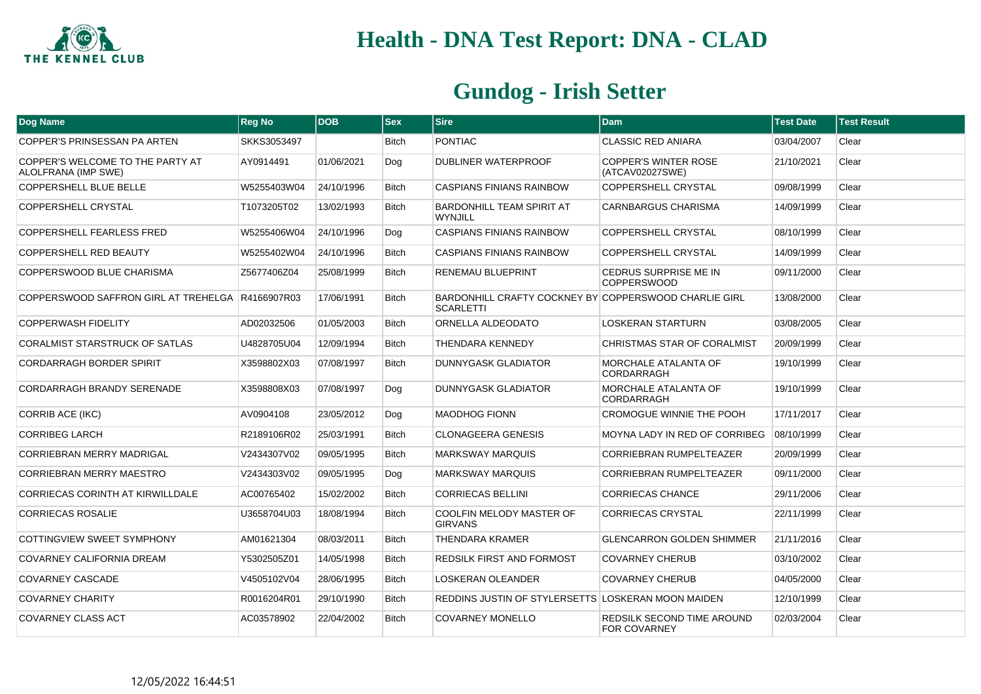

| <b>Dog Name</b>                                         | <b>Reg No</b> | <b>DOB</b> | $ $ Sex      | <b>Sire</b>                                                               | <b>Dam</b>                                        | <b>Test Date</b> | <b>Test Result</b> |
|---------------------------------------------------------|---------------|------------|--------------|---------------------------------------------------------------------------|---------------------------------------------------|------------------|--------------------|
| COPPER'S PRINSESSAN PA ARTEN                            | SKKS3053497   |            | <b>Bitch</b> | <b>PONTIAC</b>                                                            | <b>CLASSIC RED ANIARA</b>                         | 03/04/2007       | Clear              |
| COPPER'S WELCOME TO THE PARTY AT<br>ALOLFRANA (IMP SWE) | AY0914491     | 01/06/2021 | Dog          | <b>DUBLINER WATERPROOF</b>                                                | <b>COPPER'S WINTER ROSE</b><br>(ATCAV02027SWE)    | 21/10/2021       | Clear              |
| <b>COPPERSHELL BLUE BELLE</b>                           | W5255403W04   | 24/10/1996 | <b>Bitch</b> | <b>CASPIANS FINIANS RAINBOW</b>                                           | COPPERSHELL CRYSTAL                               | 09/08/1999       | Clear              |
| <b>COPPERSHELL CRYSTAL</b>                              | T1073205T02   | 13/02/1993 | Bitch        | <b>BARDONHILL TEAM SPIRIT AT</b><br>WYNJILL                               | <b>CARNBARGUS CHARISMA</b>                        | 14/09/1999       | Clear              |
| <b>COPPERSHELL FEARLESS FRED</b>                        | W5255406W04   | 24/10/1996 | Dog          | <b>CASPIANS FINIANS RAINBOW</b>                                           | COPPERSHELL CRYSTAL                               | 08/10/1999       | Clear              |
| COPPERSHELL RED BEAUTY                                  | W5255402W04   | 24/10/1996 | Bitch        | <b>CASPIANS FINIANS RAINBOW</b>                                           | COPPERSHELL CRYSTAL                               | 14/09/1999       | Clear              |
| COPPERSWOOD BLUE CHARISMA                               | Z5677406Z04   | 25/08/1999 | <b>Bitch</b> | <b>RENEMAU BLUEPRINT</b>                                                  | CEDRUS SURPRISE ME IN<br><b>COPPERSWOOD</b>       | 09/11/2000       | Clear              |
| COPPERSWOOD SAFFRON GIRL AT TREHELGA R4166907R03        |               | 17/06/1991 | <b>Bitch</b> | BARDONHILL CRAFTY COCKNEY BY COPPERSWOOD CHARLIE GIRL<br><b>SCARLETTI</b> |                                                   | 13/08/2000       | Clear              |
| <b>COPPERWASH FIDELITY</b>                              | AD02032506    | 01/05/2003 | Bitch        | ORNELLA ALDEODATO                                                         | <b>LOSKERAN STARTURN</b>                          | 03/08/2005       | Clear              |
| CORALMIST STARSTRUCK OF SATLAS                          | U4828705U04   | 12/09/1994 | <b>Bitch</b> | <b>THENDARA KENNEDY</b>                                                   | CHRISTMAS STAR OF CORALMIST                       | 20/09/1999       | Clear              |
| <b>CORDARRAGH BORDER SPIRIT</b>                         | X3598802X03   | 07/08/1997 | <b>Bitch</b> | <b>DUNNYGASK GLADIATOR</b>                                                | <b>MORCHALE ATALANTA OF</b><br>CORDARRAGH         | 19/10/1999       | Clear              |
| <b>CORDARRAGH BRANDY SERENADE</b>                       | X3598808X03   | 07/08/1997 | Dog          | DUNNYGASK GLADIATOR                                                       | MORCHALE ATALANTA OF<br>CORDARRAGH                | 19/10/1999       | Clear              |
| CORRIB ACE (IKC)                                        | AV0904108     | 23/05/2012 | Dog          | <b>MAODHOG FIONN</b>                                                      | CROMOGUE WINNIE THE POOH                          | 17/11/2017       | Clear              |
| <b>CORRIBEG LARCH</b>                                   | R2189106R02   | 25/03/1991 | <b>Bitch</b> | <b>CLONAGEERA GENESIS</b>                                                 | MOYNA LADY IN RED OF CORRIBEG                     | 08/10/1999       | Clear              |
| <b>CORRIEBRAN MERRY MADRIGAL</b>                        | V2434307V02   | 09/05/1995 | <b>Bitch</b> | <b>MARKSWAY MARQUIS</b>                                                   | <b>CORRIEBRAN RUMPELTEAZER</b>                    | 20/09/1999       | Clear              |
| <b>CORRIEBRAN MERRY MAESTRO</b>                         | V2434303V02   | 09/05/1995 | Dog          | <b>MARKSWAY MARQUIS</b>                                                   | CORRIEBRAN RUMPELTEAZER                           | 09/11/2000       | Clear              |
| <b>CORRIECAS CORINTH AT KIRWILLDALE</b>                 | AC00765402    | 15/02/2002 | <b>Bitch</b> | <b>CORRIECAS BELLINI</b>                                                  | <b>CORRIECAS CHANCE</b>                           | 29/11/2006       | Clear              |
| <b>CORRIECAS ROSALIE</b>                                | U3658704U03   | 18/08/1994 | <b>Bitch</b> | COOLFIN MELODY MASTER OF<br><b>GIRVANS</b>                                | <b>CORRIECAS CRYSTAL</b>                          | 22/11/1999       | Clear              |
| COTTINGVIEW SWEET SYMPHONY                              | AM01621304    | 08/03/2011 | Bitch        | <b>THENDARA KRAMER</b>                                                    | <b>GLENCARRON GOLDEN SHIMMER</b>                  | 21/11/2016       | Clear              |
| COVARNEY CALIFORNIA DREAM                               | Y5302505Z01   | 14/05/1998 | <b>Bitch</b> | REDSILK FIRST AND FORMOST                                                 | <b>COVARNEY CHERUB</b>                            | 03/10/2002       | Clear              |
| <b>COVARNEY CASCADE</b>                                 | V4505102V04   | 28/06/1995 | <b>Bitch</b> | <b>LOSKERAN OLEANDER</b>                                                  | <b>COVARNEY CHERUB</b>                            | 04/05/2000       | Clear              |
| <b>COVARNEY CHARITY</b>                                 | R0016204R01   | 29/10/1990 | <b>Bitch</b> | REDDINS JUSTIN OF STYLERSETTS LOSKERAN MOON MAIDEN                        |                                                   | 12/10/1999       | Clear              |
| <b>COVARNEY CLASS ACT</b>                               | AC03578902    | 22/04/2002 | <b>Bitch</b> | <b>COVARNEY MONELLO</b>                                                   | REDSILK SECOND TIME AROUND<br><b>FOR COVARNEY</b> | 02/03/2004       | Clear              |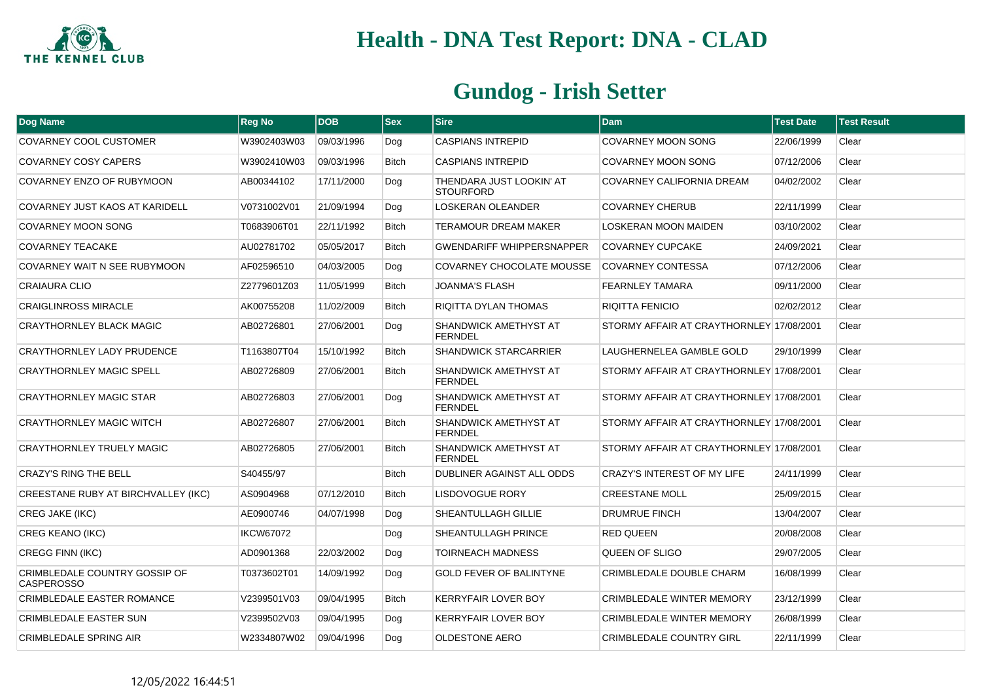

| Dog Name                                           | <b>Reg No</b>    | <b>DOB</b> | <b>Sex</b>   | <b>Sire</b>                                  | <b>Dam</b>                               | <b>Test Date</b> | <b>Test Result</b> |
|----------------------------------------------------|------------------|------------|--------------|----------------------------------------------|------------------------------------------|------------------|--------------------|
| COVARNEY COOL CUSTOMER                             | W3902403W03      | 09/03/1996 | Dog          | <b>CASPIANS INTREPID</b>                     | COVARNEY MOON SONG                       | 22/06/1999       | Clear              |
| COVARNEY COSY CAPERS                               | W3902410W03      | 09/03/1996 | <b>Bitch</b> | <b>CASPIANS INTREPID</b>                     | <b>COVARNEY MOON SONG</b>                | 07/12/2006       | Clear              |
| COVARNEY ENZO OF RUBYMOON                          | AB00344102       | 17/11/2000 | Dog          | THENDARA JUST LOOKIN' AT<br><b>STOURFORD</b> | COVARNEY CALIFORNIA DREAM                | 04/02/2002       | Clear              |
| COVARNEY JUST KAOS AT KARIDELL                     | V0731002V01      | 21/09/1994 | Dog          | <b>LOSKERAN OLEANDER</b>                     | <b>COVARNEY CHERUB</b>                   | 22/11/1999       | Clear              |
| <b>COVARNEY MOON SONG</b>                          | T0683906T01      | 22/11/1992 | <b>Bitch</b> | <b>TERAMOUR DREAM MAKER</b>                  | <b>LOSKERAN MOON MAIDEN</b>              | 03/10/2002       | Clear              |
| <b>COVARNEY TEACAKE</b>                            | AU02781702       | 05/05/2017 | <b>Bitch</b> | <b>GWENDARIFF WHIPPERSNAPPER</b>             | <b>COVARNEY CUPCAKE</b>                  | 24/09/2021       | Clear              |
| COVARNEY WAIT N SEE RUBYMOON                       | AF02596510       | 04/03/2005 | Dog          | COVARNEY CHOCOLATE MOUSSE                    | <b>COVARNEY CONTESSA</b>                 | 07/12/2006       | Clear              |
| CRAIAURA CLIO                                      | Z2779601Z03      | 11/05/1999 | <b>Bitch</b> | JOANMA'S FLASH                               | <b>FEARNLEY TAMARA</b>                   | 09/11/2000       | Clear              |
| <b>CRAIGLINROSS MIRACLE</b>                        | AK00755208       | 11/02/2009 | <b>Bitch</b> | RIQITTA DYLAN THOMAS                         | <b>RIQITTA FENICIO</b>                   | 02/02/2012       | Clear              |
| <b>CRAYTHORNLEY BLACK MAGIC</b>                    | AB02726801       | 27/06/2001 | Dog          | SHANDWICK AMETHYST AT<br><b>FERNDEL</b>      | STORMY AFFAIR AT CRAYTHORNLEY 17/08/2001 |                  | Clear              |
| <b>CRAYTHORNLEY LADY PRUDENCE</b>                  | T1163807T04      | 15/10/1992 | <b>Bitch</b> | <b>SHANDWICK STARCARRIER</b>                 | LAUGHERNELEA GAMBLE GOLD                 | 29/10/1999       | Clear              |
| <b>CRAYTHORNLEY MAGIC SPELL</b>                    | AB02726809       | 27/06/2001 | Bitch        | SHANDWICK AMETHYST AT<br><b>FERNDEL</b>      | STORMY AFFAIR AT CRAYTHORNLEY 17/08/2001 |                  | Clear              |
| <b>CRAYTHORNLEY MAGIC STAR</b>                     | AB02726803       | 27/06/2001 | Dog          | SHANDWICK AMETHYST AT<br><b>FERNDEL</b>      | STORMY AFFAIR AT CRAYTHORNLEY 17/08/2001 |                  | Clear              |
| <b>CRAYTHORNLEY MAGIC WITCH</b>                    | AB02726807       | 27/06/2001 | <b>Bitch</b> | SHANDWICK AMETHYST AT<br><b>FERNDEL</b>      | STORMY AFFAIR AT CRAYTHORNLEY 17/08/2001 |                  | Clear              |
| <b>CRAYTHORNLEY TRUELY MAGIC</b>                   | AB02726805       | 27/06/2001 | <b>Bitch</b> | SHANDWICK AMETHYST AT<br><b>FERNDEL</b>      | STORMY AFFAIR AT CRAYTHORNLEY 17/08/2001 |                  | Clear              |
| <b>CRAZY'S RING THE BELL</b>                       | S40455/97        |            | <b>Bitch</b> | DUBLINER AGAINST ALL ODDS                    | CRAZY'S INTEREST OF MY LIFE              | 24/11/1999       | Clear              |
| CREESTANE RUBY AT BIRCHVALLEY (IKC)                | AS0904968        | 07/12/2010 | <b>Bitch</b> | <b>LISDOVOGUE RORY</b>                       | <b>CREESTANE MOLL</b>                    | 25/09/2015       | Clear              |
| CREG JAKE (IKC)                                    | AE0900746        | 04/07/1998 | Dog          | SHEANTULLAGH GILLIE                          | <b>DRUMRUE FINCH</b>                     | 13/04/2007       | Clear              |
| CREG KEANO (IKC)                                   | <b>IKCW67072</b> |            | Dog          | SHEANTULLAGH PRINCE                          | <b>RED QUEEN</b>                         | 20/08/2008       | Clear              |
| <b>CREGG FINN (IKC)</b>                            | AD0901368        | 22/03/2002 | Dog          | <b>TOIRNEACH MADNESS</b>                     | QUEEN OF SLIGO                           | 29/07/2005       | Clear              |
| CRIMBLEDALE COUNTRY GOSSIP OF<br><b>CASPEROSSO</b> | T0373602T01      | 14/09/1992 | Dog          | <b>GOLD FEVER OF BALINTYNE</b>               | CRIMBLEDALE DOUBLE CHARM                 | 16/08/1999       | Clear              |
| CRIMBLEDALE EASTER ROMANCE                         | V2399501V03      | 09/04/1995 | <b>Bitch</b> | <b>KERRYFAIR LOVER BOY</b>                   | <b>CRIMBLEDALE WINTER MEMORY</b>         | 23/12/1999       | Clear              |
| <b>CRIMBLEDALE EASTER SUN</b>                      | V2399502V03      | 09/04/1995 | Dog          | KERRYFAIR LOVER BOY                          | <b>CRIMBLEDALE WINTER MEMORY</b>         | 26/08/1999       | Clear              |
| <b>CRIMBLEDALE SPRING AIR</b>                      | W2334807W02      | 09/04/1996 | Dog          | <b>OLDESTONE AERO</b>                        | <b>CRIMBLEDALE COUNTRY GIRL</b>          | 22/11/1999       | Clear              |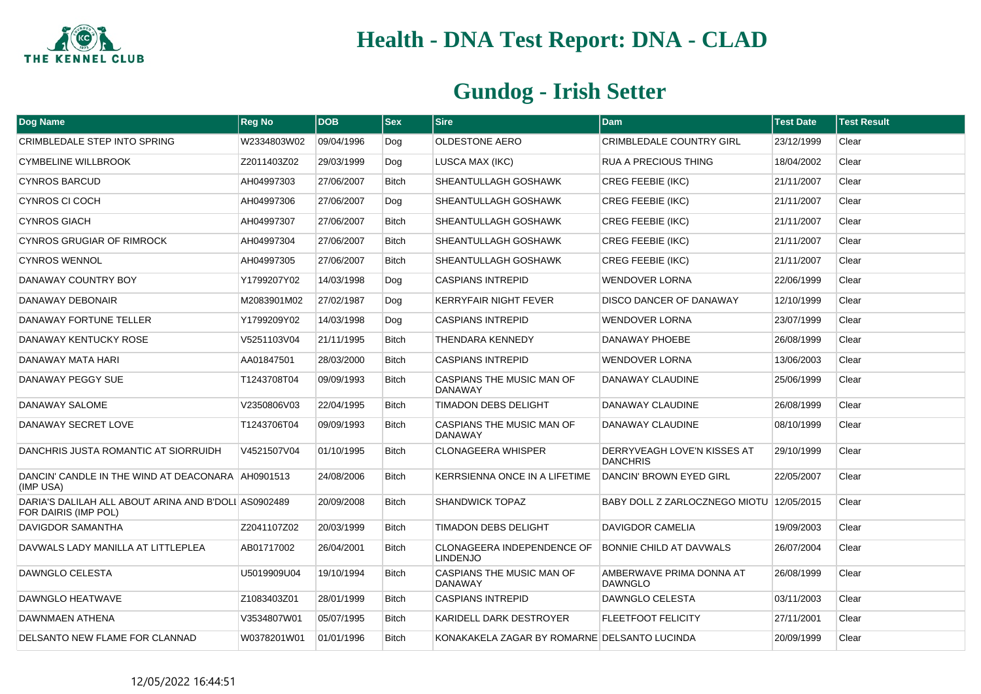

| <b>Dog Name</b>                                                              | <b>Reg No</b> | <b>DOB</b> | <b>Sex</b>   | <b>Sire</b>                                   | <b>Dam</b>                                            | <b>Test Date</b> | <b>Test Result</b> |
|------------------------------------------------------------------------------|---------------|------------|--------------|-----------------------------------------------|-------------------------------------------------------|------------------|--------------------|
| CRIMBLEDALE STEP INTO SPRING                                                 | W2334803W02   | 09/04/1996 | Dog          | <b>OLDESTONE AERO</b>                         | <b>CRIMBLEDALE COUNTRY GIRL</b>                       | 23/12/1999       | Clear              |
| <b>CYMBELINE WILLBROOK</b>                                                   | Z2011403Z02   | 29/03/1999 | Dog          | LUSCA MAX (IKC)                               | RUA A PRECIOUS THING                                  | 18/04/2002       | Clear              |
| <b>CYNROS BARCUD</b>                                                         | AH04997303    | 27/06/2007 | <b>Bitch</b> | SHEANTULLAGH GOSHAWK                          | <b>CREG FEEBIE (IKC)</b>                              | 21/11/2007       | Clear              |
| CYNROS CI COCH                                                               | AH04997306    | 27/06/2007 | Dog          | SHEANTULLAGH GOSHAWK                          | <b>CREG FEEBIE (IKC)</b>                              | 21/11/2007       | Clear              |
| <b>CYNROS GIACH</b>                                                          | AH04997307    | 27/06/2007 | <b>Bitch</b> | SHEANTULLAGH GOSHAWK                          | <b>CREG FEEBIE (IKC)</b>                              | 21/11/2007       | Clear              |
| <b>CYNROS GRUGIAR OF RIMROCK</b>                                             | AH04997304    | 27/06/2007 | <b>Bitch</b> | SHEANTULLAGH GOSHAWK                          | <b>CREG FEEBIE (IKC)</b>                              | 21/11/2007       | Clear              |
| <b>CYNROS WENNOL</b>                                                         | AH04997305    | 27/06/2007 | <b>Bitch</b> | SHEANTULLAGH GOSHAWK                          | <b>CREG FEEBIE (IKC)</b>                              | 21/11/2007       | Clear              |
| DANAWAY COUNTRY BOY                                                          | Y1799207Y02   | 14/03/1998 | Dog          | <b>CASPIANS INTREPID</b>                      | <b>WENDOVER LORNA</b>                                 | 22/06/1999       | Clear              |
| DANAWAY DEBONAIR                                                             | M2083901M02   | 27/02/1987 | Dog          | <b>KERRYFAIR NIGHT FEVER</b>                  | <b>DISCO DANCER OF DANAWAY</b>                        | 12/10/1999       | Clear              |
| DANAWAY FORTUNE TELLER                                                       | Y1799209Y02   | 14/03/1998 | Dog          | <b>CASPIANS INTREPID</b>                      | <b>WENDOVER LORNA</b>                                 | 23/07/1999       | Clear              |
| DANAWAY KENTUCKY ROSE                                                        | V5251103V04   | 21/11/1995 | <b>Bitch</b> | THENDARA KENNEDY                              | DANAWAY PHOEBE                                        | 26/08/1999       | Clear              |
| DANAWAY MATA HARI                                                            | AA01847501    | 28/03/2000 | <b>Bitch</b> | <b>CASPIANS INTREPID</b>                      | <b>WENDOVER LORNA</b>                                 | 13/06/2003       | Clear              |
| DANAWAY PEGGY SUE                                                            | T1243708T04   | 09/09/1993 | <b>Bitch</b> | CASPIANS THE MUSIC MAN OF<br><b>DANAWAY</b>   | DANAWAY CLAUDINE                                      | 25/06/1999       | Clear              |
| DANAWAY SALOME                                                               | V2350806V03   | 22/04/1995 | <b>Bitch</b> | <b>TIMADON DEBS DELIGHT</b>                   | DANAWAY CLAUDINE                                      | 26/08/1999       | Clear              |
| DANAWAY SECRET LOVE                                                          | T1243706T04   | 09/09/1993 | <b>Bitch</b> | CASPIANS THE MUSIC MAN OF<br><b>DANAWAY</b>   | DANAWAY CLAUDINE                                      | 08/10/1999       | Clear              |
| DANCHRIS JUSTA ROMANTIC AT SIORRUIDH                                         | V4521507V04   | 01/10/1995 | <b>Bitch</b> | <b>CLONAGEERA WHISPER</b>                     | <b>DERRYVEAGH LOVE'N KISSES AT</b><br><b>DANCHRIS</b> | 29/10/1999       | Clear              |
| DANCIN' CANDLE IN THE WIND AT DEACONARA AH0901513<br>(IMP USA)               |               | 24/08/2006 | <b>Bitch</b> | KERRSIENNA ONCE IN A LIFETIME                 | DANCIN' BROWN EYED GIRL                               | 22/05/2007       | Clear              |
| DARIA'S DALILAH ALL ABOUT ARINA AND B'DOLI AS0902489<br>FOR DAIRIS (IMP POL) |               | 20/09/2008 | <b>Bitch</b> | SHANDWICK TOPAZ                               | BABY DOLL Z ZARLOCZNEGO MIOTU 12/05/2015              |                  | Clear              |
| DAVIGDOR SAMANTHA                                                            | Z2041107Z02   | 20/03/1999 | <b>Bitch</b> | TIMADON DEBS DELIGHT                          | <b>DAVIGDOR CAMELIA</b>                               | 19/09/2003       | Clear              |
| DAVWALS LADY MANILLA AT LITTLEPLEA                                           | AB01717002    | 26/04/2001 | <b>Bitch</b> | CLONAGEERA INDEPENDENCE OF<br><b>LINDENJO</b> | BONNIE CHILD AT DAVWALS                               | 26/07/2004       | Clear              |
| DAWNGLO CELESTA                                                              | U5019909U04   | 19/10/1994 | <b>Bitch</b> | CASPIANS THE MUSIC MAN OF<br><b>DANAWAY</b>   | AMBERWAVE PRIMA DONNA AT<br><b>DAWNGLO</b>            | 26/08/1999       | Clear              |
| DAWNGLO HEATWAVE                                                             | Z1083403Z01   | 28/01/1999 | <b>Bitch</b> | <b>CASPIANS INTREPID</b>                      | DAWNGLO CELESTA                                       | 03/11/2003       | Clear              |
| DAWNMAEN ATHENA                                                              | V3534807W01   | 05/07/1995 | Bitch        | KARIDELL DARK DESTROYER                       | FLEETFOOT FELICITY                                    | 27/11/2001       | Clear              |
| DELSANTO NEW FLAME FOR CLANNAD                                               | W0378201W01   | 01/01/1996 | <b>Bitch</b> | KONAKAKELA ZAGAR BY ROMARNE DELSANTO LUCINDA  |                                                       | 20/09/1999       | Clear              |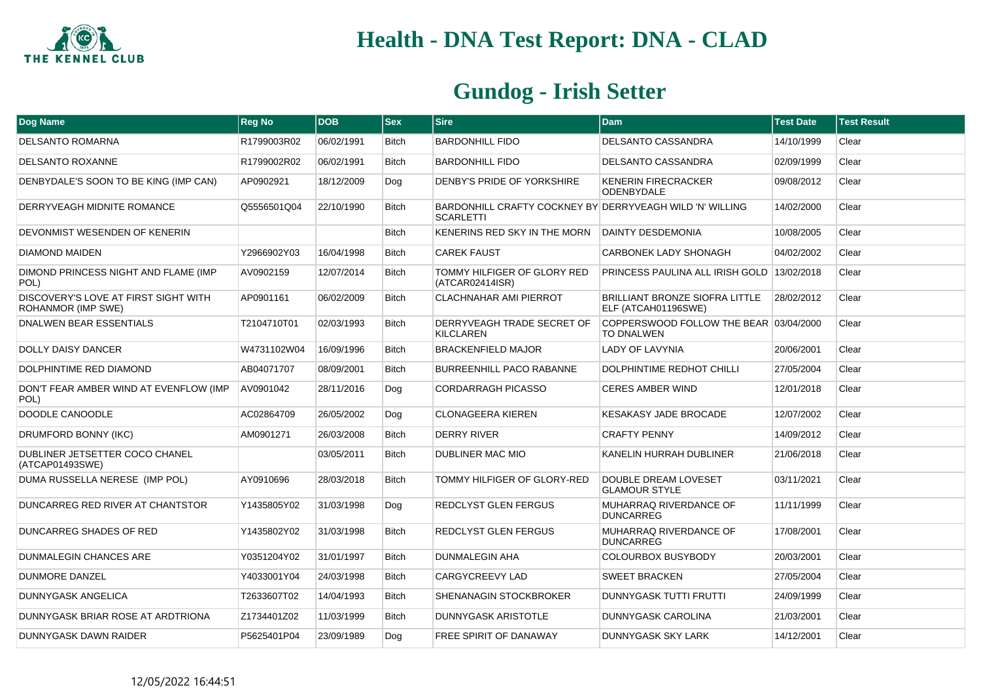

| Dog Name                                                          | <b>Reg No</b> | <b>DOB</b> | <b>Sex</b>   | <b>Sire</b>                                                                  | <b>Dam</b>                                                   | <b>Test Date</b> | <b>Test Result</b> |
|-------------------------------------------------------------------|---------------|------------|--------------|------------------------------------------------------------------------------|--------------------------------------------------------------|------------------|--------------------|
| <b>DELSANTO ROMARNA</b>                                           | R1799003R02   | 06/02/1991 | <b>Bitch</b> | <b>BARDONHILL FIDO</b>                                                       | DELSANTO CASSANDRA                                           | 14/10/1999       | Clear              |
| <b>DELSANTO ROXANNE</b>                                           | R1799002R02   | 06/02/1991 | <b>Bitch</b> | <b>BARDONHILL FIDO</b>                                                       | <b>DELSANTO CASSANDRA</b>                                    | 02/09/1999       | Clear              |
| DENBYDALE'S SOON TO BE KING (IMP CAN)                             | AP0902921     | 18/12/2009 | Dog          | DENBY'S PRIDE OF YORKSHIRE                                                   | <b>KENERIN FIRECRACKER</b><br><b>ODENBYDALE</b>              | 09/08/2012       | Clear              |
| DERRYVEAGH MIDNITE ROMANCE                                        | Q5556501Q04   | 22/10/1990 | <b>Bitch</b> | BARDONHILL CRAFTY COCKNEY BY DERRYVEAGH WILD 'N' WILLING<br><b>SCARLETTI</b> |                                                              | 14/02/2000       | Clear              |
| DEVONMIST WESENDEN OF KENERIN                                     |               |            | <b>Bitch</b> | KENERINS RED SKY IN THE MORN                                                 | <b>DAINTY DESDEMONIA</b>                                     | 10/08/2005       | Clear              |
| <b>DIAMOND MAIDEN</b>                                             | Y2966902Y03   | 16/04/1998 | Bitch        | <b>CAREK FAUST</b>                                                           | <b>CARBONEK LADY SHONAGH</b>                                 | 04/02/2002       | Clear              |
| DIMOND PRINCESS NIGHT AND FLAME (IMP<br>POL)                      | AV0902159     | 12/07/2014 | <b>Bitch</b> | TOMMY HILFIGER OF GLORY RED<br>(ATCAR02414ISR)                               | PRINCESS PAULINA ALL IRISH GOLD 13/02/2018                   |                  | Clear              |
| DISCOVERY'S LOVE AT FIRST SIGHT WITH<br><b>ROHANMOR (IMP SWE)</b> | AP0901161     | 06/02/2009 | <b>Bitch</b> | <b>CLACHNAHAR AMI PIERROT</b>                                                | <b>BRILLIANT BRONZE SIOFRA LITTLE</b><br>ELF (ATCAH01196SWE) | 28/02/2012       | Clear              |
| <b>DNALWEN BEAR ESSENTIALS</b>                                    | T2104710T01   | 02/03/1993 | Bitch        | DERRYVEAGH TRADE SECRET OF<br><b>KILCLAREN</b>                               | COPPERSWOOD FOLLOW THE BEAR 03/04/2000<br><b>TO DNALWEN</b>  |                  | Clear              |
| DOLLY DAISY DANCER                                                | W4731102W04   | 16/09/1996 | <b>Bitch</b> | <b>BRACKENFIELD MAJOR</b>                                                    | LADY OF LAVYNIA                                              | 20/06/2001       | Clear              |
| <b>DOLPHINTIME RED DIAMOND</b>                                    | AB04071707    | 08/09/2001 | <b>Bitch</b> | <b>BURREENHILL PACO RABANNE</b>                                              | <b>DOLPHINTIME REDHOT CHILLI</b>                             | 27/05/2004       | Clear              |
| DON'T FEAR AMBER WIND AT EVENFLOW (IMP<br>POL)                    | AV0901042     | 28/11/2016 | Dog          | <b>CORDARRAGH PICASSO</b>                                                    | <b>CERES AMBER WIND</b>                                      | 12/01/2018       | Clear              |
| DOODLE CANOODLE                                                   | AC02864709    | 26/05/2002 | Dog          | <b>CLONAGEERA KIEREN</b>                                                     | <b>KESAKASY JADE BROCADE</b>                                 | 12/07/2002       | Clear              |
| DRUMFORD BONNY (IKC)                                              | AM0901271     | 26/03/2008 | <b>Bitch</b> | <b>DERRY RIVER</b>                                                           | <b>CRAFTY PENNY</b>                                          | 14/09/2012       | Clear              |
| DUBLINER JETSETTER COCO CHANEL<br>(ATCAP01493SWE)                 |               | 03/05/2011 | <b>Bitch</b> | DUBLINER MAC MIO                                                             | KANELIN HURRAH DUBLINER                                      | 21/06/2018       | Clear              |
| DUMA RUSSELLA NERESE (IMP POL)                                    | AY0910696     | 28/03/2018 | <b>Bitch</b> | TOMMY HILFIGER OF GLORY-RED                                                  | DOUBLE DREAM LOVESET<br><b>GLAMOUR STYLE</b>                 | 03/11/2021       | Clear              |
| DUNCARREG RED RIVER AT CHANTSTOR                                  | Y1435805Y02   | 31/03/1998 | Dog          | REDCLYST GLEN FERGUS                                                         | MUHARRAQ RIVERDANCE OF<br><b>DUNCARREG</b>                   | 11/11/1999       | Clear              |
| DUNCARREG SHADES OF RED                                           | Y1435802Y02   | 31/03/1998 | <b>Bitch</b> | REDCLYST GLEN FERGUS                                                         | MUHARRAQ RIVERDANCE OF<br><b>DUNCARREG</b>                   | 17/08/2001       | Clear              |
| DUNMALEGIN CHANCES ARE                                            | Y0351204Y02   | 31/01/1997 | <b>Bitch</b> | DUNMALEGIN AHA                                                               | <b>COLOURBOX BUSYBODY</b>                                    | 20/03/2001       | Clear              |
| <b>DUNMORE DANZEL</b>                                             | Y4033001Y04   | 24/03/1998 | Bitch        | <b>CARGYCREEVY LAD</b>                                                       | <b>SWEET BRACKEN</b>                                         | 27/05/2004       | Clear              |
| <b>DUNNYGASK ANGELICA</b>                                         | T2633607T02   | 14/04/1993 | <b>Bitch</b> | SHENANAGIN STOCKBROKER                                                       | <b>DUNNYGASK TUTTI FRUTTI</b>                                | 24/09/1999       | Clear              |
| DUNNYGASK BRIAR ROSE AT ARDTRIONA                                 | Z1734401Z02   | 11/03/1999 | <b>Bitch</b> | <b>DUNNYGASK ARISTOTLE</b>                                                   | <b>DUNNYGASK CAROLINA</b>                                    | 21/03/2001       | Clear              |
| <b>DUNNYGASK DAWN RAIDER</b>                                      | P5625401P04   | 23/09/1989 | Dog          | <b>FREE SPIRIT OF DANAWAY</b>                                                | <b>DUNNYGASK SKY LARK</b>                                    | 14/12/2001       | Clear              |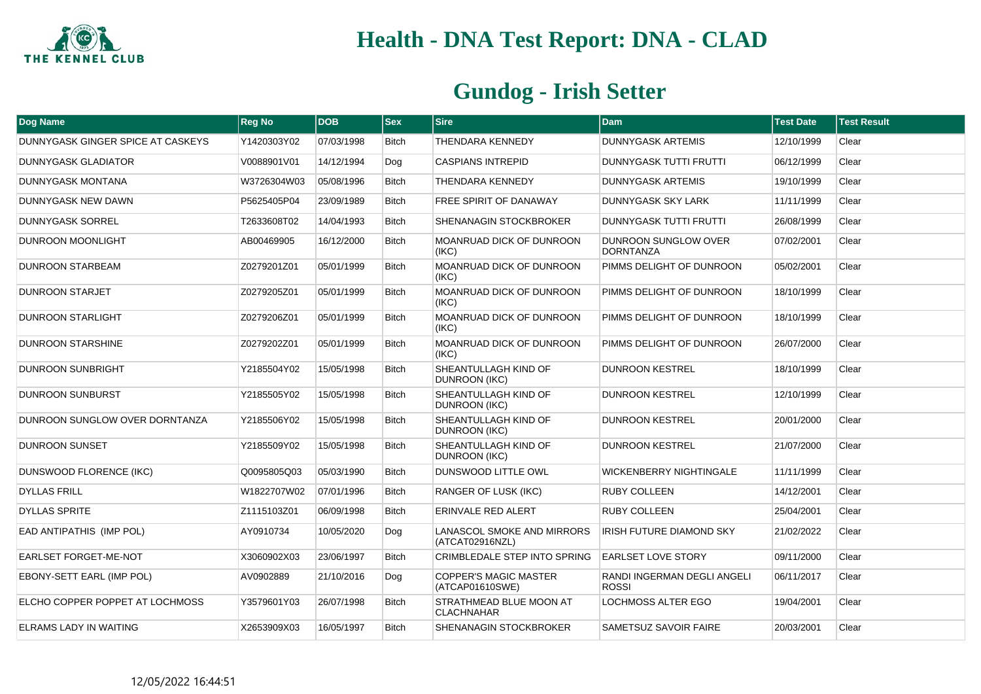

| Dog Name                          | <b>Reg No</b> | <b>DOB</b> | <b>Sex</b>   | <b>Sire</b>                                     | <b>Dam</b>                               | <b>Test Date</b> | <b>Test Result</b> |
|-----------------------------------|---------------|------------|--------------|-------------------------------------------------|------------------------------------------|------------------|--------------------|
| DUNNYGASK GINGER SPICE AT CASKEYS | Y1420303Y02   | 07/03/1998 | <b>Bitch</b> | <b>THENDARA KENNEDY</b>                         | <b>DUNNYGASK ARTEMIS</b>                 | 12/10/1999       | Clear              |
| <b>DUNNYGASK GLADIATOR</b>        | V0088901V01   | 14/12/1994 | Dog          | <b>CASPIANS INTREPID</b>                        | <b>DUNNYGASK TUTTI FRUTTI</b>            | 06/12/1999       | Clear              |
| <b>DUNNYGASK MONTANA</b>          | W3726304W03   | 05/08/1996 | <b>Bitch</b> | THENDARA KENNEDY                                | <b>DUNNYGASK ARTEMIS</b>                 | 19/10/1999       | Clear              |
| DUNNYGASK NEW DAWN                | P5625405P04   | 23/09/1989 | <b>Bitch</b> | FREE SPIRIT OF DANAWAY                          | DUNNYGASK SKY LARK                       | 11/11/1999       | Clear              |
| <b>DUNNYGASK SORREL</b>           | T2633608T02   | 14/04/1993 | <b>Bitch</b> | SHENANAGIN STOCKBROKER                          | <b>DUNNYGASK TUTTI FRUTTI</b>            | 26/08/1999       | Clear              |
| DUNROON MOONLIGHT                 | AB00469905    | 16/12/2000 | <b>Bitch</b> | <b>MOANRUAD DICK OF DUNROON</b><br>(IKC)        | DUNROON SUNGLOW OVER<br><b>DORNTANZA</b> | 07/02/2001       | Clear              |
| <b>DUNROON STARBEAM</b>           | Z0279201Z01   | 05/01/1999 | <b>Bitch</b> | <b>MOANRUAD DICK OF DUNROON</b><br>(IKC)        | PIMMS DELIGHT OF DUNROON                 | 05/02/2001       | Clear              |
| <b>DUNROON STARJET</b>            | Z0279205Z01   | 05/01/1999 | <b>Bitch</b> | MOANRUAD DICK OF DUNROON<br>(IKC)               | PIMMS DELIGHT OF DUNROON                 | 18/10/1999       | Clear              |
| <b>DUNROON STARLIGHT</b>          | Z0279206Z01   | 05/01/1999 | <b>Bitch</b> | <b>MOANRUAD DICK OF DUNROON</b><br>(IKC)        | PIMMS DELIGHT OF DUNROON                 | 18/10/1999       | Clear              |
| <b>DUNROON STARSHINE</b>          | Z0279202Z01   | 05/01/1999 | <b>Bitch</b> | <b>MOANRUAD DICK OF DUNROON</b><br>(IKC)        | PIMMS DELIGHT OF DUNROON                 | 26/07/2000       | Clear              |
| DUNROON SUNBRIGHT                 | Y2185504Y02   | 15/05/1998 | <b>Bitch</b> | SHEANTULLAGH KIND OF<br><b>DUNROON (IKC)</b>    | <b>DUNROON KESTREL</b>                   | 18/10/1999       | Clear              |
| <b>DUNROON SUNBURST</b>           | Y2185505Y02   | 15/05/1998 | <b>Bitch</b> | SHEANTULLAGH KIND OF<br><b>DUNROON (IKC)</b>    | <b>DUNROON KESTREL</b>                   | 12/10/1999       | Clear              |
| DUNROON SUNGLOW OVER DORNTANZA    | Y2185506Y02   | 15/05/1998 | <b>Bitch</b> | SHEANTULLAGH KIND OF<br>DUNROON (IKC)           | <b>DUNROON KESTREL</b>                   | 20/01/2000       | Clear              |
| <b>DUNROON SUNSET</b>             | Y2185509Y02   | 15/05/1998 | <b>Bitch</b> | SHEANTULLAGH KIND OF<br><b>DUNROON (IKC)</b>    | <b>DUNROON KESTREL</b>                   | 21/07/2000       | Clear              |
| DUNSWOOD FLORENCE (IKC)           | Q0095805Q03   | 05/03/1990 | <b>Bitch</b> | <b>DUNSWOOD LITTLE OWL</b>                      | <b>WICKENBERRY NIGHTINGALE</b>           | 11/11/1999       | Clear              |
| <b>DYLLAS FRILL</b>               | W1822707W02   | 07/01/1996 | <b>Bitch</b> | <b>RANGER OF LUSK (IKC)</b>                     | <b>RUBY COLLEEN</b>                      | 14/12/2001       | Clear              |
| <b>DYLLAS SPRITE</b>              | Z1115103Z01   | 06/09/1998 | <b>Bitch</b> | ERINVALE RED ALERT                              | <b>RUBY COLLEEN</b>                      | 25/04/2001       | Clear              |
| EAD ANTIPATHIS (IMP POL)          | AY0910734     | 10/05/2020 | Dog          | LANASCOL SMOKE AND MIRRORS<br>(ATCAT02916NZL)   | IRISH FUTURE DIAMOND SKY                 | 21/02/2022       | Clear              |
| EARLSET FORGET-ME-NOT             | X3060902X03   | 23/06/1997 | <b>Bitch</b> | <b>CRIMBLEDALE STEP INTO SPRING</b>             | <b>EARLSET LOVE STORY</b>                | 09/11/2000       | Clear              |
| EBONY-SETT EARL (IMP POL)         | AV0902889     | 21/10/2016 | Dog          | <b>COPPER'S MAGIC MASTER</b><br>(ATCAP01610SWE) | RANDI INGERMAN DEGLI ANGELI<br>ROSSI     | 06/11/2017       | Clear              |
| ELCHO COPPER POPPET AT LOCHMOSS   | Y3579601Y03   | 26/07/1998 | <b>Bitch</b> | STRATHMEAD BLUE MOON AT<br><b>CLACHNAHAR</b>    | <b>LOCHMOSS ALTER EGO</b>                | 19/04/2001       | Clear              |
| ELRAMS LADY IN WAITING            | X2653909X03   | 16/05/1997 | <b>Bitch</b> | SHENANAGIN STOCKBROKER                          | SAMETSUZ SAVOIR FAIRE                    | 20/03/2001       | Clear              |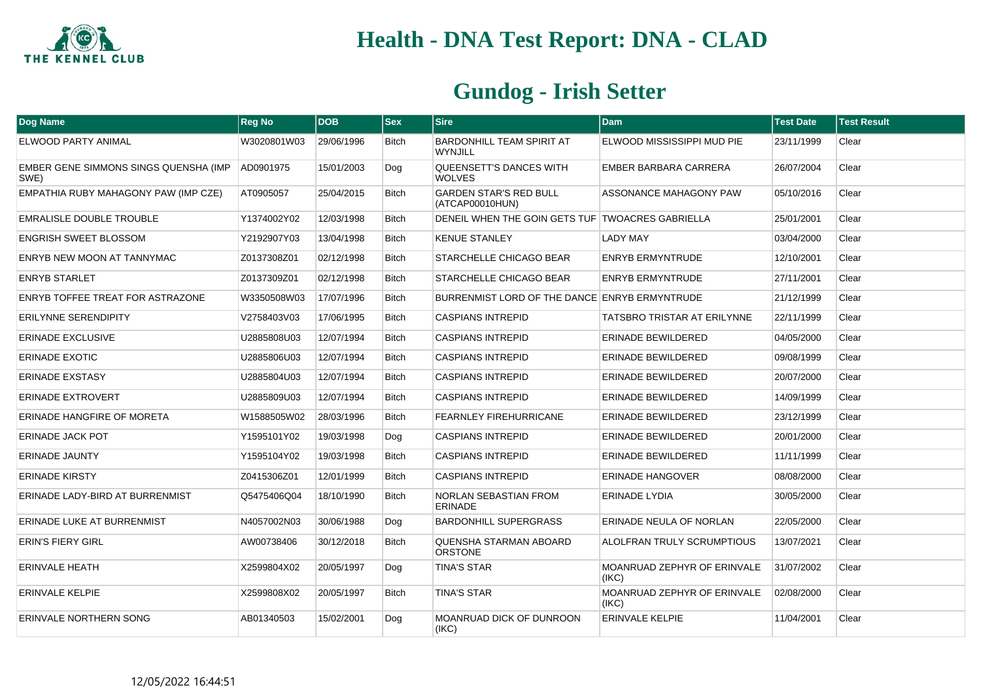

| <b>Dog Name</b>                               | <b>Reg No</b> | <b>DOB</b> | <b>Sex</b>   | <b>Sire</b>                                        | <b>Dam</b>                               | <b>Test Date</b> | <b>Test Result</b> |
|-----------------------------------------------|---------------|------------|--------------|----------------------------------------------------|------------------------------------------|------------------|--------------------|
| ELWOOD PARTY ANIMAL                           | W3020801W03   | 29/06/1996 | <b>Bitch</b> | <b>BARDONHILL TEAM SPIRIT AT</b><br><b>WYNJILL</b> | ELWOOD MISSISSIPPI MUD PIE               | 23/11/1999       | Clear              |
| EMBER GENE SIMMONS SINGS QUENSHA (IMP<br>SWE) | AD0901975     | 15/01/2003 | Dog          | QUEENSETT'S DANCES WITH<br><b>WOLVES</b>           | EMBER BARBARA CARRERA                    | 26/07/2004       | Clear              |
| EMPATHIA RUBY MAHAGONY PAW (IMP CZE)          | AT0905057     | 25/04/2015 | <b>Bitch</b> | <b>GARDEN STAR'S RED BULL</b><br>(ATCAP00010HUN)   | ASSONANCE MAHAGONY PAW                   | 05/10/2016       | Clear              |
| EMRALISLE DOUBLE TROUBLE                      | Y1374002Y02   | 12/03/1998 | <b>Bitch</b> | DENEIL WHEN THE GOIN GETS TUF TWOACRES GABRIELLA   |                                          | 25/01/2001       | Clear              |
| <b>ENGRISH SWEET BLOSSOM</b>                  | Y2192907Y03   | 13/04/1998 | <b>Bitch</b> | <b>KENUE STANLEY</b>                               | <b>LADY MAY</b>                          | 03/04/2000       | Clear              |
| ENRYB NEW MOON AT TANNYMAC                    | Z0137308Z01   | 02/12/1998 | <b>Bitch</b> | STARCHELLE CHICAGO BEAR                            | <b>ENRYB ERMYNTRUDE</b>                  | 12/10/2001       | Clear              |
| <b>ENRYB STARLET</b>                          | Z0137309Z01   | 02/12/1998 | <b>Bitch</b> | STARCHELLE CHICAGO BEAR                            | <b>ENRYB ERMYNTRUDE</b>                  | 27/11/2001       | Clear              |
| ENRYB TOFFEE TREAT FOR ASTRAZONE              | W3350508W03   | 17/07/1996 | <b>Bitch</b> | BURRENMIST LORD OF THE DANCE ENRYB ERMYNTRUDE      |                                          | 21/12/1999       | Clear              |
| ERILYNNE SERENDIPITY                          | V2758403V03   | 17/06/1995 | Bitch        | <b>CASPIANS INTREPID</b>                           | <b>TATSBRO TRISTAR AT ERILYNNE</b>       | 22/11/1999       | Clear              |
| <b>ERINADE EXCLUSIVE</b>                      | U2885808U03   | 12/07/1994 | <b>Bitch</b> | <b>CASPIANS INTREPID</b>                           | <b>ERINADE BEWILDERED</b>                | 04/05/2000       | Clear              |
| <b>ERINADE EXOTIC</b>                         | U2885806U03   | 12/07/1994 | <b>Bitch</b> | <b>CASPIANS INTREPID</b>                           | ERINADE BEWILDERED                       | 09/08/1999       | Clear              |
| <b>ERINADE EXSTASY</b>                        | U2885804U03   | 12/07/1994 | <b>Bitch</b> | <b>CASPIANS INTREPID</b>                           | ERINADE BEWILDERED                       | 20/07/2000       | Clear              |
| ERINADE EXTROVERT                             | U2885809U03   | 12/07/1994 | <b>Bitch</b> | <b>CASPIANS INTREPID</b>                           | ERINADE BEWILDERED                       | 14/09/1999       | Clear              |
| ERINADE HANGFIRE OF MORETA                    | W1588505W02   | 28/03/1996 | Bitch        | <b>FEARNLEY FIREHURRICANE</b>                      | ERINADE BEWILDERED                       | 23/12/1999       | Clear              |
| <b>ERINADE JACK POT</b>                       | Y1595101Y02   | 19/03/1998 | Dog          | <b>CASPIANS INTREPID</b>                           | <b>ERINADE BEWILDERED</b>                | 20/01/2000       | Clear              |
| <b>ERINADE JAUNTY</b>                         | Y1595104Y02   | 19/03/1998 | <b>Bitch</b> | <b>CASPIANS INTREPID</b>                           | ERINADE BEWILDERED                       | 11/11/1999       | Clear              |
| <b>ERINADE KIRSTY</b>                         | Z0415306Z01   | 12/01/1999 | <b>Bitch</b> | <b>CASPIANS INTREPID</b>                           | <b>ERINADE HANGOVER</b>                  | 08/08/2000       | Clear              |
| ERINADE LADY-BIRD AT BURRENMIST               | Q5475406Q04   | 18/10/1990 | Bitch        | NORLAN SEBASTIAN FROM<br><b>ERINADE</b>            | <b>ERINADE LYDIA</b>                     | 30/05/2000       | Clear              |
| ERINADE LUKE AT BURRENMIST                    | N4057002N03   | 30/06/1988 | Dog          | <b>BARDONHILL SUPERGRASS</b>                       | ERINADE NEULA OF NORLAN                  | 22/05/2000       | Clear              |
| <b>ERIN'S FIERY GIRL</b>                      | AW00738406    | 30/12/2018 | <b>Bitch</b> | QUENSHA STARMAN ABOARD<br>ORSTONE                  | ALOLFRAN TRULY SCRUMPTIOUS               | 13/07/2021       | Clear              |
| <b>ERINVALE HEATH</b>                         | X2599804X02   | 20/05/1997 | Dog          | <b>TINA'S STAR</b>                                 | MOANRUAD ZEPHYR OF ERINVALE<br>(IKC)     | 31/07/2002       | Clear              |
| <b>ERINVALE KELPIE</b>                        | X2599808X02   | 20/05/1997 | <b>Bitch</b> | <b>TINA'S STAR</b>                                 | MOANRUAD ZEPHYR OF ERINVALE<br>$ $ (IKC) | 02/08/2000       | Clear              |
| ERINVALE NORTHERN SONG                        | AB01340503    | 15/02/2001 | Dog          | <b>MOANRUAD DICK OF DUNROON</b><br>(IKC)           | <b>ERINVALE KELPIE</b>                   | 11/04/2001       | Clear              |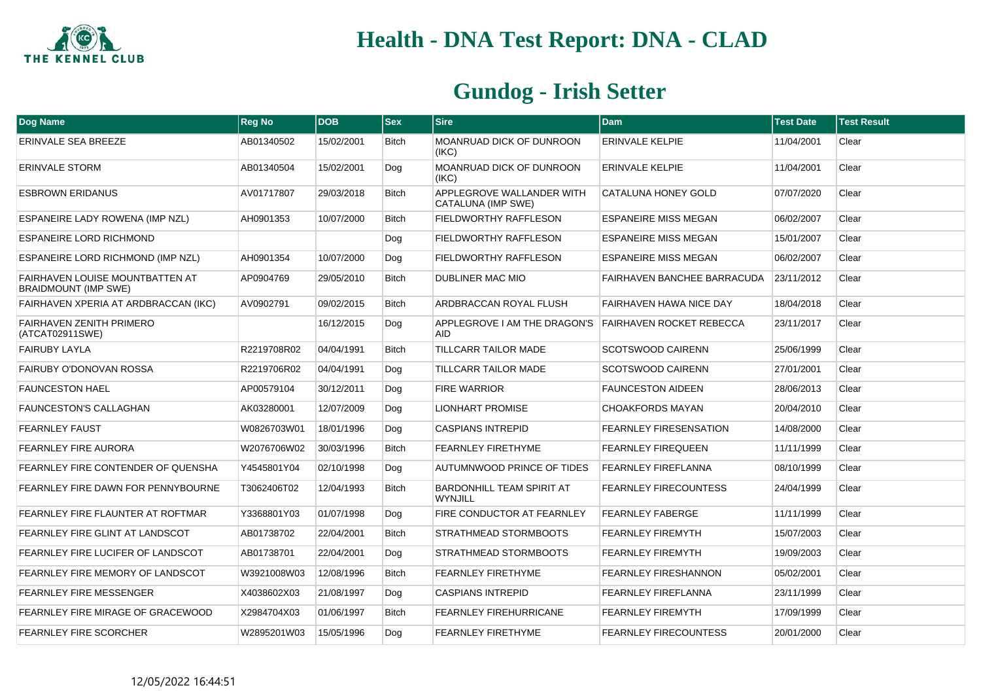

| <b>Dog Name</b>                                                       | <b>Reg No</b> | <b>DOB</b> | <b>Sex</b>   | <b>Sire</b>                                     | <b>Dam</b>                         | <b>Test Date</b> | <b>Test Result</b> |
|-----------------------------------------------------------------------|---------------|------------|--------------|-------------------------------------------------|------------------------------------|------------------|--------------------|
| ERINVALE SEA BREEZE                                                   | AB01340502    | 15/02/2001 | <b>Bitch</b> | MOANRUAD DICK OF DUNROON<br>(IKC)               | <b>ERINVALE KELPIE</b>             | 11/04/2001       | Clear              |
| <b>ERINVALE STORM</b>                                                 | AB01340504    | 15/02/2001 | Dog          | MOANRUAD DICK OF DUNROON<br>(IKC)               | <b>ERINVALE KELPIE</b>             | 11/04/2001       | Clear              |
| <b>ESBROWN ERIDANUS</b>                                               | AV01717807    | 29/03/2018 | <b>Bitch</b> | APPLEGROVE WALLANDER WITH<br>CATALUNA (IMP SWE) | <b>CATALUNA HONEY GOLD</b>         | 07/07/2020       | Clear              |
| <b>ESPANEIRE LADY ROWENA (IMP NZL)</b>                                | AH0901353     | 10/07/2000 | <b>Bitch</b> | <b>FIELDWORTHY RAFFLESON</b>                    | <b>ESPANEIRE MISS MEGAN</b>        | 06/02/2007       | Clear              |
| <b>ESPANEIRE LORD RICHMOND</b>                                        |               |            | Dog          | FIELDWORTHY RAFFLESON                           | <b>ESPANEIRE MISS MEGAN</b>        | 15/01/2007       | Clear              |
| ESPANEIRE LORD RICHMOND (IMP NZL)                                     | AH0901354     | 10/07/2000 | Dog          | FIELDWORTHY RAFFLESON                           | <b>ESPANEIRE MISS MEGAN</b>        | 06/02/2007       | Clear              |
| <b>FAIRHAVEN LOUISE MOUNTBATTEN AT</b><br><b>BRAIDMOUNT (IMP SWE)</b> | AP0904769     | 29/05/2010 | <b>Bitch</b> | DUBLINER MAC MIO                                | <b>FAIRHAVEN BANCHEE BARRACUDA</b> | 23/11/2012       | Clear              |
| FAIRHAVEN XPERIA AT ARDBRACCAN (IKC)                                  | AV0902791     | 09/02/2015 | <b>Bitch</b> | ARDBRACCAN ROYAL FLUSH                          | <b>FAIRHAVEN HAWA NICE DAY</b>     | 18/04/2018       | Clear              |
| <b>FAIRHAVEN ZENITH PRIMERO</b><br>(ATCAT02911SWE)                    |               | 16/12/2015 | Dog          | APPLEGROVE I AM THE DRAGON'S<br><b>AID</b>      | <b>FAIRHAVEN ROCKET REBECCA</b>    | 23/11/2017       | Clear              |
| <b>FAIRUBY LAYLA</b>                                                  | R2219708R02   | 04/04/1991 | <b>Bitch</b> | <b>TILLCARR TAILOR MADE</b>                     | <b>SCOTSWOOD CAIRENN</b>           | 25/06/1999       | Clear              |
| <b>FAIRUBY O'DONOVAN ROSSA</b>                                        | R2219706R02   | 04/04/1991 | Dog          | <b>TILLCARR TAILOR MADE</b>                     | <b>SCOTSWOOD CAIRENN</b>           | 27/01/2001       | Clear              |
| <b>FAUNCESTON HAEL</b>                                                | AP00579104    | 30/12/2011 | Dog          | <b>FIRE WARRIOR</b>                             | <b>FAUNCESTON AIDEEN</b>           | 28/06/2013       | Clear              |
| <b>FAUNCESTON'S CALLAGHAN</b>                                         | AK03280001    | 12/07/2009 | Dog          | <b>LIONHART PROMISE</b>                         | <b>CHOAKFORDS MAYAN</b>            | 20/04/2010       | Clear              |
| <b>FEARNLEY FAUST</b>                                                 | W0826703W01   | 18/01/1996 | Dog          | <b>CASPIANS INTREPID</b>                        | FEARNLEY FIRESENSATION             | 14/08/2000       | Clear              |
| FEARNLEY FIRE AURORA                                                  | W2076706W02   | 30/03/1996 | <b>Bitch</b> | FEARNLEY FIRETHYME                              | <b>FEARNLEY FIREQUEEN</b>          | 11/11/1999       | Clear              |
| FEARNLEY FIRE CONTENDER OF QUENSHA                                    | Y4545801Y04   | 02/10/1998 | Dog          | AUTUMNWOOD PRINCE OF TIDES                      | <b>FEARNLEY FIREFLANNA</b>         | 08/10/1999       | Clear              |
| FEARNLEY FIRE DAWN FOR PENNYBOURNE                                    | T3062406T02   | 12/04/1993 | <b>Bitch</b> | BARDONHILL TEAM SPIRIT AT<br><b>WYNJILL</b>     | <b>FEARNLEY FIRECOUNTESS</b>       | 24/04/1999       | Clear              |
| FEARNLEY FIRE FLAUNTER AT ROFTMAR                                     | Y3368801Y03   | 01/07/1998 | Dog          | FIRE CONDUCTOR AT FEARNLEY                      | <b>FEARNLEY FABERGE</b>            | 11/11/1999       | Clear              |
| FEARNLEY FIRE GLINT AT LANDSCOT                                       | AB01738702    | 22/04/2001 | <b>Bitch</b> | <b>STRATHMEAD STORMBOOTS</b>                    | <b>FEARNLEY FIREMYTH</b>           | 15/07/2003       | Clear              |
| FEARNLEY FIRE LUCIFER OF LANDSCOT                                     | AB01738701    | 22/04/2001 | Dog          | STRATHMEAD STORMBOOTS                           | <b>FEARNLEY FIREMYTH</b>           | 19/09/2003       | Clear              |
| FEARNLEY FIRE MEMORY OF LANDSCOT                                      | W3921008W03   | 12/08/1996 | <b>Bitch</b> | <b>FEARNLEY FIRETHYME</b>                       | FEARNLEY FIRESHANNON               | 05/02/2001       | Clear              |
| <b>FEARNLEY FIRE MESSENGER</b>                                        | X4038602X03   | 21/08/1997 | Dog          | <b>CASPIANS INTREPID</b>                        | <b>FEARNLEY FIREFLANNA</b>         | 23/11/1999       | Clear              |
| FEARNLEY FIRE MIRAGE OF GRACEWOOD                                     | X2984704X03   | 01/06/1997 | Bitch        | FEARNLEY FIREHURRICANE                          | <b>FEARNLEY FIREMYTH</b>           | 17/09/1999       | Clear              |
| <b>FEARNLEY FIRE SCORCHER</b>                                         | W2895201W03   | 15/05/1996 | Dog          | <b>FEARNLEY FIRETHYME</b>                       | <b>FEARNLEY FIRECOUNTESS</b>       | 20/01/2000       | Clear              |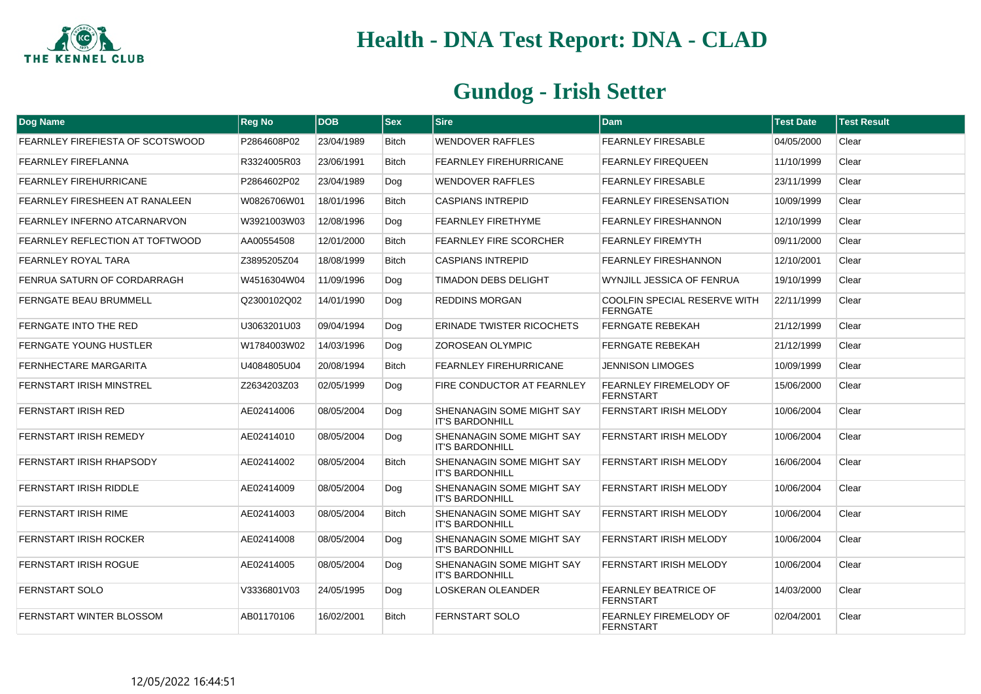

| <b>Dog Name</b>                       | <b>Reg No</b> | <b>DOB</b> | <b>Sex</b>   | <b>Sire</b>                                         | <b>Dam</b>                                             | <b>Test Date</b> | <b>Test Result</b> |
|---------------------------------------|---------------|------------|--------------|-----------------------------------------------------|--------------------------------------------------------|------------------|--------------------|
| FEARNLEY FIREFIESTA OF SCOTSWOOD      | P2864608P02   | 23/04/1989 | Bitch        | WENDOVER RAFFLES                                    | <b>FEARNLEY FIRESABLE</b>                              | 04/05/2000       | Clear              |
| <b>FEARNLEY FIREFLANNA</b>            | R3324005R03   | 23/06/1991 | <b>Bitch</b> | <b>FEARNLEY FIREHURRICANE</b>                       | <b>FEARNLEY FIREQUEEN</b>                              | 11/10/1999       | Clear              |
| <b>FEARNLEY FIREHURRICANE</b>         | P2864602P02   | 23/04/1989 | Dog          | <b>WENDOVER RAFFLES</b>                             | <b>FEARNLEY FIRESABLE</b>                              | 23/11/1999       | Clear              |
| <b>FEARNLEY FIRESHEEN AT RANALEEN</b> | W0826706W01   | 18/01/1996 | <b>Bitch</b> | <b>CASPIANS INTREPID</b>                            | <b>FEARNLEY FIRESENSATION</b>                          | 10/09/1999       | Clear              |
| FEARNLEY INFERNO ATCARNARVON          | W3921003W03   | 12/08/1996 | Dog          | FEARNLEY FIRETHYME                                  | <b>FEARNLEY FIRESHANNON</b>                            | 12/10/1999       | Clear              |
| FEARNLEY REFLECTION AT TOFTWOOD       | AA00554508    | 12/01/2000 | <b>Bitch</b> | <b>FEARNLEY FIRE SCORCHER</b>                       | <b>FEARNLEY FIREMYTH</b>                               | 09/11/2000       | Clear              |
| <b>FEARNLEY ROYAL TARA</b>            | Z3895205Z04   | 18/08/1999 | <b>Bitch</b> | <b>CASPIANS INTREPID</b>                            | FEARNLEY FIRESHANNON                                   | 12/10/2001       | Clear              |
| FENRUA SATURN OF CORDARRAGH           | W4516304W04   | 11/09/1996 | Dog          | <b>TIMADON DEBS DELIGHT</b>                         | WYNJILL JESSICA OF FENRUA                              | 19/10/1999       | Clear              |
| FERNGATE BEAU BRUMMELL                | Q2300102Q02   | 14/01/1990 | Dog          | REDDINS MORGAN                                      | <b>COOLFIN SPECIAL RESERVE WITH</b><br><b>FERNGATE</b> | 22/11/1999       | Clear              |
| <b>FERNGATE INTO THE RED</b>          | U3063201U03   | 09/04/1994 | Dog          | <b>ERINADE TWISTER RICOCHETS</b>                    | <b>FERNGATE REBEKAH</b>                                | 21/12/1999       | Clear              |
| <b>FERNGATE YOUNG HUSTLER</b>         | W1784003W02   | 14/03/1996 | Dog          | ZOROSEAN OLYMPIC                                    | <b>FERNGATE REBEKAH</b>                                | 21/12/1999       | Clear              |
| <b>FERNHECTARE MARGARITA</b>          | U4084805U04   | 20/08/1994 | <b>Bitch</b> | <b>FEARNLEY FIREHURRICANE</b>                       | <b>JENNISON LIMOGES</b>                                | 10/09/1999       | Clear              |
| <b>FERNSTART IRISH MINSTREL</b>       | Z2634203Z03   | 02/05/1999 | Dog          | FIRE CONDUCTOR AT FEARNLEY                          | <b>FEARNLEY FIREMELODY OF</b><br><b>FERNSTART</b>      | 15/06/2000       | Clear              |
| <b>FERNSTART IRISH RED</b>            | AE02414006    | 08/05/2004 | Dog          | SHENANAGIN SOME MIGHT SAY<br><b>IT'S BARDONHILL</b> | FERNSTART IRISH MELODY                                 | 10/06/2004       | Clear              |
| <b>FERNSTART IRISH REMEDY</b>         | AE02414010    | 08/05/2004 | Dog          | SHENANAGIN SOME MIGHT SAY<br><b>IT'S BARDONHILL</b> | <b>FERNSTART IRISH MELODY</b>                          | 10/06/2004       | Clear              |
| FERNSTART IRISH RHAPSODY              | AE02414002    | 08/05/2004 | <b>Bitch</b> | SHENANAGIN SOME MIGHT SAY<br><b>IT'S BARDONHILL</b> | FERNSTART IRISH MELODY                                 | 16/06/2004       | Clear              |
| FERNSTART IRISH RIDDLE                | AE02414009    | 08/05/2004 | Dog          | SHENANAGIN SOME MIGHT SAY<br><b>IT'S BARDONHILL</b> | FERNSTART IRISH MELODY                                 | 10/06/2004       | Clear              |
| <b>FERNSTART IRISH RIME</b>           | AE02414003    | 08/05/2004 | <b>Bitch</b> | SHENANAGIN SOME MIGHT SAY<br><b>IT'S BARDONHILL</b> | <b>FERNSTART IRISH MELODY</b>                          | 10/06/2004       | Clear              |
| FERNSTART IRISH ROCKER                | AE02414008    | 08/05/2004 | Dog          | SHENANAGIN SOME MIGHT SAY<br><b>IT'S BARDONHILL</b> | FERNSTART IRISH MELODY                                 | 10/06/2004       | Clear              |
| <b>FERNSTART IRISH ROGUE</b>          | AE02414005    | 08/05/2004 | Dog          | SHENANAGIN SOME MIGHT SAY<br><b>IT'S BARDONHILL</b> | FERNSTART IRISH MELODY                                 | 10/06/2004       | Clear              |
| <b>FERNSTART SOLO</b>                 | V3336801V03   | 24/05/1995 | Dog          | LOSKERAN OLEANDER                                   | <b>FEARNLEY BEATRICE OF</b><br><b>FERNSTART</b>        | 14/03/2000       | Clear              |
| FERNSTART WINTER BLOSSOM              | AB01170106    | 16/02/2001 | <b>Bitch</b> | FERNSTART SOLO                                      | FEARNLEY FIREMELODY OF<br><b>FERNSTART</b>             | 02/04/2001       | Clear              |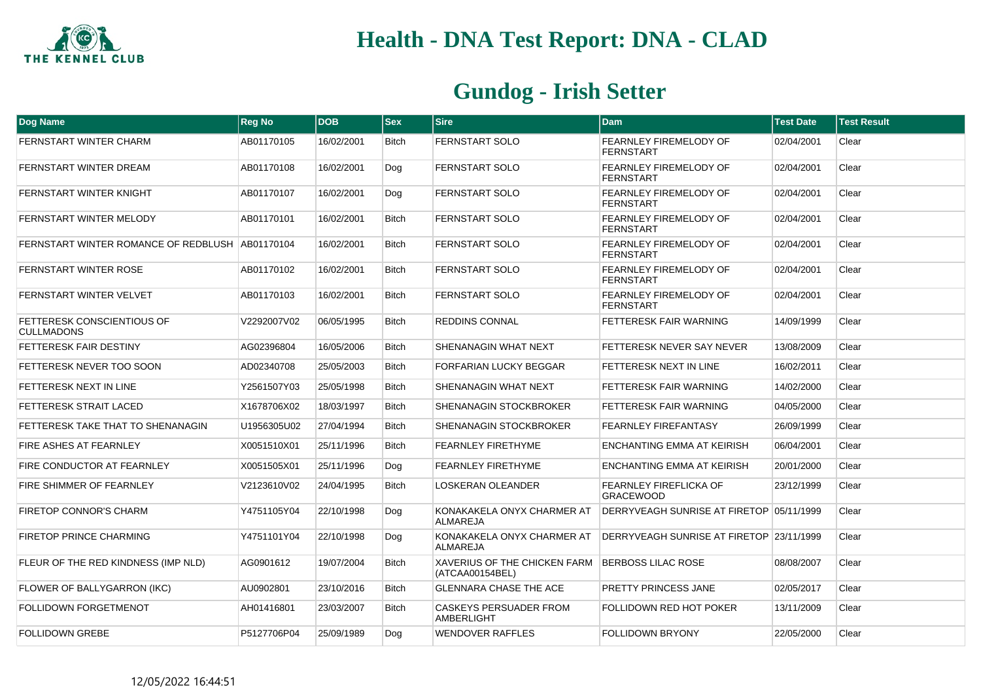

| <b>Dog Name</b>                                        | <b>Reg No</b> | <b>DOB</b> | $ $ Sex      | <b>Sire</b>                                     | <b>Dam</b>                                        | <b>Test Date</b> | <b>Test Result</b> |
|--------------------------------------------------------|---------------|------------|--------------|-------------------------------------------------|---------------------------------------------------|------------------|--------------------|
| FERNSTART WINTER CHARM                                 | AB01170105    | 16/02/2001 | <b>Bitch</b> | FERNSTART SOLO                                  | FEARNLEY FIREMELODY OF<br><b>FERNSTART</b>        | 02/04/2001       | Clear              |
| FERNSTART WINTER DREAM                                 | AB01170108    | 16/02/2001 | Dog          | FERNSTART SOLO                                  | FEARNLEY FIREMELODY OF<br><b>FERNSTART</b>        | 02/04/2001       | Clear              |
| <b>FERNSTART WINTER KNIGHT</b>                         | AB01170107    | 16/02/2001 | Dog          | <b>FERNSTART SOLO</b>                           | <b>FEARNLEY FIREMELODY OF</b><br><b>FERNSTART</b> | 02/04/2001       | Clear              |
| FERNSTART WINTER MELODY                                | AB01170101    | 16/02/2001 | <b>Bitch</b> | FERNSTART SOLO                                  | FEARNLEY FIREMELODY OF<br><b>FERNSTART</b>        | 02/04/2001       | Clear              |
| FERNSTART WINTER ROMANCE OF REDBLUSH AB01170104        |               | 16/02/2001 | <b>Bitch</b> | FERNSTART SOLO                                  | FEARNLEY FIREMELODY OF<br><b>FERNSTART</b>        | 02/04/2001       | Clear              |
| <b>FERNSTART WINTER ROSE</b>                           | AB01170102    | 16/02/2001 | <b>Bitch</b> | FERNSTART SOLO                                  | FEARNLEY FIREMELODY OF<br><b>FERNSTART</b>        | 02/04/2001       | Clear              |
| FERNSTART WINTER VELVET                                | AB01170103    | 16/02/2001 | <b>Bitch</b> | FERNSTART SOLO                                  | FEARNLEY FIREMELODY OF<br><b>FERNSTART</b>        | 02/04/2001       | Clear              |
| <b>FETTERESK CONSCIENTIOUS OF</b><br><b>CULLMADONS</b> | V2292007V02   | 06/05/1995 | <b>Bitch</b> | REDDINS CONNAL                                  | FETTERESK FAIR WARNING                            | 14/09/1999       | Clear              |
| <b>FETTERESK FAIR DESTINY</b>                          | AG02396804    | 16/05/2006 | <b>Bitch</b> | SHENANAGIN WHAT NEXT                            | FETTERESK NEVER SAY NEVER                         | 13/08/2009       | Clear              |
| FETTERESK NEVER TOO SOON                               | AD02340708    | 25/05/2003 | <b>Bitch</b> | FORFARIAN LUCKY BEGGAR                          | FETTERESK NEXT IN LINE                            | 16/02/2011       | Clear              |
| FETTERESK NEXT IN LINE                                 | Y2561507Y03   | 25/05/1998 | Bitch        | SHENANAGIN WHAT NEXT                            | FETTERESK FAIR WARNING                            | 14/02/2000       | Clear              |
| <b>FETTERESK STRAIT LACED</b>                          | X1678706X02   | 18/03/1997 | <b>Bitch</b> | SHENANAGIN STOCKBROKER                          | FETTERESK FAIR WARNING                            | 04/05/2000       | Clear              |
| FETTERESK TAKE THAT TO SHENANAGIN                      | U1956305U02   | 27/04/1994 | <b>Bitch</b> | SHENANAGIN STOCKBROKER                          | <b>FEARNLEY FIREFANTASY</b>                       | 26/09/1999       | Clear              |
| FIRE ASHES AT FEARNLEY                                 | X0051510X01   | 25/11/1996 | <b>Bitch</b> | <b>FEARNLEY FIRETHYME</b>                       | ENCHANTING EMMA AT KEIRISH                        | 06/04/2001       | Clear              |
| FIRE CONDUCTOR AT FEARNLEY                             | X0051505X01   | 25/11/1996 | Dog          | FEARNLEY FIRETHYME                              | ENCHANTING EMMA AT KEIRISH                        | 20/01/2000       | Clear              |
| FIRE SHIMMER OF FEARNLEY                               | V2123610V02   | 24/04/1995 | Bitch        | LOSKERAN OLEANDER                               | <b>FEARNLEY FIREFLICKA OF</b><br><b>GRACEWOOD</b> | 23/12/1999       | Clear              |
| <b>FIRETOP CONNOR'S CHARM</b>                          | Y4751105Y04   | 22/10/1998 | Dog          | KONAKAKELA ONYX CHARMER AT<br>ALMAREJA          | DERRYVEAGH SUNRISE AT FIRETOP 05/11/1999          |                  | Clear              |
| <b>FIRETOP PRINCE CHARMING</b>                         | Y4751101Y04   | 22/10/1998 | Dog          | KONAKAKELA ONYX CHARMER AT<br><b>ALMAREJA</b>   | DERRYVEAGH SUNRISE AT FIRETOP 23/11/1999          |                  | Clear              |
| FLEUR OF THE RED KINDNESS (IMP NLD)                    | AG0901612     | 19/07/2004 | Bitch        | XAVERIUS OF THE CHICKEN FARM<br>(ATCAA00154BEL) | <b>BERBOSS LILAC ROSE</b>                         | 08/08/2007       | Clear              |
| FLOWER OF BALLYGARRON (IKC)                            | AU0902801     | 23/10/2016 | <b>Bitch</b> | <b>GLENNARA CHASE THE ACE</b>                   | PRETTY PRINCESS JANE                              | 02/05/2017       | Clear              |
| <b>FOLLIDOWN FORGETMENOT</b>                           | AH01416801    | 23/03/2007 | Bitch        | CASKEYS PERSUADER FROM<br>AMBERLIGHT            | FOLLIDOWN RED HOT POKER                           | 13/11/2009       | Clear              |
| <b>FOLLIDOWN GREBE</b>                                 | P5127706P04   | 25/09/1989 | Dog          | <b>WENDOVER RAFFLES</b>                         | <b>FOLLIDOWN BRYONY</b>                           | 22/05/2000       | Clear              |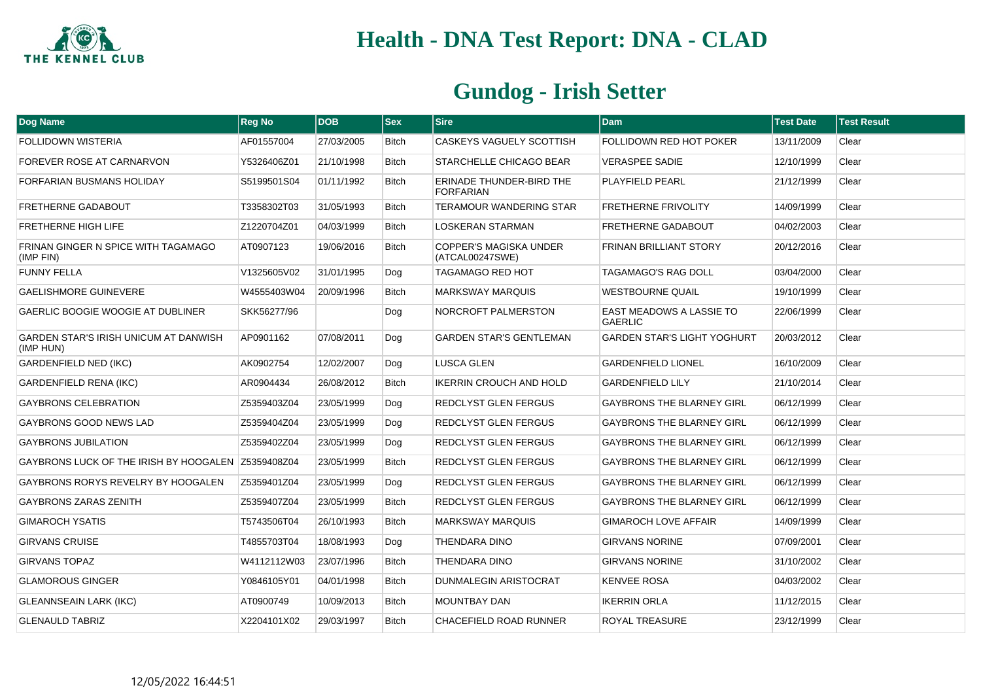

| Dog Name                                                  | <b>Reg No</b> | <b>DOB</b> | $ s_{ex} $   | Sire                                             | <b>Dam</b>                                 | <b>Test Date</b> | <b>Test Result</b> |
|-----------------------------------------------------------|---------------|------------|--------------|--------------------------------------------------|--------------------------------------------|------------------|--------------------|
| <b>FOLLIDOWN WISTERIA</b>                                 | AF01557004    | 27/03/2005 | <b>Bitch</b> | CASKEYS VAGUELY SCOTTISH                         | <b>FOLLIDOWN RED HOT POKER</b>             | 13/11/2009       | Clear              |
| FOREVER ROSE AT CARNARVON                                 | Y5326406Z01   | 21/10/1998 | <b>Bitch</b> | STARCHELLE CHICAGO BEAR                          | <b>VERASPEE SADIE</b>                      | 12/10/1999       | Clear              |
| FORFARIAN BUSMANS HOLIDAY                                 | S5199501S04   | 01/11/1992 | <b>Bitch</b> | ERINADE THUNDER-BIRD THE<br><b>FORFARIAN</b>     | <b>PLAYFIELD PEARL</b>                     | 21/12/1999       | Clear              |
| <b>FRETHERNE GADABOUT</b>                                 | T3358302T03   | 31/05/1993 | <b>Bitch</b> | <b>TERAMOUR WANDERING STAR</b>                   | <b>FRETHERNE FRIVOLITY</b>                 | 14/09/1999       | Clear              |
| <b>FRETHERNE HIGH LIFE</b>                                | Z1220704Z01   | 04/03/1999 | <b>Bitch</b> | <b>LOSKERAN STARMAN</b>                          | <b>FRETHERNE GADABOUT</b>                  | 04/02/2003       | Clear              |
| FRINAN GINGER N SPICE WITH TAGAMAGO<br>(IMP FIN)          | AT0907123     | 19/06/2016 | Bitch        | <b>COPPER'S MAGISKA UNDER</b><br>(ATCAL00247SWE) | <b>FRINAN BRILLIANT STORY</b>              | 20/12/2016       | Clear              |
| <b>FUNNY FELLA</b>                                        | V1325605V02   | 31/01/1995 | Dog          | <b>TAGAMAGO RED HOT</b>                          | TAGAMAGO'S RAG DOLL                        | 03/04/2000       | Clear              |
| <b>GAELISHMORE GUINEVERE</b>                              | W4555403W04   | 20/09/1996 | <b>Bitch</b> | <b>MARKSWAY MARQUIS</b>                          | <b>WESTBOURNE QUAIL</b>                    | 19/10/1999       | Clear              |
| <b>GAERLIC BOOGIE WOOGIE AT DUBLINER</b>                  | SKK56277/96   |            | Dog          | NORCROFT PALMERSTON                              | EAST MEADOWS A LASSIE TO<br><b>GAERLIC</b> | 22/06/1999       | Clear              |
| <b>GARDEN STAR'S IRISH UNICUM AT DANWISH</b><br>(IMP HUN) | AP0901162     | 07/08/2011 | Dog          | <b>GARDEN STAR'S GENTLEMAN</b>                   | <b>GARDEN STAR'S LIGHT YOGHURT</b>         | 20/03/2012       | Clear              |
| <b>GARDENFIELD NED (IKC)</b>                              | AK0902754     | 12/02/2007 | Dog          | LUSCA GLEN                                       | <b>GARDENFIELD LIONEL</b>                  | 16/10/2009       | Clear              |
| <b>GARDENFIELD RENA (IKC)</b>                             | AR0904434     | 26/08/2012 | <b>Bitch</b> | <b>IKERRIN CROUCH AND HOLD</b>                   | <b>GARDENFIELD LILY</b>                    | 21/10/2014       | Clear              |
| <b>GAYBRONS CELEBRATION</b>                               | Z5359403Z04   | 23/05/1999 | Dog          | REDCLYST GLEN FERGUS                             | <b>GAYBRONS THE BLARNEY GIRL</b>           | 06/12/1999       | Clear              |
| GAYBRONS GOOD NEWS LAD                                    | Z5359404Z04   | 23/05/1999 | Dog          | REDCLYST GLEN FERGUS                             | <b>GAYBRONS THE BLARNEY GIRL</b>           | 06/12/1999       | Clear              |
| <b>GAYBRONS JUBILATION</b>                                | Z5359402Z04   | 23/05/1999 | Dog          | REDCLYST GLEN FERGUS                             | <b>GAYBRONS THE BLARNEY GIRL</b>           | 06/12/1999       | Clear              |
| <b>GAYBRONS LUCK OF THE IRISH BY HOOGALEN</b>             | Z5359408Z04   | 23/05/1999 | <b>Bitch</b> | <b>REDCLYST GLEN FERGUS</b>                      | <b>GAYBRONS THE BLARNEY GIRL</b>           | 06/12/1999       | Clear              |
| GAYBRONS RORYS REVELRY BY HOOGALEN                        | Z5359401Z04   | 23/05/1999 | Dog          | REDCLYST GLEN FERGUS                             | <b>GAYBRONS THE BLARNEY GIRL</b>           | 06/12/1999       | Clear              |
| <b>GAYBRONS ZARAS ZENITH</b>                              | Z5359407Z04   | 23/05/1999 | <b>Bitch</b> | REDCLYST GLEN FERGUS                             | <b>GAYBRONS THE BLARNEY GIRL</b>           | 06/12/1999       | Clear              |
| <b>GIMAROCH YSATIS</b>                                    | T5743506T04   | 26/10/1993 | <b>Bitch</b> | <b>MARKSWAY MARQUIS</b>                          | <b>GIMAROCH LOVE AFFAIR</b>                | 14/09/1999       | Clear              |
| <b>GIRVANS CRUISE</b>                                     | T4855703T04   | 18/08/1993 | Dog          | <b>THENDARA DINO</b>                             | <b>GIRVANS NORINE</b>                      | 07/09/2001       | Clear              |
| <b>GIRVANS TOPAZ</b>                                      | W4112112W03   | 23/07/1996 | <b>Bitch</b> | <b>THENDARA DINO</b>                             | <b>GIRVANS NORINE</b>                      | 31/10/2002       | Clear              |
| <b>GLAMOROUS GINGER</b>                                   | Y0846105Y01   | 04/01/1998 | <b>Bitch</b> | <b>DUNMALEGIN ARISTOCRAT</b>                     | <b>KENVEE ROSA</b>                         | 04/03/2002       | Clear              |
| <b>GLEANNSEAIN LARK (IKC)</b>                             | AT0900749     | 10/09/2013 | <b>Bitch</b> | <b>MOUNTBAY DAN</b>                              | <b>IKERRIN ORLA</b>                        | 11/12/2015       | Clear              |
| <b>GLENAULD TABRIZ</b>                                    | X2204101X02   | 29/03/1997 | <b>Bitch</b> | CHACEFIELD ROAD RUNNER                           | <b>ROYAL TREASURE</b>                      | 23/12/1999       | Clear              |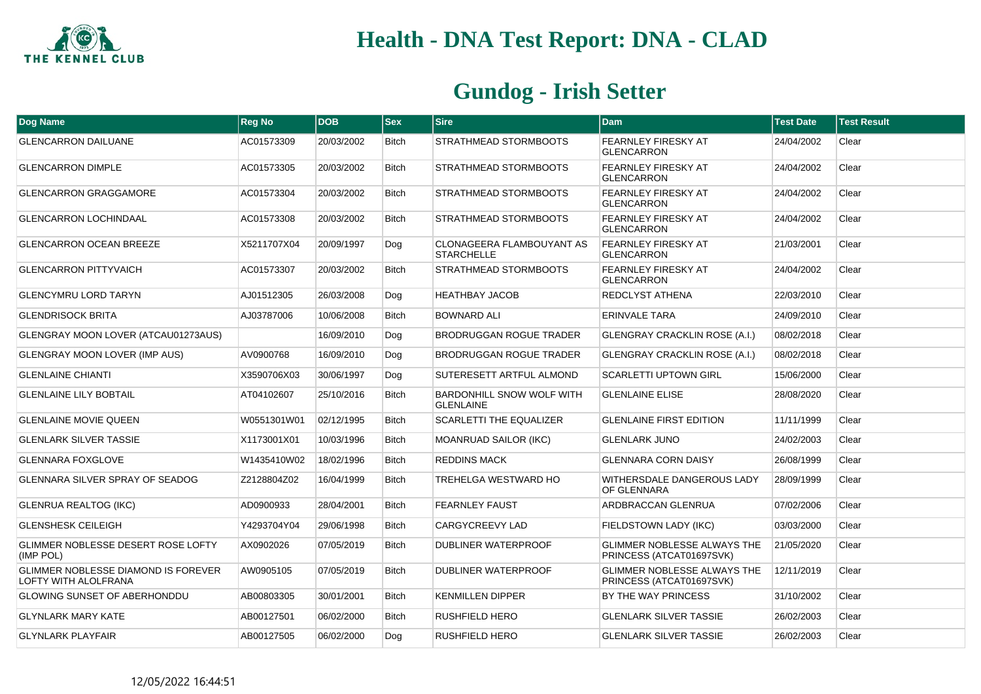

| <b>Dog Name</b>                                                    | <b>Reg No</b> | <b>DOB</b> | <b>Sex</b>   | <b>Sire</b>                                           | <b>Dam</b>                                                     | <b>Test Date</b> | <b>Test Result</b> |
|--------------------------------------------------------------------|---------------|------------|--------------|-------------------------------------------------------|----------------------------------------------------------------|------------------|--------------------|
| <b>GLENCARRON DAILUANE</b>                                         | AC01573309    | 20/03/2002 | <b>Bitch</b> | STRATHMEAD STORMBOOTS                                 | <b>FEARNLEY FIRESKY AT</b><br><b>GLENCARRON</b>                | 24/04/2002       | Clear              |
| <b>GLENCARRON DIMPLE</b>                                           | AC01573305    | 20/03/2002 | <b>Bitch</b> | STRATHMEAD STORMBOOTS                                 | <b>FEARNLEY FIRESKY AT</b><br><b>GLENCARRON</b>                | 24/04/2002       | Clear              |
| <b>GLENCARRON GRAGGAMORE</b>                                       | AC01573304    | 20/03/2002 | <b>Bitch</b> | STRATHMEAD STORMBOOTS                                 | <b>FEARNLEY FIRESKY AT</b><br><b>GLENCARRON</b>                | 24/04/2002       | Clear              |
| <b>GLENCARRON LOCHINDAAL</b>                                       | AC01573308    | 20/03/2002 | <b>Bitch</b> | STRATHMEAD STORMBOOTS                                 | <b>FEARNLEY FIRESKY AT</b><br><b>GLENCARRON</b>                | 24/04/2002       | Clear              |
| <b>GLENCARRON OCEAN BREEZE</b>                                     | X5211707X04   | 20/09/1997 | Dog          | <b>CLONAGEERA FLAMBOUYANT AS</b><br><b>STARCHELLE</b> | <b>FEARNLEY FIRESKY AT</b><br><b>GLENCARRON</b>                | 21/03/2001       | Clear              |
| <b>GLENCARRON PITTYVAICH</b>                                       | AC01573307    | 20/03/2002 | <b>Bitch</b> | STRATHMEAD STORMBOOTS                                 | <b>FEARNLEY FIRESKY AT</b><br><b>GLENCARRON</b>                | 24/04/2002       | Clear              |
| <b>GLENCYMRU LORD TARYN</b>                                        | AJ01512305    | 26/03/2008 | Dog          | <b>HEATHBAY JACOB</b>                                 | REDCLYST ATHENA                                                | 22/03/2010       | Clear              |
| <b>GLENDRISOCK BRITA</b>                                           | AJ03787006    | 10/06/2008 | <b>Bitch</b> | <b>BOWNARD ALI</b>                                    | <b>ERINVALE TARA</b>                                           | 24/09/2010       | Clear              |
| GLENGRAY MOON LOVER (ATCAU01273AUS)                                |               | 16/09/2010 | Dog          | <b>BRODRUGGAN ROGUE TRADER</b>                        | <b>GLENGRAY CRACKLIN ROSE (A.I.)</b>                           | 08/02/2018       | Clear              |
| <b>GLENGRAY MOON LOVER (IMP AUS)</b>                               | AV0900768     | 16/09/2010 | Dog          | BRODRUGGAN ROGUE TRADER                               | <b>GLENGRAY CRACKLIN ROSE (A.I.)</b>                           | 08/02/2018       | Clear              |
| <b>GLENLAINE CHIANTI</b>                                           | X3590706X03   | 30/06/1997 | Dog          | SUTERESETT ARTFUL ALMOND                              | <b>SCARLETTI UPTOWN GIRL</b>                                   | 15/06/2000       | Clear              |
| <b>GLENLAINE LILY BOBTAIL</b>                                      | AT04102607    | 25/10/2016 | <b>Bitch</b> | <b>BARDONHILL SNOW WOLF WITH</b><br><b>GLENLAINE</b>  | <b>GLENLAINE ELISE</b>                                         | 28/08/2020       | Clear              |
| <b>GLENLAINE MOVIE QUEEN</b>                                       | W0551301W01   | 02/12/1995 | <b>Bitch</b> | <b>SCARLETTI THE EQUALIZER</b>                        | <b>GLENLAINE FIRST EDITION</b>                                 | 11/11/1999       | Clear              |
| <b>GLENLARK SILVER TASSIE</b>                                      | X1173001X01   | 10/03/1996 | <b>Bitch</b> | <b>MOANRUAD SAILOR (IKC)</b>                          | <b>GLENLARK JUNO</b>                                           | 24/02/2003       | Clear              |
| <b>GLENNARA FOXGLOVE</b>                                           | W1435410W02   | 18/02/1996 | <b>Bitch</b> | <b>REDDINS MACK</b>                                   | <b>GLENNARA CORN DAISY</b>                                     | 26/08/1999       | Clear              |
| GLENNARA SILVER SPRAY OF SEADOG                                    | Z2128804Z02   | 16/04/1999 | <b>Bitch</b> | TREHELGA WESTWARD HO                                  | WITHERSDALE DANGEROUS LADY<br>OF GLENNARA                      | 28/09/1999       | Clear              |
| <b>GLENRUA REALTOG (IKC)</b>                                       | AD0900933     | 28/04/2001 | <b>Bitch</b> | <b>FEARNLEY FAUST</b>                                 | ARDBRACCAN GLENRUA                                             | 07/02/2006       | Clear              |
| <b>GLENSHESK CEILEIGH</b>                                          | Y4293704Y04   | 29/06/1998 | <b>Bitch</b> | CARGYCREEVY LAD                                       | FIELDSTOWN LADY (IKC)                                          | 03/03/2000       | Clear              |
| <b>GLIMMER NOBLESSE DESERT ROSE LOFTY</b><br>(IMP POL)             | AX0902026     | 07/05/2019 | <b>Bitch</b> | DUBLINER WATERPROOF                                   | <b>GLIMMER NOBLESSE ALWAYS THE</b><br>PRINCESS (ATCAT01697SVK) | 21/05/2020       | Clear              |
| GLIMMER NOBLESSE DIAMOND IS FOREVER<br><b>LOFTY WITH ALOLFRANA</b> | AW0905105     | 07/05/2019 | <b>Bitch</b> | DUBLINER WATERPROOF                                   | <b>GLIMMER NOBLESSE ALWAYS THE</b><br>PRINCESS (ATCAT01697SVK) | 12/11/2019       | Clear              |
| <b>GLOWING SUNSET OF ABERHONDDU</b>                                | AB00803305    | 30/01/2001 | <b>Bitch</b> | <b>KENMILLEN DIPPER</b>                               | BY THE WAY PRINCESS                                            | 31/10/2002       | Clear              |
| <b>GLYNLARK MARY KATE</b>                                          | AB00127501    | 06/02/2000 | <b>Bitch</b> | <b>RUSHFIELD HERO</b>                                 | <b>GLENLARK SILVER TASSIE</b>                                  | 26/02/2003       | Clear              |
| <b>GLYNLARK PLAYFAIR</b>                                           | AB00127505    | 06/02/2000 | Dog          | <b>RUSHFIELD HERO</b>                                 | <b>GLENLARK SILVER TASSIE</b>                                  | 26/02/2003       | Clear              |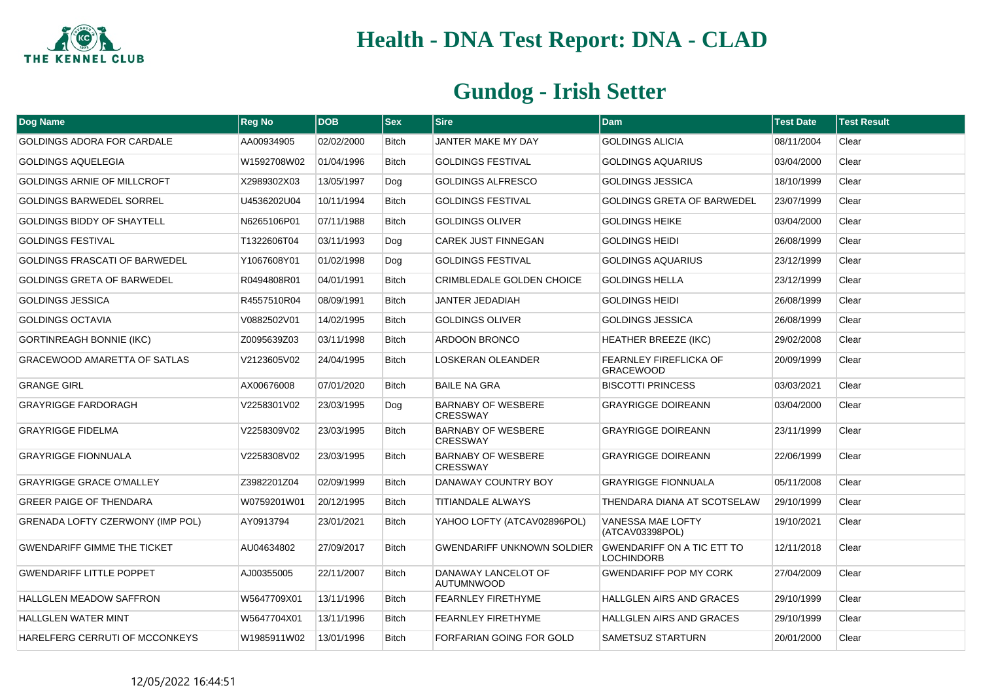

| Dog Name                                | <b>Reg No</b> | <b>DOB</b> | <b>Sex</b>   | <b>Sire</b>                                  | <b>Dam</b>                                      | <b>Test Date</b> | Test Result |
|-----------------------------------------|---------------|------------|--------------|----------------------------------------------|-------------------------------------------------|------------------|-------------|
| <b>GOLDINGS ADORA FOR CARDALE</b>       | AA00934905    | 02/02/2000 | <b>Bitch</b> | JANTER MAKE MY DAY                           | <b>GOLDINGS ALICIA</b>                          | 08/11/2004       | Clear       |
| <b>GOLDINGS AQUELEGIA</b>               | W1592708W02   | 01/04/1996 | <b>Bitch</b> | <b>GOLDINGS FESTIVAL</b>                     | <b>GOLDINGS AQUARIUS</b>                        | 03/04/2000       | Clear       |
| <b>GOLDINGS ARNIE OF MILLCROFT</b>      | X2989302X03   | 13/05/1997 | Dog          | <b>GOLDINGS ALFRESCO</b>                     | <b>GOLDINGS JESSICA</b>                         | 18/10/1999       | Clear       |
| <b>GOLDINGS BARWEDEL SORREL</b>         | U4536202U04   | 10/11/1994 | <b>Bitch</b> | <b>GOLDINGS FESTIVAL</b>                     | <b>GOLDINGS GRETA OF BARWEDEL</b>               | 23/07/1999       | Clear       |
| GOLDINGS BIDDY OF SHAYTELL              | N6265106P01   | 07/11/1988 | <b>Bitch</b> | <b>GOLDINGS OLIVER</b>                       | <b>GOLDINGS HEIKE</b>                           | 03/04/2000       | Clear       |
| <b>GOLDINGS FESTIVAL</b>                | T1322606T04   | 03/11/1993 | Dog          | <b>CAREK JUST FINNEGAN</b>                   | <b>GOLDINGS HEIDI</b>                           | 26/08/1999       | Clear       |
| <b>GOLDINGS FRASCATI OF BARWEDEL</b>    | Y1067608Y01   | 01/02/1998 | Dog          | <b>GOLDINGS FESTIVAL</b>                     | <b>GOLDINGS AQUARIUS</b>                        | 23/12/1999       | Clear       |
| <b>GOLDINGS GRETA OF BARWEDEL</b>       | R0494808R01   | 04/01/1991 | <b>Bitch</b> | CRIMBLEDALE GOLDEN CHOICE                    | <b>GOLDINGS HELLA</b>                           | 23/12/1999       | Clear       |
| <b>GOLDINGS JESSICA</b>                 | R4557510R04   | 08/09/1991 | Bitch        | <b>JANTER JEDADIAH</b>                       | <b>GOLDINGS HEIDI</b>                           | 26/08/1999       | Clear       |
| <b>GOLDINGS OCTAVIA</b>                 | V0882502V01   | 14/02/1995 | <b>Bitch</b> | <b>GOLDINGS OLIVER</b>                       | <b>GOLDINGS JESSICA</b>                         | 26/08/1999       | Clear       |
| <b>GORTINREAGH BONNIE (IKC)</b>         | Z0095639Z03   | 03/11/1998 | Bitch        | ARDOON BRONCO                                | <b>HEATHER BREEZE (IKC)</b>                     | 29/02/2008       | Clear       |
| GRACEWOOD AMARETTA OF SATLAS            | V2123605V02   | 24/04/1995 | Bitch        | LOSKERAN OLEANDER                            | FEARNLEY FIREFLICKA OF<br><b>GRACEWOOD</b>      | 20/09/1999       | Clear       |
| <b>GRANGE GIRL</b>                      | AX00676008    | 07/01/2020 | <b>Bitch</b> | <b>BAILE NA GRA</b>                          | <b>BISCOTTI PRINCESS</b>                        | 03/03/2021       | Clear       |
| <b>GRAYRIGGE FARDORAGH</b>              | V2258301V02   | 23/03/1995 | Dog          | <b>BARNABY OF WESBERE</b><br><b>CRESSWAY</b> | <b>GRAYRIGGE DOIREANN</b>                       | 03/04/2000       | Clear       |
| <b>GRAYRIGGE FIDELMA</b>                | V2258309V02   | 23/03/1995 | <b>Bitch</b> | <b>BARNABY OF WESBERE</b><br><b>CRESSWAY</b> | <b>GRAYRIGGE DOIREANN</b>                       | 23/11/1999       | Clear       |
| <b>GRAYRIGGE FIONNUALA</b>              | V2258308V02   | 23/03/1995 | <b>Bitch</b> | <b>BARNABY OF WESBERE</b><br><b>CRESSWAY</b> | <b>GRAYRIGGE DOIREANN</b>                       | 22/06/1999       | Clear       |
| <b>GRAYRIGGE GRACE O'MALLEY</b>         | Z3982201Z04   | 02/09/1999 | <b>Bitch</b> | DANAWAY COUNTRY BOY                          | <b>GRAYRIGGE FIONNUALA</b>                      | 05/11/2008       | Clear       |
| <b>GREER PAIGE OF THENDARA</b>          | W0759201W01   | 20/12/1995 | <b>Bitch</b> | <b>TITIANDALE ALWAYS</b>                     | THENDARA DIANA AT SCOTSELAW                     | 29/10/1999       | Clear       |
| <b>GRENADA LOFTY CZERWONY (IMP POL)</b> | AY0913794     | 23/01/2021 | <b>Bitch</b> | YAHOO LOFTY (ATCAV02896POL)                  | <b>VANESSA MAE LOFTY</b><br>(ATCAV03398POL)     | 19/10/2021       | Clear       |
| <b>GWENDARIFF GIMME THE TICKET</b>      | AU04634802    | 27/09/2017 | <b>Bitch</b> | <b>GWENDARIFF UNKNOWN SOLDIER</b>            | <b>GWENDARIFF ON A TIC ETT TO</b><br>LOCHINDORB | 12/11/2018       | Clear       |
| <b>GWENDARIFF LITTLE POPPET</b>         | AJ00355005    | 22/11/2007 | <b>Bitch</b> | DANAWAY LANCELOT OF<br><b>AUTUMNWOOD</b>     | <b>GWENDARIFF POP MY CORK</b>                   | 27/04/2009       | Clear       |
| <b>HALLGLEN MEADOW SAFFRON</b>          | W5647709X01   | 13/11/1996 | <b>Bitch</b> | <b>FEARNLEY FIRETHYME</b>                    | <b>HALLGLEN AIRS AND GRACES</b>                 | 29/10/1999       | Clear       |
| HALLGLEN WATER MINT                     | W5647704X01   | 13/11/1996 | <b>Bitch</b> | <b>FEARNLEY FIRETHYME</b>                    | HALLGLEN AIRS AND GRACES                        | 29/10/1999       | Clear       |
| HARELFERG CERRUTI OF MCCONKEYS          | W1985911W02   | 13/01/1996 | <b>Bitch</b> | FORFARIAN GOING FOR GOLD                     | SAMETSUZ STARTURN                               | 20/01/2000       | Clear       |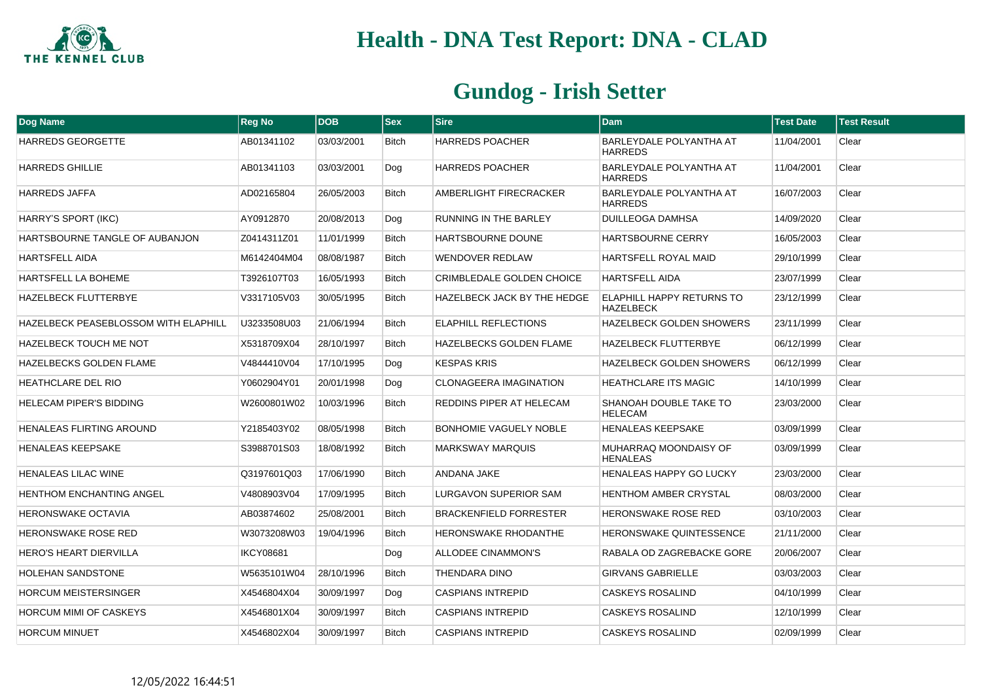

| <b>Dog Name</b>                             | <b>Reg No</b>    | <b>DOB</b> | <b>Sex</b>   | <b>Sire</b>                        | <b>Dam</b>                                           | <b>Test Date</b> | <b>Test Result</b> |
|---------------------------------------------|------------------|------------|--------------|------------------------------------|------------------------------------------------------|------------------|--------------------|
| <b>HARREDS GEORGETTE</b>                    | AB01341102       | 03/03/2001 | <b>Bitch</b> | <b>HARREDS POACHER</b>             | BARLEYDALE POLYANTHA AT<br><b>HARREDS</b>            | 11/04/2001       | Clear              |
| <b>HARREDS GHILLIE</b>                      | AB01341103       | 03/03/2001 | Dog          | <b>HARREDS POACHER</b>             | BARLEYDALE POLYANTHA AT<br><b>HARREDS</b>            | 11/04/2001       | Clear              |
| <b>HARREDS JAFFA</b>                        | AD02165804       | 26/05/2003 | <b>Bitch</b> | AMBERLIGHT FIRECRACKER             | BARLEYDALE POLYANTHA AT<br><b>HARREDS</b>            | 16/07/2003       | Clear              |
| HARRY'S SPORT (IKC)                         | AY0912870        | 20/08/2013 | Dog          | <b>RUNNING IN THE BARLEY</b>       | <b>DUILLEOGA DAMHSA</b>                              | 14/09/2020       | Clear              |
| HARTSBOURNE TANGLE OF AUBANJON              | Z0414311Z01      | 11/01/1999 | <b>Bitch</b> | <b>HARTSBOURNE DOUNE</b>           | <b>HARTSBOURNE CERRY</b>                             | 16/05/2003       | Clear              |
| HARTSFELL AIDA                              | M6142404M04      | 08/08/1987 | <b>Bitch</b> | WENDOVER REDLAW                    | <b>HARTSFELL ROYAL MAID</b>                          | 29/10/1999       | Clear              |
| HARTSFELL LA BOHEME                         | T3926107T03      | 16/05/1993 | <b>Bitch</b> | <b>CRIMBLEDALE GOLDEN CHOICE</b>   | <b>HARTSFELL AIDA</b>                                | 23/07/1999       | Clear              |
| <b>HAZELBECK FLUTTERBYE</b>                 | V3317105V03      | 30/05/1995 | <b>Bitch</b> | <b>HAZELBECK JACK BY THE HEDGE</b> | <b>ELAPHILL HAPPY RETURNS TO</b><br><b>HAZELBECK</b> | 23/12/1999       | Clear              |
| <b>HAZELBECK PEASEBLOSSOM WITH ELAPHILL</b> | U3233508U03      | 21/06/1994 | <b>Bitch</b> | <b>ELAPHILL REFLECTIONS</b>        | HAZELBECK GOLDEN SHOWERS                             | 23/11/1999       | Clear              |
| <b>HAZELBECK TOUCH ME NOT</b>               | X5318709X04      | 28/10/1997 | <b>Bitch</b> | <b>HAZELBECKS GOLDEN FLAME</b>     | <b>HAZELBECK FLUTTERBYE</b>                          | 06/12/1999       | Clear              |
| HAZELBECKS GOLDEN FLAME                     | V4844410V04      | 17/10/1995 | Dog          | <b>KESPAS KRIS</b>                 | <b>HAZELBECK GOLDEN SHOWERS</b>                      | 06/12/1999       | Clear              |
| <b>HEATHCLARE DEL RIO</b>                   | Y0602904Y01      | 20/01/1998 | Dog          | <b>CLONAGEERA IMAGINATION</b>      | <b>HEATHCLARE ITS MAGIC</b>                          | 14/10/1999       | Clear              |
| <b>HELECAM PIPER'S BIDDING</b>              | W2600801W02      | 10/03/1996 | <b>Bitch</b> | REDDINS PIPER AT HELECAM           | SHANOAH DOUBLE TAKE TO<br><b>HELECAM</b>             | 23/03/2000       | Clear              |
| <b>HENALEAS FLIRTING AROUND</b>             | Y2185403Y02      | 08/05/1998 | <b>Bitch</b> | <b>BONHOMIE VAGUELY NOBLE</b>      | <b>HENALEAS KEEPSAKE</b>                             | 03/09/1999       | Clear              |
| <b>HENALEAS KEEPSAKE</b>                    | S3988701S03      | 18/08/1992 | <b>Bitch</b> | <b>MARKSWAY MARQUIS</b>            | MUHARRAQ MOONDAISY OF<br><b>HENALEAS</b>             | 03/09/1999       | Clear              |
| <b>HENALEAS LILAC WINE</b>                  | Q3197601Q03      | 17/06/1990 | <b>Bitch</b> | ANDANA JAKE                        | <b>HENALEAS HAPPY GO LUCKY</b>                       | 23/03/2000       | Clear              |
| <b>HENTHOM ENCHANTING ANGEL</b>             | V4808903V04      | 17/09/1995 | <b>Bitch</b> | <b>LURGAVON SUPERIOR SAM</b>       | <b>HENTHOM AMBER CRYSTAL</b>                         | 08/03/2000       | Clear              |
| <b>HERONSWAKE OCTAVIA</b>                   | AB03874602       | 25/08/2001 | <b>Bitch</b> | <b>BRACKENFIELD FORRESTER</b>      | HERONSWAKE ROSE RED                                  | 03/10/2003       | Clear              |
| <b>HERONSWAKE ROSE RED</b>                  | W3073208W03      | 19/04/1996 | <b>Bitch</b> | <b>HERONSWAKE RHODANTHE</b>        | <b>HERONSWAKE QUINTESSENCE</b>                       | 21/11/2000       | Clear              |
| <b>HERO'S HEART DIERVILLA</b>               | <b>IKCY08681</b> |            | Dog          | ALLODEE CINAMMON'S                 | RABALA OD ZAGREBACKE GORE                            | 20/06/2007       | Clear              |
| <b>HOLEHAN SANDSTONE</b>                    | W5635101W04      | 28/10/1996 | <b>Bitch</b> | THENDARA DINO                      | <b>GIRVANS GABRIELLE</b>                             | 03/03/2003       | Clear              |
| <b>HORCUM MEISTERSINGER</b>                 | X4546804X04      | 30/09/1997 | Dog          | <b>CASPIANS INTREPID</b>           | <b>CASKEYS ROSALIND</b>                              | 04/10/1999       | Clear              |
| <b>HORCUM MIMI OF CASKEYS</b>               | X4546801X04      | 30/09/1997 | <b>Bitch</b> | <b>CASPIANS INTREPID</b>           | <b>CASKEYS ROSALIND</b>                              | 12/10/1999       | Clear              |
| <b>HORCUM MINUET</b>                        | X4546802X04      | 30/09/1997 | <b>Bitch</b> | <b>CASPIANS INTREPID</b>           | <b>CASKEYS ROSALIND</b>                              | 02/09/1999       | Clear              |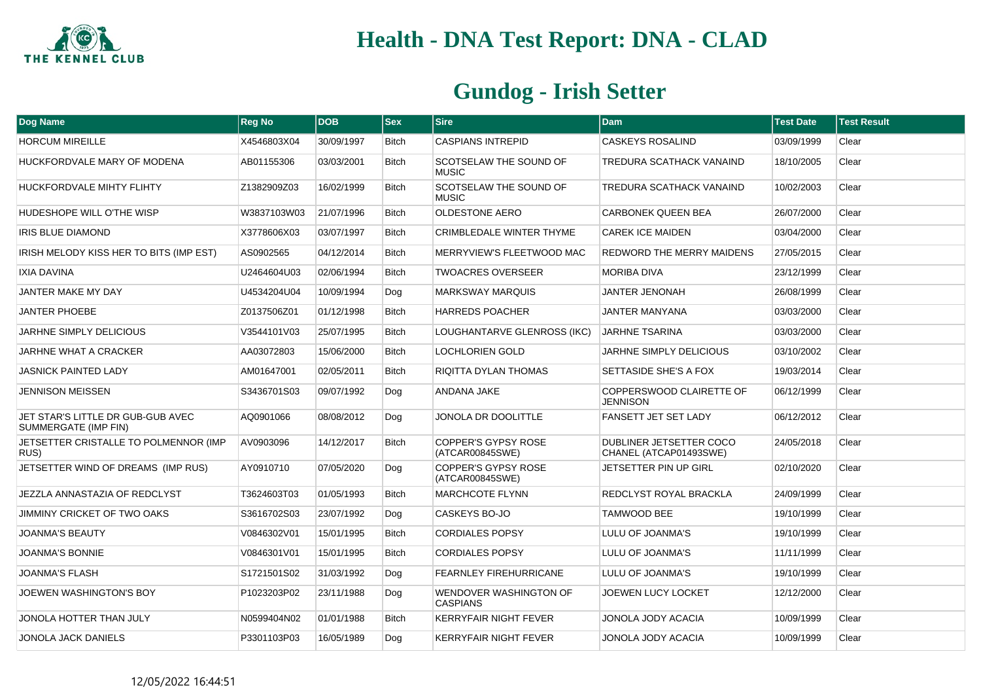

| Dog Name                                                  | <b>Reg No</b> | <b>DOB</b> | <b>Sex</b>   | <b>Sire</b>                                   | <b>Dam</b>                                        | <b>Test Date</b> | <b>Test Result</b> |
|-----------------------------------------------------------|---------------|------------|--------------|-----------------------------------------------|---------------------------------------------------|------------------|--------------------|
| <b>HORCUM MIREILLE</b>                                    | X4546803X04   | 30/09/1997 | <b>Bitch</b> | <b>CASPIANS INTREPID</b>                      | <b>CASKEYS ROSALIND</b>                           | 03/09/1999       | Clear              |
| HUCKFORDVALE MARY OF MODENA                               | AB01155306    | 03/03/2001 | <b>Bitch</b> | SCOTSELAW THE SOUND OF<br><b>MUSIC</b>        | TREDURA SCATHACK VANAIND                          | 18/10/2005       | Clear              |
| HUCKFORDVALE MIHTY FLIHTY                                 | Z1382909Z03   | 16/02/1999 | <b>Bitch</b> | SCOTSELAW THE SOUND OF<br><b>MUSIC</b>        | TREDURA SCATHACK VANAIND                          | 10/02/2003       | Clear              |
| HUDESHOPE WILL O'THE WISP                                 | W3837103W03   | 21/07/1996 | <b>Bitch</b> | <b>OLDESTONE AERO</b>                         | <b>CARBONEK QUEEN BEA</b>                         | 26/07/2000       | Clear              |
| IRIS BLUE DIAMOND                                         | X3778606X03   | 03/07/1997 | <b>Bitch</b> | <b>CRIMBLEDALE WINTER THYME</b>               | <b>CAREK ICE MAIDEN</b>                           | 03/04/2000       | Clear              |
| IRISH MELODY KISS HER TO BITS (IMP EST)                   | AS0902565     | 04/12/2014 | <b>Bitch</b> | MERRYVIEW'S FLEETWOOD MAC                     | <b>REDWORD THE MERRY MAIDENS</b>                  | 27/05/2015       | Clear              |
| IXIA DAVINA                                               | U2464604U03   | 02/06/1994 | <b>Bitch</b> | <b>TWOACRES OVERSEER</b>                      | <b>MORIBA DIVA</b>                                | 23/12/1999       | Clear              |
| JANTER MAKE MY DAY                                        | U4534204U04   | 10/09/1994 | Dog          | <b>MARKSWAY MARQUIS</b>                       | <b>JANTER JENONAH</b>                             | 26/08/1999       | Clear              |
| <b>JANTER PHOEBE</b>                                      | Z0137506Z01   | 01/12/1998 | <b>Bitch</b> | <b>HARREDS POACHER</b>                        | <b>JANTER MANYANA</b>                             | 03/03/2000       | Clear              |
| <b>JARHNE SIMPLY DELICIOUS</b>                            | V3544101V03   | 25/07/1995 | <b>Bitch</b> | LOUGHANTARVE GLENROSS (IKC)                   | <b>JARHNE TSARINA</b>                             | 03/03/2000       | Clear              |
| <b>JARHNE WHAT A CRACKER</b>                              | AA03072803    | 15/06/2000 | <b>Bitch</b> | <b>LOCHLORIEN GOLD</b>                        | <b>JARHNE SIMPLY DELICIOUS</b>                    | 03/10/2002       | Clear              |
| <b>JASNICK PAINTED LADY</b>                               | AM01647001    | 02/05/2011 | <b>Bitch</b> | RIQITTA DYLAN THOMAS                          | SETTASIDE SHE'S A FOX                             | 19/03/2014       | Clear              |
| <b>JENNISON MEISSEN</b>                                   | S3436701S03   | 09/07/1992 | Dog          | ANDANA JAKE                                   | COPPERSWOOD CLAIRETTE OF<br><b>JENNISON</b>       | 06/12/1999       | Clear              |
| JET STAR'S LITTLE DR GUB-GUB AVEC<br>SUMMERGATE (IMP FIN) | AQ0901066     | 08/08/2012 | Dog          | JONOLA DR DOOLITTLE                           | FANSETT JET SET LADY                              | 06/12/2012       | Clear              |
| JETSETTER CRISTALLE TO POLMENNOR (IMP<br>RUS)             | AV0903096     | 14/12/2017 | <b>Bitch</b> | <b>COPPER'S GYPSY ROSE</b><br>(ATCAR00845SWE) | DUBLINER JETSETTER COCO<br>CHANEL (ATCAP01493SWE) | 24/05/2018       | Clear              |
| JETSETTER WIND OF DREAMS (IMP RUS)                        | AY0910710     | 07/05/2020 | Dog          | COPPER'S GYPSY ROSE<br>(ATCAR00845SWE)        | JETSETTER PIN UP GIRL                             | 02/10/2020       | Clear              |
| JEZZLA ANNASTAZIA OF REDCLYST                             | T3624603T03   | 01/05/1993 | <b>Bitch</b> | <b>MARCHCOTE FLYNN</b>                        | REDCLYST ROYAL BRACKLA                            | 24/09/1999       | Clear              |
| JIMMINY CRICKET OF TWO OAKS                               | S3616702S03   | 23/07/1992 | Dog          | CASKEYS BO-JO                                 | TAMWOOD BEE                                       | 19/10/1999       | Clear              |
| <b>JOANMA'S BEAUTY</b>                                    | V0846302V01   | 15/01/1995 | <b>Bitch</b> | <b>CORDIALES POPSY</b>                        | LULU OF JOANMA'S                                  | 19/10/1999       | Clear              |
| <b>JOANMA'S BONNIE</b>                                    | V0846301V01   | 15/01/1995 | <b>Bitch</b> | <b>CORDIALES POPSY</b>                        | LULU OF JOANMA'S                                  | 11/11/1999       | Clear              |
| <b>JOANMA'S FLASH</b>                                     | S1721501S02   | 31/03/1992 | Dog          | <b>FEARNLEY FIREHURRICANE</b>                 | LULU OF JOANMA'S                                  | 19/10/1999       | Clear              |
| JOEWEN WASHINGTON'S BOY                                   | P1023203P02   | 23/11/1988 | Dog          | WENDOVER WASHINGTON OF<br><b>CASPIANS</b>     | JOEWEN LUCY LOCKET                                | 12/12/2000       | Clear              |
| JONOLA HOTTER THAN JULY                                   | N0599404N02   | 01/01/1988 | <b>Bitch</b> | <b>KERRYFAIR NIGHT FEVER</b>                  | JONOLA JODY ACACIA                                | 10/09/1999       | Clear              |
| <b>JONOLA JACK DANIELS</b>                                | P3301103P03   | 16/05/1989 | Dog          | <b>KERRYFAIR NIGHT FEVER</b>                  | JONOLA JODY ACACIA                                | 10/09/1999       | Clear              |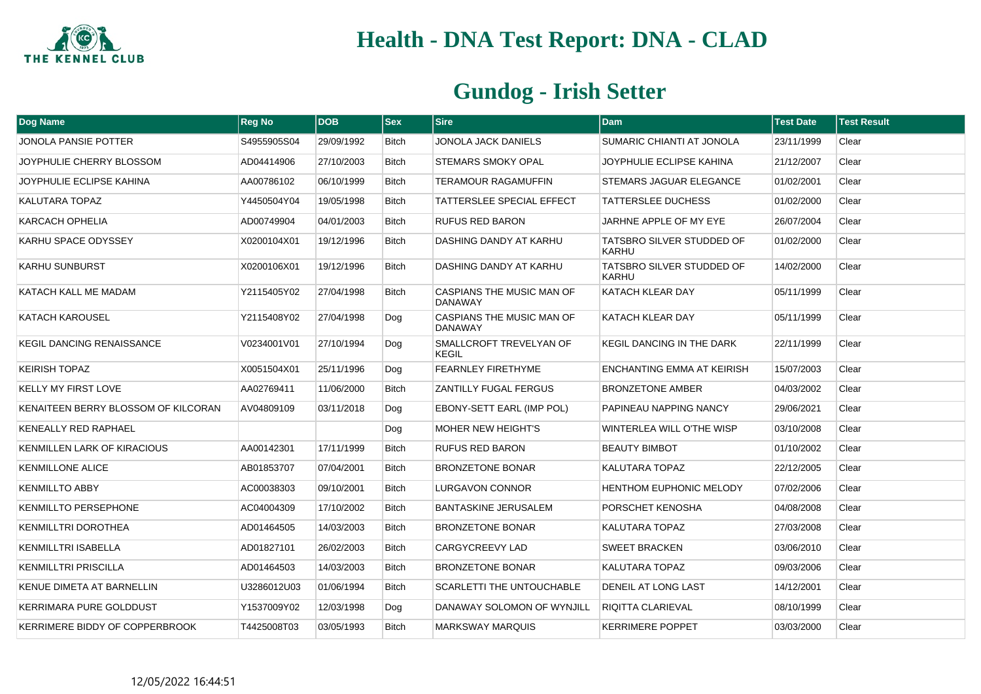

| Dog Name                            | <b>Reg No</b> | <b>DOB</b> | $ $ Sex      | <b>Sire</b>                                        | <b>Dam</b>                                | <b>Test Date</b> | <b>Test Result</b> |
|-------------------------------------|---------------|------------|--------------|----------------------------------------------------|-------------------------------------------|------------------|--------------------|
| <b>JONOLA PANSIE POTTER</b>         | S4955905S04   | 29/09/1992 | <b>Bitch</b> | JONOLA JACK DANIELS                                | SUMARIC CHIANTI AT JONOLA                 | 23/11/1999       | Clear              |
| JOYPHULIE CHERRY BLOSSOM            | AD04414906    | 27/10/2003 | <b>Bitch</b> | STEMARS SMOKY OPAL                                 | JOYPHULIE ECLIPSE KAHINA                  | 21/12/2007       | Clear              |
| JOYPHULIE ECLIPSE KAHINA            | AA00786102    | 06/10/1999 | Bitch        | TERAMOUR RAGAMUFFIN                                | STEMARS JAGUAR ELEGANCE                   | 01/02/2001       | Clear              |
| <b>KALUTARA TOPAZ</b>               | Y4450504Y04   | 19/05/1998 | <b>Bitch</b> | TATTERSLEE SPECIAL EFFECT                          | <b>TATTERSLEE DUCHESS</b>                 | 01/02/2000       | Clear              |
| <b>KARCACH OPHELIA</b>              | AD00749904    | 04/01/2003 | <b>Bitch</b> | <b>RUFUS RED BARON</b>                             | JARHNE APPLE OF MY EYE                    | 26/07/2004       | Clear              |
| KARHU SPACE ODYSSEY                 | X0200104X01   | 19/12/1996 | Bitch        | DASHING DANDY AT KARHU                             | TATSBRO SILVER STUDDED OF<br>KARHU        | 01/02/2000       | Clear              |
| <b>KARHU SUNBURST</b>               | X0200106X01   | 19/12/1996 | <b>Bitch</b> | DASHING DANDY AT KARHU                             | TATSBRO SILVER STUDDED OF<br><b>KARHU</b> | 14/02/2000       | Clear              |
| KATACH KALL ME MADAM                | Y2115405Y02   | 27/04/1998 | <b>Bitch</b> | <b>CASPIANS THE MUSIC MAN OF</b><br><b>DANAWAY</b> | KATACH KLEAR DAY                          | 05/11/1999       | Clear              |
| KATACH KAROUSEL                     | Y2115408Y02   | 27/04/1998 | Dog          | CASPIANS THE MUSIC MAN OF<br><b>DANAWAY</b>        | KATACH KLEAR DAY                          | 05/11/1999       | Clear              |
| <b>KEGIL DANCING RENAISSANCE</b>    | V0234001V01   | 27/10/1994 | Dog          | SMALLCROFT TREVELYAN OF<br><b>KEGIL</b>            | <b>KEGIL DANCING IN THE DARK</b>          | 22/11/1999       | Clear              |
| <b>KEIRISH TOPAZ</b>                | X0051504X01   | 25/11/1996 | Dog          | <b>FEARNLEY FIRETHYME</b>                          | ENCHANTING EMMA AT KEIRISH                | 15/07/2003       | Clear              |
| KELLY MY FIRST LOVE                 | AA02769411    | 11/06/2000 | Bitch        | ZANTILLY FUGAL FERGUS                              | <b>BRONZETONE AMBER</b>                   | 04/03/2002       | Clear              |
| KENAITEEN BERRY BLOSSOM OF KILCORAN | AV04809109    | 03/11/2018 | Dog          | EBONY-SETT EARL (IMP POL)                          | PAPINEAU NAPPING NANCY                    | 29/06/2021       | Clear              |
| KENEALLY RED RAPHAEL                |               |            | Dog          | <b>MOHER NEW HEIGHT'S</b>                          | WINTERLEA WILL O'THE WISP                 | 03/10/2008       | Clear              |
| <b>KENMILLEN LARK OF KIRACIOUS</b>  | AA00142301    | 17/11/1999 | <b>Bitch</b> | <b>RUFUS RED BARON</b>                             | <b>BEAUTY BIMBOT</b>                      | 01/10/2002       | Clear              |
| <b>KENMILLONE ALICE</b>             | AB01853707    | 07/04/2001 | Bitch        | <b>BRONZETONE BONAR</b>                            | KALUTARA TOPAZ                            | 22/12/2005       | Clear              |
| <b>KENMILLTO ABBY</b>               | AC00038303    | 09/10/2001 | <b>Bitch</b> | <b>LURGAVON CONNOR</b>                             | <b>HENTHOM EUPHONIC MELODY</b>            | 07/02/2006       | Clear              |
| <b>KENMILLTO PERSEPHONE</b>         | AC04004309    | 17/10/2002 | <b>Bitch</b> | <b>BANTASKINE JERUSALEM</b>                        | PORSCHET KENOSHA                          | 04/08/2008       | Clear              |
| KENMILLTRI DOROTHEA                 | AD01464505    | 14/03/2003 | <b>Bitch</b> | <b>BRONZETONE BONAR</b>                            | KALUTARA TOPAZ                            | 27/03/2008       | Clear              |
| KENMILLTRI ISABELLA                 | AD01827101    | 26/02/2003 | <b>Bitch</b> | CARGYCREEVY LAD                                    | <b>SWEET BRACKEN</b>                      | 03/06/2010       | Clear              |
| <b>KENMILLTRI PRISCILLA</b>         | AD01464503    | 14/03/2003 | <b>Bitch</b> | <b>BRONZETONE BONAR</b>                            | KALUTARA TOPAZ                            | 09/03/2006       | Clear              |
| KENUE DIMETA AT BARNELLIN           | U3286012U03   | 01/06/1994 | Bitch        | SCARLETTI THE UNTOUCHABLE                          | DENEIL AT LONG LAST                       | 14/12/2001       | Clear              |
| <b>KERRIMARA PURE GOLDDUST</b>      | Y1537009Y02   | 12/03/1998 | Dog          | DANAWAY SOLOMON OF WYNJILL                         | <b>RIQITTA CLARIEVAL</b>                  | 08/10/1999       | Clear              |
| KERRIMERE BIDDY OF COPPERBROOK      | T4425008T03   | 03/05/1993 | Bitch        | <b>MARKSWAY MARQUIS</b>                            | <b>KERRIMERE POPPET</b>                   | 03/03/2000       | Clear              |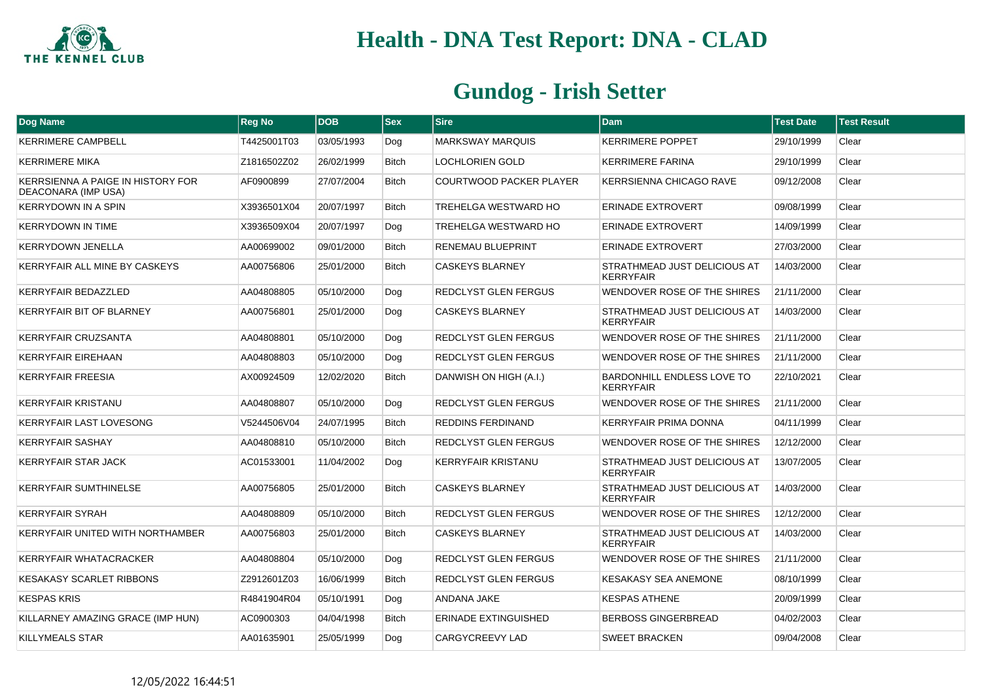

| <b>Dog Name</b>                                                 | <b>Reg No</b> | <b>DOB</b> | <b>Sex</b>   | <b>Sire</b>                    | <b>Dam</b>                                            | <b>Test Date</b> | <b>Test Result</b> |
|-----------------------------------------------------------------|---------------|------------|--------------|--------------------------------|-------------------------------------------------------|------------------|--------------------|
| <b>KERRIMERE CAMPBELL</b>                                       | T4425001T03   | 03/05/1993 | Dog          | <b>MARKSWAY MARQUIS</b>        | <b>KERRIMERE POPPET</b>                               | 29/10/1999       | Clear              |
| <b>KERRIMERE MIKA</b>                                           | Z1816502Z02   | 26/02/1999 | <b>Bitch</b> | <b>LOCHLORIEN GOLD</b>         | <b>KERRIMERE FARINA</b>                               | 29/10/1999       | Clear              |
| KERRSIENNA A PAIGE IN HISTORY FOR<br><b>DEACONARA (IMP USA)</b> | AF0900899     | 27/07/2004 | <b>Bitch</b> | <b>COURTWOOD PACKER PLAYER</b> | <b>KERRSIENNA CHICAGO RAVE</b>                        | 09/12/2008       | Clear              |
| <b>KERRYDOWN IN A SPIN</b>                                      | X3936501X04   | 20/07/1997 | <b>Bitch</b> | <b>TREHELGA WESTWARD HO</b>    | <b>ERINADE EXTROVERT</b>                              | 09/08/1999       | Clear              |
| <b>KERRYDOWN IN TIME</b>                                        | X3936509X04   | 20/07/1997 | Dog          | <b>TREHELGA WESTWARD HO</b>    | <b>ERINADE EXTROVERT</b>                              | 14/09/1999       | Clear              |
| <b>KERRYDOWN JENELLA</b>                                        | AA00699002    | 09/01/2000 | <b>Bitch</b> | RENEMAU BLUEPRINT              | ERINADE EXTROVERT                                     | 27/03/2000       | Clear              |
| KERRYFAIR ALL MINE BY CASKEYS                                   | AA00756806    | 25/01/2000 | <b>Bitch</b> | <b>CASKEYS BLARNEY</b>         | STRATHMEAD JUST DELICIOUS AT<br><b>KERRYFAIR</b>      | 14/03/2000       | Clear              |
| KERRYFAIR BEDAZZLED                                             | AA04808805    | 05/10/2000 | Dog          | REDCLYST GLEN FERGUS           | WENDOVER ROSE OF THE SHIRES                           | 21/11/2000       | Clear              |
| <b>KERRYFAIR BIT OF BLARNEY</b>                                 | AA00756801    | 25/01/2000 | Dog          | <b>CASKEYS BLARNEY</b>         | STRATHMEAD JUST DELICIOUS AT<br><b>KERRYFAIR</b>      | 14/03/2000       | Clear              |
| <b>KERRYFAIR CRUZSANTA</b>                                      | AA04808801    | 05/10/2000 | Dog          | REDCLYST GLEN FERGUS           | WENDOVER ROSE OF THE SHIRES                           | 21/11/2000       | Clear              |
| <b>KERRYFAIR EIREHAAN</b>                                       | AA04808803    | 05/10/2000 | Dog          | REDCLYST GLEN FERGUS           | WENDOVER ROSE OF THE SHIRES                           | 21/11/2000       | Clear              |
| <b>KERRYFAIR FREESIA</b>                                        | AX00924509    | 12/02/2020 | <b>Bitch</b> | DANWISH ON HIGH (A.I.)         | <b>BARDONHILL ENDLESS LOVE TO</b><br><b>KERRYFAIR</b> | 22/10/2021       | Clear              |
| <b>KERRYFAIR KRISTANU</b>                                       | AA04808807    | 05/10/2000 | Dog          | REDCLYST GLEN FERGUS           | WENDOVER ROSE OF THE SHIRES                           | 21/11/2000       | Clear              |
| <b>KERRYFAIR LAST LOVESONG</b>                                  | V5244506V04   | 24/07/1995 | <b>Bitch</b> | <b>REDDINS FERDINAND</b>       | <b>KERRYFAIR PRIMA DONNA</b>                          | 04/11/1999       | Clear              |
| <b>KERRYFAIR SASHAY</b>                                         | AA04808810    | 05/10/2000 | <b>Bitch</b> | <b>REDCLYST GLEN FERGUS</b>    | WENDOVER ROSE OF THE SHIRES                           | 12/12/2000       | Clear              |
| <b>KERRYFAIR STAR JACK</b>                                      | AC01533001    | 11/04/2002 | Dog          | <b>KERRYFAIR KRISTANU</b>      | STRATHMEAD JUST DELICIOUS AT<br><b>KERRYFAIR</b>      | 13/07/2005       | Clear              |
| <b>KERRYFAIR SUMTHINELSE</b>                                    | AA00756805    | 25/01/2000 | <b>Bitch</b> | <b>CASKEYS BLARNEY</b>         | STRATHMEAD JUST DELICIOUS AT<br><b>KERRYFAIR</b>      | 14/03/2000       | Clear              |
| <b>KERRYFAIR SYRAH</b>                                          | AA04808809    | 05/10/2000 | <b>Bitch</b> | REDCLYST GLEN FERGUS           | WENDOVER ROSE OF THE SHIRES                           | 12/12/2000       | Clear              |
| <b>KERRYFAIR UNITED WITH NORTHAMBER</b>                         | AA00756803    | 25/01/2000 | <b>Bitch</b> | <b>CASKEYS BLARNEY</b>         | STRATHMEAD JUST DELICIOUS AT<br><b>KERRYFAIR</b>      | 14/03/2000       | Clear              |
| <b>KERRYFAIR WHATACRACKER</b>                                   | AA04808804    | 05/10/2000 | Dog          | REDCLYST GLEN FERGUS           | WENDOVER ROSE OF THE SHIRES                           | 21/11/2000       | Clear              |
| <b>KESAKASY SCARLET RIBBONS</b>                                 | Z2912601Z03   | 16/06/1999 | <b>Bitch</b> | <b>REDCLYST GLEN FERGUS</b>    | <b>KESAKASY SEA ANEMONE</b>                           | 08/10/1999       | Clear              |
| <b>KESPAS KRIS</b>                                              | R4841904R04   | 05/10/1991 | Dog          | ANDANA JAKE                    | <b>KESPAS ATHENE</b>                                  | 20/09/1999       | Clear              |
| KILLARNEY AMAZING GRACE (IMP HUN)                               | AC0900303     | 04/04/1998 | <b>Bitch</b> | <b>ERINADE EXTINGUISHED</b>    | <b>BERBOSS GINGERBREAD</b>                            | 04/02/2003       | Clear              |
| <b>KILLYMEALS STAR</b>                                          | AA01635901    | 25/05/1999 | Dog          | CARGYCREEVY LAD                | <b>SWEET BRACKEN</b>                                  | 09/04/2008       | Clear              |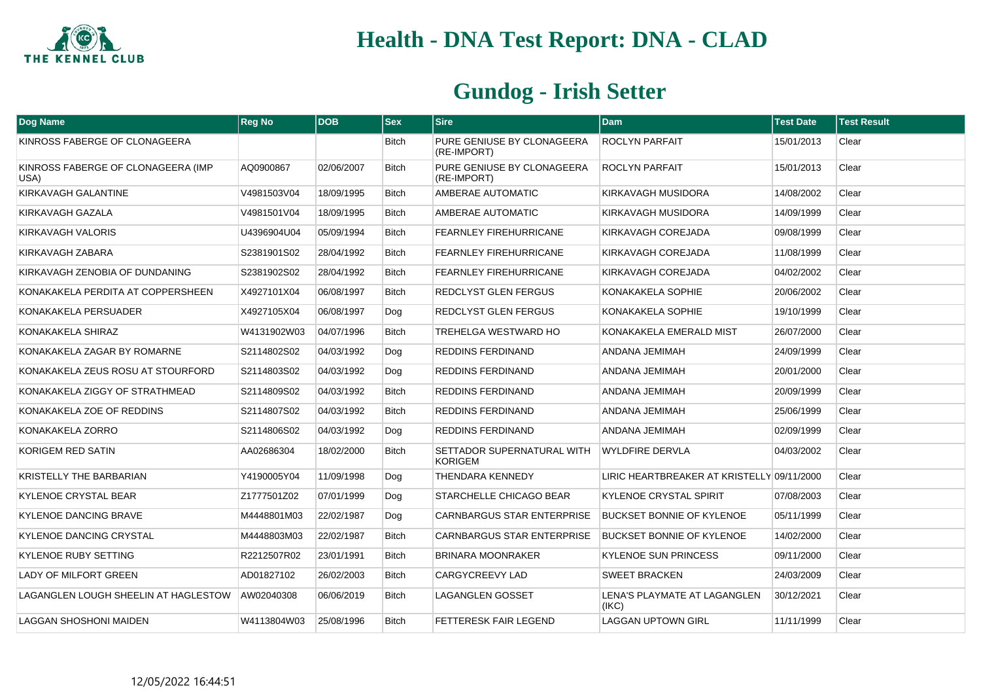

| Dog Name                                   | <b>Reg No</b> | <b>DOB</b> | $ $ Sex      | <b>Sire</b>                                  | <b>Dam</b>                                 | <b>Test Date</b> | <b>Test Result</b> |
|--------------------------------------------|---------------|------------|--------------|----------------------------------------------|--------------------------------------------|------------------|--------------------|
| KINROSS FABERGE OF CLONAGEERA              |               |            | <b>Bitch</b> | PURE GENIUSE BY CLONAGEERA<br>(RE-IMPORT)    | <b>ROCLYN PARFAIT</b>                      | 15/01/2013       | Clear              |
| KINROSS FABERGE OF CLONAGEERA (IMP<br>USA) | AQ0900867     | 02/06/2007 | <b>Bitch</b> | PURE GENIUSE BY CLONAGEERA<br>(RE-IMPORT)    | <b>ROCLYN PARFAIT</b>                      | 15/01/2013       | Clear              |
| KIRKAVAGH GALANTINE                        | V4981503V04   | 18/09/1995 | Bitch        | AMBERAE AUTOMATIC                            | KIRKAVAGH MUSIDORA                         | 14/08/2002       | Clear              |
| KIRKAVAGH GAZALA                           | V4981501V04   | 18/09/1995 | <b>Bitch</b> | AMBERAE AUTOMATIC                            | KIRKAVAGH MUSIDORA                         | 14/09/1999       | Clear              |
| KIRKAVAGH VALORIS                          | U4396904U04   | 05/09/1994 | <b>Bitch</b> | <b>FEARNLEY FIREHURRICANE</b>                | KIRKAVAGH COREJADA                         | 09/08/1999       | Clear              |
| KIRKAVAGH ZABARA                           | S2381901S02   | 28/04/1992 | Bitch        | FEARNLEY FIREHURRICANE                       | KIRKAVAGH COREJADA                         | 11/08/1999       | Clear              |
| KIRKAVAGH ZENOBIA OF DUNDANING             | S2381902S02   | 28/04/1992 | Bitch        | FEARNLEY FIREHURRICANE                       | KIRKAVAGH COREJADA                         | 04/02/2002       | Clear              |
| KONAKAKELA PERDITA AT COPPERSHEEN          | X4927101X04   | 06/08/1997 | Bitch        | REDCLYST GLEN FERGUS                         | KONAKAKELA SOPHIE                          | 20/06/2002       | Clear              |
| KONAKAKELA PERSUADER                       | X4927105X04   | 06/08/1997 | Dog          | REDCLYST GLEN FERGUS                         | KONAKAKELA SOPHIE                          | 19/10/1999       | Clear              |
| KONAKAKELA SHIRAZ                          | W4131902W03   | 04/07/1996 | <b>Bitch</b> | TREHELGA WESTWARD HO                         | KONAKAKELA EMERALD MIST                    | 26/07/2000       | Clear              |
| KONAKAKELA ZAGAR BY ROMARNE                | S2114802S02   | 04/03/1992 | Dog          | REDDINS FERDINAND                            | ANDANA JEMIMAH                             | 24/09/1999       | Clear              |
| KONAKAKELA ZEUS ROSU AT STOURFORD          | S2114803S02   | 04/03/1992 | Dog          | <b>REDDINS FERDINAND</b>                     | ANDANA JEMIMAH                             | 20/01/2000       | Clear              |
| KONAKAKELA ZIGGY OF STRATHMEAD             | S2114809S02   | 04/03/1992 | <b>Bitch</b> | REDDINS FERDINAND                            | ANDANA JEMIMAH                             | 20/09/1999       | Clear              |
| KONAKAKELA ZOE OF REDDINS                  | S2114807S02   | 04/03/1992 | <b>Bitch</b> | <b>REDDINS FERDINAND</b>                     | ANDANA JEMIMAH                             | 25/06/1999       | Clear              |
| KONAKAKELA ZORRO                           | S2114806S02   | 04/03/1992 | Dog          | <b>REDDINS FERDINAND</b>                     | ANDANA JEMIMAH                             | 02/09/1999       | Clear              |
| KORIGEM RED SATIN                          | AA02686304    | 18/02/2000 | <b>Bitch</b> | SETTADOR SUPERNATURAL WITH<br><b>KORIGEM</b> | <b>WYLDFIRE DERVLA</b>                     | 04/03/2002       | Clear              |
| KRISTELLY THE BARBARIAN                    | Y4190005Y04   | 11/09/1998 | Dog          | THENDARA KENNEDY                             | LIRIC HEARTBREAKER AT KRISTELLY 09/11/2000 |                  | Clear              |
| <b>KYLENOE CRYSTAL BEAR</b>                | Z1777501Z02   | 07/01/1999 | Dog          | STARCHELLE CHICAGO BEAR                      | <b>KYLENOE CRYSTAL SPIRIT</b>              | 07/08/2003       | Clear              |
| <b>KYLENOE DANCING BRAVE</b>               | M4448801M03   | 22/02/1987 | Dog          | <b>CARNBARGUS STAR ENTERPRISE</b>            | <b>BUCKSET BONNIE OF KYLENOE</b>           | 05/11/1999       | Clear              |
| <b>KYLENOE DANCING CRYSTAL</b>             | M4448803M03   | 22/02/1987 | <b>Bitch</b> | <b>CARNBARGUS STAR ENTERPRISE</b>            | <b>BUCKSET BONNIE OF KYLENOE</b>           | 14/02/2000       | Clear              |
| <b>KYLENOE RUBY SETTING</b>                | R2212507R02   | 23/01/1991 | <b>Bitch</b> | <b>BRINARA MOONRAKER</b>                     | <b>KYLENOE SUN PRINCESS</b>                | 09/11/2000       | Clear              |
| LADY OF MILFORT GREEN                      | AD01827102    | 26/02/2003 | <b>Bitch</b> | <b>CARGYCREEVY LAD</b>                       | <b>SWEET BRACKEN</b>                       | 24/03/2009       | Clear              |
| LAGANGLEN LOUGH SHEELIN AT HAGLESTOW       | AW02040308    | 06/06/2019 | <b>Bitch</b> | LAGANGLEN GOSSET                             | LENA'S PLAYMATE AT LAGANGLEN<br>(IKC)      | 30/12/2021       | Clear              |
| <b>LAGGAN SHOSHONI MAIDEN</b>              | W4113804W03   | 25/08/1996 | <b>Bitch</b> | <b>FETTERESK FAIR LEGEND</b>                 | <b>LAGGAN UPTOWN GIRL</b>                  | 11/11/1999       | Clear              |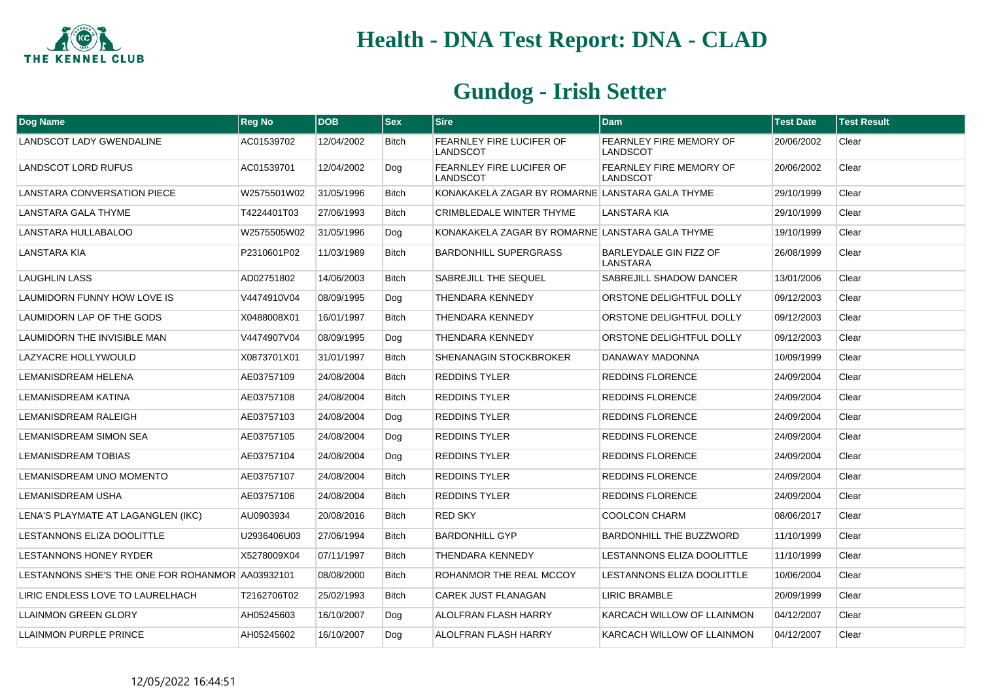

| <b>Dog Name</b>                                  | <b>Reg No</b> | <b>DOB</b> | <b>Sex</b>   | <b>Sire</b>                                     | <b>Dam</b>                                        | <b>Test Date</b> | <b>Test Result</b> |
|--------------------------------------------------|---------------|------------|--------------|-------------------------------------------------|---------------------------------------------------|------------------|--------------------|
| LANDSCOT LADY GWENDALINE                         | AC01539702    | 12/04/2002 | <b>Bitch</b> | FEARNLEY FIRE LUCIFER OF<br>LANDSCOT            | <b>FEARNLEY FIRE MEMORY OF</b><br><b>LANDSCOT</b> | 20/06/2002       | Clear              |
| LANDSCOT LORD RUFUS                              | AC01539701    | 12/04/2002 | Dog          | FEARNLEY FIRE LUCIFER OF<br>LANDSCOT            | FEARNLEY FIRE MEMORY OF<br>LANDSCOT               | 20/06/2002       | Clear              |
| LANSTARA CONVERSATION PIECE                      | W2575501W02   | 31/05/1996 | <b>Bitch</b> | KONAKAKELA ZAGAR BY ROMARNE LANSTARA GALA THYME |                                                   | 29/10/1999       | Clear              |
| <b>LANSTARA GALA THYME</b>                       | T4224401T03   | 27/06/1993 | <b>Bitch</b> | CRIMBLEDALE WINTER THYME                        | <b>LANSTARA KIA</b>                               | 29/10/1999       | Clear              |
| LANSTARA HULLABALOO                              | W2575505W02   | 31/05/1996 | Dog          | KONAKAKELA ZAGAR BY ROMARNE LANSTARA GALA THYME |                                                   | 19/10/1999       | Clear              |
| LANSTARA KIA                                     | P2310601P02   | 11/03/1989 | <b>Bitch</b> | <b>BARDONHILL SUPERGRASS</b>                    | <b>BARLEYDALE GIN FIZZ OF</b><br>LANSTARA         | 26/08/1999       | Clear              |
| <b>LAUGHLIN LASS</b>                             | AD02751802    | 14/06/2003 | <b>Bitch</b> | SABREJILL THE SEQUEL                            | SABREJILL SHADOW DANCER                           | 13/01/2006       | Clear              |
| LAUMIDORN FUNNY HOW LOVE IS                      | V4474910V04   | 08/09/1995 | Dog          | THENDARA KENNEDY                                | ORSTONE DELIGHTFUL DOLLY                          | 09/12/2003       | Clear              |
| LAUMIDORN LAP OF THE GODS                        | X0488008X01   | 16/01/1997 | <b>Bitch</b> | <b>THENDARA KENNEDY</b>                         | ORSTONE DELIGHTFUL DOLLY                          | 09/12/2003       | Clear              |
| LAUMIDORN THE INVISIBLE MAN                      | V4474907V04   | 08/09/1995 | Dog          | THENDARA KENNEDY                                | ORSTONE DELIGHTFUL DOLLY                          | 09/12/2003       | Clear              |
| LAZYACRE HOLLYWOULD                              | X0873701X01   | 31/01/1997 | <b>Bitch</b> | SHENANAGIN STOCKBROKER                          | DANAWAY MADONNA                                   | 10/09/1999       | Clear              |
| <b>LEMANISDREAM HELENA</b>                       | AE03757109    | 24/08/2004 | <b>Bitch</b> | <b>REDDINS TYLER</b>                            | <b>REDDINS FLORENCE</b>                           | 24/09/2004       | Clear              |
| LEMANISDREAM KATINA                              | AE03757108    | 24/08/2004 | <b>Bitch</b> | <b>REDDINS TYLER</b>                            | <b>REDDINS FLORENCE</b>                           | 24/09/2004       | Clear              |
| <b>LEMANISDREAM RALEIGH</b>                      | AE03757103    | 24/08/2004 | Dog          | <b>REDDINS TYLER</b>                            | <b>REDDINS FLORENCE</b>                           | 24/09/2004       | Clear              |
| LEMANISDREAM SIMON SEA                           | AE03757105    | 24/08/2004 | Dog          | <b>REDDINS TYLER</b>                            | <b>REDDINS FLORENCE</b>                           | 24/09/2004       | Clear              |
| <b>LEMANISDREAM TOBIAS</b>                       | AE03757104    | 24/08/2004 | Dog          | <b>REDDINS TYLER</b>                            | <b>REDDINS FLORENCE</b>                           | 24/09/2004       | Clear              |
| LEMANISDREAM UNO MOMENTO                         | AE03757107    | 24/08/2004 | <b>Bitch</b> | <b>REDDINS TYLER</b>                            | <b>REDDINS FLORENCE</b>                           | 24/09/2004       | Clear              |
| LEMANISDREAM USHA                                | AE03757106    | 24/08/2004 | <b>Bitch</b> | <b>REDDINS TYLER</b>                            | <b>REDDINS FLORENCE</b>                           | 24/09/2004       | Clear              |
| LENA'S PLAYMATE AT LAGANGLEN (IKC)               | AU0903934     | 20/08/2016 | <b>Bitch</b> | <b>RED SKY</b>                                  | <b>COOLCON CHARM</b>                              | 08/06/2017       | Clear              |
| LESTANNONS ELIZA DOOLITTLE                       | U2936406U03   | 27/06/1994 | <b>Bitch</b> | <b>BARDONHILL GYP</b>                           | <b>BARDONHILL THE BUZZWORD</b>                    | 11/10/1999       | Clear              |
| LESTANNONS HONEY RYDER                           | X5278009X04   | 07/11/1997 | <b>Bitch</b> | THENDARA KENNEDY                                | LESTANNONS ELIZA DOOLITTLE                        | 11/10/1999       | Clear              |
| LESTANNONS SHE'S THE ONE FOR ROHANMOR AA03932101 |               | 08/08/2000 | <b>Bitch</b> | ROHANMOR THE REAL MCCOY                         | LESTANNONS ELIZA DOOLITTLE                        | 10/06/2004       | Clear              |
| LIRIC ENDLESS LOVE TO LAURELHACH                 | T2162706T02   | 25/02/1993 | <b>Bitch</b> | CAREK JUST FLANAGAN                             | <b>LIRIC BRAMBLE</b>                              | 20/09/1999       | Clear              |
| <b>LLAINMON GREEN GLORY</b>                      | AH05245603    | 16/10/2007 | Dog          | ALOLFRAN FLASH HARRY                            | KARCACH WILLOW OF LLAINMON                        | 04/12/2007       | Clear              |
| <b>LLAINMON PURPLE PRINCE</b>                    | AH05245602    | 16/10/2007 | Dog          | <b>ALOLFRAN FLASH HARRY</b>                     | KARCACH WILLOW OF LLAINMON                        | 04/12/2007       | Clear              |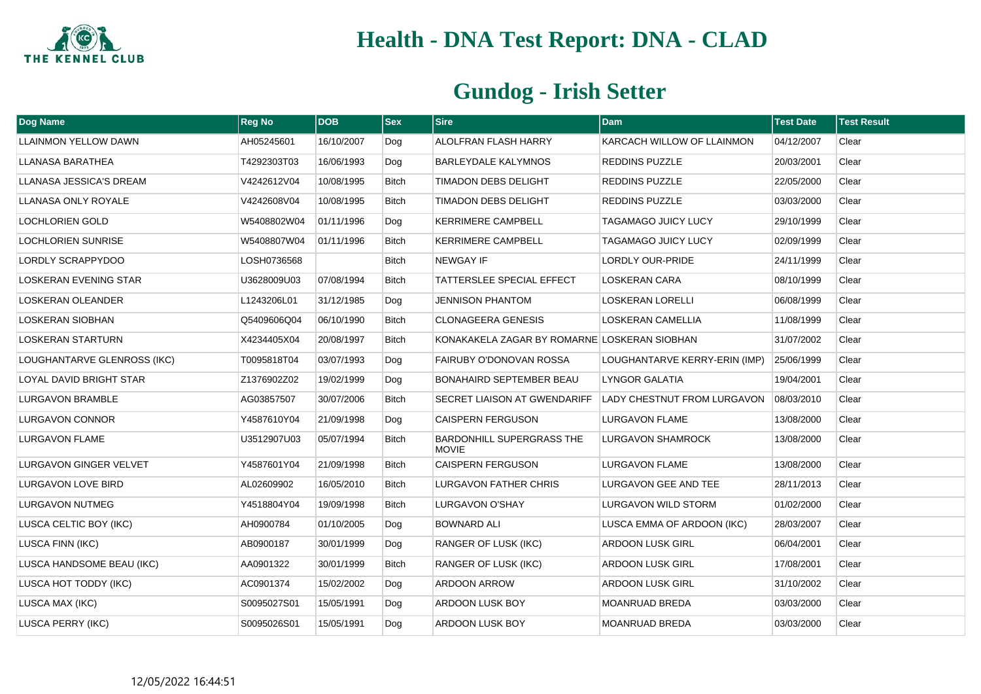

| Dog Name                     | <b>Reg No</b> | <b>DOB</b> | $ $ Sex      | <b>Sire</b>                                  | <b>Dam</b>                         | <b>Test Date</b> | <b>Test Result</b> |
|------------------------------|---------------|------------|--------------|----------------------------------------------|------------------------------------|------------------|--------------------|
| <b>LLAINMON YELLOW DAWN</b>  | AH05245601    | 16/10/2007 | Dog          | <b>ALOLFRAN FLASH HARRY</b>                  | KARCACH WILLOW OF LLAINMON         | 04/12/2007       | Clear              |
| LLANASA BARATHEA             | T4292303T03   | 16/06/1993 | Dog          | <b>BARLEYDALE KALYMNOS</b>                   | <b>REDDINS PUZZLE</b>              | 20/03/2001       | Clear              |
| LLANASA JESSICA'S DREAM      | V4242612V04   | 10/08/1995 | <b>Bitch</b> | TIMADON DEBS DELIGHT                         | <b>REDDINS PUZZLE</b>              | 22/05/2000       | Clear              |
| LLANASA ONLY ROYALE          | V4242608V04   | 10/08/1995 | <b>Bitch</b> | TIMADON DEBS DELIGHT                         | <b>REDDINS PUZZLE</b>              | 03/03/2000       | Clear              |
| <b>LOCHLORIEN GOLD</b>       | W5408802W04   | 01/11/1996 | Dog          | <b>KERRIMERE CAMPBELL</b>                    | <b>TAGAMAGO JUICY LUCY</b>         | 29/10/1999       | Clear              |
| <b>LOCHLORIEN SUNRISE</b>    | W5408807W04   | 01/11/1996 | <b>Bitch</b> | <b>KERRIMERE CAMPBELL</b>                    | <b>TAGAMAGO JUICY LUCY</b>         | 02/09/1999       | Clear              |
| LORDLY SCRAPPYDOO            | LOSH0736568   |            | Bitch        | <b>NEWGAY IF</b>                             | LORDLY OUR-PRIDE                   | 24/11/1999       | Clear              |
| <b>LOSKERAN EVENING STAR</b> | U3628009U03   | 07/08/1994 | <b>Bitch</b> | <b>TATTERSLEE SPECIAL EFFECT</b>             | <b>LOSKERAN CARA</b>               | 08/10/1999       | Clear              |
| LOSKERAN OLEANDER            | L1243206L01   | 31/12/1985 | Dog          | <b>JENNISON PHANTOM</b>                      | <b>LOSKERAN LORELLI</b>            | 06/08/1999       | Clear              |
| LOSKERAN SIOBHAN             | Q5409606Q04   | 06/10/1990 | <b>Bitch</b> | <b>CLONAGEERA GENESIS</b>                    | <b>LOSKERAN CAMELLIA</b>           | 11/08/1999       | Clear              |
| <b>LOSKERAN STARTURN</b>     | X4234405X04   | 20/08/1997 | Bitch        | KONAKAKELA ZAGAR BY ROMARNE LOSKERAN SIOBHAN |                                    | 31/07/2002       | Clear              |
| LOUGHANTARVE GLENROSS (IKC)  | T0095818T04   | 03/07/1993 | Dog          | FAIRUBY O'DONOVAN ROSSA                      | LOUGHANTARVE KERRY-ERIN (IMP)      | 25/06/1999       | Clear              |
| LOYAL DAVID BRIGHT STAR      | Z1376902Z02   | 19/02/1999 | Dog          | BONAHAIRD SEPTEMBER BEAU                     | LYNGOR GALATIA                     | 19/04/2001       | Clear              |
| <b>LURGAVON BRAMBLE</b>      | AG03857507    | 30/07/2006 | <b>Bitch</b> | SECRET LIAISON AT GWENDARIFF                 | <b>LADY CHESTNUT FROM LURGAVON</b> | 08/03/2010       | Clear              |
| LURGAVON CONNOR              | Y4587610Y04   | 21/09/1998 | Dog          | <b>CAISPERN FERGUSON</b>                     | LURGAVON FLAME                     | 13/08/2000       | Clear              |
| <b>LURGAVON FLAME</b>        | U3512907U03   | 05/07/1994 | <b>Bitch</b> | BARDONHILL SUPERGRASS THE<br><b>MOVIE</b>    | <b>LURGAVON SHAMROCK</b>           | 13/08/2000       | Clear              |
| LURGAVON GINGER VELVET       | Y4587601Y04   | 21/09/1998 | <b>Bitch</b> | <b>CAISPERN FERGUSON</b>                     | LURGAVON FLAME                     | 13/08/2000       | Clear              |
| LURGAVON LOVE BIRD           | AL02609902    | 16/05/2010 | <b>Bitch</b> | LURGAVON FATHER CHRIS                        | LURGAVON GEE AND TEE               | 28/11/2013       | Clear              |
| LURGAVON NUTMEG              | Y4518804Y04   | 19/09/1998 | <b>Bitch</b> | LURGAVON O'SHAY                              | LURGAVON WILD STORM                | 01/02/2000       | Clear              |
| LUSCA CELTIC BOY (IKC)       | AH0900784     | 01/10/2005 | Dog          | <b>BOWNARD ALI</b>                           | LUSCA EMMA OF ARDOON (IKC)         | 28/03/2007       | Clear              |
| LUSCA FINN (IKC)             | AB0900187     | 30/01/1999 | Dog          | RANGER OF LUSK (IKC)                         | <b>ARDOON LUSK GIRL</b>            | 06/04/2001       | Clear              |
| LUSCA HANDSOME BEAU (IKC)    | AA0901322     | 30/01/1999 | Bitch        | RANGER OF LUSK (IKC)                         | <b>ARDOON LUSK GIRL</b>            | 17/08/2001       | Clear              |
| LUSCA HOT TODDY (IKC)        | AC0901374     | 15/02/2002 | Dog          | ARDOON ARROW                                 | ARDOON LUSK GIRL                   | 31/10/2002       | Clear              |
| LUSCA MAX (IKC)              | S0095027S01   | 15/05/1991 | Dog          | ARDOON LUSK BOY                              | <b>MOANRUAD BREDA</b>              | 03/03/2000       | Clear              |
| LUSCA PERRY (IKC)            | S0095026S01   | 15/05/1991 | Dog          | ARDOON LUSK BOY                              | <b>MOANRUAD BREDA</b>              | 03/03/2000       | Clear              |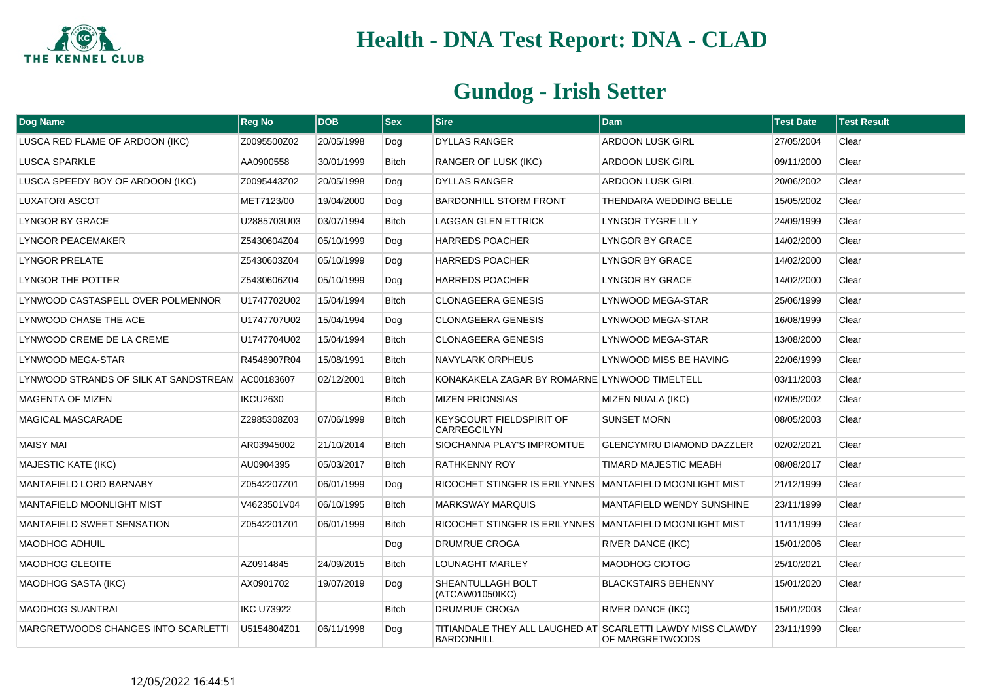

| Dog Name                                         | <b>Reg No</b>     | <b>DOB</b> | $ $ Sex      | <b>Sire</b>                                             | <b>Dam</b>                                            | <b>Test Date</b> | <b>Test Result</b> |
|--------------------------------------------------|-------------------|------------|--------------|---------------------------------------------------------|-------------------------------------------------------|------------------|--------------------|
| LUSCA RED FLAME OF ARDOON (IKC)                  | Z0095500Z02       | 20/05/1998 | Dog          | <b>DYLLAS RANGER</b>                                    | <b>ARDOON LUSK GIRL</b>                               | 27/05/2004       | Clear              |
| <b>LUSCA SPARKLE</b>                             | AA0900558         | 30/01/1999 | <b>Bitch</b> | <b>RANGER OF LUSK (IKC)</b>                             | <b>ARDOON LUSK GIRL</b>                               | 09/11/2000       | Clear              |
| LUSCA SPEEDY BOY OF ARDOON (IKC)                 | Z0095443Z02       | 20/05/1998 | Dog          | DYLLAS RANGER                                           | <b>ARDOON LUSK GIRL</b>                               | 20/06/2002       | Clear              |
| LUXATORI ASCOT                                   | MET7123/00        | 19/04/2000 | Dog          | <b>BARDONHILL STORM FRONT</b>                           | THENDARA WEDDING BELLE                                | 15/05/2002       | Clear              |
| LYNGOR BY GRACE                                  | U2885703U03       | 03/07/1994 | <b>Bitch</b> | <b>LAGGAN GLEN ETTRICK</b>                              | <b>LYNGOR TYGRE LILY</b>                              | 24/09/1999       | Clear              |
| LYNGOR PEACEMAKER                                | Z5430604Z04       | 05/10/1999 | Dog          | <b>HARREDS POACHER</b>                                  | LYNGOR BY GRACE                                       | 14/02/2000       | Clear              |
| <b>LYNGOR PRELATE</b>                            | Z5430603Z04       | 05/10/1999 | Dog          | <b>HARREDS POACHER</b>                                  | LYNGOR BY GRACE                                       | 14/02/2000       | Clear              |
| LYNGOR THE POTTER                                | Z5430606Z04       | 05/10/1999 | Dog          | <b>HARREDS POACHER</b>                                  | <b>LYNGOR BY GRACE</b>                                | 14/02/2000       | Clear              |
| LYNWOOD CASTASPELL OVER POLMENNOR                | U1747702U02       | 15/04/1994 | <b>Bitch</b> | <b>CLONAGEERA GENESIS</b>                               | LYNWOOD MEGA-STAR                                     | 25/06/1999       | Clear              |
| LYNWOOD CHASE THE ACE                            | U1747707U02       | 15/04/1994 | Dog          | <b>CLONAGEERA GENESIS</b>                               | LYNWOOD MEGA-STAR                                     | 16/08/1999       | Clear              |
| LYNWOOD CREME DE LA CREME                        | U1747704U02       | 15/04/1994 | <b>Bitch</b> | <b>CLONAGEERA GENESIS</b>                               | LYNWOOD MEGA-STAR                                     | 13/08/2000       | Clear              |
| LYNWOOD MEGA-STAR                                | R4548907R04       | 15/08/1991 | <b>Bitch</b> | <b>NAVYLARK ORPHEUS</b>                                 | LYNWOOD MISS BE HAVING                                | 22/06/1999       | Clear              |
| LYNWOOD STRANDS OF SILK AT SANDSTREAM AC00183607 |                   | 02/12/2001 | Bitch        | KONAKAKELA ZAGAR BY ROMARNE LYNWOOD TIMELTELL           |                                                       | 03/11/2003       | Clear              |
| <b>MAGENTA OF MIZEN</b>                          | IKCU2630          |            | <b>Bitch</b> | <b>MIZEN PRIONSIAS</b>                                  | MIZEN NUALA (IKC)                                     | 02/05/2002       | Clear              |
| <b>MAGICAL MASCARADE</b>                         | Z2985308Z03       | 07/06/1999 | Bitch        | KEYSCOURT FIELDSPIRIT OF<br><b>CARREGCILYN</b>          | <b>SUNSET MORN</b>                                    | 08/05/2003       | Clear              |
| <b>MAISY MAI</b>                                 | AR03945002        | 21/10/2014 | <b>Bitch</b> | SIOCHANNA PLAY'S IMPROMTUE                              | <b>GLENCYMRU DIAMOND DAZZLER</b>                      | 02/02/2021       | Clear              |
| <b>MAJESTIC KATE (IKC)</b>                       | AU0904395         | 05/03/2017 | <b>Bitch</b> | <b>RATHKENNY ROY</b>                                    | TIMARD MAJESTIC MEABH                                 | 08/08/2017       | Clear              |
| MANTAFIELD LORD BARNABY                          | Z0542207Z01       | 06/01/1999 | Dog          | RICOCHET STINGER IS ERILYNNES MANTAFIELD MOONLIGHT MIST |                                                       | 21/12/1999       | Clear              |
| MANTAFIELD MOONLIGHT MIST                        | V4623501V04       | 06/10/1995 | Bitch        | <b>MARKSWAY MARQUIS</b>                                 | MANTAFIELD WENDY SUNSHINE                             | 23/11/1999       | Clear              |
| <b>MANTAFIELD SWEET SENSATION</b>                | Z0542201Z01       | 06/01/1999 | <b>Bitch</b> | RICOCHET STINGER IS ERILYNNES MANTAFIELD MOONLIGHT MIST |                                                       | 11/11/1999       | Clear              |
| <b>MAODHOG ADHUIL</b>                            |                   |            | Dog          | <b>DRUMRUE CROGA</b>                                    | <b>RIVER DANCE (IKC)</b>                              | 15/01/2006       | Clear              |
| <b>MAODHOG GLEOITE</b>                           | AZ0914845         | 24/09/2015 | <b>Bitch</b> | LOUNAGHT MARLEY                                         | MAODHOG CIOTOG                                        | 25/10/2021       | Clear              |
| <b>MAODHOG SASTA (IKC)</b>                       | AX0901702         | 19/07/2019 | Dog          | SHEANTULLAGH BOLT<br>(ATCAW01050IKC)                    | <b>BLACKSTAIRS BEHENNY</b>                            | 15/01/2020       | Clear              |
| <b>MAODHOG SUANTRAI</b>                          | <b>IKC U73922</b> |            | <b>Bitch</b> | <b>DRUMRUE CROGA</b>                                    | <b>RIVER DANCE (IKC)</b>                              | 15/01/2003       | Clear              |
| MARGRETWOODS CHANGES INTO SCARLETTI              | U5154804Z01       | 06/11/1998 | Dog          | TITIANDALE THEY ALL LAUGHED AT<br><b>BARDONHILL</b>     | <b>SCARLETTI LAWDY MISS CLAWDY</b><br>OF MARGRETWOODS | 23/11/1999       | Clear              |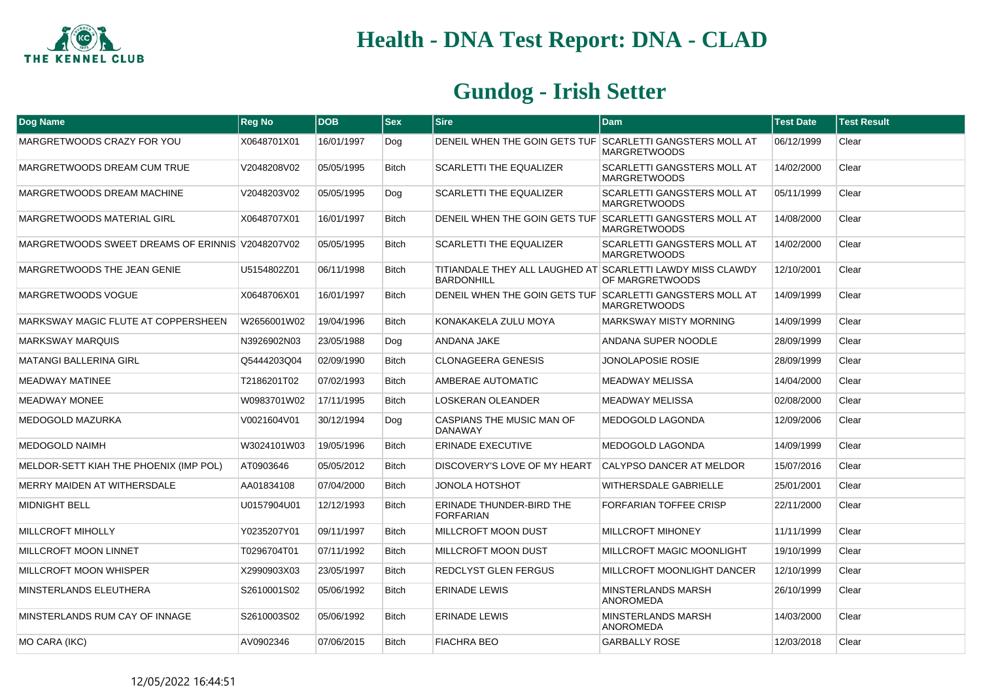

| Dog Name                                         | <b>Reg No</b> | <b>DOB</b> | $ $ Sex      | <b>Sire</b>                                                                     | <b>Dam</b>                                                | <b>Test Date</b> | <b>Test Result</b> |
|--------------------------------------------------|---------------|------------|--------------|---------------------------------------------------------------------------------|-----------------------------------------------------------|------------------|--------------------|
| MARGRETWOODS CRAZY FOR YOU                       | X0648701X01   | 16/01/1997 | Dog          | DENEIL WHEN THE GOIN GETS TUF SCARLETTI GANGSTERS MOLL AT                       | <b>MARGRETWOODS</b>                                       | 06/12/1999       | Clear              |
| MARGRETWOODS DREAM CUM TRUE                      | V2048208V02   | 05/05/1995 | <b>Bitch</b> | <b>SCARLETTI THE EQUALIZER</b>                                                  | <b>SCARLETTI GANGSTERS MOLL AT</b><br><b>MARGRETWOODS</b> | 14/02/2000       | Clear              |
| MARGRETWOODS DREAM MACHINE                       | V2048203V02   | 05/05/1995 | Dog          | <b>SCARLETTI THE EQUALIZER</b>                                                  | <b>SCARLETTI GANGSTERS MOLL AT</b><br><b>MARGRETWOODS</b> | 05/11/1999       | Clear              |
| MARGRETWOODS MATERIAL GIRL                       | X0648707X01   | 16/01/1997 | <b>Bitch</b> | DENEIL WHEN THE GOIN GETS TUF SCARLETTI GANGSTERS MOLL AT                       | <b>MARGRETWOODS</b>                                       | 14/08/2000       | Clear              |
| MARGRETWOODS SWEET DREAMS OF ERINNIS V2048207V02 |               | 05/05/1995 | <b>Bitch</b> | <b>SCARLETTI THE EQUALIZER</b>                                                  | <b>SCARLETTI GANGSTERS MOLL AT</b><br><b>MARGRETWOODS</b> | 14/02/2000       | Clear              |
| MARGRETWOODS THE JEAN GENIE                      | U5154802Z01   | 06/11/1998 | <b>Bitch</b> | TITIANDALE THEY ALL LAUGHED AT SCARLETTI LAWDY MISS CLAWDY<br><b>BARDONHILL</b> | OF MARGRETWOODS                                           | 12/10/2001       | Clear              |
| MARGRETWOODS VOGUE                               | X0648706X01   | 16/01/1997 | <b>Bitch</b> | DENEIL WHEN THE GOIN GETS TUF SCARLETTI GANGSTERS MOLL AT                       | <b>MARGRETWOODS</b>                                       | 14/09/1999       | Clear              |
| MARKSWAY MAGIC FLUTE AT COPPERSHEEN              | W2656001W02   | 19/04/1996 | <b>Bitch</b> | KONAKAKELA ZULU MOYA                                                            | <b>MARKSWAY MISTY MORNING</b>                             | 14/09/1999       | Clear              |
| <b>MARKSWAY MARQUIS</b>                          | N3926902N03   | 23/05/1988 | Dog          | ANDANA JAKE                                                                     | ANDANA SUPER NOODLE                                       | 28/09/1999       | Clear              |
| <b>MATANGI BALLERINA GIRL</b>                    | Q5444203Q04   | 02/09/1990 | <b>Bitch</b> | <b>CLONAGEERA GENESIS</b>                                                       | JONOLAPOSIE ROSIE                                         | 28/09/1999       | Clear              |
| <b>MEADWAY MATINEE</b>                           | T2186201T02   | 07/02/1993 | <b>Bitch</b> | AMBERAE AUTOMATIC                                                               | MEADWAY MELISSA                                           | 14/04/2000       | Clear              |
| <b>MEADWAY MONEE</b>                             | W0983701W02   | 17/11/1995 | <b>Bitch</b> | <b>LOSKERAN OLEANDER</b>                                                        | <b>MEADWAY MELISSA</b>                                    | 02/08/2000       | Clear              |
| MEDOGOLD MAZURKA                                 | V0021604V01   | 30/12/1994 | Dog          | CASPIANS THE MUSIC MAN OF<br><b>DANAWAY</b>                                     | MEDOGOLD LAGONDA                                          | 12/09/2006       | Clear              |
| <b>MEDOGOLD NAIMH</b>                            | W3024101W03   | 19/05/1996 | <b>Bitch</b> | ERINADE EXECUTIVE                                                               | <b>MEDOGOLD LAGONDA</b>                                   | 14/09/1999       | Clear              |
| MELDOR-SETT KIAH THE PHOENIX (IMP POL)           | AT0903646     | 05/05/2012 | <b>Bitch</b> | DISCOVERY'S LOVE OF MY HEART                                                    | CALYPSO DANCER AT MELDOR                                  | 15/07/2016       | Clear              |
| MERRY MAIDEN AT WITHERSDALE                      | AA01834108    | 07/04/2000 | <b>Bitch</b> | JONOLA HOTSHOT                                                                  | <b>WITHERSDALE GABRIELLE</b>                              | 25/01/2001       | Clear              |
| <b>MIDNIGHT BELL</b>                             | U0157904U01   | 12/12/1993 | <b>Bitch</b> | ERINADE THUNDER-BIRD THE<br><b>FORFARIAN</b>                                    | FORFARIAN TOFFEE CRISP                                    | 22/11/2000       | Clear              |
| <b>MILLCROFT MIHOLLY</b>                         | Y0235207Y01   | 09/11/1997 | <b>Bitch</b> | MILLCROFT MOON DUST                                                             | <b>MILLCROFT MIHONEY</b>                                  | 11/11/1999       | Clear              |
| MILLCROFT MOON LINNET                            | T0296704T01   | 07/11/1992 | <b>Bitch</b> | <b>MILLCROFT MOON DUST</b>                                                      | MILLCROFT MAGIC MOONLIGHT                                 | 19/10/1999       | Clear              |
| MILLCROFT MOON WHISPER                           | X2990903X03   | 23/05/1997 | <b>Bitch</b> | <b>REDCLYST GLEN FERGUS</b>                                                     | MILLCROFT MOONLIGHT DANCER                                | 12/10/1999       | Clear              |
| MINSTERLANDS ELEUTHERA                           | S2610001S02   | 05/06/1992 | <b>Bitch</b> | <b>ERINADE LEWIS</b>                                                            | <b>MINSTERLANDS MARSH</b><br><b>ANOROMEDA</b>             | 26/10/1999       | Clear              |
| MINSTERLANDS RUM CAY OF INNAGE                   | S2610003S02   | 05/06/1992 | <b>Bitch</b> | <b>ERINADE LEWIS</b>                                                            | <b>MINSTERLANDS MARSH</b><br><b>ANOROMEDA</b>             | 14/03/2000       | Clear              |
| MO CARA (IKC)                                    | AV0902346     | 07/06/2015 | <b>Bitch</b> | <b>FIACHRA BEO</b>                                                              | <b>GARBALLY ROSE</b>                                      | 12/03/2018       | Clear              |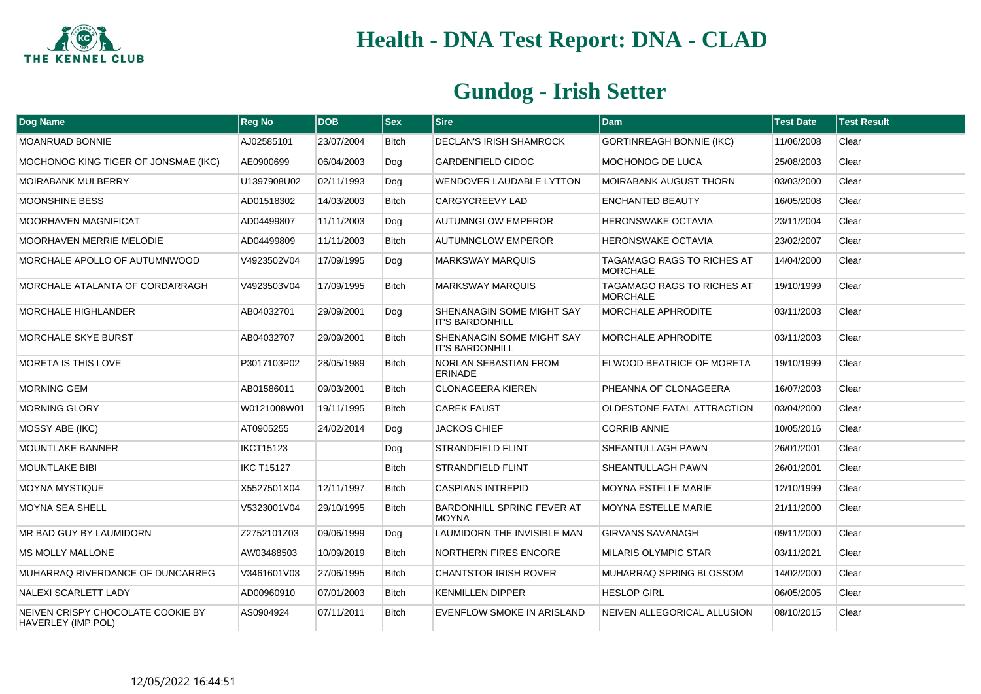

| Dog Name                                                | <b>Reg No</b>     | <b>DOB</b> | $ s_{ex} $   | Sire                                                | <b>Dam</b>                                    | <b>Test Date</b> | <b>Test Result</b> |
|---------------------------------------------------------|-------------------|------------|--------------|-----------------------------------------------------|-----------------------------------------------|------------------|--------------------|
| MOANRUAD BONNIE                                         | AJ02585101        | 23/07/2004 | Bitch        | DECLAN'S IRISH SHAMROCK                             | <b>GORTINREAGH BONNIE (IKC)</b>               | 11/06/2008       | Clear              |
| MOCHONOG KING TIGER OF JONSMAE (IKC)                    | AE0900699         | 06/04/2003 | Dog          | <b>GARDENFIELD CIDOC</b>                            | <b>MOCHONOG DE LUCA</b>                       | 25/08/2003       | Clear              |
| <b>MOIRABANK MULBERRY</b>                               | U1397908U02       | 02/11/1993 | Dog          | <b>WENDOVER LAUDABLE LYTTON</b>                     | <b>MOIRABANK AUGUST THORN</b>                 | 03/03/2000       | Clear              |
| MOONSHINE BESS                                          | AD01518302        | 14/03/2003 | Bitch        | CARGYCREEVY LAD                                     | <b>ENCHANTED BEAUTY</b>                       | 16/05/2008       | Clear              |
| MOORHAVEN MAGNIFICAT                                    | AD04499807        | 11/11/2003 | Dog          | <b>AUTUMNGLOW EMPEROR</b>                           | <b>HERONSWAKE OCTAVIA</b>                     | 23/11/2004       | Clear              |
| <b>MOORHAVEN MERRIE MELODIE</b>                         | AD04499809        | 11/11/2003 | <b>Bitch</b> | <b>AUTUMNGLOW EMPEROR</b>                           | <b>HERONSWAKE OCTAVIA</b>                     | 23/02/2007       | Clear              |
| MORCHALE APOLLO OF AUTUMNWOOD                           | V4923502V04       | 17/09/1995 | Dog          | <b>MARKSWAY MARQUIS</b>                             | TAGAMAGO RAGS TO RICHES AT<br><b>MORCHALE</b> | 14/04/2000       | Clear              |
| MORCHALE ATALANTA OF CORDARRAGH                         | V4923503V04       | 17/09/1995 | <b>Bitch</b> | <b>MARKSWAY MARQUIS</b>                             | TAGAMAGO RAGS TO RICHES AT<br><b>MORCHALE</b> | 19/10/1999       | Clear              |
| <b>MORCHALE HIGHLANDER</b>                              | AB04032701        | 29/09/2001 | Dog          | SHENANAGIN SOME MIGHT SAY<br><b>IT'S BARDONHILL</b> | <b>MORCHALE APHRODITE</b>                     | 03/11/2003       | Clear              |
| <b>MORCHALE SKYE BURST</b>                              | AB04032707        | 29/09/2001 | <b>Bitch</b> | SHENANAGIN SOME MIGHT SAY<br><b>IT'S BARDONHILL</b> | <b>MORCHALE APHRODITE</b>                     | 03/11/2003       | Clear              |
| <b>MORETA IS THIS LOVE</b>                              | P3017103P02       | 28/05/1989 | <b>Bitch</b> | NORLAN SEBASTIAN FROM<br><b>ERINADE</b>             | ELWOOD BEATRICE OF MORETA                     | 19/10/1999       | Clear              |
| <b>MORNING GEM</b>                                      | AB01586011        | 09/03/2001 | <b>Bitch</b> | <b>CLONAGEERA KIEREN</b>                            | PHEANNA OF CLONAGEERA                         | 16/07/2003       | Clear              |
| <b>MORNING GLORY</b>                                    | W0121008W01       | 19/11/1995 | Bitch        | <b>CAREK FAUST</b>                                  | <b>OLDESTONE FATAL ATTRACTION</b>             | 03/04/2000       | Clear              |
| MOSSY ABE (IKC)                                         | AT0905255         | 24/02/2014 | Dog          | <b>JACKOS CHIEF</b>                                 | <b>CORRIB ANNIE</b>                           | 10/05/2016       | Clear              |
| <b>MOUNTLAKE BANNER</b>                                 | <b>IKCT15123</b>  |            | Dog          | <b>STRANDFIELD FLINT</b>                            | SHEANTULLAGH PAWN                             | 26/01/2001       | Clear              |
| <b>MOUNTLAKE BIBI</b>                                   | <b>IKC T15127</b> |            | Bitch        | <b>STRANDFIELD FLINT</b>                            | SHEANTULLAGH PAWN                             | 26/01/2001       | Clear              |
| <b>MOYNA MYSTIQUE</b>                                   | X5527501X04       | 12/11/1997 | <b>Bitch</b> | <b>CASPIANS INTREPID</b>                            | <b>MOYNA ESTELLE MARIE</b>                    | 12/10/1999       | Clear              |
| <b>MOYNA SEA SHELL</b>                                  | V5323001V04       | 29/10/1995 | <b>Bitch</b> | <b>BARDONHILL SPRING FEVER AT</b><br><b>MOYNA</b>   | <b>MOYNA ESTELLE MARIE</b>                    | 21/11/2000       | Clear              |
| MR BAD GUY BY LAUMIDORN                                 | Z2752101Z03       | 09/06/1999 | Dog          | LAUMIDORN THE INVISIBLE MAN                         | <b>GIRVANS SAVANAGH</b>                       | 09/11/2000       | Clear              |
| <b>MS MOLLY MALLONE</b>                                 | AW03488503        | 10/09/2019 | <b>Bitch</b> | <b>NORTHERN FIRES ENCORE</b>                        | <b>MILARIS OLYMPIC STAR</b>                   | 03/11/2021       | Clear              |
| MUHARRAQ RIVERDANCE OF DUNCARREG                        | V3461601V03       | 27/06/1995 | <b>Bitch</b> | <b>CHANTSTOR IRISH ROVER</b>                        | MUHARRAQ SPRING BLOSSOM                       | 14/02/2000       | Clear              |
| NALEXI SCARLETT LADY                                    | AD00960910        | 07/01/2003 | Bitch        | <b>KENMILLEN DIPPER</b>                             | <b>HESLOP GIRL</b>                            | 06/05/2005       | Clear              |
| NEIVEN CRISPY CHOCOLATE COOKIE BY<br>HAVERLEY (IMP POL) | AS0904924         | 07/11/2011 | <b>Bitch</b> | EVENFLOW SMOKE IN ARISLAND                          | NEIVEN ALLEGORICAL ALLUSION                   | 08/10/2015       | Clear              |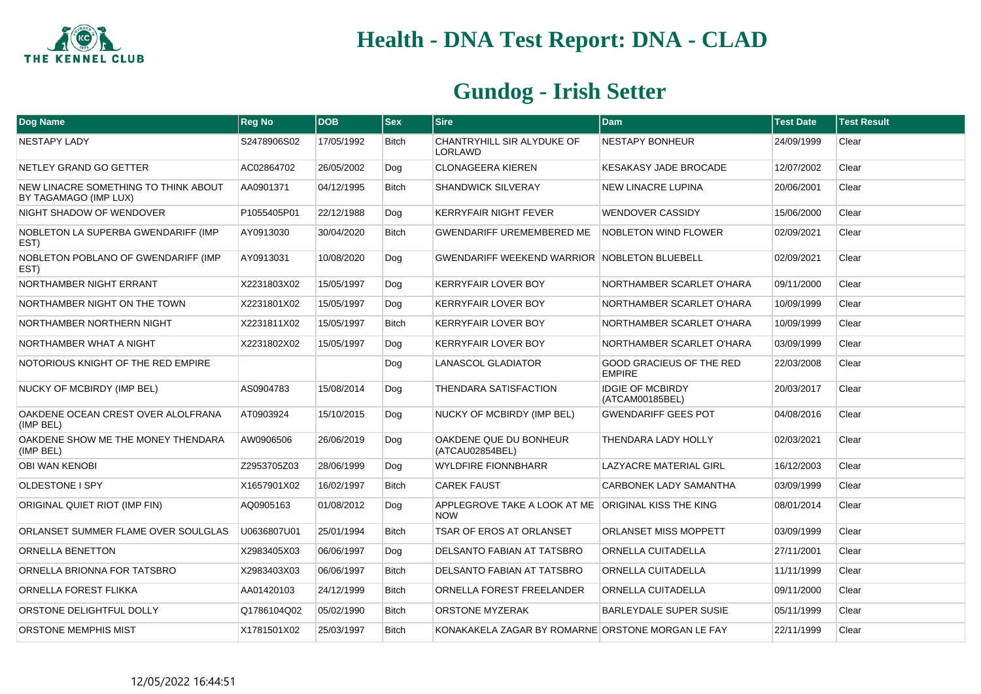

| Dog Name                                                      | <b>Reg No</b> | <b>DOB</b> | <b>Sex</b>   | <b>Sire</b>                                                       | <b>Dam</b>                                       | <b>Test Date</b> | <b>Test Result</b> |
|---------------------------------------------------------------|---------------|------------|--------------|-------------------------------------------------------------------|--------------------------------------------------|------------------|--------------------|
| NESTAPY LADY                                                  | S2478906S02   | 17/05/1992 | <b>Bitch</b> | CHANTRYHILL SIR ALYDUKE OF<br>LORLAWD                             | <b>NESTAPY BONHEUR</b>                           | 24/09/1999       | Clear              |
| NETLEY GRAND GO GETTER                                        | AC02864702    | 26/05/2002 | Dog          | <b>CLONAGEERA KIEREN</b>                                          | <b>KESAKASY JADE BROCADE</b>                     | 12/07/2002       | Clear              |
| NEW LINACRE SOMETHING TO THINK ABOUT<br>BY TAGAMAGO (IMP LUX) | AA0901371     | 04/12/1995 | <b>Bitch</b> | <b>SHANDWICK SILVERAY</b>                                         | <b>NEW LINACRE LUPINA</b>                        | 20/06/2001       | Clear              |
| NIGHT SHADOW OF WENDOVER                                      | P1055405P01   | 22/12/1988 | Dog          | <b>KERRYFAIR NIGHT FEVER</b>                                      | <b>WENDOVER CASSIDY</b>                          | 15/06/2000       | Clear              |
| NOBLETON LA SUPERBA GWENDARIFF (IMP<br>EST)                   | AY0913030     | 30/04/2020 | Bitch        | <b>GWENDARIFF UREMEMBERED ME</b>                                  | <b>NOBLETON WIND FLOWER</b>                      | 02/09/2021       | Clear              |
| NOBLETON POBLANO OF GWENDARIFF (IMP<br>EST)                   | AY0913031     | 10/08/2020 | Dog          | <b>GWENDARIFF WEEKEND WARRIOR NOBLETON BLUEBELL</b>               |                                                  | 02/09/2021       | Clear              |
| NORTHAMBER NIGHT ERRANT                                       | X2231803X02   | 15/05/1997 | Dog          | <b>KERRYFAIR LOVER BOY</b>                                        | NORTHAMBER SCARLET O'HARA                        | 09/11/2000       | Clear              |
| NORTHAMBER NIGHT ON THE TOWN                                  | X2231801X02   | 15/05/1997 | Dog          | <b>KERRYFAIR LOVER BOY</b>                                        | NORTHAMBER SCARLET O'HARA                        | 10/09/1999       | Clear              |
| NORTHAMBER NORTHERN NIGHT                                     | X2231811X02   | 15/05/1997 | Bitch        | <b>KERRYFAIR LOVER BOY</b>                                        | NORTHAMBER SCARLET O'HARA                        | 10/09/1999       | Clear              |
| NORTHAMBER WHAT A NIGHT                                       | X2231802X02   | 15/05/1997 | Dog          | <b>KERRYFAIR LOVER BOY</b>                                        | NORTHAMBER SCARLET O'HARA                        | 03/09/1999       | Clear              |
| NOTORIOUS KNIGHT OF THE RED EMPIRE                            |               |            | Dog          | <b>LANASCOL GLADIATOR</b>                                         | <b>GOOD GRACIEUS OF THE RED</b><br><b>EMPIRE</b> | 22/03/2008       | Clear              |
| NUCKY OF MCBIRDY (IMP BEL)                                    | AS0904783     | 15/08/2014 | Dog          | <b>THENDARA SATISFACTION</b>                                      | <b>IDGIE OF MCBIRDY</b><br>(ATCAM00185BEL)       | 20/03/2017       | Clear              |
| OAKDENE OCEAN CREST OVER ALOLFRANA<br>(IMP BEL)               | AT0903924     | 15/10/2015 | Dog          | NUCKY OF MCBIRDY (IMP BEL)                                        | <b>GWENDARIFF GEES POT</b>                       | 04/08/2016       | Clear              |
| OAKDENE SHOW ME THE MONEY THENDARA<br>(IMP BEL)               | AW0906506     | 26/06/2019 | Dog          | OAKDENE QUE DU BONHEUR<br>(ATCAU02854BEL)                         | <b>THENDARA LADY HOLLY</b>                       | 02/03/2021       | Clear              |
| <b>OBI WAN KENOBI</b>                                         | Z2953705Z03   | 28/06/1999 | Dog          | <b>WYLDFIRE FIONNBHARR</b>                                        | LAZYACRE MATERIAL GIRL                           | 16/12/2003       | Clear              |
| <b>OLDESTONE I SPY</b>                                        | X1657901X02   | 16/02/1997 | Bitch        | <b>CAREK FAUST</b>                                                | CARBONEK LADY SAMANTHA                           | 03/09/1999       | Clear              |
| ORIGINAL QUIET RIOT (IMP FIN)                                 | AQ0905163     | 01/08/2012 | Dog          | APPLEGROVE TAKE A LOOK AT ME ORIGINAL KISS THE KING<br><b>NOW</b> |                                                  | 08/01/2014       | Clear              |
| ORLANSET SUMMER FLAME OVER SOULGLAS                           | U0636807U01   | 25/01/1994 | <b>Bitch</b> | <b>TSAR OF EROS AT ORLANSET</b>                                   | <b>ORLANSET MISS MOPPETT</b>                     | 03/09/1999       | Clear              |
| <b>ORNELLA BENETTON</b>                                       | X2983405X03   | 06/06/1997 | Dog          | DELSANTO FABIAN AT TATSBRO                                        | ORNELLA CUITADELLA                               | 27/11/2001       | Clear              |
| ORNELLA BRIONNA FOR TATSBRO                                   | X2983403X03   | 06/06/1997 | Bitch        | DELSANTO FABIAN AT TATSBRO                                        | ORNELLA CUITADELLA                               | 11/11/1999       | Clear              |
| <b>ORNELLA FOREST FLIKKA</b>                                  | AA01420103    | 24/12/1999 | Bitch        | ORNELLA FOREST FREELANDER                                         | ORNELLA CUITADELLA                               | 09/11/2000       | Clear              |
| ORSTONE DELIGHTFUL DOLLY                                      | Q1786104Q02   | 05/02/1990 | <b>Bitch</b> | <b>ORSTONE MYZERAK</b>                                            | <b>BARLEYDALE SUPER SUSIE</b>                    | 05/11/1999       | Clear              |
| <b>ORSTONE MEMPHIS MIST</b>                                   | X1781501X02   | 25/03/1997 | <b>Bitch</b> | KONAKAKELA ZAGAR BY ROMARNE ORSTONE MORGAN LE FAY                 |                                                  | 22/11/1999       | Clear              |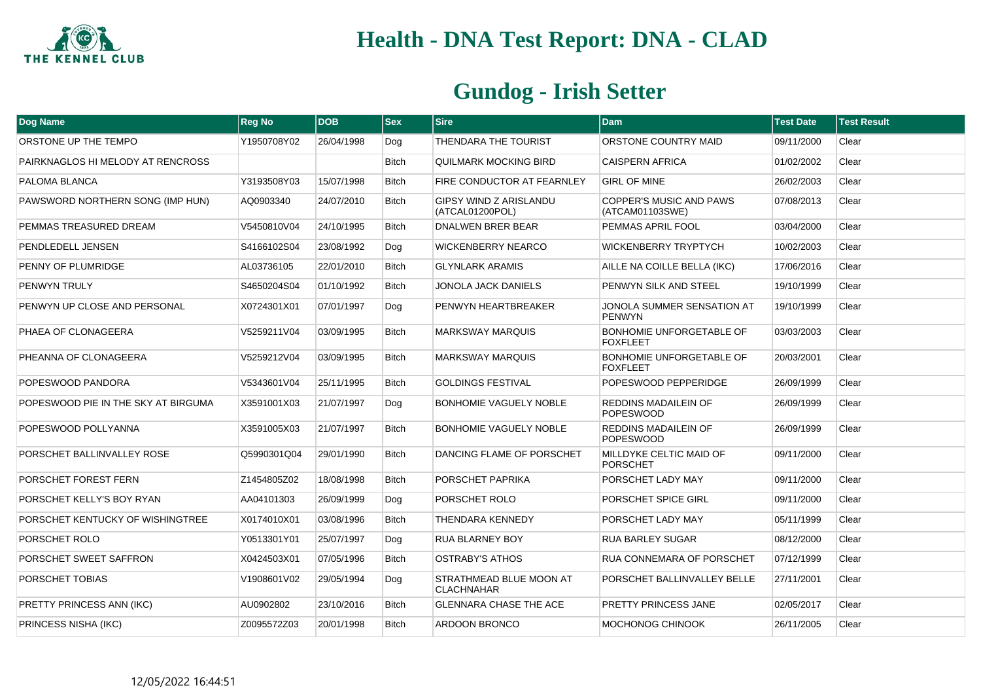

| Dog Name                            | <b>Reg No</b> | <b>DOB</b> | $ $ Sex      | <b>Sire</b>                                      | <b>Dam</b>                                         | <b>Test Date</b> | <b>Test Result</b> |
|-------------------------------------|---------------|------------|--------------|--------------------------------------------------|----------------------------------------------------|------------------|--------------------|
| ORSTONE UP THE TEMPO                | Y1950708Y02   | 26/04/1998 | Dog          | THENDARA THE TOURIST                             | ORSTONE COUNTRY MAID                               | 09/11/2000       | Clear              |
| PAIRKNAGLOS HI MELODY AT RENCROSS   |               |            | <b>Bitch</b> | QUILMARK MOCKING BIRD                            | <b>CAISPERN AFRICA</b>                             | 01/02/2002       | Clear              |
| PALOMA BLANCA                       | Y3193508Y03   | 15/07/1998 | <b>Bitch</b> | FIRE CONDUCTOR AT FEARNLEY                       | <b>GIRL OF MINE</b>                                | 26/02/2003       | Clear              |
| PAWSWORD NORTHERN SONG (IMP HUN)    | AQ0903340     | 24/07/2010 | <b>Bitch</b> | <b>GIPSY WIND Z ARISLANDU</b><br>(ATCAL01200POL) | <b>COPPER'S MUSIC AND PAWS</b><br>(ATCAM01103SWE)  | 07/08/2013       | Clear              |
| PEMMAS TREASURED DREAM              | V5450810V04   | 24/10/1995 | <b>Bitch</b> | DNALWEN BRER BEAR                                | PEMMAS APRIL FOOL                                  | 03/04/2000       | Clear              |
| PENDLEDELL JENSEN                   | S4166102S04   | 23/08/1992 | Dog          | <b>WICKENBERRY NEARCO</b>                        | <b>WICKENBERRY TRYPTYCH</b>                        | 10/02/2003       | Clear              |
| PENNY OF PLUMRIDGE                  | AL03736105    | 22/01/2010 | <b>Bitch</b> | <b>GLYNLARK ARAMIS</b>                           | AILLE NA COILLE BELLA (IKC)                        | 17/06/2016       | Clear              |
| <b>PENWYN TRULY</b>                 | S4650204S04   | 01/10/1992 | <b>Bitch</b> | JONOLA JACK DANIELS                              | PENWYN SILK AND STEEL                              | 19/10/1999       | Clear              |
| PENWYN UP CLOSE AND PERSONAL        | X0724301X01   | 07/01/1997 | Dog          | PENWYN HEARTBREAKER                              | JONOLA SUMMER SENSATION AT<br>PENWYN               | 19/10/1999       | Clear              |
| PHAEA OF CLONAGEERA                 | V5259211V04   | 03/09/1995 | <b>Bitch</b> | <b>MARKSWAY MARQUIS</b>                          | <b>BONHOMIE UNFORGETABLE OF</b><br><b>FOXFLEET</b> | 03/03/2003       | Clear              |
| PHEANNA OF CLONAGEERA               | V5259212V04   | 03/09/1995 | <b>Bitch</b> | <b>MARKSWAY MARQUIS</b>                          | BONHOMIE UNFORGETABLE OF<br><b>FOXFLEET</b>        | 20/03/2001       | Clear              |
| POPESWOOD PANDORA                   | V5343601V04   | 25/11/1995 | <b>Bitch</b> | <b>GOLDINGS FESTIVAL</b>                         | POPESWOOD PEPPERIDGE                               | 26/09/1999       | Clear              |
| POPESWOOD PIE IN THE SKY AT BIRGUMA | X3591001X03   | 21/07/1997 | Dog          | <b>BONHOMIE VAGUELY NOBLE</b>                    | <b>REDDINS MADAILEIN OF</b><br><b>POPESWOOD</b>    | 26/09/1999       | Clear              |
| POPESWOOD POLLYANNA                 | X3591005X03   | 21/07/1997 | <b>Bitch</b> | <b>BONHOMIE VAGUELY NOBLE</b>                    | <b>REDDINS MADAILEIN OF</b><br><b>POPESWOOD</b>    | 26/09/1999       | Clear              |
| PORSCHET BALLINVALLEY ROSE          | Q5990301Q04   | 29/01/1990 | <b>Bitch</b> | DANCING FLAME OF PORSCHET                        | MILLDYKE CELTIC MAID OF<br><b>PORSCHET</b>         | 09/11/2000       | Clear              |
| PORSCHET FOREST FERN                | Z1454805Z02   | 18/08/1998 | <b>Bitch</b> | PORSCHET PAPRIKA                                 | PORSCHET LADY MAY                                  | 09/11/2000       | Clear              |
| PORSCHET KELLY'S BOY RYAN           | AA04101303    | 26/09/1999 | Dog          | PORSCHET ROLO                                    | PORSCHET SPICE GIRL                                | 09/11/2000       | Clear              |
| PORSCHET KENTUCKY OF WISHINGTREE    | X0174010X01   | 03/08/1996 | <b>Bitch</b> | THENDARA KENNEDY                                 | PORSCHET LADY MAY                                  | 05/11/1999       | Clear              |
| PORSCHET ROLO                       | Y0513301Y01   | 25/07/1997 | Dog          | <b>RUA BLARNEY BOY</b>                           | <b>RUA BARLEY SUGAR</b>                            | 08/12/2000       | Clear              |
| PORSCHET SWEET SAFFRON              | X0424503X01   | 07/05/1996 | <b>Bitch</b> | <b>OSTRABY'S ATHOS</b>                           | <b>RUA CONNEMARA OF PORSCHET</b>                   | 07/12/1999       | Clear              |
| PORSCHET TOBIAS                     | V1908601V02   | 29/05/1994 | Dog          | STRATHMEAD BLUE MOON AT<br><b>CLACHNAHAR</b>     | PORSCHET BALLINVALLEY BELLE                        | 27/11/2001       | Clear              |
| PRETTY PRINCESS ANN (IKC)           | AU0902802     | 23/10/2016 | <b>Bitch</b> | <b>GLENNARA CHASE THE ACE</b>                    | PRETTY PRINCESS JANE                               | 02/05/2017       | Clear              |
| PRINCESS NISHA (IKC)                | Z0095572Z03   | 20/01/1998 | <b>Bitch</b> | <b>ARDOON BRONCO</b>                             | MOCHONOG CHINOOK                                   | 26/11/2005       | Clear              |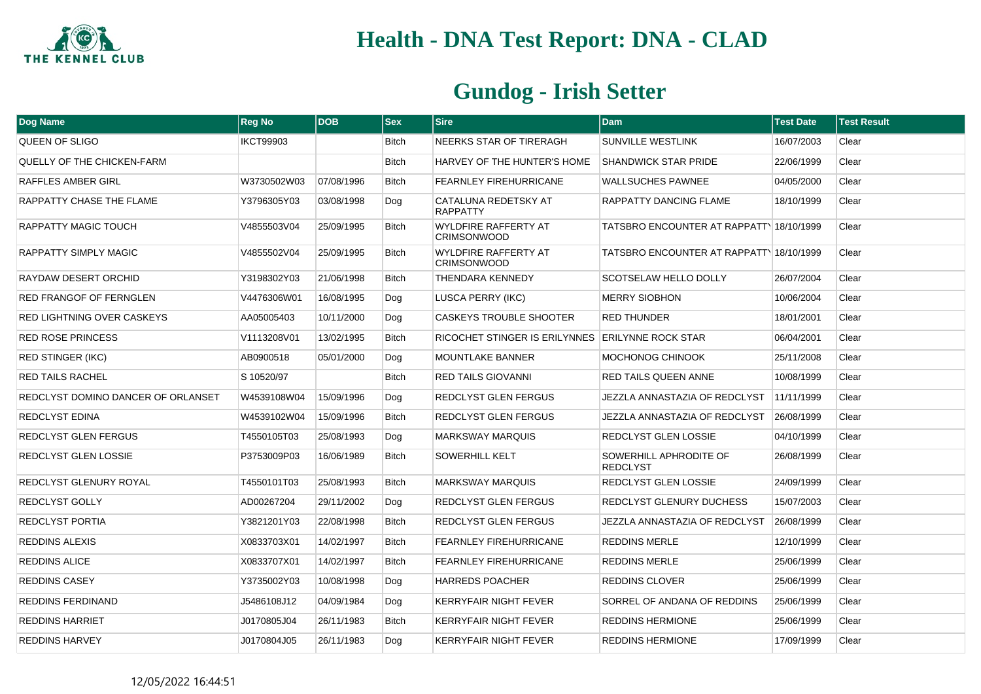

| Dog Name                           | <b>Reg No</b>    | <b>DOB</b> | <b>Sex</b>   | <b>Sire</b>                                        | <b>Dam</b>                                | <b>Test Date</b> | <b>Test Result</b> |
|------------------------------------|------------------|------------|--------------|----------------------------------------------------|-------------------------------------------|------------------|--------------------|
| QUEEN OF SLIGO                     | <b>IKCT99903</b> |            | <b>Bitch</b> | NEERKS STAR OF TIRERAGH                            | <b>SUNVILLE WESTLINK</b>                  | 16/07/2003       | Clear              |
| QUELLY OF THE CHICKEN-FARM         |                  |            | <b>Bitch</b> | HARVEY OF THE HUNTER'S HOME                        | <b>SHANDWICK STAR PRIDE</b>               | 22/06/1999       | Clear              |
| RAFFLES AMBER GIRL                 | W3730502W03      | 07/08/1996 | <b>Bitch</b> | FEARNLEY FIREHURRICANE                             | <b>WALLSUCHES PAWNEE</b>                  | 04/05/2000       | Clear              |
| RAPPATTY CHASE THE FLAME           | Y3796305Y03      | 03/08/1998 | Dog          | CATALUNA REDETSKY AT<br><b>RAPPATTY</b>            | RAPPATTY DANCING FLAME                    | 18/10/1999       | Clear              |
| RAPPATTY MAGIC TOUCH               | V4855503V04      | 25/09/1995 | Bitch        | WYLDFIRE RAFFERTY AT<br><b>CRIMSONWOOD</b>         | TATSBRO ENCOUNTER AT RAPPATT 18/10/1999   |                  | Clear              |
| RAPPATTY SIMPLY MAGIC              | V4855502V04      | 25/09/1995 | <b>Bitch</b> | <b>WYLDFIRE RAFFERTY AT</b><br><b>CRIMSONWOOD</b>  | TATSBRO ENCOUNTER AT RAPPATT 18/10/1999   |                  | Clear              |
| RAYDAW DESERT ORCHID               | Y3198302Y03      | 21/06/1998 | <b>Bitch</b> | THENDARA KENNEDY                                   | SCOTSELAW HELLO DOLLY                     | 26/07/2004       | Clear              |
| <b>RED FRANGOF OF FERNGLEN</b>     | V4476306W01      | 16/08/1995 | Dog          | <b>LUSCA PERRY (IKC)</b>                           | <b>MERRY SIOBHON</b>                      | 10/06/2004       | Clear              |
| RED LIGHTNING OVER CASKEYS         | AA05005403       | 10/11/2000 | Dog          | CASKEYS TROUBLE SHOOTER                            | <b>RED THUNDER</b>                        | 18/01/2001       | Clear              |
| <b>RED ROSE PRINCESS</b>           | V1113208V01      | 13/02/1995 | <b>Bitch</b> | RICOCHET STINGER IS ERILYNNES   ERILYNNE ROCK STAR |                                           | 06/04/2001       | Clear              |
| <b>RED STINGER (IKC)</b>           | AB0900518        | 05/01/2000 | Dog          | MOUNTLAKE BANNER                                   | MOCHONOG CHINOOK                          | 25/11/2008       | Clear              |
| <b>RED TAILS RACHEL</b>            | S 10520/97       |            | <b>Bitch</b> | RED TAILS GIOVANNI                                 | RED TAILS QUEEN ANNE                      | 10/08/1999       | Clear              |
| REDCLYST DOMINO DANCER OF ORLANSET | W4539108W04      | 15/09/1996 | Dog          | REDCLYST GLEN FERGUS                               | JEZZLA ANNASTAZIA OF REDCLYST             | 11/11/1999       | Clear              |
| <b>REDCLYST EDINA</b>              | W4539102W04      | 15/09/1996 | <b>Bitch</b> | REDCLYST GLEN FERGUS                               | JEZZLA ANNASTAZIA OF REDCLYST             | 26/08/1999       | Clear              |
| <b>REDCLYST GLEN FERGUS</b>        | T4550105T03      | 25/08/1993 | Dog          | <b>MARKSWAY MARQUIS</b>                            | <b>REDCLYST GLEN LOSSIE</b>               | 04/10/1999       | Clear              |
| REDCLYST GLEN LOSSIE               | P3753009P03      | 16/06/1989 | <b>Bitch</b> | SOWERHILL KELT                                     | SOWERHILL APHRODITE OF<br><b>REDCLYST</b> | 26/08/1999       | Clear              |
| REDCLYST GLENURY ROYAL             | T4550101T03      | 25/08/1993 | <b>Bitch</b> | <b>MARKSWAY MARQUIS</b>                            | REDCLYST GLEN LOSSIE                      | 24/09/1999       | Clear              |
| <b>REDCLYST GOLLY</b>              | AD00267204       | 29/11/2002 | Dog          | REDCLYST GLEN FERGUS                               | <b>REDCLYST GLENURY DUCHESS</b>           | 15/07/2003       | Clear              |
| <b>REDCLYST PORTIA</b>             | Y3821201Y03      | 22/08/1998 | <b>Bitch</b> | REDCLYST GLEN FERGUS                               | JEZZLA ANNASTAZIA OF REDCLYST             | 26/08/1999       | Clear              |
| <b>REDDINS ALEXIS</b>              | X0833703X01      | 14/02/1997 | <b>Bitch</b> | <b>FEARNLEY FIREHURRICANE</b>                      | <b>REDDINS MERLE</b>                      | 12/10/1999       | Clear              |
| <b>REDDINS ALICE</b>               | X0833707X01      | 14/02/1997 | <b>Bitch</b> | FEARNLEY FIREHURRICANE                             | <b>REDDINS MERLE</b>                      | 25/06/1999       | Clear              |
| <b>REDDINS CASEY</b>               | Y3735002Y03      | 10/08/1998 | Dog          | <b>HARREDS POACHER</b>                             | <b>REDDINS CLOVER</b>                     | 25/06/1999       | Clear              |
| <b>REDDINS FERDINAND</b>           | J5486108J12      | 04/09/1984 | Dog          | KERRYFAIR NIGHT FEVER                              | SORREL OF ANDANA OF REDDINS               | 25/06/1999       | Clear              |
| <b>REDDINS HARRIET</b>             | J0170805J04      | 26/11/1983 | <b>Bitch</b> | KERRYFAIR NIGHT FEVER                              | <b>REDDINS HERMIONE</b>                   | 25/06/1999       | Clear              |
| <b>REDDINS HARVEY</b>              | J0170804J05      | 26/11/1983 | Dog          | <b>KERRYFAIR NIGHT FEVER</b>                       | <b>REDDINS HERMIONE</b>                   | 17/09/1999       | Clear              |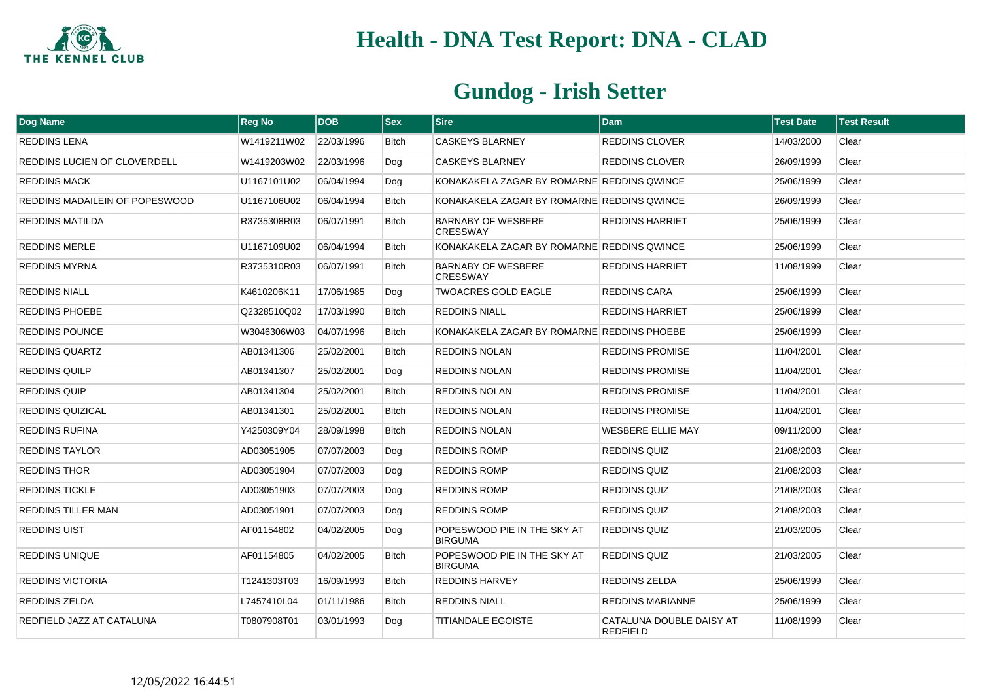

| Dog Name                       | <b>Reg No</b> | <b>DOB</b> | <b>Sex</b>   | <b>Sire</b>                                   | <b>Dam</b>                                  | <b>Test Date</b> | <b>Test Result</b> |
|--------------------------------|---------------|------------|--------------|-----------------------------------------------|---------------------------------------------|------------------|--------------------|
| <b>REDDINS LENA</b>            | W1419211W02   | 22/03/1996 | <b>Bitch</b> | CASKEYS BLARNEY                               | <b>REDDINS CLOVER</b>                       | 14/03/2000       | Clear              |
| REDDINS LUCIEN OF CLOVERDELL   | W1419203W02   | 22/03/1996 | Dog          | <b>CASKEYS BLARNEY</b>                        | <b>REDDINS CLOVER</b>                       | 26/09/1999       | Clear              |
| <b>REDDINS MACK</b>            | U1167101U02   | 06/04/1994 | Dog          | KONAKAKELA ZAGAR BY ROMARNE REDDINS QWINCE    |                                             | 25/06/1999       | Clear              |
| REDDINS MADAILEIN OF POPESWOOD | U1167106U02   | 06/04/1994 | <b>Bitch</b> | KONAKAKELA ZAGAR BY ROMARNE REDDINS QWINCE    |                                             | 26/09/1999       | Clear              |
| <b>REDDINS MATILDA</b>         | R3735308R03   | 06/07/1991 | <b>Bitch</b> | <b>BARNABY OF WESBERE</b><br><b>CRESSWAY</b>  | <b>REDDINS HARRIET</b>                      | 25/06/1999       | Clear              |
| <b>REDDINS MERLE</b>           | U1167109U02   | 06/04/1994 | <b>Bitch</b> | KONAKAKELA ZAGAR BY ROMARNE REDDINS QWINCE    |                                             | 25/06/1999       | Clear              |
| <b>REDDINS MYRNA</b>           | R3735310R03   | 06/07/1991 | <b>Bitch</b> | <b>BARNABY OF WESBERE</b><br><b>CRESSWAY</b>  | <b>REDDINS HARRIET</b>                      | 11/08/1999       | Clear              |
| <b>REDDINS NIALL</b>           | K4610206K11   | 17/06/1985 | Dog          | <b>TWOACRES GOLD EAGLE</b>                    | <b>REDDINS CARA</b>                         | 25/06/1999       | Clear              |
| <b>REDDINS PHOEBE</b>          | Q2328510Q02   | 17/03/1990 | <b>Bitch</b> | <b>REDDINS NIALL</b>                          | <b>REDDINS HARRIET</b>                      | 25/06/1999       | Clear              |
| <b>REDDINS POUNCE</b>          | W3046306W03   | 04/07/1996 | <b>Bitch</b> | KONAKAKELA ZAGAR BY ROMARNE REDDINS PHOEBE    |                                             | 25/06/1999       | Clear              |
| REDDINS QUARTZ                 | AB01341306    | 25/02/2001 | Bitch        | REDDINS NOLAN                                 | <b>REDDINS PROMISE</b>                      | 11/04/2001       | Clear              |
| <b>REDDINS QUILP</b>           | AB01341307    | 25/02/2001 | Dog          | REDDINS NOLAN                                 | <b>REDDINS PROMISE</b>                      | 11/04/2001       | Clear              |
| <b>REDDINS QUIP</b>            | AB01341304    | 25/02/2001 | <b>Bitch</b> | <b>REDDINS NOLAN</b>                          | <b>REDDINS PROMISE</b>                      | 11/04/2001       | Clear              |
| <b>REDDINS QUIZICAL</b>        | AB01341301    | 25/02/2001 | <b>Bitch</b> | REDDINS NOLAN                                 | <b>REDDINS PROMISE</b>                      | 11/04/2001       | Clear              |
| REDDINS RUFINA                 | Y4250309Y04   | 28/09/1998 | Bitch        | REDDINS NOLAN                                 | <b>WESBERE ELLIE MAY</b>                    | 09/11/2000       | Clear              |
| REDDINS TAYLOR                 | AD03051905    | 07/07/2003 | Dog          | <b>REDDINS ROMP</b>                           | <b>REDDINS QUIZ</b>                         | 21/08/2003       | Clear              |
| <b>REDDINS THOR</b>            | AD03051904    | 07/07/2003 | Dog          | REDDINS ROMP                                  | <b>REDDINS QUIZ</b>                         | 21/08/2003       | Clear              |
| <b>REDDINS TICKLE</b>          | AD03051903    | 07/07/2003 | Dog          | <b>REDDINS ROMP</b>                           | <b>REDDINS QUIZ</b>                         | 21/08/2003       | Clear              |
| <b>REDDINS TILLER MAN</b>      | AD03051901    | 07/07/2003 | Dog          | REDDINS ROMP                                  | <b>REDDINS QUIZ</b>                         | 21/08/2003       | Clear              |
| <b>REDDINS UIST</b>            | AF01154802    | 04/02/2005 | Dog          | POPESWOOD PIE IN THE SKY AT<br><b>BIRGUMA</b> | <b>REDDINS QUIZ</b>                         | 21/03/2005       | Clear              |
| <b>REDDINS UNIQUE</b>          | AF01154805    | 04/02/2005 | <b>Bitch</b> | POPESWOOD PIE IN THE SKY AT<br><b>BIRGUMA</b> | <b>REDDINS QUIZ</b>                         | 21/03/2005       | Clear              |
| <b>REDDINS VICTORIA</b>        | T1241303T03   | 16/09/1993 | <b>Bitch</b> | <b>REDDINS HARVEY</b>                         | <b>REDDINS ZELDA</b>                        | 25/06/1999       | Clear              |
| REDDINS ZELDA                  | L7457410L04   | 01/11/1986 | Bitch        | <b>REDDINS NIALL</b>                          | <b>REDDINS MARIANNE</b>                     | 25/06/1999       | Clear              |
| REDFIELD JAZZ AT CATALUNA      | T0807908T01   | 03/01/1993 | Dog          | <b>TITIANDALE EGOISTE</b>                     | CATALUNA DOUBLE DAISY AT<br><b>REDFIELD</b> | 11/08/1999       | Clear              |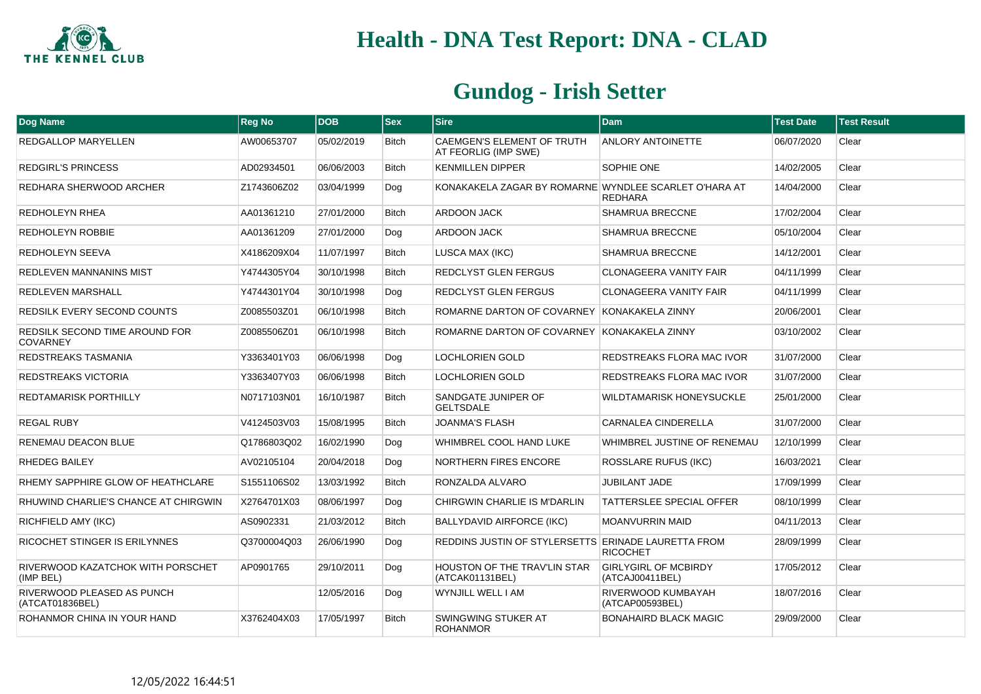

| Dog Name                                             | <b>Reg No</b> | <b>DOB</b> | <b>Sex</b>   | <b>Sire</b>                                               | <b>Dam</b>                                     | <b>Test Date</b> | <b>Test Result</b> |
|------------------------------------------------------|---------------|------------|--------------|-----------------------------------------------------------|------------------------------------------------|------------------|--------------------|
| <b>REDGALLOP MARYELLEN</b>                           | AW00653707    | 05/02/2019 | <b>Bitch</b> | <b>CAEMGEN'S ELEMENT OF TRUTH</b><br>AT FEORLIG (IMP SWE) | <b>ANLORY ANTOINETTE</b>                       | 06/07/2020       | Clear              |
| <b>REDGIRL'S PRINCESS</b>                            | AD02934501    | 06/06/2003 | <b>Bitch</b> | <b>KENMILLEN DIPPER</b>                                   | SOPHIE ONE                                     | 14/02/2005       | Clear              |
| REDHARA SHERWOOD ARCHER                              | Z1743606Z02   | 03/04/1999 | Dog          | KONAKAKELA ZAGAR BY ROMARNE WYNDLEE SCARLET O'HARA AT     | <b>REDHARA</b>                                 | 14/04/2000       | Clear              |
| <b>REDHOLEYN RHEA</b>                                | AA01361210    | 27/01/2000 | <b>Bitch</b> | <b>ARDOON JACK</b>                                        | <b>SHAMRUA BRECCNE</b>                         | 17/02/2004       | Clear              |
| REDHOLEYN ROBBIE                                     | AA01361209    | 27/01/2000 | Dog          | <b>ARDOON JACK</b>                                        | <b>SHAMRUA BRECCNE</b>                         | 05/10/2004       | Clear              |
| REDHOLEYN SEEVA                                      | X4186209X04   | 11/07/1997 | <b>Bitch</b> | LUSCA MAX (IKC)                                           | <b>SHAMRUA BRECCNE</b>                         | 14/12/2001       | Clear              |
| REDLEVEN MANNANINS MIST                              | Y4744305Y04   | 30/10/1998 | <b>Bitch</b> | <b>REDCLYST GLEN FERGUS</b>                               | <b>CLONAGEERA VANITY FAIR</b>                  | 04/11/1999       | Clear              |
| REDLEVEN MARSHALL                                    | Y4744301Y04   | 30/10/1998 | Dog          | REDCLYST GLEN FERGUS                                      | <b>CLONAGEERA VANITY FAIR</b>                  | 04/11/1999       | Clear              |
| REDSILK EVERY SECOND COUNTS                          | Z0085503Z01   | 06/10/1998 | <b>Bitch</b> | ROMARNE DARTON OF COVARNEY KONAKAKELA ZINNY               |                                                | 20/06/2001       | Clear              |
| REDSILK SECOND TIME AROUND FOR<br><b>COVARNEY</b>    | Z0085506Z01   | 06/10/1998 | Bitch        | ROMARNE DARTON OF COVARNEY KONAKAKELA ZINNY               |                                                | 03/10/2002       | Clear              |
| <b>REDSTREAKS TASMANIA</b>                           | Y3363401Y03   | 06/06/1998 | Dog          | <b>LOCHLORIEN GOLD</b>                                    | <b>REDSTREAKS FLORA MAC IVOR</b>               | 31/07/2000       | Clear              |
| REDSTREAKS VICTORIA                                  | Y3363407Y03   | 06/06/1998 | <b>Bitch</b> | LOCHLORIEN GOLD                                           | REDSTREAKS FLORA MAC IVOR                      | 31/07/2000       | Clear              |
| REDTAMARISK PORTHILLY                                | N0717103N01   | 16/10/1987 | <b>Bitch</b> | SANDGATE JUNIPER OF<br><b>GELTSDALE</b>                   | <b>WILDTAMARISK HONEYSUCKLE</b>                | 25/01/2000       | Clear              |
| <b>REGAL RUBY</b>                                    | V4124503V03   | 15/08/1995 | <b>Bitch</b> | <b>JOANMA'S FLASH</b>                                     | <b>CARNALEA CINDERELLA</b>                     | 31/07/2000       | Clear              |
| RENEMAU DEACON BLUE                                  | Q1786803Q02   | 16/02/1990 | Dog          | WHIMBREL COOL HAND LUKE                                   | WHIMBREL JUSTINE OF RENEMAU                    | 12/10/1999       | Clear              |
| RHEDEG BAILEY                                        | AV02105104    | 20/04/2018 | Dog          | NORTHERN FIRES ENCORE                                     | <b>ROSSLARE RUFUS (IKC)</b>                    | 16/03/2021       | Clear              |
| RHEMY SAPPHIRE GLOW OF HEATHCLARE                    | S1551106S02   | 13/03/1992 | <b>Bitch</b> | RONZALDA ALVARO                                           | <b>JUBILANT JADE</b>                           | 17/09/1999       | Clear              |
| RHUWIND CHARLIE'S CHANCE AT CHIRGWIN                 | X2764701X03   | 08/06/1997 | Dog          | CHIRGWIN CHARLIE IS M'DARLIN                              | <b>TATTERSLEE SPECIAL OFFER</b>                | 08/10/1999       | Clear              |
| RICHFIELD AMY (IKC)                                  | AS0902331     | 21/03/2012 | <b>Bitch</b> | <b>BALLYDAVID AIRFORCE (IKC)</b>                          | <b>MOANVURRIN MAID</b>                         | 04/11/2013       | Clear              |
| RICOCHET STINGER IS ERILYNNES                        | Q3700004Q03   | 26/06/1990 | Dog          | REDDINS JUSTIN OF STYLERSETTS ERINADE LAURETTA FROM       | <b>RICOCHET</b>                                | 28/09/1999       | Clear              |
| RIVERWOOD KAZATCHOK WITH PORSCHET<br>(IMP BEL)       | AP0901765     | 29/10/2011 | Dog          | HOUSTON OF THE TRAV'LIN STAR<br>(ATCAK01131BEL)           | <b>GIRLYGIRL OF MCBIRDY</b><br>(ATCAJ00411BEL) | 17/05/2012       | Clear              |
| <b>RIVERWOOD PLEASED AS PUNCH</b><br>(ATCAT01836BEL) |               | 12/05/2016 | Dog          | WYNJILL WELL I AM                                         | RIVERWOOD KUMBAYAH<br>(ATCAP00593BEL)          | 18/07/2016       | Clear              |
| ROHANMOR CHINA IN YOUR HAND                          | X3762404X03   | 17/05/1997 | <b>Bitch</b> | SWINGWING STUKER AT<br>ROHANMOR                           | <b>BONAHAIRD BLACK MAGIC</b>                   | 29/09/2000       | Clear              |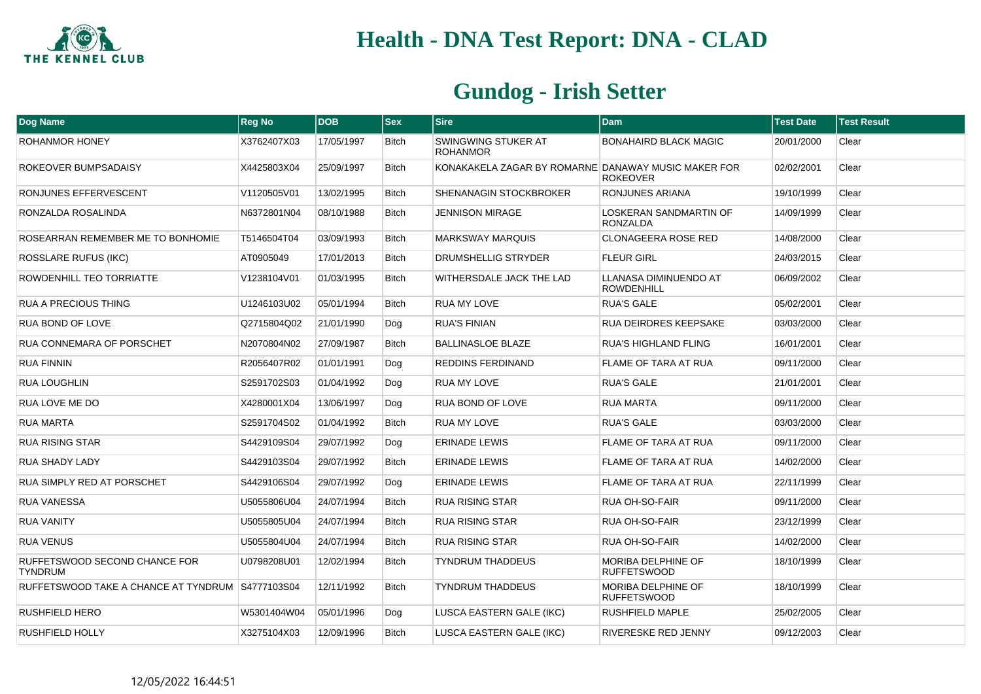

| Dog Name                                        | <b>Reg No</b> | <b>DOB</b> | <b>Sex</b>   | <b>Sire</b>                                         | <b>Dam</b>                                       | <b>Test Date</b> | <b>Test Result</b> |
|-------------------------------------------------|---------------|------------|--------------|-----------------------------------------------------|--------------------------------------------------|------------------|--------------------|
| <b>ROHANMOR HONEY</b>                           | X3762407X03   | 17/05/1997 | <b>Bitch</b> | SWINGWING STUKER AT<br><b>ROHANMOR</b>              | <b>BONAHAIRD BLACK MAGIC</b>                     | 20/01/2000       | Clear              |
| ROKEOVER BUMPSADAISY                            | X4425803X04   | 25/09/1997 | <b>Bitch</b> | KONAKAKELA ZAGAR BY ROMARNE DANAWAY MUSIC MAKER FOR | <b>ROKEOVER</b>                                  | 02/02/2001       | Clear              |
| RONJUNES EFFERVESCENT                           | V1120505V01   | 13/02/1995 | Bitch        | SHENANAGIN STOCKBROKER                              | RONJUNES ARIANA                                  | 19/10/1999       | Clear              |
| RONZALDA ROSALINDA                              | N6372801N04   | 08/10/1988 | <b>Bitch</b> | <b>JENNISON MIRAGE</b>                              | <b>LOSKERAN SANDMARTIN OF</b><br><b>RONZALDA</b> | 14/09/1999       | Clear              |
| ROSEARRAN REMEMBER ME TO BONHOMIE               | T5146504T04   | 03/09/1993 | Bitch        | <b>MARKSWAY MARQUIS</b>                             | <b>CLONAGEERA ROSE RED</b>                       | 14/08/2000       | Clear              |
| <b>ROSSLARE RUFUS (IKC)</b>                     | AT0905049     | 17/01/2013 | <b>Bitch</b> | DRUMSHELLIG STRYDER                                 | <b>FLEUR GIRL</b>                                | 24/03/2015       | Clear              |
| ROWDENHILL TEO TORRIATTE                        | V1238104V01   | 01/03/1995 | Bitch        | WITHERSDALE JACK THE LAD                            | LLANASA DIMINUENDO AT<br><b>ROWDENHILL</b>       | 06/09/2002       | Clear              |
| <b>RUA A PRECIOUS THING</b>                     | U1246103U02   | 05/01/1994 | <b>Bitch</b> | <b>RUA MY LOVE</b>                                  | <b>RUA'S GALE</b>                                | 05/02/2001       | Clear              |
| RUA BOND OF LOVE                                | Q2715804Q02   | 21/01/1990 | Dog          | <b>RUA'S FINIAN</b>                                 | RUA DEIRDRES KEEPSAKE                            | 03/03/2000       | Clear              |
| RUA CONNEMARA OF PORSCHET                       | N2070804N02   | 27/09/1987 | Bitch        | <b>BALLINASLOE BLAZE</b>                            | <b>RUA'S HIGHLAND FLING</b>                      | 16/01/2001       | Clear              |
| <b>RUA FINNIN</b>                               | R2056407R02   | 01/01/1991 | Dog          | <b>REDDINS FERDINAND</b>                            | <b>FLAME OF TARA AT RUA</b>                      | 09/11/2000       | Clear              |
| <b>RUA LOUGHLIN</b>                             | S2591702S03   | 01/04/1992 | Dog          | RUA MY LOVE                                         | <b>RUA'S GALE</b>                                | 21/01/2001       | Clear              |
| RUA LOVE ME DO                                  | X4280001X04   | 13/06/1997 | Dog          | RUA BOND OF LOVE                                    | <b>RUA MARTA</b>                                 | 09/11/2000       | Clear              |
| <b>RUA MARTA</b>                                | S2591704S02   | 01/04/1992 | <b>Bitch</b> | <b>RUA MY LOVE</b>                                  | <b>RUA'S GALE</b>                                | 03/03/2000       | Clear              |
| <b>RUA RISING STAR</b>                          | S4429109S04   | 29/07/1992 | Dog          | <b>ERINADE LEWIS</b>                                | FLAME OF TARA AT RUA                             | 09/11/2000       | Clear              |
| <b>RUA SHADY LADY</b>                           | S4429103S04   | 29/07/1992 | <b>Bitch</b> | <b>ERINADE LEWIS</b>                                | <b>FLAME OF TARA AT RUA</b>                      | 14/02/2000       | Clear              |
| RUA SIMPLY RED AT PORSCHET                      | S4429106S04   | 29/07/1992 | Dog          | <b>ERINADE LEWIS</b>                                | <b>FLAME OF TARA AT RUA</b>                      | 22/11/1999       | Clear              |
| <b>RUA VANESSA</b>                              | U5055806U04   | 24/07/1994 | Bitch        | <b>RUA RISING STAR</b>                              | <b>RUA OH-SO-FAIR</b>                            | 09/11/2000       | Clear              |
| <b>RUA VANITY</b>                               | U5055805U04   | 24/07/1994 | <b>Bitch</b> | <b>RUA RISING STAR</b>                              | <b>RUA OH-SO-FAIR</b>                            | 23/12/1999       | Clear              |
| <b>RUA VENUS</b>                                | U5055804U04   | 24/07/1994 | <b>Bitch</b> | <b>RUA RISING STAR</b>                              | RUA OH-SO-FAIR                                   | 14/02/2000       | Clear              |
| RUFFETSWOOD SECOND CHANCE FOR<br><b>TYNDRUM</b> | U0798208U01   | 12/02/1994 | Bitch        | TYNDRUM THADDEUS                                    | MORIBA DELPHINE OF<br><b>RUFFETSWOOD</b>         | 18/10/1999       | Clear              |
| RUFFETSWOOD TAKE A CHANCE AT TYNDRUM            | S4777103S04   | 12/11/1992 | <b>Bitch</b> | <b>TYNDRUM THADDEUS</b>                             | MORIBA DELPHINE OF<br><b>RUFFETSWOOD</b>         | 18/10/1999       | Clear              |
| <b>RUSHFIELD HERO</b>                           | W5301404W04   | 05/01/1996 | Dog          | LUSCA EASTERN GALE (IKC)                            | <b>RUSHFIELD MAPLE</b>                           | 25/02/2005       | Clear              |
| RUSHFIELD HOLLY                                 | X3275104X03   | 12/09/1996 | <b>Bitch</b> | LUSCA EASTERN GALE (IKC)                            | RIVERESKE RED JENNY                              | 09/12/2003       | Clear              |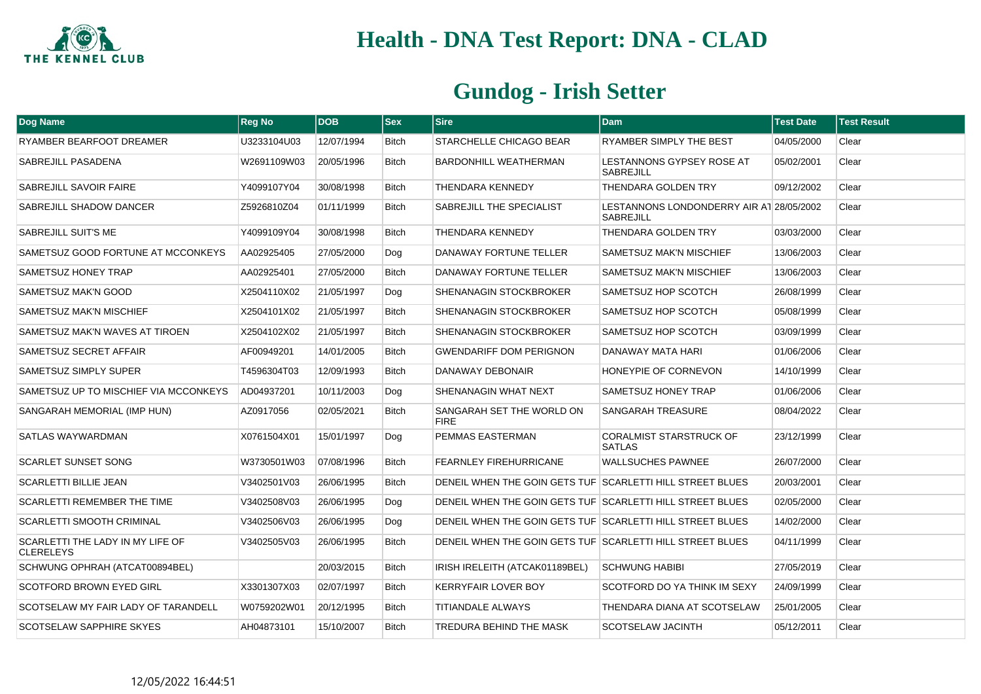

| <b>Dog Name</b>                                      | <b>Reg No</b> | <b>DOB</b> | <b>Sex</b>   | <b>Sire</b>                                               | <b>Dam</b>                                                   | <b>Test Date</b> | <b>Test Result</b> |
|------------------------------------------------------|---------------|------------|--------------|-----------------------------------------------------------|--------------------------------------------------------------|------------------|--------------------|
| RYAMBER BEARFOOT DREAMER                             | U3233104U03   | 12/07/1994 | <b>Bitch</b> | STARCHELLE CHICAGO BEAR                                   | RYAMBER SIMPLY THE BEST                                      | 04/05/2000       | Clear              |
| SABREJILL PASADENA                                   | W2691109W03   | 20/05/1996 | <b>Bitch</b> | <b>BARDONHILL WEATHERMAN</b>                              | <b>LESTANNONS GYPSEY ROSE AT</b><br><b>SABREJILL</b>         | 05/02/2001       | Clear              |
| SABREJILL SAVOIR FAIRE                               | Y4099107Y04   | 30/08/1998 | <b>Bitch</b> | <b>THENDARA KENNEDY</b>                                   | <b>THENDARA GOLDEN TRY</b>                                   | 09/12/2002       | Clear              |
| SABREJILL SHADOW DANCER                              | Z5926810Z04   | 01/11/1999 | <b>Bitch</b> | SABREJILL THE SPECIALIST                                  | LESTANNONS LONDONDERRY AIR AT 28/05/2002<br><b>SABREJILL</b> |                  | Clear              |
| SABREJILL SUIT'S ME                                  | Y4099109Y04   | 30/08/1998 | <b>Bitch</b> | <b>THENDARA KENNEDY</b>                                   | <b>THENDARA GOLDEN TRY</b>                                   | 03/03/2000       | Clear              |
| SAMETSUZ GOOD FORTUNE AT MCCONKEYS                   | AA02925405    | 27/05/2000 | Dog          | DANAWAY FORTUNE TELLER                                    | SAMETSUZ MAK'N MISCHIEF                                      | 13/06/2003       | Clear              |
| SAMETSUZ HONEY TRAP                                  | AA02925401    | 27/05/2000 | <b>Bitch</b> | DANAWAY FORTUNE TELLER                                    | SAMETSUZ MAK'N MISCHIEF                                      | 13/06/2003       | Clear              |
| SAMETSUZ MAK'N GOOD                                  | X2504110X02   | 21/05/1997 | Dog          | SHENANAGIN STOCKBROKER                                    | SAMETSUZ HOP SCOTCH                                          | 26/08/1999       | Clear              |
| SAMETSUZ MAK'N MISCHIEF                              | X2504101X02   | 21/05/1997 | <b>Bitch</b> | SHENANAGIN STOCKBROKER                                    | SAMETSUZ HOP SCOTCH                                          | 05/08/1999       | Clear              |
| SAMETSUZ MAK'N WAVES AT TIROEN                       | X2504102X02   | 21/05/1997 | <b>Bitch</b> | <b>SHENANAGIN STOCKBROKER</b>                             | SAMETSUZ HOP SCOTCH                                          | 03/09/1999       | Clear              |
| SAMETSUZ SECRET AFFAIR                               | AF00949201    | 14/01/2005 | <b>Bitch</b> | <b>GWENDARIFF DOM PERIGNON</b>                            | DANAWAY MATA HARI                                            | 01/06/2006       | Clear              |
| SAMETSUZ SIMPLY SUPER                                | T4596304T03   | 12/09/1993 | Bitch        | DANAWAY DEBONAIR                                          | HONEYPIE OF CORNEVON                                         | 14/10/1999       | Clear              |
| SAMETSUZ UP TO MISCHIEF VIA MCCONKEYS                | AD04937201    | 10/11/2003 | Dog          | SHENANAGIN WHAT NEXT                                      | SAMETSUZ HONEY TRAP                                          | 01/06/2006       | Clear              |
| SANGARAH MEMORIAL (IMP HUN)                          | AZ0917056     | 02/05/2021 | <b>Bitch</b> | SANGARAH SET THE WORLD ON<br><b>FIRE</b>                  | SANGARAH TREASURE                                            | 08/04/2022       | Clear              |
| SATLAS WAYWARDMAN                                    | X0761504X01   | 15/01/1997 | Dog          | PEMMAS EASTERMAN                                          | <b>CORALMIST STARSTRUCK OF</b><br><b>SATLAS</b>              | 23/12/1999       | Clear              |
| <b>SCARLET SUNSET SONG</b>                           | W3730501W03   | 07/08/1996 | <b>Bitch</b> | <b>FEARNLEY FIREHURRICANE</b>                             | <b>WALLSUCHES PAWNEE</b>                                     | 26/07/2000       | Clear              |
| <b>SCARLETTI BILLIE JEAN</b>                         | V3402501V03   | 26/06/1995 | Bitch        | DENEIL WHEN THE GOIN GETS TUF SCARLETTI HILL STREET BLUES |                                                              | 20/03/2001       | Clear              |
| <b>SCARLETTI REMEMBER THE TIME</b>                   | V3402508V03   | 26/06/1995 | Dog          | DENEIL WHEN THE GOIN GETS TUF SCARLETTI HILL STREET BLUES |                                                              | 02/05/2000       | Clear              |
| SCARLETTI SMOOTH CRIMINAL                            | V3402506V03   | 26/06/1995 | Dog          | DENEIL WHEN THE GOIN GETS TUF SCARLETTI HILL STREET BLUES |                                                              | 14/02/2000       | Clear              |
| SCARLETTI THE LADY IN MY LIFE OF<br><b>CLERELEYS</b> | V3402505V03   | 26/06/1995 | Bitch        | DENEIL WHEN THE GOIN GETS TUF SCARLETTI HILL STREET BLUES |                                                              | 04/11/1999       | Clear              |
| SCHWUNG OPHRAH (ATCAT00894BEL)                       |               | 20/03/2015 | <b>Bitch</b> | IRISH IRELEITH (ATCAK01189BEL)                            | <b>SCHWUNG HABIBI</b>                                        | 27/05/2019       | Clear              |
| <b>SCOTFORD BROWN EYED GIRL</b>                      | X3301307X03   | 02/07/1997 | <b>Bitch</b> | <b>KERRYFAIR LOVER BOY</b>                                | SCOTFORD DO YA THINK IM SEXY                                 | 24/09/1999       | Clear              |
| SCOTSELAW MY FAIR LADY OF TARANDELL                  | W0759202W01   | 20/12/1995 | Bitch        | <b>TITIANDALE ALWAYS</b>                                  | THENDARA DIANA AT SCOTSELAW                                  | 25/01/2005       | Clear              |
| SCOTSELAW SAPPHIRE SKYES                             | AH04873101    | 15/10/2007 | Bitch        | TREDURA BEHIND THE MASK                                   | SCOTSELAW JACINTH                                            | 05/12/2011       | Clear              |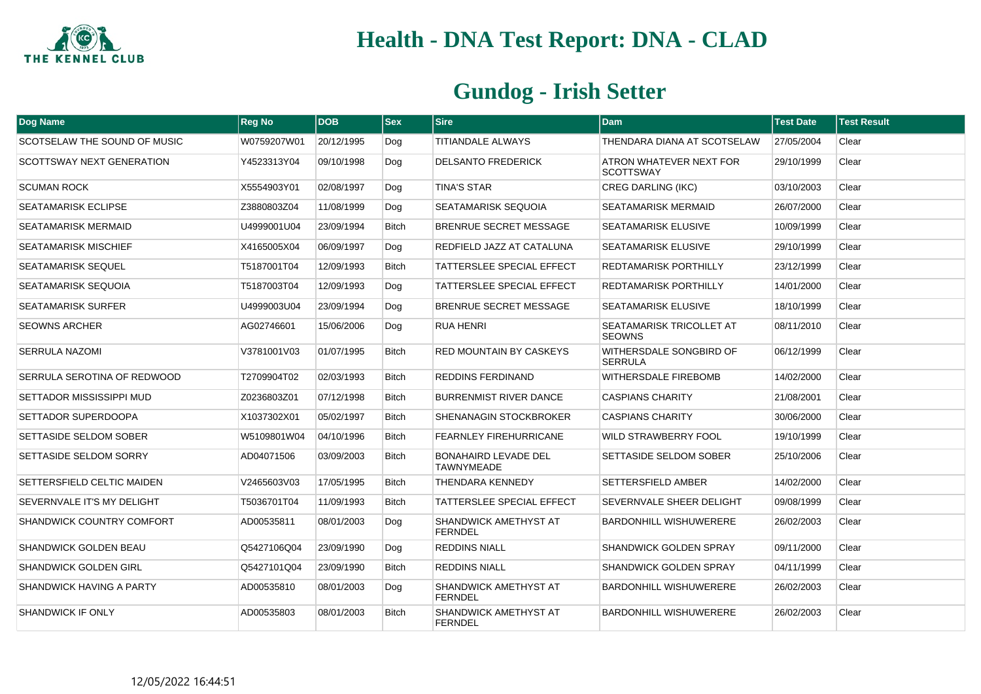

| Dog Name                         | <b>Reg No</b> | <b>DOB</b> | <b>Sex</b>   | $ S$ ire                                         | <b>Dam</b>                                  | <b>Test Date</b> | <b>Test Result</b> |
|----------------------------------|---------------|------------|--------------|--------------------------------------------------|---------------------------------------------|------------------|--------------------|
| SCOTSELAW THE SOUND OF MUSIC     | W0759207W01   | 20/12/1995 | Dog          | TITIANDALE ALWAYS                                | THENDARA DIANA AT SCOTSELAW                 | 27/05/2004       | Clear              |
| <b>SCOTTSWAY NEXT GENERATION</b> | Y4523313Y04   | 09/10/1998 | Dog          | <b>DELSANTO FREDERICK</b>                        | ATRON WHATEVER NEXT FOR<br><b>SCOTTSWAY</b> | 29/10/1999       | Clear              |
| <b>SCUMAN ROCK</b>               | X5554903Y01   | 02/08/1997 | Dog          | <b>TINA'S STAR</b>                               | <b>CREG DARLING (IKC)</b>                   | 03/10/2003       | Clear              |
| <b>SEATAMARISK ECLIPSE</b>       | Z3880803Z04   | 11/08/1999 | Dog          | SEATAMARISK SEQUOIA                              | <b>SEATAMARISK MERMAID</b>                  | 26/07/2000       | Clear              |
| SEATAMARISK MERMAID              | U4999001U04   | 23/09/1994 | <b>Bitch</b> | <b>BRENRUE SECRET MESSAGE</b>                    | <b>SEATAMARISK ELUSIVE</b>                  | 10/09/1999       | Clear              |
| <b>SEATAMARISK MISCHIEF</b>      | X4165005X04   | 06/09/1997 | Dog          | REDFIELD JAZZ AT CATALUNA                        | <b>SEATAMARISK ELUSIVE</b>                  | 29/10/1999       | Clear              |
| <b>SEATAMARISK SEQUEL</b>        | T5187001T04   | 12/09/1993 | <b>Bitch</b> | TATTERSLEE SPECIAL EFFECT                        | <b>REDTAMARISK PORTHILLY</b>                | 23/12/1999       | Clear              |
| <b>SEATAMARISK SEQUOIA</b>       | T5187003T04   | 12/09/1993 | Dog          | TATTERSLEE SPECIAL EFFECT                        | <b>REDTAMARISK PORTHILLY</b>                | 14/01/2000       | Clear              |
| <b>SEATAMARISK SURFER</b>        | U4999003U04   | 23/09/1994 | Dog          | BRENRUE SECRET MESSAGE                           | <b>SEATAMARISK ELUSIVE</b>                  | 18/10/1999       | Clear              |
| <b>SEOWNS ARCHER</b>             | AG02746601    | 15/06/2006 | Dog          | <b>RUA HENRI</b>                                 | SEATAMARISK TRICOLLET AT<br><b>SEOWNS</b>   | 08/11/2010       | Clear              |
| <b>SERRULA NAZOMI</b>            | V3781001V03   | 01/07/1995 | <b>Bitch</b> | <b>RED MOUNTAIN BY CASKEYS</b>                   | WITHERSDALE SONGBIRD OF<br><b>SERRULA</b>   | 06/12/1999       | Clear              |
| SERRULA SEROTINA OF REDWOOD      | T2709904T02   | 02/03/1993 | <b>Bitch</b> | <b>REDDINS FERDINAND</b>                         | <b>WITHERSDALE FIREBOMB</b>                 | 14/02/2000       | Clear              |
| SETTADOR MISSISSIPPI MUD         | Z0236803Z01   | 07/12/1998 | <b>Bitch</b> | <b>BURRENMIST RIVER DANCE</b>                    | <b>CASPIANS CHARITY</b>                     | 21/08/2001       | Clear              |
| SETTADOR SUPERDOOPA              | X1037302X01   | 05/02/1997 | <b>Bitch</b> | SHENANAGIN STOCKBROKER                           | <b>CASPIANS CHARITY</b>                     | 30/06/2000       | Clear              |
| SETTASIDE SELDOM SOBER           | W5109801W04   | 04/10/1996 | Bitch        | <b>FEARNLEY FIREHURRICANE</b>                    | WILD STRAWBERRY FOOL                        | 19/10/1999       | Clear              |
| SETTASIDE SELDOM SORRY           | AD04071506    | 03/09/2003 | <b>Bitch</b> | <b>BONAHAIRD LEVADE DEL</b><br><b>TAWNYMEADE</b> | SETTASIDE SELDOM SOBER                      | 25/10/2006       | Clear              |
| SETTERSFIELD CELTIC MAIDEN       | V2465603V03   | 17/05/1995 | <b>Bitch</b> | <b>THENDARA KENNEDY</b>                          | <b>SETTERSFIELD AMBER</b>                   | 14/02/2000       | Clear              |
| SEVERNVALE IT'S MY DELIGHT       | T5036701T04   | 11/09/1993 | <b>Bitch</b> | TATTERSLEE SPECIAL EFFECT                        | SEVERNVALE SHEER DELIGHT                    | 09/08/1999       | Clear              |
| SHANDWICK COUNTRY COMFORT        | AD00535811    | 08/01/2003 | Dog          | SHANDWICK AMETHYST AT<br><b>FERNDEL</b>          | <b>BARDONHILL WISHUWERERE</b>               | 26/02/2003       | Clear              |
| <b>SHANDWICK GOLDEN BEAU</b>     | Q5427106Q04   | 23/09/1990 | Dog          | <b>REDDINS NIALL</b>                             | <b>SHANDWICK GOLDEN SPRAY</b>               | 09/11/2000       | Clear              |
| <b>SHANDWICK GOLDEN GIRL</b>     | Q5427101Q04   | 23/09/1990 | <b>Bitch</b> | <b>REDDINS NIALL</b>                             | <b>SHANDWICK GOLDEN SPRAY</b>               | 04/11/1999       | Clear              |
| <b>SHANDWICK HAVING A PARTY</b>  | AD00535810    | 08/01/2003 | Dog          | SHANDWICK AMETHYST AT<br><b>FERNDEL</b>          | <b>BARDONHILL WISHUWERERE</b>               | 26/02/2003       | Clear              |
| <b>SHANDWICK IF ONLY</b>         | AD00535803    | 08/01/2003 | <b>Bitch</b> | SHANDWICK AMETHYST AT<br><b>FERNDEL</b>          | <b>BARDONHILL WISHUWERERE</b>               | 26/02/2003       | Clear              |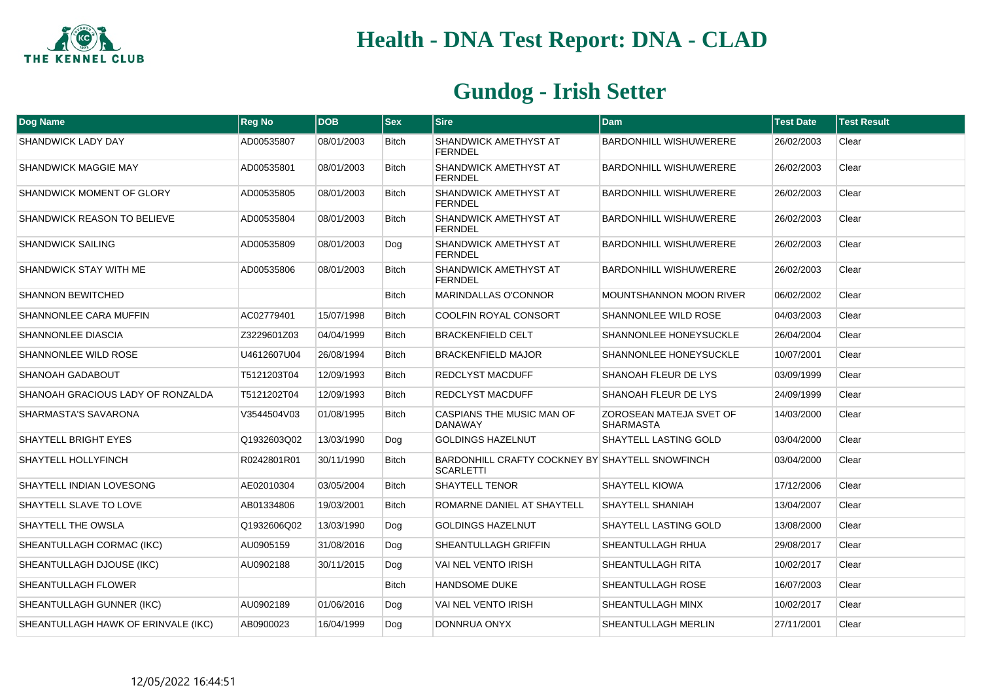

| Dog Name                            | <b>Reg No</b> | <b>DOB</b> | <b>Sex</b>   | <b>Sire</b>                                                         | <b>Dam</b>                                  | <b>Test Date</b> | <b>Test Result</b> |
|-------------------------------------|---------------|------------|--------------|---------------------------------------------------------------------|---------------------------------------------|------------------|--------------------|
| <b>SHANDWICK LADY DAY</b>           | AD00535807    | 08/01/2003 | <b>Bitch</b> | SHANDWICK AMETHYST AT<br><b>FERNDEL</b>                             | <b>BARDONHILL WISHUWERERE</b>               | 26/02/2003       | Clear              |
| <b>SHANDWICK MAGGIE MAY</b>         | AD00535801    | 08/01/2003 | <b>Bitch</b> | SHANDWICK AMETHYST AT<br><b>FERNDEL</b>                             | BARDONHILL WISHUWERERE                      | 26/02/2003       | Clear              |
| <b>SHANDWICK MOMENT OF GLORY</b>    | AD00535805    | 08/01/2003 | <b>Bitch</b> | SHANDWICK AMETHYST AT<br><b>FERNDEL</b>                             | <b>BARDONHILL WISHUWERERE</b>               | 26/02/2003       | Clear              |
| <b>SHANDWICK REASON TO BELIEVE</b>  | AD00535804    | 08/01/2003 | <b>Bitch</b> | SHANDWICK AMETHYST AT<br><b>FERNDEL</b>                             | <b>BARDONHILL WISHUWERERE</b>               | 26/02/2003       | Clear              |
| <b>SHANDWICK SAILING</b>            | AD00535809    | 08/01/2003 | Dog          | SHANDWICK AMETHYST AT<br><b>FERNDEL</b>                             | <b>BARDONHILL WISHUWERERE</b>               | 26/02/2003       | Clear              |
| SHANDWICK STAY WITH ME              | AD00535806    | 08/01/2003 | <b>Bitch</b> | SHANDWICK AMETHYST AT<br><b>FERNDEL</b>                             | <b>BARDONHILL WISHUWERERE</b>               | 26/02/2003       | Clear              |
| <b>SHANNON BEWITCHED</b>            |               |            | <b>Bitch</b> | <b>MARINDALLAS O'CONNOR</b>                                         | <b>MOUNTSHANNON MOON RIVER</b>              | 06/02/2002       | Clear              |
| SHANNONLEE CARA MUFFIN              | AC02779401    | 15/07/1998 | <b>Bitch</b> | <b>COOLFIN ROYAL CONSORT</b>                                        | <b>SHANNONLEE WILD ROSE</b>                 | 04/03/2003       | Clear              |
| SHANNONLEE DIASCIA                  | Z3229601Z03   | 04/04/1999 | <b>Bitch</b> | <b>BRACKENFIELD CELT</b>                                            | SHANNONLEE HONEYSUCKLE                      | 26/04/2004       | Clear              |
| SHANNONLEE WILD ROSE                | U4612607U04   | 26/08/1994 | <b>Bitch</b> | <b>BRACKENFIELD MAJOR</b>                                           | SHANNONLEE HONEYSUCKLE                      | 10/07/2001       | Clear              |
| SHANOAH GADABOUT                    | T5121203T04   | 12/09/1993 | <b>Bitch</b> | <b>REDCLYST MACDUFF</b>                                             | SHANOAH FLEUR DE LYS                        | 03/09/1999       | Clear              |
| SHANOAH GRACIOUS LADY OF RONZALDA   | T5121202T04   | 12/09/1993 | <b>Bitch</b> | <b>REDCLYST MACDUFF</b>                                             | SHANOAH FLEUR DE LYS                        | 24/09/1999       | Clear              |
| SHARMASTA'S SAVARONA                | V3544504V03   | 01/08/1995 | <b>Bitch</b> | CASPIANS THE MUSIC MAN OF<br><b>DANAWAY</b>                         | ZOROSEAN MATEJA SVET OF<br><b>SHARMASTA</b> | 14/03/2000       | Clear              |
| <b>SHAYTELL BRIGHT EYES</b>         | Q1932603Q02   | 13/03/1990 | Dog          | <b>GOLDINGS HAZELNUT</b>                                            | SHAYTELL LASTING GOLD                       | 03/04/2000       | Clear              |
| SHAYTELL HOLLYFINCH                 | R0242801R01   | 30/11/1990 | <b>Bitch</b> | BARDONHILL CRAFTY COCKNEY BY SHAYTELL SNOWFINCH<br><b>SCARLETTI</b> |                                             | 03/04/2000       | Clear              |
| SHAYTELL INDIAN LOVESONG            | AE02010304    | 03/05/2004 | <b>Bitch</b> | <b>SHAYTELL TENOR</b>                                               | <b>SHAYTELL KIOWA</b>                       | 17/12/2006       | Clear              |
| SHAYTELL SLAVE TO LOVE              | AB01334806    | 19/03/2001 | <b>Bitch</b> | ROMARNE DANIEL AT SHAYTELL                                          | SHAYTELL SHANIAH                            | 13/04/2007       | Clear              |
| SHAYTELL THE OWSLA                  | Q1932606Q02   | 13/03/1990 | Dog          | <b>GOLDINGS HAZELNUT</b>                                            | <b>SHAYTELL LASTING GOLD</b>                | 13/08/2000       | Clear              |
| SHEANTULLAGH CORMAC (IKC)           | AU0905159     | 31/08/2016 | Dog          | SHEANTULLAGH GRIFFIN                                                | <b>SHEANTULLAGH RHUA</b>                    | 29/08/2017       | Clear              |
| SHEANTULLAGH DJOUSE (IKC)           | AU0902188     | 30/11/2015 | Dog          | VAI NEL VENTO IRISH                                                 | SHEANTULLAGH RITA                           | 10/02/2017       | Clear              |
| <b>SHEANTULLAGH FLOWER</b>          |               |            | <b>Bitch</b> | <b>HANDSOME DUKE</b>                                                | SHEANTULLAGH ROSE                           | 16/07/2003       | Clear              |
| SHEANTULLAGH GUNNER (IKC)           | AU0902189     | 01/06/2016 | Dog          | <b>VAI NEL VENTO IRISH</b>                                          | SHEANTULLAGH MINX                           | 10/02/2017       | Clear              |
| SHEANTULLAGH HAWK OF ERINVALE (IKC) | AB0900023     | 16/04/1999 | Dog          | DONNRUA ONYX                                                        | SHEANTULLAGH MERLIN                         | 27/11/2001       | Clear              |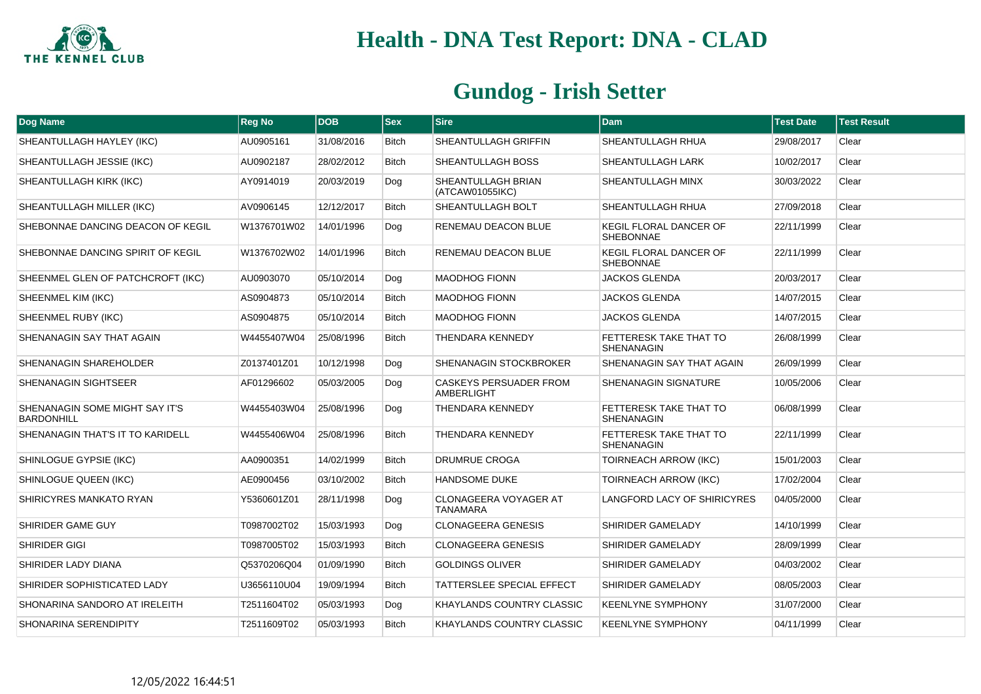

| Dog Name                                            | <b>Reg No</b> | <b>DOB</b> | <b>Sex</b>   | <b>Sire</b>                                        | <b>Dam</b>                                        | <b>Test Date</b> | <b>Test Result</b> |
|-----------------------------------------------------|---------------|------------|--------------|----------------------------------------------------|---------------------------------------------------|------------------|--------------------|
| SHEANTULLAGH HAYLEY (IKC)                           | AU0905161     | 31/08/2016 | <b>Bitch</b> | SHEANTULLAGH GRIFFIN                               | <b>SHEANTULLAGH RHUA</b>                          | 29/08/2017       | Clear              |
| SHEANTULLAGH JESSIE (IKC)                           | AU0902187     | 28/02/2012 | <b>Bitch</b> | SHEANTULLAGH BOSS                                  | <b>SHEANTULLAGH LARK</b>                          | 10/02/2017       | Clear              |
| SHEANTULLAGH KIRK (IKC)                             | AY0914019     | 20/03/2019 | Dog          | SHEANTULLAGH BRIAN<br>(ATCAW01055IKC)              | SHEANTULLAGH MINX                                 | 30/03/2022       | Clear              |
| SHEANTULLAGH MILLER (IKC)                           | AV0906145     | 12/12/2017 | <b>Bitch</b> | SHEANTULLAGH BOLT                                  | SHEANTULLAGH RHUA                                 | 27/09/2018       | Clear              |
| SHEBONNAE DANCING DEACON OF KEGIL                   | W1376701W02   | 14/01/1996 | Dog          | RENEMAU DEACON BLUE                                | <b>KEGIL FLORAL DANCER OF</b><br><b>SHEBONNAE</b> | 22/11/1999       | Clear              |
| SHEBONNAE DANCING SPIRIT OF KEGIL                   | W1376702W02   | 14/01/1996 | <b>Bitch</b> | RENEMAU DEACON BLUE                                | KEGIL FLORAL DANCER OF<br><b>SHEBONNAE</b>        | 22/11/1999       | Clear              |
| SHEENMEL GLEN OF PATCHCROFT (IKC)                   | AU0903070     | 05/10/2014 | Dog          | <b>MAODHOG FIONN</b>                               | <b>JACKOS GLENDA</b>                              | 20/03/2017       | Clear              |
| SHEENMEL KIM (IKC)                                  | AS0904873     | 05/10/2014 | <b>Bitch</b> | <b>MAODHOG FIONN</b>                               | JACKOS GLENDA                                     | 14/07/2015       | Clear              |
| SHEENMEL RUBY (IKC)                                 | AS0904875     | 05/10/2014 | <b>Bitch</b> | <b>MAODHOG FIONN</b>                               | <b>JACKOS GLENDA</b>                              | 14/07/2015       | Clear              |
| SHENANAGIN SAY THAT AGAIN                           | W4455407W04   | 25/08/1996 | <b>Bitch</b> | THENDARA KENNEDY                                   | FETTERESK TAKE THAT TO<br><b>SHENANAGIN</b>       | 26/08/1999       | Clear              |
| SHENANAGIN SHAREHOLDER                              | Z0137401Z01   | 10/12/1998 | Dog          | SHENANAGIN STOCKBROKER                             | SHENANAGIN SAY THAT AGAIN                         | 26/09/1999       | Clear              |
| SHENANAGIN SIGHTSEER                                | AF01296602    | 05/03/2005 | Dog          | <b>CASKEYS PERSUADER FROM</b><br><b>AMBERLIGHT</b> | <b>SHENANAGIN SIGNATURE</b>                       | 10/05/2006       | Clear              |
| SHENANAGIN SOME MIGHT SAY IT'S<br><b>BARDONHILL</b> | W4455403W04   | 25/08/1996 | Dog          | THENDARA KENNEDY                                   | FETTERESK TAKE THAT TO<br><b>SHENANAGIN</b>       | 06/08/1999       | Clear              |
| SHENANAGIN THAT'S IT TO KARIDELL                    | W4455406W04   | 25/08/1996 | <b>Bitch</b> | THENDARA KENNEDY                                   | FETTERESK TAKE THAT TO<br><b>SHENANAGIN</b>       | 22/11/1999       | Clear              |
| SHINLOGUE GYPSIE (IKC)                              | AA0900351     | 14/02/1999 | <b>Bitch</b> | <b>DRUMRUE CROGA</b>                               | <b>TOIRNEACH ARROW (IKC)</b>                      | 15/01/2003       | Clear              |
| SHINLOGUE QUEEN (IKC)                               | AE0900456     | 03/10/2002 | <b>Bitch</b> | <b>HANDSOME DUKE</b>                               | <b>TOIRNEACH ARROW (IKC)</b>                      | 17/02/2004       | Clear              |
| SHIRICYRES MANKATO RYAN                             | Y5360601Z01   | 28/11/1998 | Dog          | <b>CLONAGEERA VOYAGER AT</b><br><b>TANAMARA</b>    | LANGFORD LACY OF SHIRICYRES                       | 04/05/2000       | Clear              |
| SHIRIDER GAME GUY                                   | T0987002T02   | 15/03/1993 | Dog          | <b>CLONAGEERA GENESIS</b>                          | SHIRIDER GAMELADY                                 | 14/10/1999       | Clear              |
| SHIRIDER GIGI                                       | T0987005T02   | 15/03/1993 | <b>Bitch</b> | <b>CLONAGEERA GENESIS</b>                          | SHIRIDER GAMELADY                                 | 28/09/1999       | Clear              |
| SHIRIDER LADY DIANA                                 | Q5370206Q04   | 01/09/1990 | <b>Bitch</b> | <b>GOLDINGS OLIVER</b>                             | SHIRIDER GAMELADY                                 | 04/03/2002       | Clear              |
| SHIRIDER SOPHISTICATED LADY                         | U3656110U04   | 19/09/1994 | <b>Bitch</b> | TATTERSLEE SPECIAL EFFECT                          | SHIRIDER GAMELADY                                 | 08/05/2003       | Clear              |
| SHONARINA SANDORO AT IRELEITH                       | T2511604T02   | 05/03/1993 | Dog          | KHAYLANDS COUNTRY CLASSIC                          | <b>KEENLYNE SYMPHONY</b>                          | 31/07/2000       | Clear              |
| SHONARINA SERENDIPITY                               | T2511609T02   | 05/03/1993 | <b>Bitch</b> | KHAYLANDS COUNTRY CLASSIC                          | <b>KEENLYNE SYMPHONY</b>                          | 04/11/1999       | Clear              |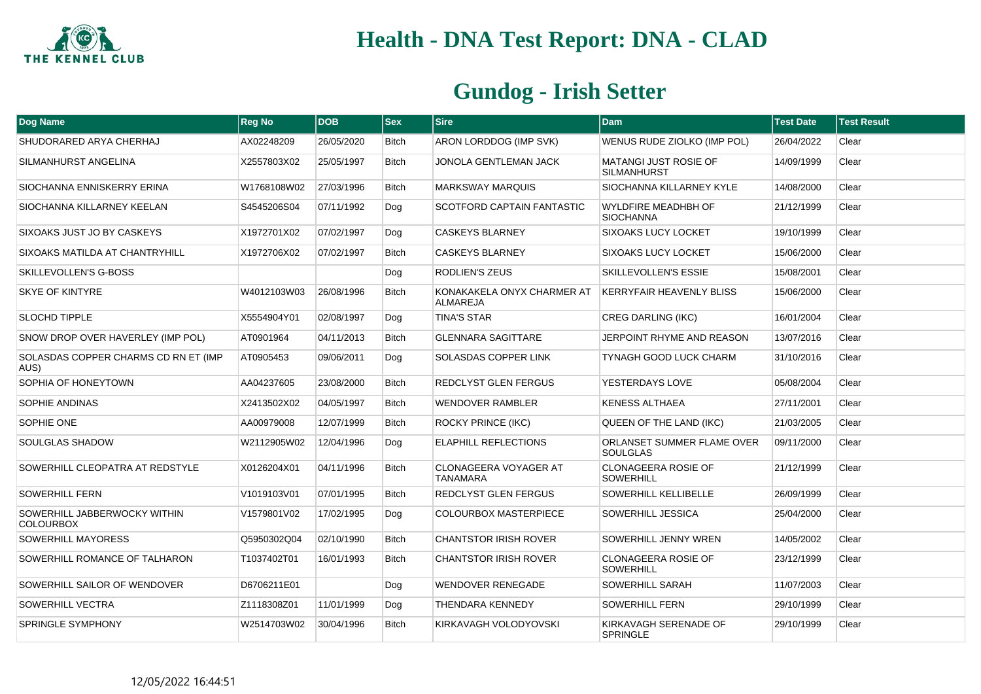

| Dog Name                                         | <b>Reg No</b> | <b>DOB</b> | $ $ Sex      | <b>Sire</b>                                   | <b>Dam</b>                                     | <b>Test Date</b> | <b>Test Result</b> |
|--------------------------------------------------|---------------|------------|--------------|-----------------------------------------------|------------------------------------------------|------------------|--------------------|
| SHUDORARED ARYA CHERHAJ                          | AX02248209    | 26/05/2020 | Bitch        | ARON LORDDOG (IMP SVK)                        | WENUS RUDE ZIOLKO (IMP POL)                    | 26/04/2022       | Clear              |
| SILMANHURST ANGELINA                             | X2557803X02   | 25/05/1997 | <b>Bitch</b> | JONOLA GENTLEMAN JACK                         | MATANGI JUST ROSIE OF<br><b>SILMANHURST</b>    | 14/09/1999       | Clear              |
| SIOCHANNA ENNISKERRY ERINA                       | W1768108W02   | 27/03/1996 | <b>Bitch</b> | <b>MARKSWAY MARQUIS</b>                       | SIOCHANNA KILLARNEY KYLE                       | 14/08/2000       | Clear              |
| SIOCHANNA KILLARNEY KEELAN                       | S4545206S04   | 07/11/1992 | Dog          | SCOTFORD CAPTAIN FANTASTIC                    | WYLDFIRE MEADHBH OF<br><b>SIOCHANNA</b>        | 21/12/1999       | Clear              |
| SIXOAKS JUST JO BY CASKEYS                       | X1972701X02   | 07/02/1997 | Dog          | <b>CASKEYS BLARNEY</b>                        | <b>SIXOAKS LUCY LOCKET</b>                     | 19/10/1999       | Clear              |
| SIXOAKS MATILDA AT CHANTRYHILL                   | X1972706X02   | 07/02/1997 | <b>Bitch</b> | <b>CASKEYS BLARNEY</b>                        | <b>SIXOAKS LUCY LOCKET</b>                     | 15/06/2000       | Clear              |
| SKILLEVOLLEN'S G-BOSS                            |               |            | Dog          | RODLIEN'S ZEUS                                | <b>SKILLEVOLLEN'S ESSIE</b>                    | 15/08/2001       | Clear              |
| <b>SKYE OF KINTYRE</b>                           | W4012103W03   | 26/08/1996 | <b>Bitch</b> | KONAKAKELA ONYX CHARMER AT<br><b>ALMAREJA</b> | <b>KERRYFAIR HEAVENLY BLISS</b>                | 15/06/2000       | Clear              |
| <b>SLOCHD TIPPLE</b>                             | X5554904Y01   | 02/08/1997 | Dog          | <b>TINA'S STAR</b>                            | <b>CREG DARLING (IKC)</b>                      | 16/01/2004       | Clear              |
| <b>SNOW DROP OVER HAVERLEY (IMP POL)</b>         | AT0901964     | 04/11/2013 | <b>Bitch</b> | <b>GLENNARA SAGITTARE</b>                     | JERPOINT RHYME AND REASON                      | 13/07/2016       | Clear              |
| SOLASDAS COPPER CHARMS CD RN ET (IMP<br>AUS)     | AT0905453     | 09/06/2011 | Dog          | SOLASDAS COPPER LINK                          | TYNAGH GOOD LUCK CHARM                         | 31/10/2016       | Clear              |
| SOPHIA OF HONEYTOWN                              | AA04237605    | 23/08/2000 | <b>Bitch</b> | REDCLYST GLEN FERGUS                          | YESTERDAYS LOVE                                | 05/08/2004       | Clear              |
| SOPHIE ANDINAS                                   | X2413502X02   | 04/05/1997 | Bitch        | <b>WENDOVER RAMBLER</b>                       | <b>KENESS ALTHAEA</b>                          | 27/11/2001       | Clear              |
| SOPHIE ONE                                       | AA00979008    | 12/07/1999 | Bitch        | ROCKY PRINCE (IKC)                            | <b>QUEEN OF THE LAND (IKC)</b>                 | 21/03/2005       | Clear              |
| SOULGLAS SHADOW                                  | W2112905W02   | 12/04/1996 | Dog          | <b>ELAPHILL REFLECTIONS</b>                   | ORLANSET SUMMER FLAME OVER<br><b>SOULGLAS</b>  | 09/11/2000       | Clear              |
| SOWERHILL CLEOPATRA AT REDSTYLE                  | X0126204X01   | 04/11/1996 | <b>Bitch</b> | CLONAGEERA VOYAGER AT<br><b>TANAMARA</b>      | <b>CLONAGEERA ROSIE OF</b><br><b>SOWERHILL</b> | 21/12/1999       | Clear              |
| <b>SOWERHILL FERN</b>                            | V1019103V01   | 07/01/1995 | <b>Bitch</b> | <b>REDCLYST GLEN FERGUS</b>                   | SOWERHILL KELLIBELLE                           | 26/09/1999       | Clear              |
| SOWERHILL JABBERWOCKY WITHIN<br><b>COLOURBOX</b> | V1579801V02   | 17/02/1995 | Dog          | <b>COLOURBOX MASTERPIECE</b>                  | SOWERHILL JESSICA                              | 25/04/2000       | Clear              |
| SOWERHILL MAYORESS                               | Q5950302Q04   | 02/10/1990 | <b>Bitch</b> | <b>CHANTSTOR IRISH ROVER</b>                  | SOWERHILL JENNY WREN                           | 14/05/2002       | Clear              |
| SOWERHILL ROMANCE OF TALHARON                    | T1037402T01   | 16/01/1993 | <b>Bitch</b> | <b>CHANTSTOR IRISH ROVER</b>                  | CLONAGEERA ROSIE OF<br><b>SOWERHILL</b>        | 23/12/1999       | Clear              |
| SOWERHILL SAILOR OF WENDOVER                     | D6706211E01   |            | Dog          | WENDOVER RENEGADE                             | <b>SOWERHILL SARAH</b>                         | 11/07/2003       | Clear              |
| SOWERHILL VECTRA                                 | Z1118308Z01   | 11/01/1999 | Dog          | <b>THENDARA KENNEDY</b>                       | SOWERHILL FERN                                 | 29/10/1999       | Clear              |
| <b>SPRINGLE SYMPHONY</b>                         | W2514703W02   | 30/04/1996 | <b>Bitch</b> | KIRKAVAGH VOLODYOVSKI                         | KIRKAVAGH SERENADE OF<br><b>SPRINGLE</b>       | 29/10/1999       | Clear              |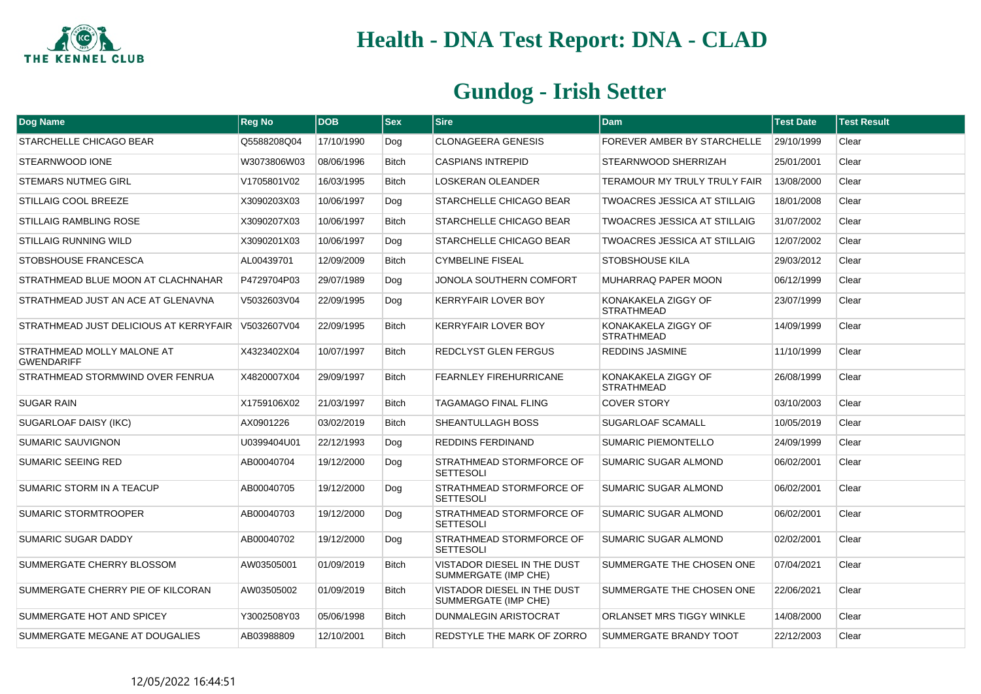

| Dog Name                                        | <b>Reg No</b> | <b>DOB</b> | <b>Sex</b>   | <b>Sire</b>                                         | <b>Dam</b>                               | <b>Test Date</b> | <b>Test Result</b> |
|-------------------------------------------------|---------------|------------|--------------|-----------------------------------------------------|------------------------------------------|------------------|--------------------|
| STARCHELLE CHICAGO BEAR                         | Q5588208Q04   | 17/10/1990 | Dog          | <b>CLONAGEERA GENESIS</b>                           | <b>FOREVER AMBER BY STARCHELLE</b>       | 29/10/1999       | Clear              |
| STEARNWOOD IONE                                 | W3073806W03   | 08/06/1996 | <b>Bitch</b> | <b>CASPIANS INTREPID</b>                            | STEARNWOOD SHERRIZAH                     | 25/01/2001       | Clear              |
| <b>STEMARS NUTMEG GIRL</b>                      | V1705801V02   | 16/03/1995 | Bitch        | LOSKERAN OLEANDER                                   | TERAMOUR MY TRULY TRULY FAIR             | 13/08/2000       | Clear              |
| STILLAIG COOL BREEZE                            | X3090203X03   | 10/06/1997 | Dog          | STARCHELLE CHICAGO BEAR                             | <b>TWOACRES JESSICA AT STILLAIG</b>      | 18/01/2008       | Clear              |
| <b>STILLAIG RAMBLING ROSE</b>                   | X3090207X03   | 10/06/1997 | <b>Bitch</b> | STARCHELLE CHICAGO BEAR                             | <b>TWOACRES JESSICA AT STILLAIG</b>      | 31/07/2002       | Clear              |
| <b>STILLAIG RUNNING WILD</b>                    | X3090201X03   | 10/06/1997 | Dog          | STARCHELLE CHICAGO BEAR                             | <b>TWOACRES JESSICA AT STILLAIG</b>      | 12/07/2002       | Clear              |
| STOBSHOUSE FRANCESCA                            | AL00439701    | 12/09/2009 | <b>Bitch</b> | <b>CYMBELINE FISEAL</b>                             | <b>STOBSHOUSE KILA</b>                   | 29/03/2012       | Clear              |
| STRATHMEAD BLUE MOON AT CLACHNAHAR              | P4729704P03   | 29/07/1989 | Dog          | JONOLA SOUTHERN COMFORT                             | MUHARRAQ PAPER MOON                      | 06/12/1999       | Clear              |
| STRATHMEAD JUST AN ACE AT GLENAVNA              | V5032603V04   | 22/09/1995 | Dog          | KERRYFAIR LOVER BOY                                 | KONAKAKELA ZIGGY OF<br><b>STRATHMEAD</b> | 23/07/1999       | Clear              |
| STRATHMEAD JUST DELICIOUS AT KERRYFAIR          | V5032607V04   | 22/09/1995 | <b>Bitch</b> | <b>KERRYFAIR LOVER BOY</b>                          | KONAKAKELA ZIGGY OF<br><b>STRATHMEAD</b> | 14/09/1999       | Clear              |
| STRATHMEAD MOLLY MALONE AT<br><b>GWENDARIFF</b> | X4323402X04   | 10/07/1997 | <b>Bitch</b> | REDCLYST GLEN FERGUS                                | <b>REDDINS JASMINE</b>                   | 11/10/1999       | Clear              |
| STRATHMEAD STORMWIND OVER FENRUA                | X4820007X04   | 29/09/1997 | <b>Bitch</b> | <b>FEARNLEY FIREHURRICANE</b>                       | KONAKAKELA ZIGGY OF<br><b>STRATHMEAD</b> | 26/08/1999       | Clear              |
| <b>SUGAR RAIN</b>                               | X1759106X02   | 21/03/1997 | <b>Bitch</b> | TAGAMAGO FINAL FLING                                | <b>COVER STORY</b>                       | 03/10/2003       | Clear              |
| SUGARLOAF DAISY (IKC)                           | AX0901226     | 03/02/2019 | <b>Bitch</b> | SHEANTULLAGH BOSS                                   | <b>SUGARLOAF SCAMALL</b>                 | 10/05/2019       | Clear              |
| SUMARIC SAUVIGNON                               | U0399404U01   | 22/12/1993 | Dog          | REDDINS FERDINAND                                   | SUMARIC PIEMONTELLO                      | 24/09/1999       | Clear              |
| <b>SUMARIC SEEING RED</b>                       | AB00040704    | 19/12/2000 | Dog          | STRATHMEAD STORMFORCE OF<br><b>SETTESOLI</b>        | SUMARIC SUGAR ALMOND                     | 06/02/2001       | Clear              |
| SUMARIC STORM IN A TEACUP                       | AB00040705    | 19/12/2000 | Dog          | STRATHMEAD STORMFORCE OF<br><b>SETTESOLI</b>        | <b>SUMARIC SUGAR ALMOND</b>              | 06/02/2001       | Clear              |
| SUMARIC STORMTROOPER                            | AB00040703    | 19/12/2000 | Dog          | STRATHMEAD STORMFORCE OF<br><b>SETTESOLI</b>        | SUMARIC SUGAR ALMOND                     | 06/02/2001       | Clear              |
| SUMARIC SUGAR DADDY                             | AB00040702    | 19/12/2000 | Dog          | STRATHMEAD STORMFORCE OF<br><b>SETTESOLI</b>        | <b>SUMARIC SUGAR ALMOND</b>              | 02/02/2001       | Clear              |
| SUMMERGATE CHERRY BLOSSOM                       | AW03505001    | 01/09/2019 | <b>Bitch</b> | VISTADOR DIESEL IN THE DUST<br>SUMMERGATE (IMP CHE) | SUMMERGATE THE CHOSEN ONE                | 07/04/2021       | Clear              |
| SUMMERGATE CHERRY PIE OF KILCORAN               | AW03505002    | 01/09/2019 | <b>Bitch</b> | VISTADOR DIESEL IN THE DUST<br>SUMMERGATE (IMP CHE) | SUMMERGATE THE CHOSEN ONE                | 22/06/2021       | Clear              |
| SUMMERGATE HOT AND SPICEY                       | Y3002508Y03   | 05/06/1998 | <b>Bitch</b> | DUNMALEGIN ARISTOCRAT                               | ORLANSET MRS TIGGY WINKLE                | 14/08/2000       | Clear              |
| SUMMERGATE MEGANE AT DOUGALIES                  | AB03988809    | 12/10/2001 | <b>Bitch</b> | REDSTYLE THE MARK OF ZORRO                          | SUMMERGATE BRANDY TOOT                   | 22/12/2003       | Clear              |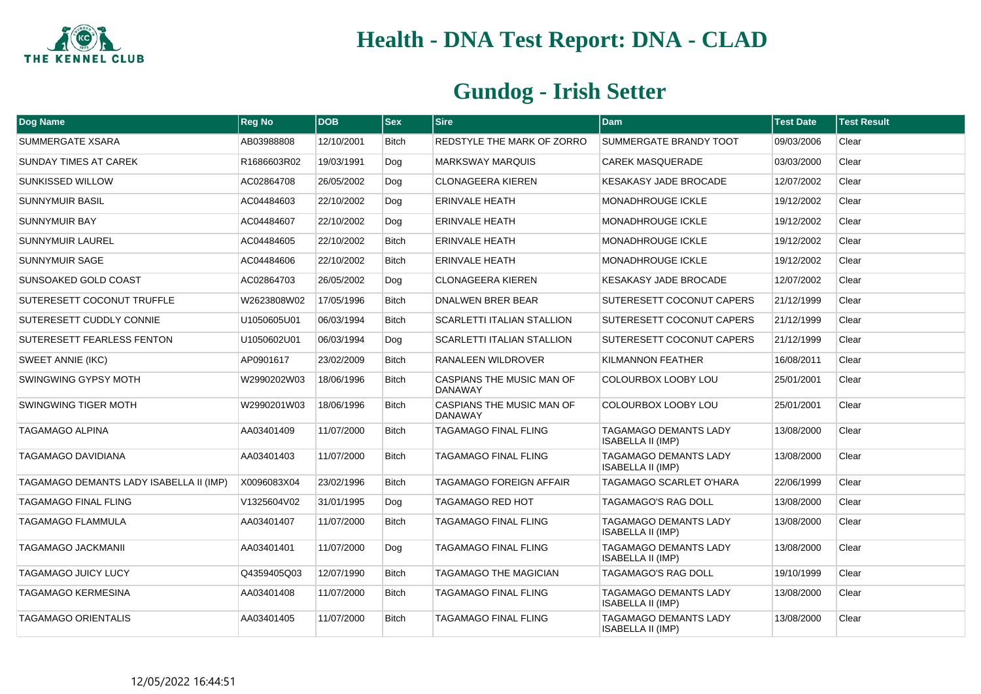

| Dog Name                                | <b>Reg No</b> | <b>DOB</b> | <b>Sex</b>   | <b>Sire</b>                                 | <b>Dam</b>                                        | <b>Test Date</b> | <b>Test Result</b> |
|-----------------------------------------|---------------|------------|--------------|---------------------------------------------|---------------------------------------------------|------------------|--------------------|
| SUMMERGATE XSARA                        | AB03988808    | 12/10/2001 | <b>Bitch</b> | REDSTYLE THE MARK OF ZORRO                  | SUMMERGATE BRANDY TOOT                            | 09/03/2006       | Clear              |
| SUNDAY TIMES AT CAREK                   | R1686603R02   | 19/03/1991 | Dog          | <b>MARKSWAY MARQUIS</b>                     | <b>CAREK MASQUERADE</b>                           | 03/03/2000       | Clear              |
| SUNKISSED WILLOW                        | AC02864708    | 26/05/2002 | Dog          | <b>CLONAGEERA KIEREN</b>                    | KESAKASY JADE BROCADE                             | 12/07/2002       | Clear              |
| <b>SUNNYMUIR BASIL</b>                  | AC04484603    | 22/10/2002 | Dog          | <b>ERINVALE HEATH</b>                       | <b>MONADHROUGE ICKLE</b>                          | 19/12/2002       | Clear              |
| SUNNYMUIR BAY                           | AC04484607    | 22/10/2002 | Dog          | ERINVALE HEATH                              | <b>MONADHROUGE ICKLE</b>                          | 19/12/2002       | Clear              |
| <b>SUNNYMUIR LAUREL</b>                 | AC04484605    | 22/10/2002 | <b>Bitch</b> | <b>ERINVALE HEATH</b>                       | MONADHROUGE ICKLE                                 | 19/12/2002       | Clear              |
| SUNNYMUIR SAGE                          | AC04484606    | 22/10/2002 | <b>Bitch</b> | <b>ERINVALE HEATH</b>                       | <b>MONADHROUGE ICKLE</b>                          | 19/12/2002       | Clear              |
| SUNSOAKED GOLD COAST                    | AC02864703    | 26/05/2002 | Dog          | <b>CLONAGEERA KIEREN</b>                    | KESAKASY JADE BROCADE                             | 12/07/2002       | Clear              |
| SUTERESETT COCONUT TRUFFLE              | W2623808W02   | 17/05/1996 | <b>Bitch</b> | DNALWEN BRER BEAR                           | SUTERESETT COCONUT CAPERS                         | 21/12/1999       | Clear              |
| SUTERESETT CUDDLY CONNIE                | U1050605U01   | 06/03/1994 | <b>Bitch</b> | <b>SCARLETTI ITALIAN STALLION</b>           | <b>SUTERESETT COCONUT CAPERS</b>                  | 21/12/1999       | Clear              |
| SUTERESETT FEARLESS FENTON              | U1050602U01   | 06/03/1994 | Dog          | <b>SCARLETTI ITALIAN STALLION</b>           | SUTERESETT COCONUT CAPERS                         | 21/12/1999       | Clear              |
| SWEET ANNIE (IKC)                       | AP0901617     | 23/02/2009 | <b>Bitch</b> | RANALEEN WILDROVER                          | <b>KILMANNON FEATHER</b>                          | 16/08/2011       | Clear              |
| SWINGWING GYPSY MOTH                    | W2990202W03   | 18/06/1996 | <b>Bitch</b> | CASPIANS THE MUSIC MAN OF<br><b>DANAWAY</b> | COLOURBOX LOOBY LOU                               | 25/01/2001       | Clear              |
| <b>SWINGWING TIGER MOTH</b>             | W2990201W03   | 18/06/1996 | <b>Bitch</b> | CASPIANS THE MUSIC MAN OF<br><b>DANAWAY</b> | COLOURBOX LOOBY LOU                               | 25/01/2001       | Clear              |
| <b>TAGAMAGO ALPINA</b>                  | AA03401409    | 11/07/2000 | <b>Bitch</b> | <b>TAGAMAGO FINAL FLING</b>                 | TAGAMAGO DEMANTS LADY<br><b>ISABELLA II (IMP)</b> | 13/08/2000       | Clear              |
| TAGAMAGO DAVIDIANA                      | AA03401403    | 11/07/2000 | <b>Bitch</b> | <b>TAGAMAGO FINAL FLING</b>                 | TAGAMAGO DEMANTS LADY<br><b>ISABELLA II (IMP)</b> | 13/08/2000       | Clear              |
| TAGAMAGO DEMANTS LADY ISABELLA II (IMP) | X0096083X04   | 23/02/1996 | <b>Bitch</b> | TAGAMAGO FOREIGN AFFAIR                     | TAGAMAGO SCARLET O'HARA                           | 22/06/1999       | Clear              |
| <b>TAGAMAGO FINAL FLING</b>             | V1325604V02   | 31/01/1995 | Dog          | <b>TAGAMAGO RED HOT</b>                     | <b>TAGAMAGO'S RAG DOLL</b>                        | 13/08/2000       | Clear              |
| TAGAMAGO FLAMMULA                       | AA03401407    | 11/07/2000 | <b>Bitch</b> | TAGAMAGO FINAL FLING                        | TAGAMAGO DEMANTS LADY<br><b>ISABELLA II (IMP)</b> | 13/08/2000       | Clear              |
| <b>TAGAMAGO JACKMANII</b>               | AA03401401    | 11/07/2000 | Dog          | <b>TAGAMAGO FINAL FLING</b>                 | TAGAMAGO DEMANTS LADY<br><b>ISABELLA II (IMP)</b> | 13/08/2000       | Clear              |
| <b>TAGAMAGO JUICY LUCY</b>              | Q4359405Q03   | 12/07/1990 | <b>Bitch</b> | <b>TAGAMAGO THE MAGICIAN</b>                | TAGAMAGO'S RAG DOLL                               | 19/10/1999       | Clear              |
| TAGAMAGO KERMESINA                      | AA03401408    | 11/07/2000 | <b>Bitch</b> | TAGAMAGO FINAL FLING                        | TAGAMAGO DEMANTS LADY<br><b>ISABELLA II (IMP)</b> | 13/08/2000       | Clear              |
| <b>TAGAMAGO ORIENTALIS</b>              | AA03401405    | 11/07/2000 | <b>Bitch</b> | <b>TAGAMAGO FINAL FLING</b>                 | TAGAMAGO DEMANTS LADY<br>ISABELLA II (IMP)        | 13/08/2000       | Clear              |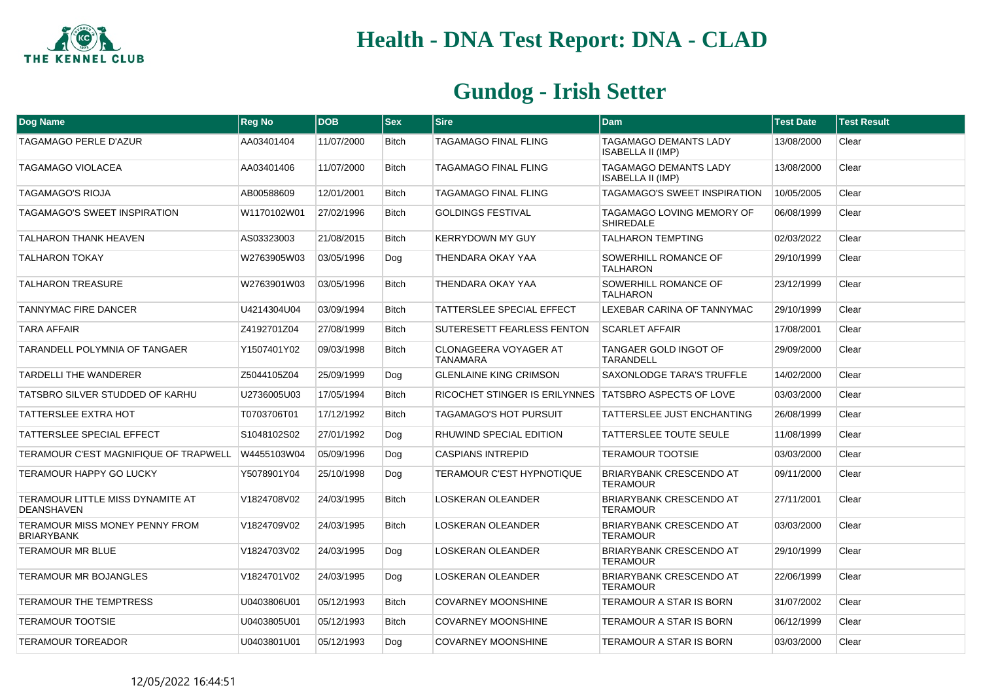

| Dog Name                                              | <b>Reg No</b> | <b>DOB</b> | <b>Sex</b>   | <b>Sire</b>                                           | <b>Dam</b>                                               | <b>Test Date</b> | <b>Test Result</b> |
|-------------------------------------------------------|---------------|------------|--------------|-------------------------------------------------------|----------------------------------------------------------|------------------|--------------------|
| TAGAMAGO PERLE D'AZUR                                 | AA03401404    | 11/07/2000 | <b>Bitch</b> | TAGAMAGO FINAL FLING                                  | <b>TAGAMAGO DEMANTS LADY</b><br><b>ISABELLA II (IMP)</b> | 13/08/2000       | Clear              |
| TAGAMAGO VIOLACEA                                     | AA03401406    | 11/07/2000 | <b>Bitch</b> | TAGAMAGO FINAL FLING                                  | <b>TAGAMAGO DEMANTS LADY</b><br>ISABELLA II (IMP)        | 13/08/2000       | Clear              |
| <b>TAGAMAGO'S RIOJA</b>                               | AB00588609    | 12/01/2001 | <b>Bitch</b> | TAGAMAGO FINAL FLING                                  | <b>TAGAMAGO'S SWEET INSPIRATION</b>                      | 10/05/2005       | Clear              |
| TAGAMAGO'S SWEET INSPIRATION                          | W1170102W01   | 27/02/1996 | <b>Bitch</b> | <b>GOLDINGS FESTIVAL</b>                              | TAGAMAGO LOVING MEMORY OF<br><b>SHIREDALE</b>            | 06/08/1999       | Clear              |
| <b>TALHARON THANK HEAVEN</b>                          | AS03323003    | 21/08/2015 | <b>Bitch</b> | <b>KERRYDOWN MY GUY</b>                               | <b>TALHARON TEMPTING</b>                                 | 02/03/2022       | Clear              |
| <b>TALHARON TOKAY</b>                                 | W2763905W03   | 03/05/1996 | Dog          | THENDARA OKAY YAA                                     | SOWERHILL ROMANCE OF<br><b>TALHARON</b>                  | 29/10/1999       | Clear              |
| <b>TALHARON TREASURE</b>                              | W2763901W03   | 03/05/1996 | <b>Bitch</b> | THENDARA OKAY YAA                                     | SOWERHILL ROMANCE OF<br><b>TALHARON</b>                  | 23/12/1999       | Clear              |
| TANNYMAC FIRE DANCER                                  | U4214304U04   | 03/09/1994 | <b>Bitch</b> | TATTERSLEE SPECIAL EFFECT                             | LEXEBAR CARINA OF TANNYMAC                               | 29/10/1999       | Clear              |
| <b>TARA AFFAIR</b>                                    | Z4192701Z04   | 27/08/1999 | <b>Bitch</b> | SUTERESETT FEARLESS FENTON                            | <b>SCARLET AFFAIR</b>                                    | 17/08/2001       | Clear              |
| TARANDELL POLYMNIA OF TANGAER                         | Y1507401Y02   | 09/03/1998 | <b>Bitch</b> | <b>CLONAGEERA VOYAGER AT</b><br><b>TANAMARA</b>       | TANGAER GOLD INGOT OF<br>TARANDELL                       | 29/09/2000       | Clear              |
| <b>TARDELLI THE WANDERER</b>                          | Z5044105Z04   | 25/09/1999 | Dog          | <b>GLENLAINE KING CRIMSON</b>                         | SAXONLODGE TARA'S TRUFFLE                                | 14/02/2000       | Clear              |
| TATSBRO SILVER STUDDED OF KARHU                       | U2736005U03   | 17/05/1994 | <b>Bitch</b> | RICOCHET STINGER IS ERILYNNES TATSBRO ASPECTS OF LOVE |                                                          | 03/03/2000       | Clear              |
| <b>TATTERSLEE EXTRA HOT</b>                           | T0703706T01   | 17/12/1992 | <b>Bitch</b> | TAGAMAGO'S HOT PURSUIT                                | TATTERSLEE JUST ENCHANTING                               | 26/08/1999       | Clear              |
| <b>TATTERSLEE SPECIAL EFFECT</b>                      | S1048102S02   | 27/01/1992 | Dog          | RHUWIND SPECIAL EDITION                               | TATTERSLEE TOUTE SEULE                                   | 11/08/1999       | Clear              |
| TERAMOUR C'EST MAGNIFIQUE OF TRAPWELL                 | W4455103W04   | 05/09/1996 | Dog          | <b>CASPIANS INTREPID</b>                              | <b>TERAMOUR TOOTSIE</b>                                  | 03/03/2000       | Clear              |
| TERAMOUR HAPPY GO LUCKY                               | Y5078901Y04   | 25/10/1998 | Dog          | <b>TERAMOUR C'EST HYPNOTIQUE</b>                      | <b>BRIARYBANK CRESCENDO AT</b><br><b>TERAMOUR</b>        | 09/11/2000       | Clear              |
| TERAMOUR LITTLE MISS DYNAMITE AT<br><b>DEANSHAVEN</b> | V1824708V02   | 24/03/1995 | <b>Bitch</b> | <b>LOSKERAN OLEANDER</b>                              | <b>BRIARYBANK CRESCENDO AT</b><br><b>TERAMOUR</b>        | 27/11/2001       | Clear              |
| TERAMOUR MISS MONEY PENNY FROM<br><b>BRIARYBANK</b>   | V1824709V02   | 24/03/1995 | <b>Bitch</b> | <b>LOSKERAN OLEANDER</b>                              | <b>BRIARYBANK CRESCENDO AT</b><br><b>TERAMOUR</b>        | 03/03/2000       | Clear              |
| <b>TERAMOUR MR BLUE</b>                               | V1824703V02   | 24/03/1995 | Dog          | <b>LOSKERAN OLEANDER</b>                              | BRIARYBANK CRESCENDO AT<br><b>TERAMOUR</b>               | 29/10/1999       | Clear              |
| <b>TERAMOUR MR BOJANGLES</b>                          | V1824701V02   | 24/03/1995 | Dog          | <b>LOSKERAN OLEANDER</b>                              | BRIARYBANK CRESCENDO AT<br><b>TERAMOUR</b>               | 22/06/1999       | Clear              |
| TERAMOUR THE TEMPTRESS                                | U0403806U01   | 05/12/1993 | <b>Bitch</b> | <b>COVARNEY MOONSHINE</b>                             | TERAMOUR A STAR IS BORN                                  | 31/07/2002       | Clear              |
| <b>TERAMOUR TOOTSIE</b>                               | U0403805U01   | 05/12/1993 | <b>Bitch</b> | <b>COVARNEY MOONSHINE</b>                             | TERAMOUR A STAR IS BORN                                  | 06/12/1999       | Clear              |
| <b>TERAMOUR TOREADOR</b>                              | U0403801U01   | 05/12/1993 | Dog          | <b>COVARNEY MOONSHINE</b>                             | TERAMOUR A STAR IS BORN                                  | 03/03/2000       | Clear              |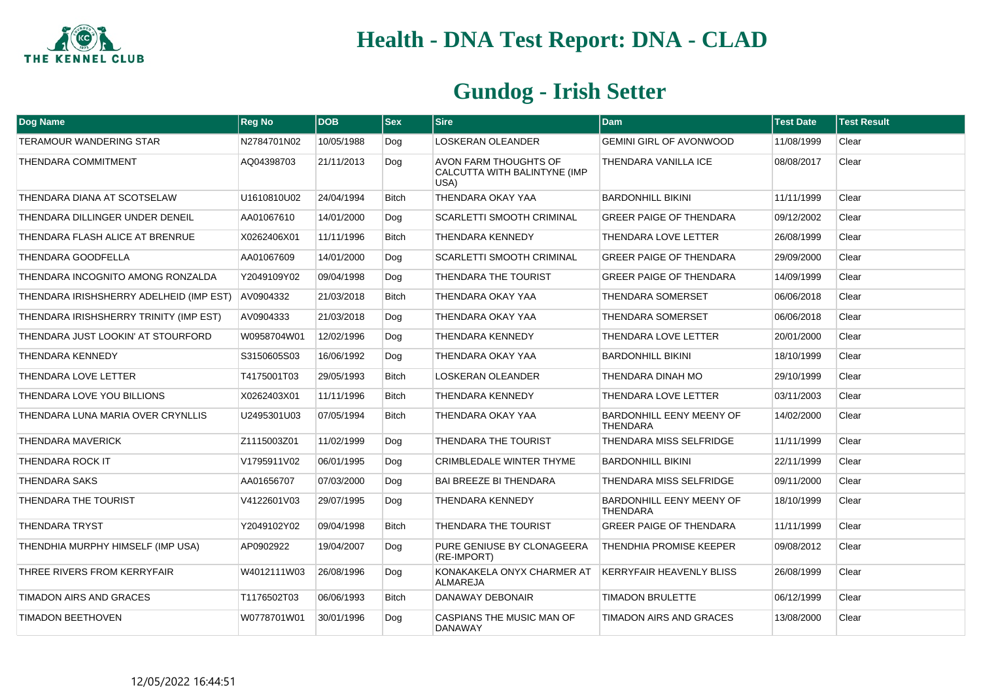

| Dog Name                                | <b>Reg No</b> | <b>DOB</b> | $ $ Sex      | <b>Sire</b>                                                   | <b>Dam</b>                                         | <b>Test Date</b> | <b>Test Result</b> |
|-----------------------------------------|---------------|------------|--------------|---------------------------------------------------------------|----------------------------------------------------|------------------|--------------------|
| TERAMOUR WANDERING STAR                 | N2784701N02   | 10/05/1988 | Dog          | <b>LOSKERAN OLEANDER</b>                                      | <b>GEMINI GIRL OF AVONWOOD</b>                     | 11/08/1999       | Clear              |
| THENDARA COMMITMENT                     | AQ04398703    | 21/11/2013 | Dog          | AVON FARM THOUGHTS OF<br>CALCUTTA WITH BALINTYNE (IMP<br>USA) | <b>THENDARA VANILLA ICE</b>                        | 08/08/2017       | Clear              |
| THENDARA DIANA AT SCOTSELAW             | U1610810U02   | 24/04/1994 | <b>Bitch</b> | THENDARA OKAY YAA                                             | <b>BARDONHILL BIKINI</b>                           | 11/11/1999       | Clear              |
| THENDARA DILLINGER UNDER DENEIL         | AA01067610    | 14/01/2000 | Dog          | SCARLETTI SMOOTH CRIMINAL                                     | <b>GREER PAIGE OF THENDARA</b>                     | 09/12/2002       | Clear              |
| THENDARA FLASH ALICE AT BRENRUE         | X0262406X01   | 11/11/1996 | <b>Bitch</b> | THENDARA KENNEDY                                              | THENDARA LOVE LETTER                               | 26/08/1999       | Clear              |
| THENDARA GOODFELLA                      | AA01067609    | 14/01/2000 | Dog          | <b>SCARLETTI SMOOTH CRIMINAL</b>                              | <b>GREER PAIGE OF THENDARA</b>                     | 29/09/2000       | Clear              |
| THENDARA INCOGNITO AMONG RONZALDA       | Y2049109Y02   | 09/04/1998 | Dog          | THENDARA THE TOURIST                                          | <b>GREER PAIGE OF THENDARA</b>                     | 14/09/1999       | Clear              |
| THENDARA IRISHSHERRY ADELHEID (IMP EST) | AV0904332     | 21/03/2018 | <b>Bitch</b> | THENDARA OKAY YAA                                             | <b>THENDARA SOMERSET</b>                           | 06/06/2018       | Clear              |
| THENDARA IRISHSHERRY TRINITY (IMP EST)  | AV0904333     | 21/03/2018 | Dog          | THENDARA OKAY YAA                                             | <b>THENDARA SOMERSET</b>                           | 06/06/2018       | Clear              |
| THENDARA JUST LOOKIN' AT STOURFORD      | W0958704W01   | 12/02/1996 | Dog          | THENDARA KENNEDY                                              | THENDARA LOVE LETTER                               | 20/01/2000       | Clear              |
| <b>THENDARA KENNEDY</b>                 | S3150605S03   | 16/06/1992 | Dog          | THENDARA OKAY YAA                                             | <b>BARDONHILL BIKINI</b>                           | 18/10/1999       | Clear              |
| THENDARA LOVE LETTER                    | T4175001T03   | 29/05/1993 | <b>Bitch</b> | <b>LOSKERAN OLEANDER</b>                                      | THENDARA DINAH MO                                  | 29/10/1999       | Clear              |
| THENDARA LOVE YOU BILLIONS              | X0262403X01   | 11/11/1996 | <b>Bitch</b> | THENDARA KENNEDY                                              | THENDARA LOVE LETTER                               | 03/11/2003       | Clear              |
| THENDARA LUNA MARIA OVER CRYNLLIS       | U2495301U03   | 07/05/1994 | <b>Bitch</b> | THENDARA OKAY YAA                                             | BARDONHILL EENY MEENY OF<br><b>THENDARA</b>        | 14/02/2000       | Clear              |
| THENDARA MAVERICK                       | Z1115003Z01   | 11/02/1999 | Dog          | THENDARA THE TOURIST                                          | THENDARA MISS SELFRIDGE                            | 11/11/1999       | Clear              |
| THENDARA ROCK IT                        | V1795911V02   | 06/01/1995 | Dog          | CRIMBLEDALE WINTER THYME                                      | <b>BARDONHILL BIKINI</b>                           | 22/11/1999       | Clear              |
| <b>THENDARA SAKS</b>                    | AA01656707    | 07/03/2000 | Dog          | <b>BAI BREEZE BI THENDARA</b>                                 | <b>THENDARA MISS SELFRIDGE</b>                     | 09/11/2000       | Clear              |
| THENDARA THE TOURIST                    | V4122601V03   | 29/07/1995 | Dog          | THENDARA KENNEDY                                              | <b>BARDONHILL EENY MEENY OF</b><br><b>THENDARA</b> | 18/10/1999       | Clear              |
| <b>THENDARA TRYST</b>                   | Y2049102Y02   | 09/04/1998 | <b>Bitch</b> | THENDARA THE TOURIST                                          | <b>GREER PAIGE OF THENDARA</b>                     | 11/11/1999       | Clear              |
| THENDHIA MURPHY HIMSELF (IMP USA)       | AP0902922     | 19/04/2007 | Dog          | PURE GENIUSE BY CLONAGEERA<br>(RE-IMPORT)                     | THENDHIA PROMISE KEEPER                            | 09/08/2012       | Clear              |
| THREE RIVERS FROM KERRYFAIR             | W4012111W03   | 26/08/1996 | Dog          | KONAKAKELA ONYX CHARMER AT<br><b>ALMAREJA</b>                 | <b>KERRYFAIR HEAVENLY BLISS</b>                    | 26/08/1999       | Clear              |
| <b>TIMADON AIRS AND GRACES</b>          | T1176502T03   | 06/06/1993 | <b>Bitch</b> | <b>DANAWAY DEBONAIR</b>                                       | <b>TIMADON BRULETTE</b>                            | 06/12/1999       | Clear              |
| <b>TIMADON BEETHOVEN</b>                | W0778701W01   | 30/01/1996 | Dog          | CASPIANS THE MUSIC MAN OF<br>DANAWAY                          | TIMADON AIRS AND GRACES                            | 13/08/2000       | Clear              |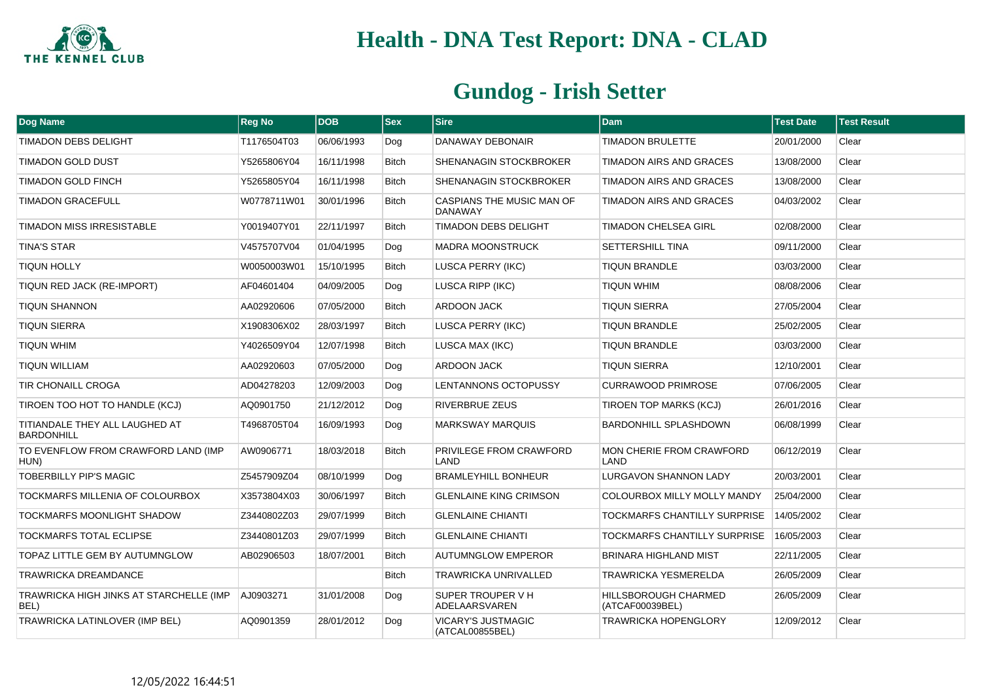

| Dog Name                                            | <b>Reg No</b> | <b>DOB</b> | <b>Sex</b>   | <b>Sire</b>                                 | <b>Dam</b>                                     | <b>Test Date</b> | <b>Test Result</b> |
|-----------------------------------------------------|---------------|------------|--------------|---------------------------------------------|------------------------------------------------|------------------|--------------------|
| <b>TIMADON DEBS DELIGHT</b>                         | T1176504T03   | 06/06/1993 | Dog          | DANAWAY DEBONAIR                            | <b>TIMADON BRULETTE</b>                        | 20/01/2000       | Clear              |
| <b>TIMADON GOLD DUST</b>                            | Y5265806Y04   | 16/11/1998 | <b>Bitch</b> | SHENANAGIN STOCKBROKER                      | <b>TIMADON AIRS AND GRACES</b>                 | 13/08/2000       | Clear              |
| <b>TIMADON GOLD FINCH</b>                           | Y5265805Y04   | 16/11/1998 | <b>Bitch</b> | SHENANAGIN STOCKBROKER                      | <b>TIMADON AIRS AND GRACES</b>                 | 13/08/2000       | Clear              |
| <b>TIMADON GRACEFULL</b>                            | W0778711W01   | 30/01/1996 | <b>Bitch</b> | CASPIANS THE MUSIC MAN OF<br><b>DANAWAY</b> | <b>TIMADON AIRS AND GRACES</b>                 | 04/03/2002       | Clear              |
| <b>TIMADON MISS IRRESISTABLE</b>                    | Y0019407Y01   | 22/11/1997 | <b>Bitch</b> | <b>TIMADON DEBS DELIGHT</b>                 | <b>TIMADON CHELSEA GIRL</b>                    | 02/08/2000       | Clear              |
| <b>TINA'S STAR</b>                                  | V4575707V04   | 01/04/1995 | Dog          | MADRA MOONSTRUCK                            | SETTERSHILL TINA                               | 09/11/2000       | Clear              |
| <b>TIQUN HOLLY</b>                                  | W0050003W01   | 15/10/1995 | Bitch        | LUSCA PERRY (IKC)                           | <b>TIQUN BRANDLE</b>                           | 03/03/2000       | Clear              |
| TIQUN RED JACK (RE-IMPORT)                          | AF04601404    | 04/09/2005 | Dog          | LUSCA RIPP (IKC)                            | <b>TIQUN WHIM</b>                              | 08/08/2006       | Clear              |
| <b>TIQUN SHANNON</b>                                | AA02920606    | 07/05/2000 | <b>Bitch</b> | <b>ARDOON JACK</b>                          | <b>TIQUN SIERRA</b>                            | 27/05/2004       | Clear              |
| <b>TIQUN SIERRA</b>                                 | X1908306X02   | 28/03/1997 | <b>Bitch</b> | LUSCA PERRY (IKC)                           | <b>TIQUN BRANDLE</b>                           | 25/02/2005       | Clear              |
| <b>TIQUN WHIM</b>                                   | Y4026509Y04   | 12/07/1998 | <b>Bitch</b> | LUSCA MAX (IKC)                             | <b>TIQUN BRANDLE</b>                           | 03/03/2000       | Clear              |
| <b>TIQUN WILLIAM</b>                                | AA02920603    | 07/05/2000 | Dog          | <b>ARDOON JACK</b>                          | <b>TIQUN SIERRA</b>                            | 12/10/2001       | Clear              |
| TIR CHONAILL CROGA                                  | AD04278203    | 12/09/2003 | Dog          | LENTANNONS OCTOPUSSY                        | <b>CURRAWOOD PRIMROSE</b>                      | 07/06/2005       | Clear              |
| TIROEN TOO HOT TO HANDLE (KCJ)                      | AQ0901750     | 21/12/2012 | Dog          | <b>RIVERBRUE ZEUS</b>                       | <b>TIROEN TOP MARKS (KCJ)</b>                  | 26/01/2016       | Clear              |
| TITIANDALE THEY ALL LAUGHED AT<br><b>BARDONHILL</b> | T4968705T04   | 16/09/1993 | Dog          | MARKSWAY MARQUIS                            | <b>BARDONHILL SPLASHDOWN</b>                   | 06/08/1999       | Clear              |
| TO EVENFLOW FROM CRAWFORD LAND (IMP<br>HUN)         | AW0906771     | 18/03/2018 | <b>Bitch</b> | PRIVILEGE FROM CRAWFORD<br>LAND             | MON CHERIE FROM CRAWFORD<br>LAND               | 06/12/2019       | Clear              |
| <b>TOBERBILLY PIP'S MAGIC</b>                       | Z5457909Z04   | 08/10/1999 | Dog          | <b>BRAMLEYHILL BONHEUR</b>                  | <b>LURGAVON SHANNON LADY</b>                   | 20/03/2001       | Clear              |
| TOCKMARFS MILLENIA OF COLOURBOX                     | X3573804X03   | 30/06/1997 | <b>Bitch</b> | <b>GLENLAINE KING CRIMSON</b>               | COLOURBOX MILLY MOLLY MANDY                    | 25/04/2000       | Clear              |
| <b>TOCKMARFS MOONLIGHT SHADOW</b>                   | Z3440802Z03   | 29/07/1999 | <b>Bitch</b> | <b>GLENLAINE CHIANTI</b>                    | <b>TOCKMARFS CHANTILLY SURPRISE</b>            | 14/05/2002       | Clear              |
| <b>TOCKMARFS TOTAL ECLIPSE</b>                      | Z3440801Z03   | 29/07/1999 | <b>Bitch</b> | <b>GLENLAINE CHIANTI</b>                    | <b>TOCKMARFS CHANTILLY SURPRISE</b>            | 16/05/2003       | Clear              |
| TOPAZ LITTLE GEM BY AUTUMNGLOW                      | AB02906503    | 18/07/2001 | <b>Bitch</b> | <b>AUTUMNGLOW EMPEROR</b>                   | <b>BRINARA HIGHLAND MIST</b>                   | 22/11/2005       | Clear              |
| <b>TRAWRICKA DREAMDANCE</b>                         |               |            | <b>Bitch</b> | <b>TRAWRICKA UNRIVALLED</b>                 | <b>TRAWRICKA YESMERELDA</b>                    | 26/05/2009       | Clear              |
| TRAWRICKA HIGH JINKS AT STARCHELLE (IMP<br>BEL)     | AJ0903271     | 31/01/2008 | Dog          | SUPER TROUPER V H<br><b>ADELAARSVAREN</b>   | <b>HILLSBOROUGH CHARMED</b><br>(ATCAF00039BEL) | 26/05/2009       | Clear              |
| TRAWRICKA LATINLOVER (IMP BEL)                      | AQ0901359     | 28/01/2012 | Dog          | VICARY'S JUSTMAGIC<br>(ATCAL00855BEL)       | <b>TRAWRICKA HOPENGLORY</b>                    | 12/09/2012       | Clear              |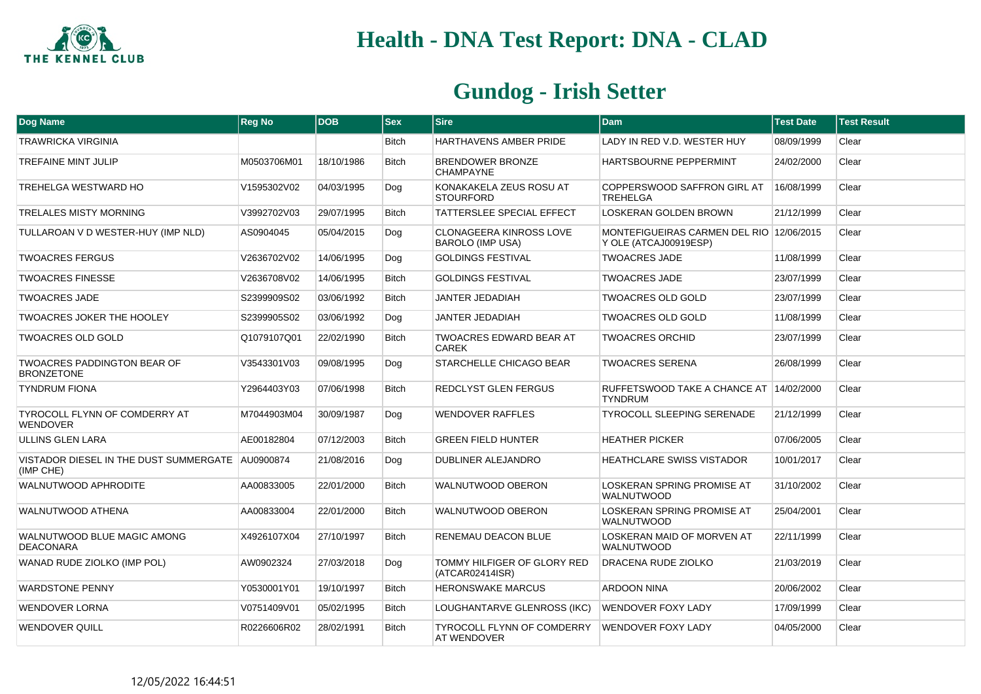

| Dog Name                                                      | Reg No      | <b>DOB</b> | $ $ Sex      | <b>Sire</b>                                             | <b>Dam</b>                                                        | <b>Test Date</b> | <b>Test Result</b> |
|---------------------------------------------------------------|-------------|------------|--------------|---------------------------------------------------------|-------------------------------------------------------------------|------------------|--------------------|
| <b>TRAWRICKA VIRGINIA</b>                                     |             |            | <b>Bitch</b> | HARTHAVENS AMBER PRIDE                                  | LADY IN RED V.D. WESTER HUY                                       | 08/09/1999       | Clear              |
| <b>TREFAINE MINT JULIP</b>                                    | M0503706M01 | 18/10/1986 | <b>Bitch</b> | BRENDOWER BRONZE<br><b>CHAMPAYNE</b>                    | HARTSBOURNE PEPPERMINT                                            | 24/02/2000       | Clear              |
| <b>TREHELGA WESTWARD HO</b>                                   | V1595302V02 | 04/03/1995 | Dog          | KONAKAKELA ZEUS ROSU AT<br><b>STOURFORD</b>             | COPPERSWOOD SAFFRON GIRL AT<br><b>TREHELGA</b>                    | 16/08/1999       | Clear              |
| <b>TRELALES MISTY MORNING</b>                                 | V3992702V03 | 29/07/1995 | <b>Bitch</b> | TATTERSLEE SPECIAL EFFECT                               | LOSKERAN GOLDEN BROWN                                             | 21/12/1999       | Clear              |
| TULLAROAN V D WESTER-HUY (IMP NLD)                            | AS0904045   | 05/04/2015 | Dog          | <b>CLONAGEERA KINROSS LOVE</b><br>BAROLO (IMP USA)      | MONTEFIGUEIRAS CARMEN DEL RIO 12/06/2015<br>Y OLE (ATCAJ00919ESP) |                  | Clear              |
| <b>TWOACRES FERGUS</b>                                        | V2636702V02 | 14/06/1995 | Dog          | <b>GOLDINGS FESTIVAL</b>                                | <b>TWOACRES JADE</b>                                              | 11/08/1999       | Clear              |
| <b>TWOACRES FINESSE</b>                                       | V2636708V02 | 14/06/1995 | <b>Bitch</b> | <b>GOLDINGS FESTIVAL</b>                                | <b>TWOACRES JADE</b>                                              | 23/07/1999       | Clear              |
| <b>TWOACRES JADE</b>                                          | S2399909S02 | 03/06/1992 | <b>Bitch</b> | <b>JANTER JEDADIAH</b>                                  | <b>TWOACRES OLD GOLD</b>                                          | 23/07/1999       | Clear              |
| <b>TWOACRES JOKER THE HOOLEY</b>                              | S2399905S02 | 03/06/1992 | Dog          | JANTER JEDADIAH                                         | <b>TWOACRES OLD GOLD</b>                                          | 11/08/1999       | Clear              |
| <b>TWOACRES OLD GOLD</b>                                      | Q1079107Q01 | 22/02/1990 | <b>Bitch</b> | TWOACRES EDWARD BEAR AT<br>CAREK                        | <b>TWOACRES ORCHID</b>                                            | 23/07/1999       | Clear              |
| <b>TWOACRES PADDINGTON BEAR OF</b><br><b>BRONZETONE</b>       | V3543301V03 | 09/08/1995 | Dog          | STARCHELLE CHICAGO BEAR                                 | <b>TWOACRES SERENA</b>                                            | 26/08/1999       | Clear              |
| <b>TYNDRUM FIONA</b>                                          | Y2964403Y03 | 07/06/1998 | <b>Bitch</b> | REDCLYST GLEN FERGUS                                    | RUFFETSWOOD TAKE A CHANCE AT 14/02/2000<br><b>TYNDRUM</b>         |                  | Clear              |
| <b>TYROCOLL FLYNN OF COMDERRY AT</b><br><b>WENDOVER</b>       | M7044903M04 | 30/09/1987 | Dog          | <b>WENDOVER RAFFLES</b>                                 | <b>TYROCOLL SLEEPING SERENADE</b>                                 | 21/12/1999       | Clear              |
| ULLINS GLEN LARA                                              | AE00182804  | 07/12/2003 | <b>Bitch</b> | <b>GREEN FIELD HUNTER</b>                               | <b>HEATHER PICKER</b>                                             | 07/06/2005       | Clear              |
| VISTADOR DIESEL IN THE DUST SUMMERGATE AU0900874<br>(IMP CHE) |             | 21/08/2016 | Dog          | DUBLINER ALEJANDRO                                      | <b>HEATHCLARE SWISS VISTADOR</b>                                  | 10/01/2017       | Clear              |
| WALNUTWOOD APHRODITE                                          | AA00833005  | 22/01/2000 | <b>Bitch</b> | <b>WALNUTWOOD OBERON</b>                                | <b>LOSKERAN SPRING PROMISE AT</b><br><b>WALNUTWOOD</b>            | 31/10/2002       | Clear              |
| WALNUTWOOD ATHENA                                             | AA00833004  | 22/01/2000 | <b>Bitch</b> | WALNUTWOOD OBERON                                       | LOSKERAN SPRING PROMISE AT<br><b>WALNUTWOOD</b>                   | 25/04/2001       | Clear              |
| WALNUTWOOD BLUE MAGIC AMONG<br><b>DEACONARA</b>               | X4926107X04 | 27/10/1997 | <b>Bitch</b> | RENEMAU DEACON BLUE                                     | LOSKERAN MAID OF MORVEN AT<br><b>WALNUTWOOD</b>                   | 22/11/1999       | Clear              |
| WANAD RUDE ZIOLKO (IMP POL)                                   | AW0902324   | 27/03/2018 | Dog          | TOMMY HILFIGER OF GLORY RED<br>(ATCAR02414ISR)          | DRACENA RUDE ZIOLKO                                               | 21/03/2019       | Clear              |
| <b>WARDSTONE PENNY</b>                                        | Y0530001Y01 | 19/10/1997 | <b>Bitch</b> | <b>HERONSWAKE MARCUS</b>                                | <b>ARDOON NINA</b>                                                | 20/06/2002       | Clear              |
| <b>WENDOVER LORNA</b>                                         | V0751409V01 | 05/02/1995 | Bitch        | LOUGHANTARVE GLENROSS (IKC)                             | <b>WENDOVER FOXY LADY</b>                                         | 17/09/1999       | Clear              |
| <b>WENDOVER QUILL</b>                                         | R0226606R02 | 28/02/1991 | <b>Bitch</b> | <b>TYROCOLL FLYNN OF COMDERRY</b><br><b>AT WENDOVER</b> | <b>WENDOVER FOXY LADY</b>                                         | 04/05/2000       | Clear              |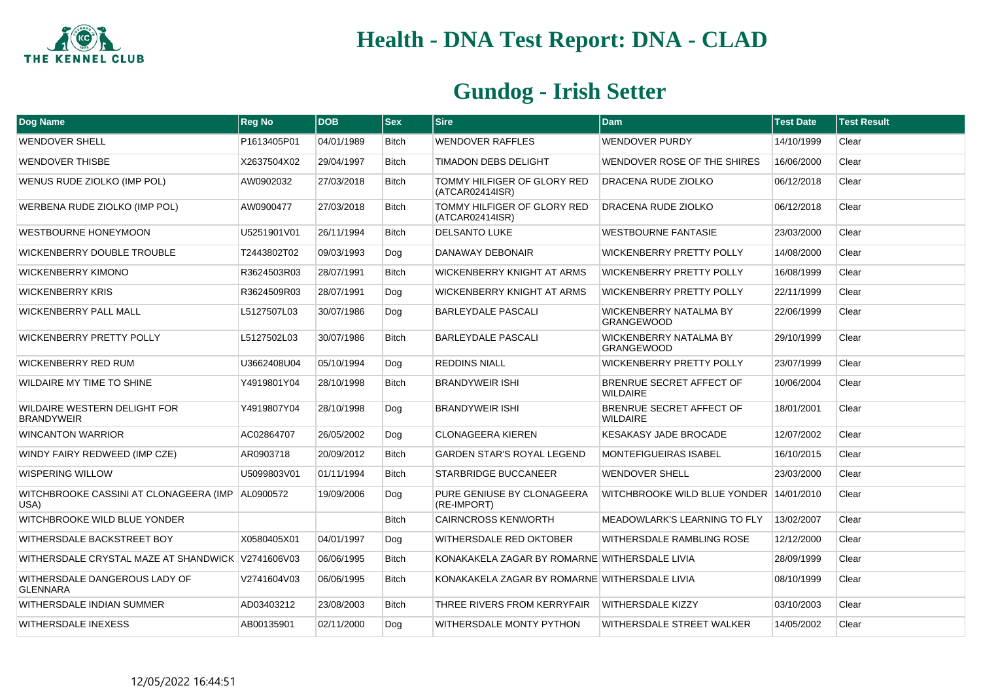

| Dog Name                                            | <b>Reg No</b> | <b>DOB</b> | $ $ Sex      | <b>Sire</b>                                    | <b>Dam</b>                                         | <b>Test Date</b> | <b>Test Result</b> |
|-----------------------------------------------------|---------------|------------|--------------|------------------------------------------------|----------------------------------------------------|------------------|--------------------|
| <b>WENDOVER SHELL</b>                               | P1613405P01   | 04/01/1989 | <b>Bitch</b> | <b>WENDOVER RAFFLES</b>                        | <b>WENDOVER PURDY</b>                              | 14/10/1999       | Clear              |
| <b>WENDOVER THISBE</b>                              | X2637504X02   | 29/04/1997 | <b>Bitch</b> | TIMADON DEBS DELIGHT                           | WENDOVER ROSE OF THE SHIRES                        | 16/06/2000       | Clear              |
| WENUS RUDE ZIOLKO (IMP POL)                         | AW0902032     | 27/03/2018 | <b>Bitch</b> | TOMMY HILFIGER OF GLORY RED<br>(ATCAR02414ISR) | DRACENA RUDE ZIOLKO                                | 06/12/2018       | Clear              |
| WERBENA RUDE ZIOLKO (IMP POL)                       | AW0900477     | 27/03/2018 | <b>Bitch</b> | TOMMY HILFIGER OF GLORY RED<br>(ATCAR02414ISR) | DRACENA RUDE ZIOLKO                                | 06/12/2018       | Clear              |
| <b>WESTBOURNE HONEYMOON</b>                         | U5251901V01   | 26/11/1994 | <b>Bitch</b> | <b>DELSANTO LUKE</b>                           | <b>WESTBOURNE FANTASIE</b>                         | 23/03/2000       | Clear              |
| <b>WICKENBERRY DOUBLE TROUBLE</b>                   | T2443802T02   | 09/03/1993 | Dog          | DANAWAY DEBONAIR                               | WICKENBERRY PRETTY POLLY                           | 14/08/2000       | Clear              |
| <b>WICKENBERRY KIMONO</b>                           | R3624503R03   | 28/07/1991 | <b>Bitch</b> | WICKENBERRY KNIGHT AT ARMS                     | <b>WICKENBERRY PRETTY POLLY</b>                    | 16/08/1999       | Clear              |
| <b>WICKENBERRY KRIS</b>                             | R3624509R03   | 28/07/1991 | Dog          | WICKENBERRY KNIGHT AT ARMS                     | <b>WICKENBERRY PRETTY POLLY</b>                    | 22/11/1999       | Clear              |
| <b>WICKENBERRY PALL MALL</b>                        | L5127507L03   | 30/07/1986 | Dog          | BARLEYDALE PASCALI                             | WICKENBERRY NATALMA BY<br><b>GRANGEWOOD</b>        | 22/06/1999       | Clear              |
| <b>WICKENBERRY PRETTY POLLY</b>                     | L5127502L03   | 30/07/1986 | <b>Bitch</b> | <b>BARLEYDALE PASCALI</b>                      | <b>WICKENBERRY NATALMA BY</b><br><b>GRANGEWOOD</b> | 29/10/1999       | Clear              |
| WICKENBERRY RED RUM                                 | U3662408U04   | 05/10/1994 | Dog          | <b>REDDINS NIALL</b>                           | WICKENBERRY PRETTY POLLY                           | 23/07/1999       | Clear              |
| WILDAIRE MY TIME TO SHINE                           | Y4919801Y04   | 28/10/1998 | <b>Bitch</b> | <b>BRANDYWEIR ISHI</b>                         | BRENRUE SECRET AFFECT OF<br><b>WILDAIRE</b>        | 10/06/2004       | Clear              |
| WILDAIRE WESTERN DELIGHT FOR<br><b>BRANDYWEIR</b>   | Y4919807Y04   | 28/10/1998 | Dog          | <b>BRANDYWEIR ISHI</b>                         | BRENRUE SECRET AFFECT OF<br><b>WILDAIRE</b>        | 18/01/2001       | Clear              |
| <b>WINCANTON WARRIOR</b>                            | AC02864707    | 26/05/2002 | Dog          | <b>CLONAGEERA KIEREN</b>                       | <b>KESAKASY JADE BROCADE</b>                       | 12/07/2002       | Clear              |
| WINDY FAIRY REDWEED (IMP CZE)                       | AR0903718     | 20/09/2012 | <b>Bitch</b> | <b>GARDEN STAR'S ROYAL LEGEND</b>              | <b>MONTEFIGUEIRAS ISABEL</b>                       | 16/10/2015       | Clear              |
| WISPERING WILLOW                                    | U5099803V01   | 01/11/1994 | <b>Bitch</b> | STARBRIDGE BUCCANEER                           | WENDOVER SHELL                                     | 23/03/2000       | Clear              |
| WITCHBROOKE CASSINI AT CLONAGEERA (IMP<br>USA)      | AL0900572     | 19/09/2006 | Dog          | PURE GENIUSE BY CLONAGEERA<br>(RE-IMPORT)      | WITCHBROOKE WILD BLUE YONDER 14/01/2010            |                  | Clear              |
| WITCHBROOKE WILD BLUE YONDER                        |               |            | <b>Bitch</b> | <b>CAIRNCROSS KENWORTH</b>                     | MEADOWLARK'S LEARNING TO FLY                       | 13/02/2007       | Clear              |
| WITHERSDALE BACKSTREET BOY                          | X0580405X01   | 04/01/1997 | Dog          | WITHERSDALE RED OKTOBER                        | WITHERSDALE RAMBLING ROSE                          | 12/12/2000       | Clear              |
| WITHERSDALE CRYSTAL MAZE AT SHANDWICK   V2741606V03 |               | 06/06/1995 | <b>Bitch</b> | KONAKAKELA ZAGAR BY ROMARNE WITHERSDALE LIVIA  |                                                    | 28/09/1999       | Clear              |
| WITHERSDALE DANGEROUS LADY OF<br><b>GLENNARA</b>    | V2741604V03   | 06/06/1995 | <b>Bitch</b> | KONAKAKELA ZAGAR BY ROMARNE WITHERSDALE LIVIA  |                                                    | 08/10/1999       | Clear              |
| WITHERSDALE INDIAN SUMMER                           | AD03403212    | 23/08/2003 | <b>Bitch</b> | THREE RIVERS FROM KERRYFAIR                    | <b>WITHERSDALE KIZZY</b>                           | 03/10/2003       | Clear              |
| WITHERSDALE INEXESS                                 | AB00135901    | 02/11/2000 | Dog          | WITHERSDALE MONTY PYTHON                       | WITHERSDALE STREET WALKER                          | 14/05/2002       | Clear              |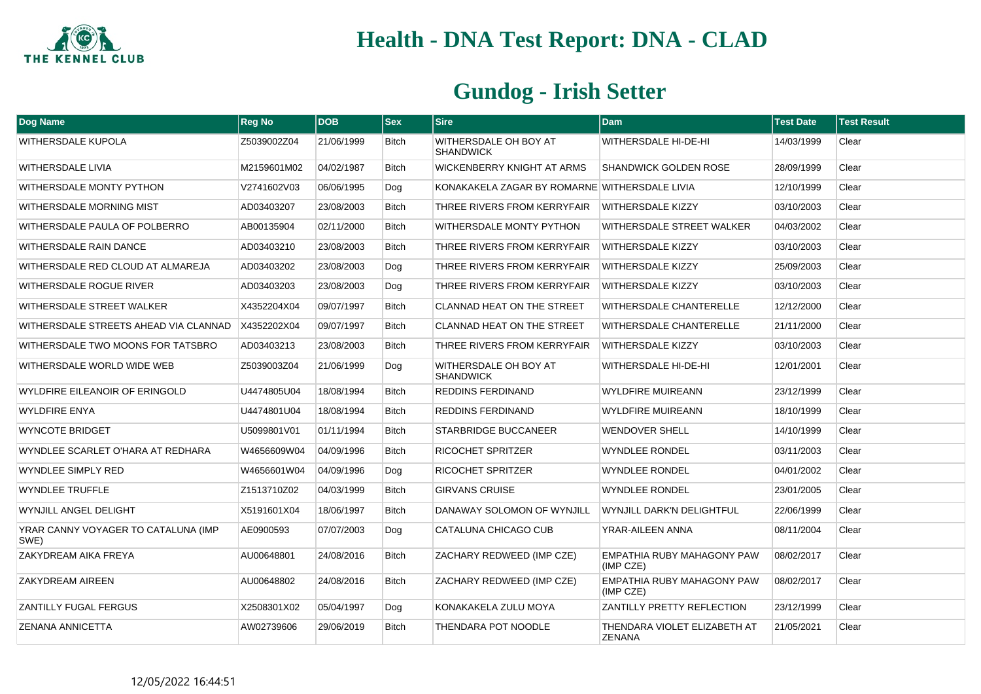

| Dog Name                                    | <b>Reg No</b> | <b>DOB</b> | $ $ Sex      | <b>Sire</b>                                   | <b>Dam</b>                                     | <b>Test Date</b> | <b>Test Result</b> |
|---------------------------------------------|---------------|------------|--------------|-----------------------------------------------|------------------------------------------------|------------------|--------------------|
| <b>WITHERSDALE KUPOLA</b>                   | Z5039002Z04   | 21/06/1999 | <b>Bitch</b> | WITHERSDALE OH BOY AT<br><b>SHANDWICK</b>     | WITHERSDALE HI-DE-HI                           | 14/03/1999       | Clear              |
| <b>WITHERSDALE LIVIA</b>                    | M2159601M02   | 04/02/1987 | <b>Bitch</b> | WICKENBERRY KNIGHT AT ARMS                    | <b>SHANDWICK GOLDEN ROSE</b>                   | 28/09/1999       | Clear              |
| WITHERSDALE MONTY PYTHON                    | V2741602V03   | 06/06/1995 | Dog          | KONAKAKELA ZAGAR BY ROMARNE WITHERSDALE LIVIA |                                                | 12/10/1999       | Clear              |
| WITHERSDALE MORNING MIST                    | AD03403207    | 23/08/2003 | <b>Bitch</b> | THREE RIVERS FROM KERRYFAIR                   | <b>WITHERSDALE KIZZY</b>                       | 03/10/2003       | Clear              |
| WITHERSDALE PAULA OF POLBERRO               | AB00135904    | 02/11/2000 | Bitch        | WITHERSDALE MONTY PYTHON                      | WITHERSDALE STREET WALKER                      | 04/03/2002       | Clear              |
| <b>WITHERSDALE RAIN DANCE</b>               | AD03403210    | 23/08/2003 | <b>Bitch</b> | THREE RIVERS FROM KERRYFAIR                   | <b>WITHERSDALE KIZZY</b>                       | 03/10/2003       | Clear              |
| WITHERSDALE RED CLOUD AT ALMAREJA           | AD03403202    | 23/08/2003 | Dog          | THREE RIVERS FROM KERRYFAIR                   | <b>WITHERSDALE KIZZY</b>                       | 25/09/2003       | Clear              |
| WITHERSDALE ROGUE RIVER                     | AD03403203    | 23/08/2003 | Dog          | THREE RIVERS FROM KERRYFAIR                   | <b>WITHERSDALE KIZZY</b>                       | 03/10/2003       | Clear              |
| WITHERSDALE STREET WALKER                   | X4352204X04   | 09/07/1997 | <b>Bitch</b> | <b>CLANNAD HEAT ON THE STREET</b>             | WITHERSDALE CHANTERELLE                        | 12/12/2000       | Clear              |
| WITHERSDALE STREETS AHEAD VIA CLANNAD       | X4352202X04   | 09/07/1997 | <b>Bitch</b> | <b>CLANNAD HEAT ON THE STREET</b>             | WITHERSDALE CHANTERELLE                        | 21/11/2000       | Clear              |
| WITHERSDALE TWO MOONS FOR TATSBRO           | AD03403213    | 23/08/2003 | Bitch        | THREE RIVERS FROM KERRYFAIR                   | <b>WITHERSDALE KIZZY</b>                       | 03/10/2003       | Clear              |
| WITHERSDALE WORLD WIDE WEB                  | Z5039003Z04   | 21/06/1999 | Dog          | WITHERSDALE OH BOY AT<br><b>SHANDWICK</b>     | WITHERSDALE HI-DE-HI                           | 12/01/2001       | Clear              |
| WYLDFIRE EILEANOIR OF ERINGOLD              | U4474805U04   | 18/08/1994 | <b>Bitch</b> | <b>REDDINS FERDINAND</b>                      | <b>WYLDFIRE MUIREANN</b>                       | 23/12/1999       | Clear              |
| <b>WYLDFIRE ENYA</b>                        | U4474801U04   | 18/08/1994 | <b>Bitch</b> | <b>REDDINS FERDINAND</b>                      | <b>WYLDFIRE MUIREANN</b>                       | 18/10/1999       | Clear              |
| <b>WYNCOTE BRIDGET</b>                      | U5099801V01   | 01/11/1994 | Bitch        | STARBRIDGE BUCCANEER                          | <b>WENDOVER SHELL</b>                          | 14/10/1999       | Clear              |
| WYNDLEE SCARLET O'HARA AT REDHARA           | W4656609W04   | 04/09/1996 | <b>Bitch</b> | <b>RICOCHET SPRITZER</b>                      | <b>WYNDLEE RONDEL</b>                          | 03/11/2003       | Clear              |
| <b>WYNDLEE SIMPLY RED</b>                   | W4656601W04   | 04/09/1996 | Dog          | RICOCHET SPRITZER                             | <b>WYNDLEE RONDEL</b>                          | 04/01/2002       | Clear              |
| <b>WYNDLEE TRUFFLE</b>                      | Z1513710Z02   | 04/03/1999 | <b>Bitch</b> | <b>GIRVANS CRUISE</b>                         | <b>WYNDLEE RONDEL</b>                          | 23/01/2005       | Clear              |
| WYNJILL ANGEL DELIGHT                       | X5191601X04   | 18/06/1997 | <b>Bitch</b> | DANAWAY SOLOMON OF WYNJILL                    | WYNJILL DARK'N DELIGHTFUL                      | 22/06/1999       | Clear              |
| YRAR CANNY VOYAGER TO CATALUNA (IMP<br>SWE) | AE0900593     | 07/07/2003 | Dog          | CATALUNA CHICAGO CUB                          | YRAR-AILEEN ANNA                               | 08/11/2004       | Clear              |
| ZAKYDREAM AIKA FREYA                        | AU00648801    | 24/08/2016 | <b>Bitch</b> | ZACHARY REDWEED (IMP CZE)                     | EMPATHIA RUBY MAHAGONY PAW<br>(IMP CZE)        | 08/02/2017       | Clear              |
| ZAKYDREAM AIREEN                            | AU00648802    | 24/08/2016 | <b>Bitch</b> | ZACHARY REDWEED (IMP CZE)                     | <b>EMPATHIA RUBY MAHAGONY PAW</b><br>(IMP CZE) | 08/02/2017       | Clear              |
| ZANTILLY FUGAL FERGUS                       | X2508301X02   | 05/04/1997 | Dog          | KONAKAKELA ZULU MOYA                          | ZANTILLY PRETTY REFLECTION                     | 23/12/1999       | Clear              |
| <b>ZENANA ANNICETTA</b>                     | AW02739606    | 29/06/2019 | <b>Bitch</b> | THENDARA POT NOODLE                           | THENDARA VIOLET ELIZABETH AT<br><b>ZENANA</b>  | 21/05/2021       | Clear              |